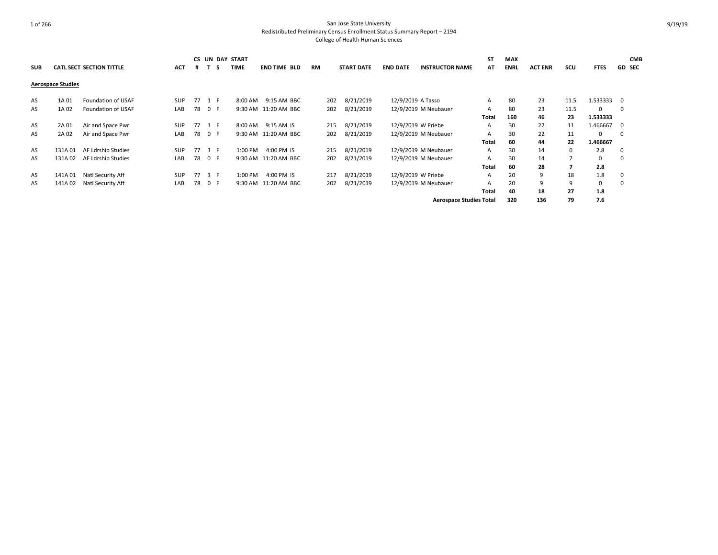|            |                          |                                 |            |    |        | <b>CS UN DAY START</b> |                      |           |                   |                    |                                | <b>ST</b>    | <b>MAX</b>  |                |      |             | <b>CMB</b>              |
|------------|--------------------------|---------------------------------|------------|----|--------|------------------------|----------------------|-----------|-------------------|--------------------|--------------------------------|--------------|-------------|----------------|------|-------------|-------------------------|
| <b>SUB</b> |                          | <b>CATL SECT SECTION TITTLE</b> | <b>ACT</b> | #  | -5     | <b>TIME</b>            | <b>END TIME BLD</b>  | <b>RM</b> | <b>START DATE</b> | <b>END DATE</b>    | <b>INSTRUCTOR NAME</b>         | AT           | <b>ENRL</b> | <b>ACT ENR</b> | scu  | <b>FTES</b> | <b>GD SEC</b>           |
|            |                          |                                 |            |    |        |                        |                      |           |                   |                    |                                |              |             |                |      |             |                         |
|            | <b>Aerospace Studies</b> |                                 |            |    |        |                        |                      |           |                   |                    |                                |              |             |                |      |             |                         |
| AS         | 1A 01                    | Foundation of USAF              | <b>SUP</b> | 77 | 1 F    | 8:00 AM                | 9:15 AM BBC          | 202       | 8/21/2019         | 12/9/2019 A Tasso  |                                | $\mathsf{A}$ | 80          | 23             | 11.5 | 1.533333 0  |                         |
|            |                          |                                 |            |    |        |                        |                      |           |                   |                    |                                |              |             |                |      |             |                         |
| AS         | 1A 02                    | Foundation of USAF              | LAB        | 78 | 0 F    |                        | 9:30 AM 11:20 AM BBC | 202       | 8/21/2019         |                    | 12/9/2019 M Neubauer           | $\mathsf{A}$ | 80          | 23             | 11.5 | 0           | $\mathbf 0$             |
|            |                          |                                 |            |    |        |                        |                      |           |                   |                    |                                | Total        | 160         | 46             | 23   | 1.533333    |                         |
| AS         | 2A 01                    | Air and Space Pwr               | <b>SUP</b> |    | 77 1 F | 8:00 AM                | 9:15 AM IS           | 215       | 8/21/2019         | 12/9/2019 W Priebe |                                | $\mathsf{A}$ | 30          | 22             | 11   | 1.466667    | $\overline{\mathbf{0}}$ |
| AS         | 2A 02                    | Air and Space Pwr               | LAB        | 78 | 0 F    |                        | 9:30 AM 11:20 AM BBC | 202       | 8/21/2019         |                    | 12/9/2019 M Neubauer           | $\mathsf{A}$ | 30          | 22             | 11   | $\Omega$    | $\mathbf 0$             |
|            |                          |                                 |            |    |        |                        |                      |           |                   |                    |                                | Total        | 60          | 44             | 22   | 1.466667    |                         |
| AS         | 131A 01                  | AF Ldrship Studies              | <b>SUP</b> | 77 | 3 F    | 1:00 PM                | 4:00 PM IS           | 215       | 8/21/2019         |                    | 12/9/2019 M Neubauer           | $\mathsf{A}$ | 30          | 14             | 0    | 2.8         | $\mathbf 0$             |
| AS         | 131A 02                  | AF Ldrship Studies              | LAB        | 78 | 0 F    |                        | 9:30 AM 11:20 AM BBC | 202       | 8/21/2019         |                    | 12/9/2019 M Neubauer           | $\mathsf{A}$ | 30          | 14             |      | $\Omega$    | $\Omega$                |
|            |                          |                                 |            |    |        |                        |                      |           |                   |                    |                                | Total        | 60          | 28             |      | 2.8         |                         |
| AS         | 141A01                   | Natl Security Aff               | <b>SUP</b> | 77 | 3 F    | 1:00 PM                | 4:00 PM IS           | 217       | 8/21/2019         | 12/9/2019 W Priebe |                                | $\mathsf{A}$ | 20          | 9              | 18   | 1.8         | $\mathbf 0$             |
| AS         | 141A02                   | Natl Security Aff               | LAB        | 78 | 0 F    | 9:30 AM                | 11:20 AM BBC         | 202       | 8/21/2019         |                    | 12/9/2019 M Neubauer           | $\mathsf{A}$ | 20          | 9              | 9    | 0           | 0                       |
|            |                          |                                 |            |    |        |                        |                      |           |                   |                    |                                | Total        | 40          | 18             | 27   | 1.8         |                         |
|            |                          |                                 |            |    |        |                        |                      |           |                   |                    | <b>Aerospace Studies Total</b> |              | 320         | 136            | 79   | 7.6         |                         |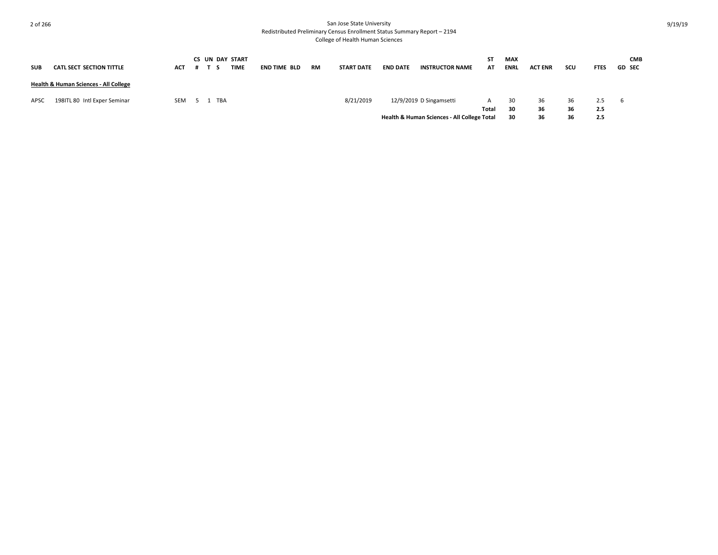| <b>SUB</b> | <b>CATL SECT SECTION TITTLE</b>       | <b>ACT</b> |     |     | CS UN DAY START<br>TIME | <b>END TIME BLD</b> | RM | <b>START DATE</b> | <b>END DATE</b> | <b>INSTRUCTOR NAME</b>                      | ST<br>AT | <b>MAX</b><br><b>ENRL</b> | <b>ACT ENR</b> | scu | <b>FTES</b> | <b>CMB</b><br><b>GD SEC</b> |
|------------|---------------------------------------|------------|-----|-----|-------------------------|---------------------|----|-------------------|-----------------|---------------------------------------------|----------|---------------------------|----------------|-----|-------------|-----------------------------|
|            | Health & Human Sciences - All College |            |     |     |                         |                     |    |                   |                 |                                             |          |                           |                |     |             |                             |
| APSC       | 198ITL 80 Intl Exper Seminar          | SEM        | -51 | TBA |                         |                     |    | 8/21/2019         |                 | 12/9/2019 D Singamsetti                     | A        | 30                        | 36             | 36  | 2.5         | - 6                         |
|            |                                       |            |     |     |                         |                     |    |                   |                 |                                             | Total    | 30                        | 36             | 36  | 2.5         |                             |
|            |                                       |            |     |     |                         |                     |    |                   |                 | Health & Human Sciences - All College Total |          | 30                        | 36             | 36  | 2.5         |                             |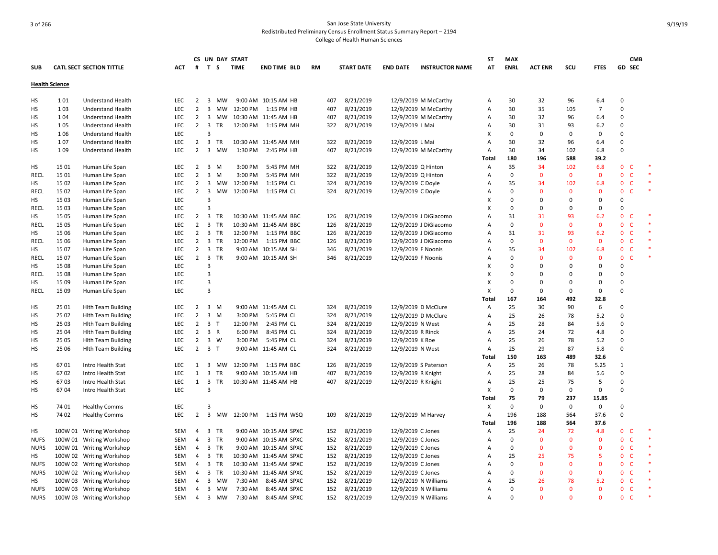|             |                       |                                 |            |                                  |                         |                | CS UN DAY START |                          |           |                   |                    |                        | SΤ             | <b>MAX</b>    |                |              |                | <b>CMB</b>                   |  |
|-------------|-----------------------|---------------------------------|------------|----------------------------------|-------------------------|----------------|-----------------|--------------------------|-----------|-------------------|--------------------|------------------------|----------------|---------------|----------------|--------------|----------------|------------------------------|--|
| <b>SUB</b>  |                       | <b>CATL SECT SECTION TITTLE</b> | ACT        | #                                |                         | T S            | <b>TIME</b>     | <b>END TIME BLD</b>      | <b>RM</b> | <b>START DATE</b> | <b>END DATE</b>    | <b>INSTRUCTOR NAME</b> | AT             | <b>ENRL</b>   | <b>ACT ENR</b> | SCU          | <b>FTES</b>    | GD SEC                       |  |
|             | <b>Health Science</b> |                                 |            |                                  |                         |                |                 |                          |           |                   |                    |                        |                |               |                |              |                |                              |  |
| HS          | 101                   | Understand Health               | LEC        | 2                                | 3                       | МW             |                 | 9:00 AM 10:15 AM HB      | 407       | 8/21/2019         |                    | 12/9/2019 M McCarthy   | Α              | 30            | 32             | 96           | 6.4            | 0                            |  |
| HS          | 103                   | Understand Health               | <b>LEC</b> | $\overline{2}$                   |                         | 3 MW           | 12:00 PM        | 1:15 PM HB               | 407       | 8/21/2019         |                    | 12/9/2019 M McCarthy   | Α              | 30            | 35             | 105          | $\overline{7}$ | 0                            |  |
| <b>HS</b>   | 104                   | Understand Health               | LEC        | $\overline{2}$                   |                         | 3 MW           |                 | 10:30 AM 11:45 AM HB     | 407       | 8/21/2019         |                    | 12/9/2019 M McCarthy   | Α              | 30            | 32             | 96           | 6.4            | 0                            |  |
| HS          | 105                   | <b>Understand Health</b>        | <b>LEC</b> |                                  | $2 \quad 3$             | <b>TR</b>      |                 | 12:00 PM 1:15 PM MH      | 322       | 8/21/2019         | 12/9/2019 L Mai    |                        | Α              | 30            | 31             | 93           | 6.2            | $\mathbf 0$                  |  |
| HS          | 106                   | <b>Understand Health</b>        | LEC        |                                  | 3                       |                |                 |                          |           |                   |                    |                        | X              | $\mathbf 0$   | 0              | 0            | 0              | $\Omega$                     |  |
| HS          | 107                   | Understand Health               | LEC        | $\overline{2}$                   |                         | 3 TR           |                 | 10:30 AM 11:45 AM MH     | 322       | 8/21/2019         | 12/9/2019 L Mai    |                        | A              | 30            | 32             | 96           | 6.4            | 0                            |  |
| HS          | 109                   | <b>Understand Health</b>        | LEC        | $\overline{2}$                   |                         | 3 MW           | 1:30 PM         | 2:45 PM HB               | 407       | 8/21/2019         |                    | 12/9/2019 M McCarthy   | Α              | 30            | 34             | 102          | 6.8            | $\Omega$                     |  |
|             |                       |                                 |            |                                  |                         |                |                 |                          |           |                   |                    |                        | Total          | 180           | 196            | 588          | 39.2           |                              |  |
| HS          | 15 01                 | Human Life Span                 | <b>LEC</b> | $\overline{2}$                   |                         | 3 M            | 3:00 PM         | 5:45 PM MH               | 322       | 8/21/2019         | 12/9/2019 Q Hinton |                        | A              | 35            | 34             | 102          | 6.8            | 0<br>-C                      |  |
| <b>RECL</b> | 15 01                 | Human Life Span                 | LEC        | $\overline{2}$                   |                         | $3 \, M$       | 3:00 PM         | 5:45 PM MH               | 322       | 8/21/2019         | 12/9/2019 Q Hinton |                        | $\overline{A}$ | $\mathbf 0$   | $\mathbf{0}$   | $\mathbf{0}$ | $\mathbf 0$    | $\mathbf 0$<br>C             |  |
| HS          | 15 02                 | Human Life Span                 | <b>LEC</b> | $\overline{2}$                   |                         | 3 MW           | 12:00 PM        | 1:15 PM CL               | 324       | 8/21/2019         | 12/9/2019 C Doyle  |                        | Α              | 35            | 34             | 102          | 6.8            | 0<br>$\mathsf{C}$            |  |
| RECL        | 15 02                 | Human Life Span                 | LEC        |                                  | $2 \quad 3$             | MW             | 12:00 PM        | 1:15 PM CL               | 324       | 8/21/2019         | 12/9/2019 C Doyle  |                        | Α              | $\Omega$      | $\mathbf{0}$   | $\mathbf{0}$ | $\mathbf 0$    | $\mathbf 0$<br>$\mathsf{C}$  |  |
| HS          | 15 03                 | Human Life Span                 | LEC        |                                  | 3                       |                |                 |                          |           |                   |                    |                        | X              | $\Omega$      | 0              | $\Omega$     | 0              | $\Omega$                     |  |
| <b>RECL</b> | 15 03                 | Human Life Span                 | LEC        |                                  | 3                       |                |                 |                          |           |                   |                    |                        | X              | $\Omega$      | $\Omega$       | $\mathbf 0$  | 0              | $\mathbf 0$                  |  |
| HS          | 15 05                 | Human Life Span                 | LEC        | $\overline{2}$                   | $\overline{\mathbf{3}}$ | TR             |                 | 10:30 AM 11:45 AM BBC    | 126       | 8/21/2019         |                    | 12/9/2019 J DiGiacomo  | A              | 31            | 31             | 93           | 6.2            | $\mathbf{0}$<br>$\mathsf{C}$ |  |
| <b>RECL</b> | 15 05                 | Human Life Span                 | LEC        | $\overline{2}$                   | $\overline{\mathbf{3}}$ | TR             |                 | 10:30 AM 11:45 AM BBC    | 126       | 8/21/2019         |                    | 12/9/2019 J DiGiacomo  | A              | $\mathbf 0$   | $\mathbf{0}$   | $\mathbf 0$  | $\mathbf 0$    | $\mathbf 0$<br>$\mathsf{C}$  |  |
| HS          | 15 06                 | Human Life Span                 | LEC        | $\overline{2}$                   |                         | 3 TR           | 12:00 PM        | 1:15 PM BBC              | 126       | 8/21/2019         |                    | 12/9/2019 J DiGiacomo  | Α              | 31            | 31             | 93           | 6.2            | $\mathbf 0$<br>$\mathsf{C}$  |  |
| <b>RECL</b> | 15 06                 | Human Life Span                 | LEC        | $\overline{2}$                   |                         | 3 TR           | 12:00 PM        | 1:15 PM BBC              | 126       | 8/21/2019         |                    | 12/9/2019 J DiGiacomo  | Α              | $\mathbf 0$   | $\mathbf{0}$   | $\mathbf{0}$ | $\mathbf 0$    | $\mathbf{0}$<br>$\mathsf{C}$ |  |
| НS          | 15 07                 | Human Life Span                 | LEC        | $\overline{2}$                   |                         | 3 TR           |                 | 9:00 AM 10:15 AM SH      | 346       | 8/21/2019         | 12/9/2019 F Noonis |                        | Α              | 35            | 34             | 102          | 6.8            | $\mathsf{C}$<br>$\mathbf 0$  |  |
| <b>RECL</b> | 15 07                 | Human Life Span                 | <b>LEC</b> |                                  |                         | 2 3 TR         |                 | 9:00 AM 10:15 AM SH      | 346       |                   | 12/9/2019 F Noonis |                        | Α              | $\Omega$      | $\Omega$       | $\mathbf{0}$ | $\mathbf{0}$   | $\mathsf{C}$<br>$\mathbf{0}$ |  |
| HS          | 15 08                 |                                 | LEC        |                                  | 3                       |                |                 |                          |           | 8/21/2019         |                    |                        | X              | $\mathbf 0$   | 0              | $\mathbf 0$  | 0              | 0                            |  |
|             | 15 08                 | Human Life Span                 |            |                                  | 3                       |                |                 |                          |           |                   |                    |                        | X              | $\Omega$      | $\Omega$       | $\mathbf 0$  | 0              | 0                            |  |
| RECL        |                       | Human Life Span                 | <b>LEC</b> |                                  |                         |                |                 |                          |           |                   |                    |                        | X              |               |                |              |                |                              |  |
| HS          | 15 09                 | Human Life Span                 | LEC        |                                  | 3<br>3                  |                |                 |                          |           |                   |                    |                        | X              | 0<br>$\Omega$ | 0<br>$\Omega$  | 0            | 0              | 0<br>0                       |  |
| <b>RECL</b> | 15 09                 | Human Life Span                 | LEC        |                                  |                         |                |                 |                          |           |                   |                    |                        |                |               |                | 0            | 0              |                              |  |
|             |                       |                                 |            |                                  |                         |                |                 |                          |           |                   |                    |                        | Total          | 167<br>25     | 164            | 492          | 32.8           | 0                            |  |
| HS          | 25 01                 | <b>Hith Team Building</b>       | <b>LEC</b> | $\overline{2}$<br>$\overline{2}$ |                         | 3 M            |                 | 9:00 AM 11:45 AM CL      | 324       | 8/21/2019         |                    | 12/9/2019 D McClure    | Α              | 25            | 30             | 90           | 6              | $\mathsf 0$                  |  |
| HS          | 25 02                 | <b>Hith Team Building</b>       | LEC        |                                  |                         | 3 M            | 3:00 PM         | 5:45 PM CL               | 324       | 8/21/2019         |                    | 12/9/2019 D McClure    | Α              |               | 26             | 78           | 5.2            |                              |  |
| HS          | 25 03                 | <b>Hith Team Building</b>       | <b>LEC</b> | $\overline{2}$                   |                         | 3 <sub>T</sub> | 12:00 PM        | 2:45 PM CL               | 324       | 8/21/2019         | 12/9/2019 N West   |                        | Α              | 25            | 28             | 84           | 5.6            | 0                            |  |
| <b>HS</b>   | 25 04                 | <b>Hith Team Building</b>       | <b>LEC</b> |                                  | $2 \quad 3 \quad R$     |                | 6:00 PM         | 8:45 PM CL               | 324       | 8/21/2019         | 12/9/2019 R Rinck  |                        | Α              | 25            | 24             | 72           | 4.8            | $\mathbf 0$                  |  |
| НS          | 25 05                 | <b>Hlth Team Building</b>       | <b>LEC</b> | $\overline{2}$                   |                         | 3 W            | 3:00 PM         | 5:45 PM CL               | 324       | 8/21/2019         | 12/9/2019 K Roe    |                        | Α              | 25            | 26             | 78           | 5.2            | 0                            |  |
| HS          | 25 06                 | <b>Hith Team Building</b>       | LEC        | $\overline{2}$                   | 3 <sub>1</sub>          |                |                 | 9:00 AM 11:45 AM CL      | 324       | 8/21/2019         | 12/9/2019 N West   |                        | A              | 25            | 29             | 87           | 5.8            | $\Omega$                     |  |
|             |                       |                                 |            |                                  |                         |                |                 |                          |           |                   |                    |                        | Total          | 150           | 163            | 489          | 32.6           |                              |  |
| HS          | 6701                  | Intro Health Stat               | LEC        | 1                                | $\overline{\mathbf{3}}$ | MW             | 12:00 PM        | 1:15 PM BBC              | 126       | 8/21/2019         |                    | 12/9/2019 S Paterson   | Α              | 25            | 26             | 78           | 5.25           | $\mathbf{1}$                 |  |
| HS          | 6702                  | Intro Health Stat               | LEC        |                                  | $1 \quad 3$             | TR             |                 | 9:00 AM 10:15 AM HB      | 407       | 8/21/2019         | 12/9/2019 R Knight |                        | Α              | 25            | 28             | 84           | 5.6            | $\mathbf 0$                  |  |
| HS          | 6703                  | Intro Health Stat               | LEC        | $\mathbf{1}$                     | $\overline{\mathbf{3}}$ | <b>TR</b>      |                 | 10:30 AM 11:45 AM HB     | 407       | 8/21/2019         | 12/9/2019 R Knight |                        | Α              | 25            | 25             | 75           | 5              | 0                            |  |
| HS          | 6704                  | Intro Health Stat               | LEC        |                                  | 3                       |                |                 |                          |           |                   |                    |                        | X              | 0             | $\Omega$       | $\mathbf 0$  | $\mathbf 0$    | 0                            |  |
|             |                       |                                 |            |                                  |                         |                |                 |                          |           |                   |                    |                        | Total          | 75            | 79             | 237          | 15.85          |                              |  |
| HS          | 74 01                 | <b>Healthy Comms</b>            | LEC        |                                  | 3                       |                |                 |                          |           |                   |                    |                        | Х              | $\Omega$      | 0              | 0            | $\mathbf 0$    | 0                            |  |
| HS          | 74 02                 | <b>Healthy Comms</b>            | <b>LEC</b> | $2^{\circ}$                      |                         | 3 MW           |                 | 12:00 PM   1:15 PM   WSQ | 109       | 8/21/2019         |                    | 12/9/2019 M Harvey     | Α              | 196           | 188            | 564          | 37.6           | $\mathbf 0$                  |  |
|             |                       |                                 |            |                                  |                         |                |                 |                          |           |                   |                    |                        | Total          | 196           | 188            | 564          | 37.6           |                              |  |
| HS          |                       | 100W 01 Writing Workshop        | <b>SEM</b> | 4                                |                         | 3 TR           |                 | 9:00 AM 10:15 AM SPXC    | 152       | 8/21/2019         | 12/9/2019 C Jones  |                        | Α              | 25            | 24             | 72           | 4.8            | 0<br><b>C</b>                |  |
| <b>NUFS</b> |                       | 100W 01 Writing Workshop        | <b>SEM</b> | $\overline{4}$                   |                         | 3 TR           |                 | 9:00 AM 10:15 AM SPXC    | 152       | 8/21/2019         | 12/9/2019 C Jones  |                        | Α              | $\mathbf 0$   | $\mathbf{0}$   | $\mathbf 0$  | $\mathbf 0$    | $\mathbf{0}$<br>$\mathsf{C}$ |  |
| <b>NURS</b> |                       | 100W 01 Writing Workshop        | SEM        | 4                                |                         | 3 TR           |                 | 9:00 AM 10:15 AM SPXC    | 152       | 8/21/2019         | 12/9/2019 C Jones  |                        | Α              | $\Omega$      | $\mathbf{0}$   | $\mathbf{0}$ | $\mathbf{0}$   | 0<br>C                       |  |
| HS          |                       | 100W 02 Writing Workshop        | SEM        | 4                                |                         | 3 TR           |                 | 10:30 AM 11:45 AM SPXC   | 152       | 8/21/2019         | 12/9/2019 C Jones  |                        | Α              | 25            | 25             | 75           | 5              | $\mathbf{0}$<br>$\mathsf{C}$ |  |
| <b>NUFS</b> |                       | 100W 02 Writing Workshop        | <b>SEM</b> | 4                                |                         | 3 TR           |                 | 10:30 AM 11:45 AM SPXC   | 152       | 8/21/2019         | 12/9/2019 C Jones  |                        | Α              | $\Omega$      | $\Omega$       | $\mathbf{0}$ | $\mathbf{0}$   | $\mathbf{0}$<br>$\mathsf{C}$ |  |
| <b>NURS</b> |                       | 100W 02 Writing Workshop        | <b>SEM</b> | 4                                | $\overline{\mathbf{3}}$ | TR             |                 | 10:30 AM 11:45 AM SPXC   | 152       | 8/21/2019         | 12/9/2019 C Jones  |                        | Α              | $\Omega$      | $\mathbf{0}$   | $\mathbf 0$  | $\mathbf{0}$   | $\mathbf{0}$<br>C            |  |
| НS          |                       | 100W 03 Writing Workshop        | SEM        | $\overline{4}$                   |                         | 3 MW           | 7:30 AM         | 8:45 AM SPXC             | 152       | 8/21/2019         |                    | 12/9/2019 N Williams   | A              | 25            | 26             | 78           | 5.2            | $\mathbf{0}$<br><b>C</b>     |  |
| <b>NUFS</b> |                       | 100W 03 Writing Workshop        | SEM        | 4                                | $\overline{\mathbf{3}}$ | МW             | 7:30 AM         | 8:45 AM SPXC             | 152       | 8/21/2019         |                    | 12/9/2019 N Williams   | Α              | $\Omega$      | $\Omega$       | $\Omega$     | $\mathbf 0$    | $\mathbf 0$<br>$\mathsf{C}$  |  |
| <b>NURS</b> |                       | 100W 03 Writing Workshop        | <b>SEM</b> | $\overline{4}$                   |                         | 3 MW           | 7:30 AM         | 8:45 AM SPXC             | 152       | 8/21/2019         |                    | 12/9/2019 N Williams   | A              | $\Omega$      | $\Omega$       | $\Omega$     | $\Omega$       | $\Omega$<br><b>C</b>         |  |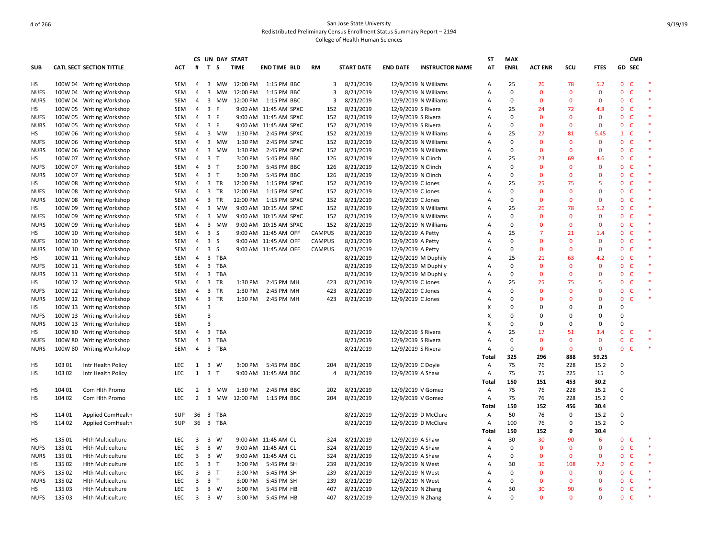|             |         |                                 |            |                |                         | CS UN DAY START       |                         |               |                   |                      |                        | ST           | <b>MAX</b>  |                |              |              |                              | <b>CMB</b> |  |
|-------------|---------|---------------------------------|------------|----------------|-------------------------|-----------------------|-------------------------|---------------|-------------------|----------------------|------------------------|--------------|-------------|----------------|--------------|--------------|------------------------------|------------|--|
| SUB         |         | <b>CATL SECT SECTION TITTLE</b> | <b>ACT</b> | #              | T S                     | <b>TIME</b>           | <b>END TIME BLD</b>     | <b>RM</b>     | <b>START DATE</b> | <b>END DATE</b>      | <b>INSTRUCTOR NAME</b> | AT           | <b>ENRL</b> | <b>ACT ENR</b> | SCU          | <b>FTES</b>  | GD SEC                       |            |  |
| HS          |         | 100W 04 Writing Workshop        | SEM        | 4              | 3                       | 12:00 PM<br>MW        | 1:15 PM BBC             | 3             | 8/21/2019         | 12/9/2019 N Williams |                        | A            | 25          | 26             | 78           | 5.2          | $\mathbf{0}$<br><sup>c</sup> |            |  |
| <b>NUFS</b> |         | 100W 04 Writing Workshop        | SEM        | $\overline{4}$ | 3 MW                    | 12:00 PM              | 1:15 PM BBC             | 3             | 8/21/2019         | 12/9/2019 N Williams |                        | A            | $\mathbf 0$ | $\Omega$       | $\mathbf{0}$ | $\mathbf 0$  | $\mathbf{0}$<br>$\mathsf{C}$ |            |  |
| <b>NURS</b> |         | 100W 04 Writing Workshop        | <b>SEM</b> | $\overline{4}$ | 3 MW                    | 12:00 PM              | 1:15 PM BBC             | 3             | 8/21/2019         | 12/9/2019 N Williams |                        | Α            | $\Omega$    | $\Omega$       | $\Omega$     | $\mathbf{0}$ | $\mathbf{0}$<br>$\mathsf{C}$ |            |  |
| HS          |         | 100W 05 Writing Workshop        | SEM        | $\overline{4}$ | 3 F                     |                       | 9:00 AM 11:45 AM SPXC   | 152           | 8/21/2019         | 12/9/2019 S Rivera   |                        | A            | 25          | 24             | 72           | 4.8          | $\mathbf{0}$<br>$\mathsf{C}$ |            |  |
| <b>NUFS</b> |         | 100W 05 Writing Workshop        | SEM        | $\overline{4}$ | 3 F                     |                       | 9:00 AM 11:45 AM SPXC   | 152           | 8/21/2019         | 12/9/2019 S Rivera   |                        | Α            | 0           | $\Omega$       | $\mathbf 0$  | $\mathbf 0$  | $\mathbf{0}$<br>C            |            |  |
| <b>NURS</b> | 100W 05 | <b>Writing Workshop</b>         | SEM        | 4              | $\overline{\mathbf{3}}$ | -F                    | 9:00 AM 11:45 AM SPXC   | 152           | 8/21/2019         | 12/9/2019 S Rivera   |                        | A            | $\mathbf 0$ | $\Omega$       | $\mathbf{0}$ | $\mathbf{0}$ | $\mathsf{C}$<br>$\mathbf{0}$ |            |  |
| HS          |         | 100W 06 Writing Workshop        | SEM        | $\overline{4}$ | 3 MW                    | 1:30 PM               | 2:45 PM SPXC            | 152           | 8/21/2019         | 12/9/2019 N Williams |                        | Α            | 25          | 27             | 81           | 5.45         | $\mathsf{C}$<br>$\mathbf{1}$ |            |  |
| <b>NUFS</b> |         | 100W 06 Writing Workshop        | <b>SEM</b> | 4              | 3 MW                    | 1:30 PM               | 2:45 PM SPXC            | 152           | 8/21/2019         | 12/9/2019 N Williams |                        | A            | $\Omega$    | $\Omega$       | $\Omega$     | $\mathbf{0}$ | $\mathsf{C}$<br>$\mathbf{0}$ |            |  |
| <b>NURS</b> |         | 100W 06 Writing Workshop        | SEM        | $\overline{4}$ | 3 MW                    | 1:30 PM               | 2:45 PM SPXC            | 152           | 8/21/2019         | 12/9/2019 N Williams |                        | A            | $\Omega$    | $\Omega$       | $\mathbf{0}$ | $\mathbf 0$  | $\mathbf{0}$<br>$\mathsf{C}$ |            |  |
| HS          |         | 100W 07 Writing Workshop        | SEM        | 4              | 3 <sub>T</sub>          | 3:00 PM               | 5:45 PM BBC             | 126           | 8/21/2019         | 12/9/2019 N Clinch   |                        | A            | 25          | 23             | 69           | 4.6          | $\mathsf{C}$<br>$\mathbf{0}$ |            |  |
| <b>NUFS</b> |         | 100W 07 Writing Workshop        | SEM        | $\overline{4}$ | 3 <sub>T</sub>          | 3:00 PM               | 5:45 PM BBC             | 126           | 8/21/2019         | 12/9/2019 N Clinch   |                        | A            | $\Omega$    | $\Omega$       | $\Omega$     | $\mathbf 0$  | 0<br>C                       |            |  |
| <b>NURS</b> |         | 100W 07 Writing Workshop        | SEM        | 4              | 3 <sub>T</sub>          | 3:00 PM               | 5:45 PM BBC             | 126           | 8/21/2019         | 12/9/2019 N Clinch   |                        | A            | $\Omega$    | $\Omega$       | $\mathbf{0}$ | $\mathbf{0}$ | $\mathsf{C}$<br>$\mathbf{0}$ |            |  |
| HS          |         | 100W 08 Writing Workshop        | SEM        | $\overline{4}$ | 3 TR                    | 12:00 PM              | 1:15 PM SPXC            | 152           | 8/21/2019         | 12/9/2019 C Jones    |                        | A            | 25          | 25             | 75           | 5            | $\mathbf{0}$<br>$\mathsf{C}$ |            |  |
| <b>NUFS</b> |         | 100W 08 Writing Workshop        | SEM        | $\overline{4}$ | 3 TR                    | 12:00 PM              | 1:15 PM SPXC            | 152           | 8/21/2019         | 12/9/2019 C Jones    |                        | Α            | $\Omega$    | $\Omega$       | $\Omega$     | $\Omega$     | $\mathbf{0}$<br>$\mathsf{C}$ |            |  |
| <b>NURS</b> | 100W 08 | <b>Writing Workshop</b>         | SEM        | 4              | 3 TR                    |                       | 12:00 PM   1:15 PM SPXC | 152           | 8/21/2019         | 12/9/2019 C Jones    |                        | A            | 0           | $\Omega$       | $\mathbf{0}$ | $\mathbf 0$  | $\mathbf{0}$<br>$\mathsf{C}$ |            |  |
| HS          |         | 100W 09 Writing Workshop        | SEM        | $\overline{4}$ | 3 MW                    |                       | 9:00 AM 10:15 AM SPXC   | 152           | 8/21/2019         | 12/9/2019 N Williams |                        | Α            | 25          | 26             | 78           | 5.2          | $\mathsf{C}$<br>$\mathbf{0}$ |            |  |
| <b>NUFS</b> |         | 100W 09 Writing Workshop        | SEM        | $\overline{4}$ | 3 MW                    |                       | 9:00 AM 10:15 AM SPXC   | 152           | 8/21/2019         | 12/9/2019 N Williams |                        | A            | $\Omega$    | $\Omega$       | $\Omega$     | $\mathbf{0}$ | $\mathsf{C}$<br>$\mathbf{0}$ |            |  |
| <b>NURS</b> |         | 100W 09 Writing Workshop        | <b>SEM</b> | $\overline{4}$ | 3 MW                    |                       | 9:00 AM 10:15 AM SPXC   | 152           | 8/21/2019         | 12/9/2019 N Williams |                        | A            | $\Omega$    | $\Omega$       | $\mathbf{0}$ | $\mathbf{0}$ | $\mathbf{0}$<br>C            |            |  |
| HS          |         | 100W 10 Writing Workshop        | SEM        | $\overline{4}$ | 3 <sub>5</sub>          |                       | 9:00 AM 11:45 AM OFF    | <b>CAMPUS</b> | 8/21/2019         | 12/9/2019 A Petty    |                        | A            | 25          |                | 21           | 1.4          | $\mathbf{0}$<br>$\mathsf{C}$ |            |  |
| <b>NUFS</b> |         | 100W 10 Writing Workshop        | SEM        | $\overline{4}$ | 3 <sub>5</sub>          |                       | 9:00 AM 11:45 AM OFF    | <b>CAMPUS</b> | 8/21/2019         | 12/9/2019 A Petty    |                        | А            | $\Omega$    | $\Omega$       | $\mathbf 0$  | $\mathbf 0$  | $\mathbf{0}$<br>$\mathsf{C}$ |            |  |
| <b>NURS</b> |         | 100W 10 Writing Workshop        | SEM        | 4              | 3 <sub>5</sub>          |                       | 9:00 AM 11:45 AM OFF    | <b>CAMPUS</b> | 8/21/2019         | 12/9/2019 A Petty    |                        | A            | $\Omega$    | $\Omega$       | $\mathbf{0}$ | $\mathbf 0$  | $\mathsf{C}$<br>$\mathbf{0}$ |            |  |
| HS          |         | 100W 11 Writing Workshop        | <b>SEM</b> | $\overline{4}$ | 3 TBA                   |                       |                         |               | 8/21/2019         | 12/9/2019 M Duphily  |                        | Α            | 25          | 21             | 63           | 4.2          | C<br>$\mathbf{0}$            |            |  |
| <b>NUFS</b> |         | 100W 11 Writing Workshop        | SEM        | 4              | 3 TBA                   |                       |                         |               | 8/21/2019         | 12/9/2019 M Duphily  |                        | A            | $\Omega$    | $\Omega$       | $\mathbf{0}$ | $\mathbf{0}$ | $\mathbf{0}$<br>$\mathsf{C}$ |            |  |
| <b>NURS</b> |         | 100W 11 Writing Workshop        | SEM        | $\overline{4}$ | 3 TBA                   |                       |                         |               | 8/21/2019         | 12/9/2019 M Duphily  |                        | Α            | $\Omega$    | $\Omega$       | $\Omega$     | $\mathbf 0$  | $\mathsf{C}$<br>0            |            |  |
| HS          |         | 100W 12 Writing Workshop        | SEM        | 4              | 3 TR                    | 1:30 PM               | 2:45 PM MH              | 423           | 8/21/2019         | 12/9/2019 C Jones    |                        | Α            | 25          | 25             | 75           | 5            | $\mathsf{C}$<br>$\mathbf{0}$ |            |  |
| <b>NUFS</b> |         | 100W 12 Writing Workshop        | SEM        | $\overline{4}$ | 3 TR                    | 1:30 PM               | 2:45 PM MH              | 423           | 8/21/2019         | 12/9/2019 C Jones    |                        | A            | $\Omega$    | $\Omega$       | $\Omega$     | $\mathbf{0}$ | $\mathsf{C}$<br>$\mathbf{0}$ |            |  |
| <b>NURS</b> |         | 100W 12 Writing Workshop        | SEM        | $\overline{4}$ | $\overline{\mathbf{3}}$ | TR<br>1:30 PM         | 2:45 PM MH              | 423           | 8/21/2019         | 12/9/2019 C Jones    |                        | Α            | $\Omega$    | $\Omega$       | $\Omega$     | $\mathbf{0}$ | $\mathbf{0}$<br>$\mathsf{C}$ |            |  |
| HS          |         | 100W 13 Writing Workshop        | SEM        |                | 3                       |                       |                         |               |                   |                      |                        | X            | $\Omega$    | $\Omega$       | $\Omega$     | $\mathbf 0$  | 0                            |            |  |
| <b>NUFS</b> |         | 100W 13 Writing Workshop        | SEM        |                | 3                       |                       |                         |               |                   |                      |                        | X            | $\Omega$    | $\Omega$       | $\Omega$     | $\Omega$     | 0                            |            |  |
| <b>NURS</b> |         | 100W 13 Writing Workshop        | SEM        |                | 3                       |                       |                         |               |                   |                      |                        | X            | $\Omega$    | $\Omega$       | $\Omega$     | $\mathbf 0$  | 0                            |            |  |
| HS          |         | 100W 80 Writing Workshop        | SEM        | $\overline{4}$ | 3 TBA                   |                       |                         |               | 8/21/2019         | 12/9/2019 S Rivera   |                        | A            | 25          | 17             | 51           | 3.4          | $\mathbf{0}$<br>C            |            |  |
| <b>NUFS</b> |         | 100W 80 Writing Workshop        | SEM        | 4              | $\overline{\mathbf{3}}$ | TBA                   |                         |               | 8/21/2019         | 12/9/2019 S Rivera   |                        | Α            | 0           | $\mathbf{0}$   | $\mathbf{0}$ | $\mathbf 0$  | $\mathbf{0}$<br>C            |            |  |
| <b>NURS</b> |         | 100W 80 Writing Workshop        | <b>SEM</b> | $\overline{4}$ | 3 TBA                   |                       |                         |               | 8/21/2019         | 12/9/2019 S Rivera   |                        | A            | $\Omega$    | $\Omega$       | $\mathbf{0}$ | $\mathbf{0}$ | $\mathsf{C}$<br>$\mathbf{0}$ |            |  |
|             |         |                                 |            |                |                         |                       |                         |               |                   |                      |                        | Total        | 325         | 296            | 888          | 59.25        |                              |            |  |
| НS          | 103 01  | Intr Health Policy              | LEC        | 1              | 3 W                     | 3:00 PM               | 5:45 PM BBC             | 204           | 8/21/2019         | 12/9/2019 C Doyle    |                        | Α            | 75          | 76             | 228          | 15.2         | 0                            |            |  |
| HS          | 103 02  | Intr Health Policy              | <b>LEC</b> | $\mathbf{1}$   | 3 <sub>T</sub>          |                       | 9:00 AM 11:45 AM BBC    | 4             | 8/21/2019         | 12/9/2019 A Shaw     |                        | Α            | 75          | 75             | 225          | 15           | 0                            |            |  |
|             |         |                                 |            |                |                         |                       |                         |               |                   |                      |                        | <b>Total</b> | 150         | 151            | 453          | 30.2         |                              |            |  |
| HS          | 104 01  | Com Hith Promo                  | <b>LEC</b> | 2              | 3                       | 1:30 PM<br>MW         | 2:45 PM BBC             | 202           | 8/21/2019         | 12/9/2019 V Gomez    |                        | Α            | 75          | 76             | 228          | 15.2         | $\Omega$                     |            |  |
| HS          | 104 02  | Com Hlth Promo                  | LEC.       | $\overline{2}$ | $\overline{3}$          | <b>MW</b><br>12:00 PM | 1:15 PM BBC             | 204           | 8/21/2019         | 12/9/2019 V Gomez    |                        | Α            | 75          | 76             | 228          | 15.2         | 0                            |            |  |
|             |         |                                 |            |                |                         |                       |                         |               |                   |                      |                        | Total        | 150         | 152            | 456          | 30.4         |                              |            |  |
| HS          | 114 01  | Applied ComHealth               | <b>SUP</b> | 36             | 3 TBA                   |                       |                         |               | 8/21/2019         | 12/9/2019 D McClure  |                        | Α            | 50          | 76             | 0            | 15.2         | $\Omega$                     |            |  |
| HS          | 11402   | Applied ComHealth               | SUP        | 36             | 3 TBA                   |                       |                         |               | 8/21/2019         |                      | 12/9/2019 D McClure    | Α            | 100         | 76             | 0            | 15.2         | 0                            |            |  |
|             |         |                                 |            |                |                         |                       |                         |               |                   |                      |                        | <b>Total</b> | 150         | 152            | 0            | 30.4         |                              |            |  |
| HS          | 135 01  | <b>Hlth Multiculture</b>        | <b>LEC</b> | 3              | 3 W                     |                       | 9:00 AM 11:45 AM CL     | 324           | 8/21/2019         | 12/9/2019 A Shaw     |                        | Α            | 30          | 30             | 90           | 6            | $\mathbf{0}$<br>$\mathsf{C}$ |            |  |
| <b>NUFS</b> | 135 01  | <b>Hlth Multiculture</b>        | LEC        | 3              | $3 \quad W$             |                       | 9:00 AM 11:45 AM CL     | 324           | 8/21/2019         | 12/9/2019 A Shaw     |                        | A            | 0           | $\Omega$       | $\mathbf{0}$ | $\mathbf 0$  | $\mathbf{0}$<br>$\mathsf{C}$ |            |  |
| <b>NURS</b> | 13501   | <b>Hith Multiculture</b>        | <b>LEC</b> | 3              | 3 W                     |                       | 9:00 AM 11:45 AM CL     | 324           | 8/21/2019         | 12/9/2019 A Shaw     |                        | A            | 0           | $\Omega$       | $\mathbf 0$  | $\mathbf 0$  | 0<br>C                       |            |  |
| HS          | 135 02  | <b>Hith Multiculture</b>        | <b>LEC</b> | $\mathbf{3}$   | 3 <sub>T</sub>          | 3:00 PM               | 5:45 PM SH              | 239           | 8/21/2019         | 12/9/2019 N West     |                        | A            | 30          | 36             | 108          | 7.2          | C<br>$\mathbf{0}$            |            |  |
| <b>NUFS</b> | 135 02  | <b>Hlth Multiculture</b>        | <b>LEC</b> | 3              | 3 <sub>T</sub>          | 3:00 PM               | 5:45 PM SH              | 239           | 8/21/2019         | 12/9/2019 N West     |                        | A            | 0           | $\Omega$       | $\Omega$     | $\mathbf{0}$ | $\mathbf{0}$<br><sup>c</sup> |            |  |
| <b>NURS</b> | 135 02  | <b>Hlth Multiculture</b>        | LEC        | 3              | 3 <sub>T</sub>          | 3:00 PM               | 5:45 PM SH              | 239           | 8/21/2019         | 12/9/2019 N West     |                        | A            | $\Omega$    | $\Omega$       | $\mathbf{0}$ | $\mathbf 0$  | $\mathbf{0}$<br>$\mathsf{C}$ |            |  |
| НS          | 135 03  | <b>Hlth Multiculture</b>        | <b>LEC</b> | 3              | 3 W                     | 3:00 PM               | 5:45 PM HB              | 407           | 8/21/2019         | 12/9/2019 N Zhang    |                        | Α            | 30          | 30             | 90           | 6            | $\mathsf{C}$<br>$\mathbf{0}$ |            |  |
| <b>NUFS</b> | 135 03  | <b>Hith Multiculture</b>        | LEC        | 3              | 3 W                     | 3:00 PM               | 5:45 PM HB              | 407           | 8/21/2019         | 12/9/2019 N Zhang    |                        | Α            | $\Omega$    | $\Omega$       | $\Omega$     | $\Omega$     | $\mathsf{C}$<br>$\mathbf{0}$ |            |  |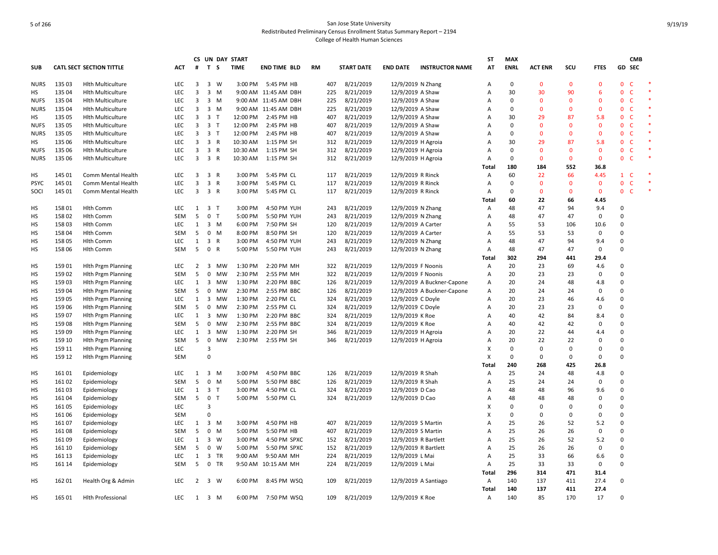|             |        |                                 |            |                |                         | CS UN DAY START |          |                      |           |     |                   |                      |                            | ST    | <b>MAX</b>  |                |              |                |                              | <b>CMB</b> |  |
|-------------|--------|---------------------------------|------------|----------------|-------------------------|-----------------|----------|----------------------|-----------|-----|-------------------|----------------------|----------------------------|-------|-------------|----------------|--------------|----------------|------------------------------|------------|--|
| <b>SUB</b>  |        | <b>CATL SECT SECTION TITTLE</b> | ACT        | #              | T S                     | <b>TIME</b>     |          | <b>END TIME BLD</b>  | <b>RM</b> |     | <b>START DATE</b> | <b>END DATE</b>      | <b>INSTRUCTOR NAME</b>     | AT    | <b>ENRL</b> | <b>ACT ENR</b> | SCU          | <b>FTES</b>    | GD SEC                       |            |  |
| <b>NURS</b> | 135 03 | <b>Hith Multiculture</b>        | <b>LEC</b> | 3              | 3 W                     |                 | 3:00 PM  | 5:45 PM HB           |           | 407 | 8/21/2019         | 12/9/2019 N Zhang    |                            | Α     | $\mathbf 0$ | $\Omega$       | $\mathbf 0$  | $\mathbf{0}$   | $\mathbf{0}$<br>$\mathsf{C}$ |            |  |
| HS          | 135 04 | <b>Hith Multiculture</b>        | LEC        | 3              | $3 \, M$                |                 |          | 9:00 AM 11:45 AM DBH |           | 225 | 8/21/2019         | 12/9/2019 A Shaw     |                            | A     | 30          | 30             | 90           | 6              | $\Omega$<br>$\mathsf{C}$     |            |  |
| <b>NUFS</b> | 135 04 | <b>Hlth Multiculture</b>        | <b>LEC</b> | 3              | 3 M                     |                 |          | 9:00 AM 11:45 AM DBH |           | 225 | 8/21/2019         | 12/9/2019 A Shaw     |                            | А     | $\Omega$    | $\Omega$       | $\Omega$     | $\mathbf 0$    | $\mathsf{C}$<br>$\mathbf 0$  |            |  |
| <b>NURS</b> | 135 04 | <b>Hith Multiculture</b>        | LEC        | 3              | $3 \, M$                |                 |          | 9:00 AM 11:45 AM DBH |           | 225 | 8/21/2019         | 12/9/2019 A Shaw     |                            | Α     | $\mathbf 0$ | $\mathbf{0}$   | $\mathbf 0$  | $\mathbf 0$    | $\mathbf 0$<br>$\mathsf{C}$  |            |  |
| HS          | 135 05 | <b>Hith Multiculture</b>        | LEC        | 3              | 3 <sub>1</sub>          |                 | 12:00 PM | 2:45 PM HB           |           | 407 | 8/21/2019         | 12/9/2019 A Shaw     |                            | A     | 30          | 29             | 87           | 5.8            | $\mathsf{C}$<br>$\mathbf{0}$ |            |  |
| <b>NUFS</b> | 135 05 | <b>Hith Multiculture</b>        | LEC        | 3              | 3 T                     |                 | 12:00 PM | 2:45 PM HB           |           | 407 | 8/21/2019         | 12/9/2019 A Shaw     |                            | A     | 0           | $\Omega$       | $\mathbf 0$  | $\mathbf 0$    | $\mathbf{0}$<br>$\mathsf{C}$ |            |  |
| <b>NURS</b> | 135 05 | <b>Hith Multiculture</b>        | <b>LEC</b> | 3              | 3 <sub>1</sub>          |                 | 12:00 PM | 2:45 PM HB           |           | 407 | 8/21/2019         | 12/9/2019 A Shaw     |                            | A     | $\Omega$    | $\Omega$       | $\mathbf{0}$ | $\mathbf 0$    | $\mathsf{C}$<br>$\mathbf{0}$ |            |  |
| HS          | 135 06 | <b>Hith Multiculture</b>        | <b>LEC</b> | 3              | 3 R                     |                 | 10:30 AM | 1:15 PM SH           |           | 312 | 8/21/2019         | 12/9/2019 H Agroia   |                            | A     | 30          | 29             | 87           | 5.8            | $\mathbf{0}$<br>$\mathsf{C}$ |            |  |
| <b>NUFS</b> | 135 06 | <b>Hith Multiculture</b>        | <b>LEC</b> | 3              | 3 R                     |                 | 10:30 AM | 1:15 PM SH           |           | 312 | 8/21/2019         | 12/9/2019 H Agroia   |                            | A     | 0           | $\Omega$       | $\mathbf 0$  | $\overline{0}$ | $\mathsf{C}$<br>$\mathbf{0}$ |            |  |
| <b>NURS</b> | 135 06 | <b>Hlth Multiculture</b>        | <b>LEC</b> | 3              | 3 R                     |                 | 10:30 AM | 1:15 PM SH           |           | 312 | 8/21/2019         | 12/9/2019 H Agroia   |                            | A     | $\Omega$    | $\Omega$       | $\mathbf 0$  | $\mathbf{0}$   | $\mathsf{C}$<br>$\mathbf{0}$ |            |  |
|             |        |                                 |            |                |                         |                 |          |                      |           |     |                   |                      |                            | Total | 180         | 184            | 552          | 36.8           |                              |            |  |
| HS          | 145 01 | Comm Mental Health              | LEC        | 3              | 3 R                     |                 | 3:00 PM  | 5:45 PM CL           |           | 117 | 8/21/2019         | 12/9/2019 R Rinck    |                            | Α     | 60          | 22             | 66           | 4.45           | $\mathbf{1}$<br>$\mathsf{C}$ |            |  |
| <b>PSYC</b> | 145 01 | Comm Mental Health              | <b>LEC</b> | 3              | 3 R                     |                 | 3:00 PM  | 5:45 PM CL           |           | 117 | 8/21/2019         | 12/9/2019 R Rinck    |                            | Α     | 0           | $\mathbf{0}$   | $\mathbf 0$  | $\mathbf 0$    | $\mathsf{C}$<br>$\mathbf{0}$ |            |  |
| SOCI        | 145 01 | Comm Mental Health              | LEC        | 3              | 3 R                     |                 | 3:00 PM  | 5:45 PM CL           |           | 117 | 8/21/2019         | 12/9/2019 R Rinck    |                            | A     | 0           | $\Omega$       | $\mathbf 0$  | $\mathbf 0$    | $\mathbf 0$<br>$\mathsf{C}$  |            |  |
|             |        |                                 |            |                |                         |                 |          |                      |           |     |                   |                      |                            | Total | 60          | 22             | 66           | 4.45           |                              |            |  |
| HS          | 158 01 | <b>Hlth Comm</b>                | <b>LEC</b> |                | $1 \quad 3 \quad T$     |                 | 3:00 PM  | 4:50 PM YUH          |           | 243 | 8/21/2019         | 12/9/2019 N Zhang    |                            | Α     | 48          | 47             | 94           | 9.4            | $\Omega$                     |            |  |
| HS          | 158 02 | <b>Hlth Comm</b>                | <b>SEM</b> | 5              | 0 <sub>T</sub>          |                 | 5:00 PM  | 5:50 PM YUH          |           | 243 | 8/21/2019         | 12/9/2019 N Zhang    |                            | Α     | 48          | 47             | 47           | $\mathbf 0$    | $\Omega$                     |            |  |
| HS          | 15803  | <b>Hlth Comm</b>                | <b>LEC</b> | $\mathbf{1}$   | 3 M                     |                 | 6:00 PM  | 7:50 PM SH           |           | 120 | 8/21/2019         | 12/9/2019 A Carter   |                            | A     | 55          | 53             | 106          | 10.6           | $\Omega$                     |            |  |
| HS          | 158 04 | <b>Hlth Comm</b>                | <b>SEM</b> | 5              | $0$ M                   |                 | 8:00 PM  | 8:50 PM SH           |           | 120 | 8/21/2019         | 12/9/2019 A Carter   |                            | A     | 55          | 53             | 53           | $\mathbf 0$    | $\Omega$                     |            |  |
| HS          | 158 05 | <b>Hlth Comm</b>                | <b>LEC</b> | $\mathbf{1}$   | 3 R                     |                 | 3:00 PM  | 4:50 PM YUH          |           | 243 | 8/21/2019         | 12/9/2019 N Zhang    |                            | A     | 48          | 47             | 94           | 9.4            | $\Omega$                     |            |  |
| HS          | 158 06 | <b>Hlth Comm</b>                | <b>SEM</b> | 5              | 0 R                     |                 | 5:00 PM  | 5:50 PM YUH          |           | 243 | 8/21/2019         | 12/9/2019 N Zhang    |                            | Α     | 48          | 47             | 47           | $\mathsf 0$    | $\Omega$                     |            |  |
|             |        |                                 |            |                |                         |                 |          |                      |           |     |                   |                      |                            | Total | 302         | 294            | 441          | 29.4           |                              |            |  |
| HS          | 15901  | <b>Hlth Prgm Planning</b>       | <b>LEC</b> | $\overline{2}$ |                         | 3 MW            | 1:30 PM  | 2:20 PM MH           |           | 322 | 8/21/2019         | 12/9/2019 F Noonis   |                            | Α     | 20          | 23             | 69           | 4.6            | $\Omega$                     |            |  |
| HS          | 159 02 | <b>Hith Prgm Planning</b>       | <b>SEM</b> | 5              |                         | 0 MW            | 2:30 PM  | 2:55 PM MH           |           | 322 | 8/21/2019         | 12/9/2019 F Noonis   |                            | Α     | 20          | 23             | 23           | 0              | $\Omega$                     |            |  |
| HS          | 15903  | <b>Hith Prgm Planning</b>       | <b>LEC</b> | 1              | $\overline{\mathbf{3}}$ | MW              | 1:30 PM  | 2:20 PM BBC          |           | 126 | 8/21/2019         |                      | 12/9/2019 A Buckner-Capone | A     | 20          | 24             | 48           | 4.8            | $\Omega$                     |            |  |
| HS          | 159 04 | <b>Hlth Prgm Planning</b>       | <b>SEM</b> | 5              | $\mathbf 0$             | <b>MW</b>       | 2:30 PM  | 2:55 PM BBC          |           | 126 | 8/21/2019         |                      | 12/9/2019 A Buckner-Capone | A     | 20          | 24             | 24           | $\mathbf 0$    | $\Omega$                     |            |  |
| HS          | 159 05 | <b>Hlth Prgm Planning</b>       | <b>LEC</b> | $\mathbf{1}$   | $\overline{\mathbf{3}}$ | MW              | 1:30 PM  | 2:20 PM CL           |           | 324 | 8/21/2019         | 12/9/2019 C Doyle    |                            | Α     | 20          | 23             | 46           | 4.6            | $\Omega$                     |            |  |
| HS          | 159 06 | <b>Hith Prgm Planning</b>       | <b>SEM</b> | 5              | 0                       | MW              | 2:30 PM  | 2:55 PM CL           |           | 324 | 8/21/2019         | 12/9/2019 C Doyle    |                            | A     | 20          | 23             | 23           | 0              | $\Omega$                     |            |  |
| HS          | 15907  | <b>Hith Prgm Planning</b>       | LEC        | $\mathbf{1}$   | $\overline{\mathbf{3}}$ | MW              | 1:30 PM  | 2:20 PM BBC          |           | 324 | 8/21/2019         | 12/9/2019 K Roe      |                            | A     | 40          | 42             | 84           | 8.4            | $\Omega$                     |            |  |
| HS          | 15908  | <b>Hith Prgm Planning</b>       | <b>SEM</b> | 5              | 0                       | MW              | 2:30 PM  | 2:55 PM BBC          |           | 324 | 8/21/2019         | 12/9/2019 K Roe      |                            | A     | 40          | 42             | 42           | 0              | 0                            |            |  |
| HS          | 15909  | <b>Hith Prgm Planning</b>       | <b>LEC</b> | $\mathbf{1}$   | $\overline{\mathbf{3}}$ | MW              | 1:30 PM  | 2:20 PM SH           |           | 346 | 8/21/2019         | 12/9/2019 H Agroia   |                            | A     | 20          | 22             | 44           | 4.4            | $\Omega$                     |            |  |
| HS          | 159 10 | <b>Hith Prgm Planning</b>       | <b>SEM</b> | 5              | $\mathbf 0$             | <b>MW</b>       | 2:30 PM  | 2:55 PM SH           |           | 346 | 8/21/2019         | 12/9/2019 H Agroia   |                            | A     | 20          | 22             | 22           | $\mathbf 0$    | $\Omega$                     |            |  |
| HS          | 159 11 | <b>Hith Prgm Planning</b>       | <b>LEC</b> |                | $\overline{3}$          |                 |          |                      |           |     |                   |                      |                            | X     | $\Omega$    | $\Omega$       | 0            | 0              | $\Omega$                     |            |  |
| HS          | 159 12 | <b>Hlth Prgm Planning</b>       | <b>SEM</b> |                | $\Omega$                |                 |          |                      |           |     |                   |                      |                            | X     | $\mathsf 0$ | $\Omega$       | $\pmb{0}$    | $\mathbf 0$    | $\Omega$                     |            |  |
|             |        |                                 |            |                |                         |                 |          |                      |           |     |                   |                      |                            | Total | 240         | 268            | 425          | 26.8           |                              |            |  |
| HS          | 16101  | Epidemiology                    | LEC        | 1              | 3 M                     |                 | 3:00 PM  | 4:50 PM BBC          |           | 126 | 8/21/2019         | 12/9/2019 R Shah     |                            | Α     | 25          | 24             | 48           | 4.8            | $\Omega$                     |            |  |
| HS          | 16102  | Epidemiology                    | <b>SEM</b> | 5              | 0 M                     |                 | 5:00 PM  | 5:50 PM BBC          |           | 126 | 8/21/2019         | 12/9/2019 R Shah     |                            | Α     | 25          | 24             | 24           | 0              | $\Omega$                     |            |  |
| HS          | 16103  | Epidemiology                    | <b>LEC</b> |                | $1 \quad 3 \quad T$     |                 | 3:00 PM  | 4:50 PM CL           |           | 324 | 8/21/2019         | 12/9/2019 D Cao      |                            | A     | 48          | 48             | 96           | 9.6            | $\Omega$                     |            |  |
| HS          | 16104  | Epidemiology                    | <b>SEM</b> | 5              | 0 <sub>T</sub>          |                 | 5:00 PM  | 5:50 PM CL           |           | 324 | 8/21/2019         | 12/9/2019 D Cao      |                            | A     | 48          | 48             | 48           | $\mathbf 0$    | $\Omega$                     |            |  |
| HS          | 161 05 | Epidemiology                    | <b>LEC</b> |                | 3                       |                 |          |                      |           |     |                   |                      |                            | x     | 0           | $\Omega$       | $\Omega$     | $\mathbf 0$    | $\Omega$                     |            |  |
| HS          | 161 06 | Epidemiology                    | <b>SEM</b> |                | $\Omega$                |                 |          |                      |           |     |                   |                      |                            | X     | $\mathbf 0$ | $\Omega$       | $\mathbf 0$  | $\mathbf 0$    | $\Omega$                     |            |  |
| HS          | 161 07 | Epidemiology                    | <b>LEC</b> |                | $1 \quad 3 \quad M$     |                 | 3:00 PM  | 4:50 PM HB           |           | 407 | 8/21/2019         | 12/9/2019 S Martin   |                            | A     | 25          | 26             | 52           | 5.2            | $\Omega$                     |            |  |
| HS          | 16108  | Epidemiology                    | <b>SEM</b> | 5              | $0$ M                   |                 | 5:00 PM  | 5:50 PM HB           |           | 407 | 8/21/2019         | 12/9/2019 S Martin   |                            | А     | 25          | 26             | 26           | $\mathbf 0$    | $\Omega$                     |            |  |
| HS          | 16109  | Epidemiology                    | LEC        | $\mathbf{1}$   | 3 W                     |                 | 3:00 PM  | 4:50 PM SPXC         |           | 152 | 8/21/2019         | 12/9/2019 R Bartlett |                            | A     | 25          | 26             | 52           | 5.2            | $\Omega$                     |            |  |
| HS          | 161 10 | Epidemiology                    | SEM        | 5              | $0 \quad W$             |                 | 5:00 PM  | 5:50 PM SPXC         |           | 152 | 8/21/2019         | 12/9/2019 R Bartlett |                            | A     | 25          | 26             | 26           | 0              | $\Omega$                     |            |  |
| HS          | 161 13 | Epidemiology                    | <b>LEC</b> | 1              | 3 TR                    |                 | 9:00 AM  | 9:50 AM MH           |           | 224 | 8/21/2019         | 12/9/2019 L Mai      |                            | Α     | 25          | 33             | 66           | 6.6            | $\Omega$                     |            |  |
| HS          | 161 14 | Epidemiology                    | <b>SEM</b> | 5              | 0 TR                    |                 |          | 9:50 AM 10:15 AM MH  |           | 224 | 8/21/2019         | 12/9/2019 L Mai      |                            | A     | 25          | 33             | 33           | $\mathbf 0$    | $\Omega$                     |            |  |
|             |        |                                 |            |                |                         |                 |          |                      |           |     |                   |                      |                            | Total | 296         | 314            | 471          | 31.4           |                              |            |  |
| HS          | 162 01 | Health Org & Admin              | <b>LEC</b> | $\overline{2}$ | 3 W                     |                 | 6:00 PM  | 8:45 PM WSQ          |           | 109 | 8/21/2019         |                      | 12/9/2019 A Santiago       | Α     | 140         | 137            | 411          | 27.4           | $\Omega$                     |            |  |
|             |        |                                 |            |                |                         |                 |          |                      |           |     |                   |                      |                            | Total | 140         | 137            | 411          | 27.4           |                              |            |  |
| HS          | 165 01 | <b>Hlth Professional</b>        | <b>LEC</b> |                | $1 \quad 3 \quad M$     |                 | 6:00 PM  | 7:50 PM WSQ          |           | 109 | 8/21/2019         | 12/9/2019 K Roe      |                            | Α     | 140         | 85             | 170          | 17             | $\Omega$                     |            |  |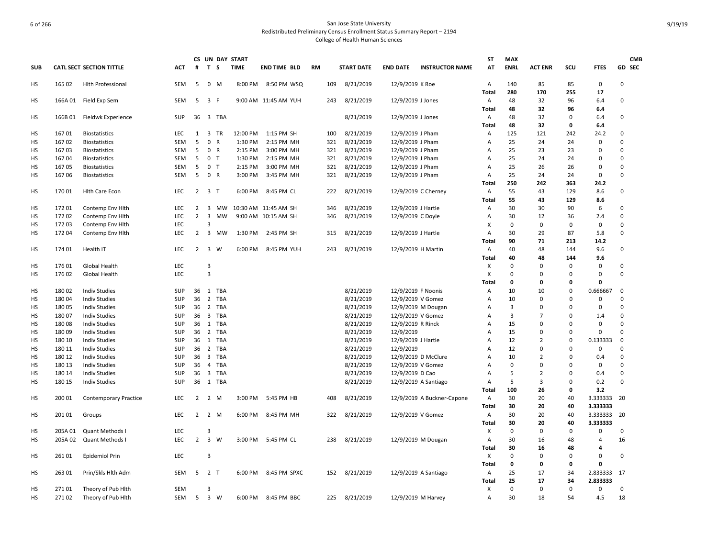|            |                |                                              |                   |                     |                         |              | CS UN DAY START |                      |    |     |                        |                                        |                            | <b>ST</b>             | <b>MAX</b>   |                     |             |                         |               | <b>CMB</b> |
|------------|----------------|----------------------------------------------|-------------------|---------------------|-------------------------|--------------|-----------------|----------------------|----|-----|------------------------|----------------------------------------|----------------------------|-----------------------|--------------|---------------------|-------------|-------------------------|---------------|------------|
| <b>SUB</b> |                | <b>CATL SECT SECTION TITTLE</b>              | <b>ACT</b>        | #                   | T S                     |              | <b>TIME</b>     | <b>END TIME BLD</b>  | RM |     | <b>START DATE</b>      | <b>END DATE</b>                        | <b>INSTRUCTOR NAME</b>     | AT                    | <b>ENRL</b>  | <b>ACT ENR</b>      | scu         | <b>FTES</b>             |               | GD SEC     |
| HS         | 165 02         | <b>Hlth Professional</b>                     | SEM               | 5                   | $\mathbf 0$             | M            | 8:00 PM         | 8:50 PM WSQ          |    | 109 | 8/21/2019              | 12/9/2019 K Roe                        |                            | A                     | 140          | 85                  | 85          | $\mathbf 0$             | $\Omega$      |            |
|            |                |                                              |                   | 5                   |                         |              |                 |                      |    |     |                        |                                        |                            | Total                 | 280          | 170                 | 255         | 17                      | $\mathbf 0$   |            |
| HS         | 166A 01        | Field Exp Sem                                | SEM               |                     | 3 F                     |              |                 | 9:00 AM 11:45 AM YUH |    | 243 | 8/21/2019              | 12/9/2019 J Jones                      |                            | $\mathsf{A}$<br>Total | 48<br>48     | 32<br>32            | 96<br>96    | 6.4<br>6.4              |               |            |
| HS         | 166B01         | Fieldwk Experience                           | SUP               |                     |                         | 36 3 TBA     |                 |                      |    |     | 8/21/2019              | 12/9/2019 J Jones                      |                            | A                     | 48           | 32                  | $\Omega$    | 6.4                     | $\Omega$      |            |
|            |                |                                              |                   |                     |                         |              |                 |                      |    |     |                        |                                        |                            | Total                 | 48           | 32                  | 0           | 6.4                     |               |            |
| HS         | 16701          | <b>Biostatistics</b>                         | <b>LEC</b>        | $\mathbf{1}$        | $\overline{\mathbf{3}}$ | TR           | 12:00 PM        | 1:15 PM SH           |    | 100 | 8/21/2019              | 12/9/2019 J Pham                       |                            | Α                     | 125          | 121                 | 242         | 24.2                    | $\mathbf 0$   |            |
| HS         | 16702          | <b>Biostatistics</b>                         | <b>SEM</b>        | 5                   | $\mathbf{0}$            | $\mathsf{R}$ | 1:30 PM         | 2:15 PM MH           |    | 321 | 8/21/2019              | 12/9/2019 J Pham                       |                            | A                     | 25           | 24                  | 24          | 0                       | $\Omega$      |            |
| HS         | 16703          | <b>Biostatistics</b>                         | SEM               | 5                   | 0 R                     |              | 2:15 PM         | 3:00 PM MH           |    | 321 | 8/21/2019              | 12/9/2019 J Pham                       |                            | Α                     | 25           | 23                  | 23          | 0                       | $\Omega$      |            |
| HS         | 167 04         | <b>Biostatistics</b>                         | SEM               | 5                   | $\mathbf 0$             | $\mathsf{T}$ | 1:30 PM         | 2:15 PM MH           |    | 321 | 8/21/2019              | 12/9/2019 J Pham                       |                            | A                     | 25           | 24                  | 24          | $\Omega$                | $\Omega$      |            |
| HS         | 16705          | <b>Biostatistics</b>                         | SEM               | 5                   | $\mathbf 0$             | T            | 2:15 PM         | 3:00 PM MH           |    | 321 | 8/21/2019              | 12/9/2019 J Pham                       |                            | A                     | 25           | 26                  | 26          | 0                       | $\mathbf 0$   |            |
| HS         | 16706          | <b>Biostatistics</b>                         | <b>SEM</b>        | 5                   | 0 R                     |              | 3:00 PM         | 3:45 PM MH           |    | 321 | 8/21/2019              | 12/9/2019 J Pham                       |                            | A                     | 25           | 24                  | 24          | 0                       | $\Omega$      |            |
|            |                |                                              |                   |                     |                         |              |                 |                      |    |     |                        |                                        |                            | Total                 | 250          | 242                 | 363         | 24.2                    |               |            |
| HS         | 17001          | <b>Hith Care Econ</b>                        | <b>LEC</b>        | $2 \quad 3$         |                         | $\top$       | 6:00 PM         | 8:45 PM CL           |    | 222 | 8/21/2019              | 12/9/2019 C Cherney                    |                            | Α                     | 55           | 43                  | 129         | 8.6                     | $\Omega$      |            |
|            |                |                                              |                   |                     |                         |              |                 |                      |    |     |                        |                                        |                            | Total                 | 55           | 43                  | 129         | 8.6                     |               |            |
| HS         | 172 01         | Contemp Env Hith                             | <b>LEC</b>        | 2                   | $\overline{\mathbf{3}}$ | <b>MW</b>    |                 | 10:30 AM 11:45 AM SH |    | 346 | 8/21/2019              | 12/9/2019 J Hartle                     |                            | Α                     | 30           | 30                  | 90          | 6                       | $\Omega$      |            |
| HS         | 172 02         | Contemp Env Hith                             | LEC               | $\overline{2}$      | $\overline{3}$          | <b>MW</b>    |                 | 9:00 AM 10:15 AM SH  |    | 346 | 8/21/2019              | 12/9/2019 C Doyle                      |                            | Α                     | 30           | 12                  | 36          | 2.4                     | $\mathbf 0$   |            |
| HS         | 172 03         | Contemp Env Hith                             | LEC               |                     | 3                       |              |                 |                      |    |     |                        |                                        |                            | X                     | $\mathbf 0$  | 0                   | 0           | $\mathbf 0$             | $\Omega$      |            |
| HS         | 17204          | Contemp Env Hlth                             | LEC               | $\overline{2}$      | 3                       | MW           | 1:30 PM         | 2:45 PM SH           |    | 315 | 8/21/2019              | 12/9/2019 J Hartle                     |                            | Α                     | 30           | 29                  | 87          | 5.8                     | $\Omega$      |            |
|            |                |                                              |                   |                     |                         |              |                 |                      |    |     |                        |                                        |                            | Total                 | 90           | 71                  | 213         | 14.2                    |               |            |
| HS         | 174 01         | Health IT                                    | LEC               | $2 \quad 3$         |                         | W            | 6:00 PM         | 8:45 PM YUH          |    | 243 | 8/21/2019              | 12/9/2019 H Martin                     |                            | A                     | 40           | 48                  | 144         | 9.6                     | 0             |            |
|            |                |                                              |                   |                     |                         |              |                 |                      |    |     |                        |                                        |                            | Total                 | 40           | 48                  | 144         | 9.6                     |               |            |
| <b>HS</b>  | 17601          | Global Health                                | LEC               |                     | 3                       |              |                 |                      |    |     |                        |                                        |                            | X                     | $\mathbf 0$  | $\mathbf 0$         | 0           | 0                       | $\mathbf 0$   |            |
| HS         | 176 02         | Global Health                                | <b>LEC</b>        |                     | $\overline{3}$          |              |                 |                      |    |     |                        |                                        |                            | X                     | $\Omega$     | 0                   | $\Omega$    | $\Omega$                | $\Omega$      |            |
|            |                |                                              |                   |                     |                         |              |                 |                      |    |     |                        |                                        |                            | Total                 | 0            | 0                   | 0           | 0                       |               |            |
| HS         | 180 02         | <b>Indiv Studies</b>                         | <b>SUP</b>        |                     |                         | 36 1 TBA     |                 |                      |    |     | 8/21/2019              | 12/9/2019 F Noonis                     |                            | Α                     | 10           | 10<br>$\mathbf 0$   | 0<br>0      | 0.666667<br>$\mathbf 0$ | 0<br>$\Omega$ |            |
| HS         | 18004          | <b>Indiv Studies</b>                         | SUP               | 36                  | $\overline{2}$          | <b>TBA</b>   |                 |                      |    |     | 8/21/2019              | 12/9/2019 V Gomez                      |                            | Α                     | 10           |                     | 0           |                         | $\mathbf 0$   |            |
| HS         | 18005          | <b>Indiv Studies</b>                         | SUP               | 36 2                | $\overline{\mathbf{3}}$ | TBA<br>TBA   |                 |                      |    |     | 8/21/2019              | 12/9/2019 M Dougan                     |                            | Α                     | 3<br>3       | 0<br>$\overline{7}$ | $\Omega$    | 0<br>1.4                | $\mathbf 0$   |            |
| HS<br>HS   | 18007<br>18008 | <b>Indiv Studies</b><br><b>Indiv Studies</b> | SUP<br><b>SUP</b> | 36<br>36 1          |                         | TBA          |                 |                      |    |     | 8/21/2019<br>8/21/2019 | 12/9/2019 V Gomez<br>12/9/2019 R Rinck |                            | Α<br>Α                | 15           | 0                   | $\Omega$    | 0                       | $\Omega$      |            |
| <b>HS</b>  | 180 09         | <b>Indiv Studies</b>                         | <b>SUP</b>        | 36 <sub>2</sub>     |                         | <b>TBA</b>   |                 |                      |    |     | 8/21/2019              | 12/9/2019                              |                            | A                     | 15           | 0                   | 0           | 0                       | $\Omega$      |            |
| HS         | 180 10         | <b>Indiv Studies</b>                         | SUP               | 36                  | 1                       | <b>TBA</b>   |                 |                      |    |     | 8/21/2019              | 12/9/2019 J Hartle                     |                            | Α                     | 12           | $\overline{2}$      | $\mathbf 0$ | 0.133333                | $\mathbf 0$   |            |
| HS         | 180 11         | <b>Indiv Studies</b>                         | <b>SUP</b>        | 36 2                |                         | TBA          |                 |                      |    |     | 8/21/2019              | 12/9/2019                              |                            | Α                     | 12           | 0                   | $\Omega$    | 0                       | $\mathbf 0$   |            |
| HS         | 180 12         | <b>Indiv Studies</b>                         | <b>SUP</b>        | 36 3                |                         | TBA          |                 |                      |    |     | 8/21/2019              | 12/9/2019 D McClure                    |                            | Α                     | 10           | $\overline{2}$      | $\Omega$    | 0.4                     | $\Omega$      |            |
| HS         | 180 13         | <b>Indiv Studies</b>                         | <b>SUP</b>        | 36                  | $\overline{4}$          | <b>TBA</b>   |                 |                      |    |     | 8/21/2019              | 12/9/2019 V Gomez                      |                            | A                     | $\mathbf 0$  | 0                   | $\Omega$    | 0                       | $\Omega$      |            |
| HS         | 180 14         | <b>Indiv Studies</b>                         | SUP               | 36                  | $\overline{\mathbf{3}}$ | TBA          |                 |                      |    |     | 8/21/2019              | 12/9/2019 D Cao                        |                            | Α                     | 5            | $\overline{2}$      | $\mathbf 0$ | 0.4                     | 0             |            |
| HS         | 180 15         | <b>Indiv Studies</b>                         | SUP               | 36                  |                         | 1 TBA        |                 |                      |    |     | 8/21/2019              | 12/9/2019 A Santiago                   |                            | Α                     | 5            | $\overline{3}$      | $\Omega$    | 0.2                     | $\mathbf 0$   |            |
|            |                |                                              |                   |                     |                         |              |                 |                      |    |     |                        |                                        |                            | Total                 | 100          | 26                  | $\mathbf 0$ | 3.2                     |               |            |
| HS         | 200 01         | <b>Contemporary Practice</b>                 | <b>LEC</b>        | 2 2 M               |                         |              | 3:00 PM         | 5:45 PM HB           |    | 408 | 8/21/2019              |                                        | 12/9/2019 A Buckner-Capone | A                     | 30           | 20                  | 40          | 3.333333                | -20           |            |
|            |                |                                              |                   |                     |                         |              |                 |                      |    |     |                        |                                        |                            | <b>Total</b>          | 30           | 20                  | 40          | 3.333333                |               |            |
| HS         | 201 01         | Groups                                       | <b>LEC</b>        | $2 \quad 2 \quad M$ |                         |              | 6:00 PM         | 8:45 PM MH           |    | 322 | 8/21/2019              | 12/9/2019 V Gomez                      |                            | $\mathsf{A}$          | 30           | 20                  | 40          | 3.333333 20             |               |            |
|            |                |                                              |                   |                     |                         |              |                 |                      |    |     |                        |                                        |                            | Total                 | 30           | 20                  | 40          | 3.333333                |               |            |
| HS         | 205A 01        | Quant Methods I                              | LEC               |                     | 3                       |              |                 |                      |    |     |                        |                                        |                            | $\mathsf{x}$          | $\mathbf 0$  | 0                   | $\mathbf 0$ | $\Omega$                | $\Omega$      |            |
| HS         | 205A 02        | Quant Methods I                              | LEC               | $2 \quad 3$         |                         | W            |                 | 3:00 PM 5:45 PM CL   |    | 238 | 8/21/2019              | 12/9/2019 M Dougan                     |                            | A                     | 30           | 16                  | 48          | 4                       | 16            |            |
|            |                |                                              |                   |                     |                         |              |                 |                      |    |     |                        |                                        |                            | Total                 | 30           | 16                  | 48          | 4                       |               |            |
| <b>HS</b>  | 26101          | Epidemiol Prin                               | LEC               |                     | 3                       |              |                 |                      |    |     |                        |                                        |                            | Χ                     | $\mathbf 0$  | $\mathbf 0$         | $\Omega$    | 0                       | $\mathbf 0$   |            |
|            |                |                                              |                   |                     |                         |              |                 |                      |    |     |                        |                                        |                            | Total                 | $\mathbf{0}$ | $\mathbf{0}$        | 0           | $\Omega$                |               |            |
| НS         | 263 01         | Prin/Skls Hlth Adm                           | SEM               | 5                   | 2 <sub>T</sub>          |              | 6:00 PM         | 8:45 PM SPXC         |    | 152 | 8/21/2019              | 12/9/2019 A Santiago                   |                            | A                     | 25           | 17                  | 34          | 2.833333                | 17            |            |
|            |                |                                              |                   |                     |                         |              |                 |                      |    |     |                        |                                        |                            | <b>Total</b>          | 25           | 17                  | 34          | 2.833333                |               |            |
| HS         | 271 01         | Theory of Pub Hith                           | SEM               |                     | 3                       |              |                 |                      |    |     |                        |                                        |                            | X                     | $\mathbf 0$  | $\mathbf 0$         | $\Omega$    | 0                       | $\mathbf 0$   |            |
| НS         | 27102          | Theory of Pub Hith                           | SEM               | 5 <sub>3</sub>      |                         | W            | 6:00 PM         | 8:45 PM BBC          |    | 225 | 8/21/2019              | 12/9/2019 M Harvey                     |                            | Α                     | 30           | 18                  | 54          | 4.5                     | 18            |            |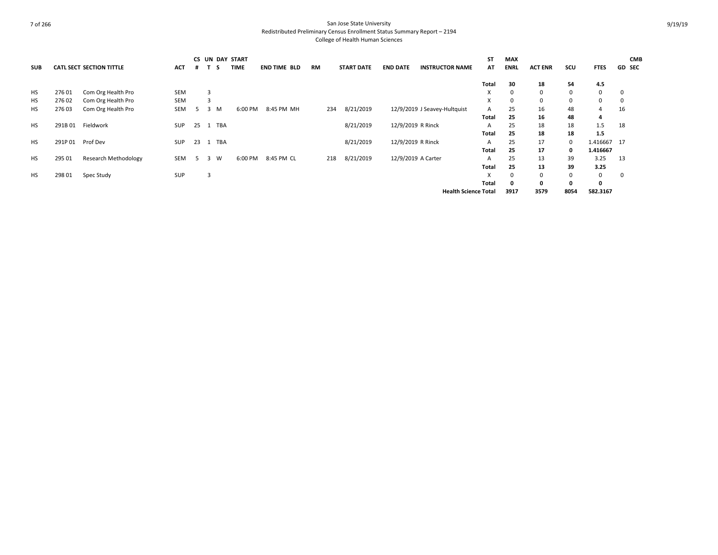|            |        |                                 |            |    |   |     | <b>CS UN DAY START</b> |                     |           |                   |                   |                              | <b>ST</b> | MAX         |                |      |             | <b>CMB</b>    |
|------------|--------|---------------------------------|------------|----|---|-----|------------------------|---------------------|-----------|-------------------|-------------------|------------------------------|-----------|-------------|----------------|------|-------------|---------------|
| <b>SUB</b> |        | <b>CATL SECT SECTION TITTLE</b> | <b>ACT</b> |    |   | -S  | <b>TIME</b>            | <b>END TIME BLD</b> | <b>RM</b> | <b>START DATE</b> | <b>END DATE</b>   | <b>INSTRUCTOR NAME</b>       | AT        | <b>ENRL</b> | <b>ACT ENR</b> | SCU  | <b>FTES</b> | <b>GD SEC</b> |
|            |        |                                 |            |    |   |     |                        |                     |           |                   |                   |                              | Total     | 30          | 18             | 54   | 4.5         |               |
| HS         | 27601  | Com Org Health Pro              | <b>SEM</b> |    | 3 |     |                        |                     |           |                   |                   |                              | x         | 0           | 0              | 0    | 0           | 0             |
| HS         | 27602  | Com Org Health Pro              | <b>SEM</b> |    |   |     |                        |                     |           |                   |                   |                              | X         | 0           | 0              | 0    | 0           | 0             |
| HS         | 27603  | Com Org Health Pro              | SEM        |    | 3 | M   | 6:00 PM                | 8:45 PM MH          | 234       | 8/21/2019         |                   | 12/9/2019 J Seavey-Hultquist | A         | 25          | 16             | 48   | 4           | 16            |
|            |        |                                 |            |    |   |     |                        |                     |           |                   |                   |                              | Total     | 25          | 16             | 48   | 4           |               |
| HS         | 291B01 | Fieldwork                       | <b>SUP</b> | 25 | 1 | TBA |                        |                     |           | 8/21/2019         | 12/9/2019 R Rinck |                              | A         | 25          | 18             | 18   | 1.5         | 18            |
|            |        |                                 |            |    |   |     |                        |                     |           |                   |                   |                              | Total     | 25          | 18             | 18   | 1.5         |               |
| <b>HS</b>  | 291P01 | Prof Dev                        | <b>SUP</b> | 23 |   | TBA |                        |                     |           | 8/21/2019         | 12/9/2019 R Rinck |                              | A         | 25          | 17             | 0    | 1.416667 17 |               |
|            |        |                                 |            |    |   |     |                        |                     |           |                   |                   |                              | Total     | 25          | 17             | 0    | 1.416667    |               |
| HS         | 295 01 | <b>Research Methodology</b>     | SEM        | 5  | 3 | W   | 6:00 PM                | 8:45 PM CL          | 218       | 8/21/2019         |                   | 12/9/2019 A Carter           | A         | 25          | 13             | 39   | 3.25        | 13            |
|            |        |                                 |            |    |   |     |                        |                     |           |                   |                   |                              | Total     | 25          | 13             | 39   | 3.25        |               |
| <b>HS</b>  | 298 01 | Spec Study                      | <b>SUP</b> |    |   |     |                        |                     |           |                   |                   |                              | x         | $\Omega$    | 0              | 0    | 0           | $\mathbf 0$   |
|            |        |                                 |            |    |   |     |                        |                     |           |                   |                   |                              | Total     | 0           | 0              | 0    | 0           |               |
|            |        |                                 |            |    |   |     |                        |                     |           |                   |                   | <b>Health Science Total</b>  |           | 3917        | 3579           | 8054 | 582.3167    |               |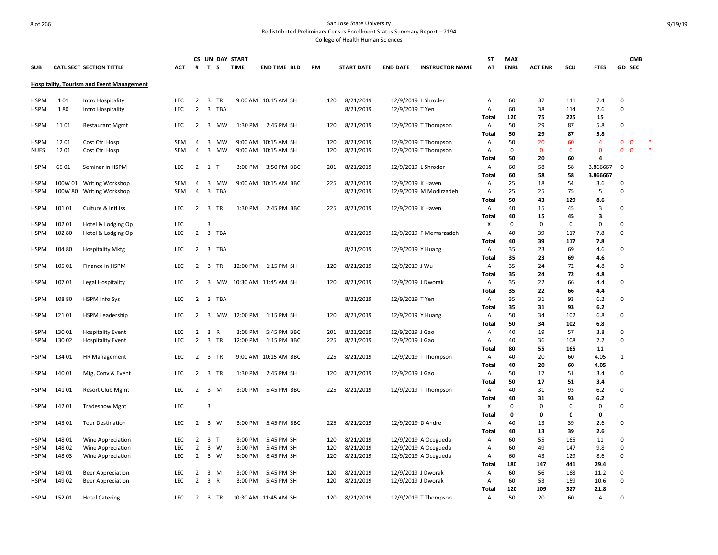|             |         |                                                  |            |                |                         |            | CS UN DAY START |                      |     |                   |                     |                        | <b>ST</b>    | <b>MAX</b>  |                |              |                |                              | <b>CMB</b> |        |
|-------------|---------|--------------------------------------------------|------------|----------------|-------------------------|------------|-----------------|----------------------|-----|-------------------|---------------------|------------------------|--------------|-------------|----------------|--------------|----------------|------------------------------|------------|--------|
| <b>SUB</b>  |         | <b>CATL SECT SECTION TITTLE</b>                  | ACT        | #              |                         | T S        | <b>TIME</b>     | <b>END TIME BLD</b>  | RM  | <b>START DATE</b> | <b>END DATE</b>     | <b>INSTRUCTOR NAME</b> | AT           | <b>ENRL</b> | <b>ACT ENR</b> | scu          | <b>FTES</b>    | GD SEC                       |            |        |
|             |         | <b>Hospitality, Tourism and Event Management</b> |            |                |                         |            |                 |                      |     |                   |                     |                        |              |             |                |              |                |                              |            |        |
| <b>HSPM</b> | 101     | Intro Hospitality                                | LEC.       | 2              | $\overline{\mathbf{3}}$ | <b>TR</b>  |                 | 9:00 AM 10:15 AM SH  | 120 | 8/21/2019         | 12/9/2019 L Shroder |                        | Α            | 60          | 37             | 111          | 7.4            | $\Omega$                     |            |        |
| <b>HSPM</b> | 180     | Intro Hospitality                                | LEC        | $\overline{2}$ | $\overline{\mathbf{3}}$ | <b>TBA</b> |                 |                      |     | 8/21/2019         | 12/9/2019 T Yen     |                        | Α            | 60          | 38             | 114          | 7.6            | $\Omega$                     |            |        |
|             |         |                                                  |            |                |                         |            |                 |                      |     |                   |                     |                        | Total        | 120         | 75             | 225          | 15             |                              |            |        |
| <b>HSPM</b> | 11 01   | <b>Restaurant Mgmt</b>                           | LEC        | 2              | 3                       | МW         | 1:30 PM         | 2:45 PM SH           | 120 | 8/21/2019         |                     | 12/9/2019 T Thompson   | Α            | 50          | 29             | 87           | 5.8            | $\mathbf 0$                  |            |        |
|             |         |                                                  |            |                |                         |            |                 |                      |     |                   |                     |                        | Total        | 50          | 29             | 87           | 5.8            |                              |            |        |
| <b>HSPM</b> | 12 01   | Cost Ctrl Hosp                                   | SEM        | 4              |                         | 3 MW       |                 | 9:00 AM 10:15 AM SH  | 120 | 8/21/2019         |                     | 12/9/2019 T Thompson   | Α            | 50          | 20             | 60           | $\overline{4}$ | $\mathbf 0$<br>C             |            |        |
| <b>NUFS</b> | 1201    | Cost Ctrl Hosp                                   | <b>SEM</b> | 4              | $\overline{3}$          | MW         |                 | 9:00 AM 10:15 AM SH  | 120 | 8/21/2019         |                     | 12/9/2019 T Thompson   | Α            | $\Omega$    | $\mathbf{0}$   | $\mathbf{0}$ | $\mathbf{0}$   | $\mathbf{0}$<br>$\mathsf{C}$ |            | $\ast$ |
|             |         |                                                  |            |                |                         |            |                 |                      |     |                   |                     |                        | Total        | 50          | 20             | 60           | 4              |                              |            |        |
| <b>HSPM</b> | 65 01   | Seminar in HSPM                                  | LEC        | $\overline{2}$ | 1 T                     |            | 3:00 PM         | 3:50 PM BBC          | 201 | 8/21/2019         | 12/9/2019 L Shroder |                        | Α            | 60          | 58             | 58           | 3.866667       | 0                            |            |        |
|             |         |                                                  |            |                |                         |            |                 |                      |     |                   |                     |                        | Total        | 60          | 58             | 58           | 3.866667       |                              |            |        |
| <b>HSPM</b> |         | 100W 01 Writing Workshop                         | SEM        | 4              | $\overline{\mathbf{3}}$ | MW         |                 | 9:00 AM 10:15 AM BBC | 225 | 8/21/2019         | 12/9/2019 K Haven   |                        | Α            | 25          | 18             | 54           | 3.6            | 0                            |            |        |
| HSPM        | 100W 80 | <b>Writing Workshop</b>                          | <b>SEM</b> | $\overline{4}$ | 3                       | <b>TBA</b> |                 |                      |     | 8/21/2019         |                     | 12/9/2019 M Modirzadeh | Α            | 25          | 25             | 75           | 5              | $\Omega$                     |            |        |
|             |         |                                                  |            |                |                         |            |                 |                      |     |                   |                     |                        | Total        | 50          | 43             | 129          | 8.6            |                              |            |        |
| <b>HSPM</b> | 101 01  | Culture & Intl Iss                               | LEC        | 2              | $\overline{\mathbf{3}}$ | TR         | 1:30 PM         | 2:45 PM BBC          | 225 | 8/21/2019         | 12/9/2019 K Haven   |                        | Α            | 40          | 15             | 45           | 3              | 0                            |            |        |
|             |         |                                                  |            |                |                         |            |                 |                      |     |                   |                     |                        | Total        | 40          | 15             | 45           | 3              |                              |            |        |
| <b>HSPM</b> | 102 01  | Hotel & Lodging Op                               | LEC        |                | 3                       |            |                 |                      |     |                   |                     |                        | х            | $\mathbf 0$ | 0              | 0            | 0              | 0                            |            |        |
| <b>HSPM</b> | 102 80  | Hotel & Lodging Op                               | LEC        | $\overline{2}$ | $\overline{\mathbf{3}}$ | <b>TBA</b> |                 |                      |     | 8/21/2019         |                     | 12/9/2019 F Memarzadeh | Α            | 40          | 39             | 117          | 7.8            | 0                            |            |        |
|             |         |                                                  |            |                |                         |            |                 |                      |     |                   |                     |                        | Total        | 40          | 39             | 117          | 7.8            |                              |            |        |
| <b>HSPM</b> | 104 80  | <b>Hospitality Mktg</b>                          | LEC        | $\overline{2}$ |                         | 3 TBA      |                 |                      |     | 8/21/2019         | 12/9/2019 Y Huang   |                        | Α            | 35          | 23             | 69           | 4.6            | $\Omega$                     |            |        |
|             |         |                                                  |            |                |                         |            |                 |                      |     |                   |                     |                        | Total        | 35          | 23             | 69           | 4.6            |                              |            |        |
| <b>HSPM</b> | 105 01  | Finance in HSPM                                  | LEC        | 2              |                         | 3 TR       |                 | 12:00 PM 1:15 PM SH  | 120 | 8/21/2019         | 12/9/2019 J Wu      |                        | Α            | 35          | 24             | 72           | 4.8            | $\mathbf 0$                  |            |        |
|             |         |                                                  |            |                |                         |            |                 |                      |     |                   |                     |                        | Total        | 35          | 24             | 72           | 4.8            |                              |            |        |
| <b>HSPM</b> | 10701   | Legal Hospitality                                | LEC        | 2              | 3                       | MW         |                 | 10:30 AM 11:45 AM SH | 120 | 8/21/2019         | 12/9/2019 J Dworak  |                        | Α            | 35          | 22             | 66           | 4.4            | $\Omega$                     |            |        |
|             |         |                                                  |            |                |                         |            |                 |                      |     |                   |                     |                        | Total        | 35          | 22             | 66           | 4.4            |                              |            |        |
| <b>HSPM</b> | 108 80  | <b>HSPM Info Sys</b>                             | <b>LEC</b> | 2              | $\overline{3}$          | TBA        |                 |                      |     | 8/21/2019         | 12/9/2019 T Yen     |                        | Α            | 35          | 31             | 93           | 6.2            | $\Omega$                     |            |        |
|             |         |                                                  |            |                |                         |            |                 |                      |     |                   |                     |                        | Total        | 35          | 31             | 93           | $6.2$          |                              |            |        |
| HSPM        | 121 01  | <b>HSPM Leadership</b>                           | LEC        | 2              | 3                       | MW         | 12:00 PM        | 1:15 PM SH           | 120 | 8/21/2019         | 12/9/2019 Y Huang   |                        | Α            | 50          | 34             | 102          | 6.8            | 0                            |            |        |
|             |         |                                                  |            |                |                         |            |                 |                      |     |                   |                     |                        | Total        | 50          | 34             | 102          | 6.8            |                              |            |        |
| <b>HSPM</b> | 130 01  | <b>Hospitality Event</b>                         | <b>LEC</b> | 2              | 3 R                     |            | 3:00 PM         | 5:45 PM BBC          | 201 | 8/21/2019         | 12/9/2019 J Gao     |                        | Α            | 40          | 19             | 57           | 3.8            | $\Omega$                     |            |        |
| <b>HSPM</b> | 13002   | <b>Hospitality Event</b>                         | <b>LEC</b> | $\overline{2}$ | $\overline{\mathbf{3}}$ | TR         | 12:00 PM        | 1:15 PM BBC          | 225 | 8/21/2019         | 12/9/2019 J Gao     |                        | Α            | 40          | 36             | 108          | 7.2            | 0                            |            |        |
|             |         |                                                  |            |                |                         |            |                 |                      |     |                   |                     |                        | Total        | 80          | 55             | 165          | 11             |                              |            |        |
| <b>HSPM</b> | 134 01  | <b>HR Management</b>                             | LEC        |                | 2 3 TR                  |            |                 | 9:00 AM 10:15 AM BBC | 225 | 8/21/2019         |                     | 12/9/2019 T Thompson   | Α            | 40          | 20             | 60           | 4.05           | 1                            |            |        |
|             |         |                                                  |            |                |                         |            |                 |                      |     |                   |                     |                        | Total        | 40          | 20             | 60           | 4.05           |                              |            |        |
| <b>HSPM</b> | 14001   | Mtg, Conv & Event                                | LEC        | $\overline{2}$ |                         | 3 TR       | 1:30 PM         | 2:45 PM SH           | 120 | 8/21/2019         | 12/9/2019 J Gao     |                        | Α            | 50          | 17             | 51           | 3.4            | 0                            |            |        |
|             |         |                                                  |            |                |                         |            |                 |                      |     |                   |                     |                        | <b>Total</b> | 50          | 17             | 51           | 3.4            |                              |            |        |
| <b>HSPM</b> | 141 01  | <b>Resort Club Mgmt</b>                          | <b>LEC</b> | $\overline{2}$ |                         | 3 M        | 3:00 PM         | 5:45 PM BBC          | 225 | 8/21/2019         |                     | 12/9/2019 T Thompson   | Α            | 40          | 31             | 93           | 6.2            | $\Omega$                     |            |        |
|             |         |                                                  |            |                |                         |            |                 |                      |     |                   |                     |                        | Total        | 40          | 31             | 93           | 6.2            |                              |            |        |
| <b>HSPM</b> | 142 01  | <b>Tradeshow Mgnt</b>                            | <b>LEC</b> |                | $\overline{3}$          |            |                 |                      |     |                   |                     |                        | X            | $\mathbf 0$ | 0              | 0            | 0              | 0                            |            |        |
|             |         |                                                  |            |                |                         |            |                 |                      |     |                   |                     |                        | Total        | 0           | 0              | 0            | 0              |                              |            |        |
| <b>HSPM</b> | 143 01  | <b>Tour Destination</b>                          | <b>LEC</b> | $\overline{2}$ | 3 W                     |            | 3:00 PM         | 5:45 PM BBC          | 225 | 8/21/2019         | 12/9/2019 D Andre   |                        | Α            | 40          | 13             | 39           | 2.6            | 0                            |            |        |
|             |         |                                                  |            |                |                         |            |                 |                      |     |                   |                     |                        | Total        | 40          | 13             | 39           | 2.6            |                              |            |        |
| <b>HSPM</b> | 148 01  | Wine Appreciation                                | <b>LEC</b> | $\overline{2}$ | 3 <sub>T</sub>          |            | 3:00 PM         | 5:45 PM SH           | 120 | 8/21/2019         |                     | 12/9/2019 A Ocegueda   | Α            | 60          | 55             | 165          | 11             | $\Omega$                     |            |        |
| <b>HSPM</b> | 148 02  | Wine Appreciation                                | LEC        | $\overline{2}$ |                         | 3 W        | 3:00 PM         | 5:45 PM SH           | 120 | 8/21/2019         |                     | 12/9/2019 A Ocegueda   | Α            | 60          | 49             | 147          | 9.8            | 0                            |            |        |
| <b>HSPM</b> | 14803   | Wine Appreciation                                | LEC        | $\overline{2}$ |                         | 3 W        | 6:00 PM         | 8:45 PM SH           | 120 | 8/21/2019         |                     | 12/9/2019 A Ocegueda   | Α            | 60          | 43             | 129          | 8.6            | 0                            |            |        |
|             |         |                                                  |            |                |                         |            |                 |                      |     |                   |                     |                        | Total        | 180         | 147            | 441          | 29.4           |                              |            |        |
| HSPM        | 149 01  | <b>Beer Appreciation</b>                         | LEC        | 2              |                         | 3 M        | 3:00 PM         | 5:45 PM SH           | 120 | 8/21/2019         | 12/9/2019 J Dworak  |                        | A            | 60          | 56             | 168          | 11.2           | $\Omega$                     |            |        |
| HSPM        | 149 02  | <b>Beer Appreciation</b>                         | LEC        | $\overline{2}$ | 3 R                     |            | 3:00 PM         | 5:45 PM SH           | 120 | 8/21/2019         | 12/9/2019 J Dworak  |                        | Α            | 60          | 53             | 159          | 10.6           | $\Omega$                     |            |        |
|             |         |                                                  |            |                |                         |            |                 |                      |     |                   |                     |                        | Total        | 120         | 109            | 327          | 21.8           |                              |            |        |
| <b>HSPM</b> | 15201   | <b>Hotel Catering</b>                            | <b>LEC</b> |                |                         | 2 3 TR     |                 | 10:30 AM 11:45 AM SH | 120 | 8/21/2019         |                     | 12/9/2019 T Thompson   | Α            | 50          | 20             | 60           | $\overline{4}$ | $\Omega$                     |            |        |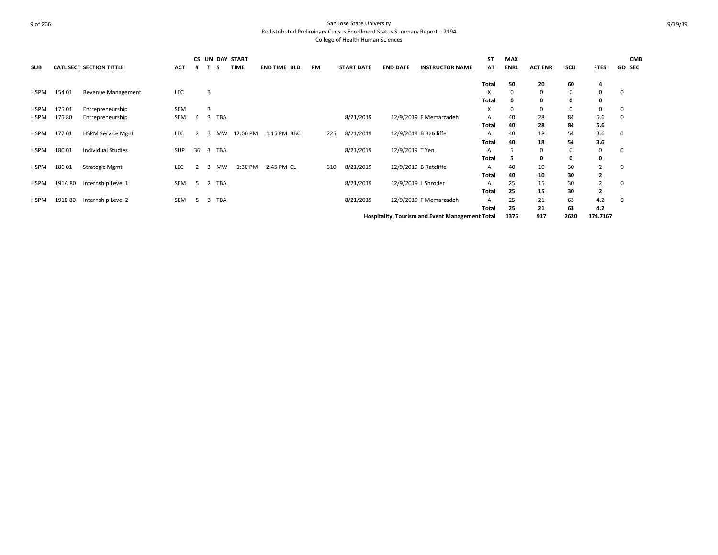|             |         |                                 |            | CS. |                         |            | UN DAY START |                     |           |                   |                 |                                                 | ST           | <b>MAX</b>  |                |      |             | <b>CMB</b>    |
|-------------|---------|---------------------------------|------------|-----|-------------------------|------------|--------------|---------------------|-----------|-------------------|-----------------|-------------------------------------------------|--------------|-------------|----------------|------|-------------|---------------|
| <b>SUB</b>  |         | <b>CATL SECT SECTION TITTLE</b> | <b>ACT</b> | #   |                         | s          | <b>TIME</b>  | <b>END TIME BLD</b> | <b>RM</b> | <b>START DATE</b> | <b>END DATE</b> | <b>INSTRUCTOR NAME</b>                          | AT           | <b>ENRL</b> | <b>ACT ENR</b> | SCU  | <b>FTES</b> | <b>GD SEC</b> |
|             |         |                                 |            |     |                         |            |              |                     |           |                   |                 |                                                 | Total        | 50          | 20             | 60   | 4           |               |
| <b>HSPM</b> | 154 01  | Revenue Management              | LEC        |     | 3                       |            |              |                     |           |                   |                 |                                                 | х            | $\Omega$    | 0              | 0    | 0           | -0            |
|             |         |                                 |            |     |                         |            |              |                     |           |                   |                 |                                                 | <b>Total</b> | O           | 0              | 0    | 0           |               |
| <b>HSPM</b> | 175 01  | Entrepreneurship                | <b>SEM</b> |     | 3                       |            |              |                     |           |                   |                 |                                                 | X            | 0           | 0              | 0    | 0           | -0            |
| HSPM        | 175 80  | Entrepreneurship                | SEM        | 4   | 3                       | <b>TBA</b> |              |                     |           | 8/21/2019         |                 | 12/9/2019 F Memarzadeh                          | A            | 40          | 28             | 84   | 5.6         | 0             |
|             |         |                                 |            |     |                         |            |              |                     |           |                   |                 |                                                 | Total        | 40          | 28             | 84   | 5.6         |               |
| <b>HSPM</b> | 17701   | <b>HSPM Service Mgnt</b>        | LEC        |     | 3                       | MW         | 12:00 PM     | 1:15 PM BBC         | 225       | 8/21/2019         |                 | 12/9/2019 B Ratcliffe                           | Α            | 40          | 18             | 54   | 3.6         | 0             |
|             |         |                                 |            |     |                         |            |              |                     |           |                   |                 |                                                 | Total        | 40          | 18             | 54   | 3.6         |               |
| <b>HSPM</b> | 180 01  | <b>Individual Studies</b>       | <b>SUP</b> | 36  | $\overline{\mathbf{3}}$ | TBA        |              |                     |           | 8/21/2019         | 12/9/2019 T Yen |                                                 | A            |             | 0              | 0    | 0           | 0             |
|             |         |                                 |            |     |                         |            |              |                     |           |                   |                 |                                                 | Total        |             | 0              | 0    | 0           |               |
| <b>HSPM</b> | 18601   | <b>Strategic Mgmt</b>           | <b>LEC</b> |     | 3                       | MW         | 1:30 PM      | 2:45 PM CL          | 310       | 8/21/2019         |                 | 12/9/2019 B Ratcliffe                           | A            | 40          | 10             | 30   |             | -0            |
|             |         |                                 |            |     |                         |            |              |                     |           |                   |                 |                                                 | Total        | 40          | 10             | 30   | 2           |               |
| HSPM        | 191A 80 | Internship Level 1              | SEM        | -5  | 2                       | <b>TBA</b> |              |                     |           | 8/21/2019         |                 | 12/9/2019 L Shroder                             | A            | 25          | 15             | 30   | 2           | 0             |
|             |         |                                 |            |     |                         |            |              |                     |           |                   |                 |                                                 | Total        | 25          | 15             | 30   | 2           |               |
| HSPM        | 191B 80 | Internship Level 2              | SEM        | 5.  | 3                       | <b>TBA</b> |              |                     |           | 8/21/2019         |                 | 12/9/2019 F Memarzadeh                          | Α            | 25          | 21             | 63   | 4.2         | -0            |
|             |         |                                 |            |     |                         |            |              |                     |           |                   |                 |                                                 | Total        | 25          | 21             | 63   | 4.2         |               |
|             |         |                                 |            |     |                         |            |              |                     |           |                   |                 | Hospitality, Tourism and Event Management Total |              | 1375        | 917            | 2620 | 174.7167    |               |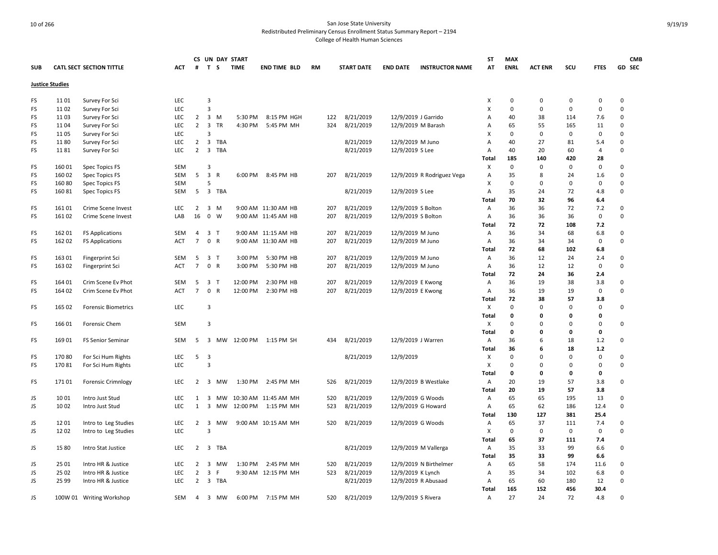|            |                        |                                 |            |                |                         | CS UN DAY START |             |                      |     |                   |                    |                            | <b>ST</b>                 | <b>MAX</b>  |                |             |                | <b>CMB</b>  |
|------------|------------------------|---------------------------------|------------|----------------|-------------------------|-----------------|-------------|----------------------|-----|-------------------|--------------------|----------------------------|---------------------------|-------------|----------------|-------------|----------------|-------------|
| <b>SUB</b> |                        | <b>CATL SECT SECTION TITTLE</b> | ACT        | #              | T S                     |                 | <b>TIME</b> | <b>END TIME BLD</b>  | RM  | <b>START DATE</b> | <b>END DATE</b>    | <b>INSTRUCTOR NAME</b>     | AT                        | <b>ENRL</b> | <b>ACT ENR</b> | SCU         | <b>FTES</b>    | GD SEC      |
|            | <b>Justice Studies</b> |                                 |            |                |                         |                 |             |                      |     |                   |                    |                            |                           |             |                |             |                |             |
| FS         | 11 01                  | Survey For Sci                  | LEC        |                | 3                       |                 |             |                      |     |                   |                    |                            | Χ                         | $\pmb{0}$   | 0              | $\mathbf 0$ | $\pmb{0}$      | 0           |
| FS         | 11 02                  | Survey For Sci                  | LEC        |                | 3                       |                 |             |                      |     |                   |                    |                            | $\boldsymbol{\mathsf{X}}$ | $\mathsf 0$ | 0              | $\Omega$    | $\mathbf 0$    | 0           |
| FS         | 11 03                  | Survey For Sci                  | <b>LEC</b> | $\overline{2}$ | 3 M                     |                 | 5:30 PM     | 8:15 PM HGH          | 122 | 8/21/2019         |                    | 12/9/2019 J Garrido        | A                         | 40          | 38             | 114         | 7.6            | 0           |
| FS         | 1104                   | Survey For Sci                  | <b>LEC</b> | $2 \quad 3$    |                         | <b>TR</b>       | 4:30 PM     | 5:45 PM MH           | 324 | 8/21/2019         |                    | 12/9/2019 M Barash         | A                         | 65          | 55             | 165         | 11             | $\Omega$    |
| FS         | 1105                   | Survey For Sci                  | LEC        |                | $\overline{3}$          |                 |             |                      |     |                   |                    |                            | X                         | $\mathbf 0$ | 0              | $\mathbf 0$ | $\mathbf 0$    | 0           |
| FS         | 1180                   | Survey For Sci                  | <b>LEC</b> | $\overline{2}$ | $\overline{\mathbf{3}}$ | TBA             |             |                      |     | 8/21/2019         | 12/9/2019 M Juno   |                            | $\overline{A}$            | 40          | 27             | 81          | 5.4            | $\Omega$    |
| FS         | 1181                   | Survey For Sci                  | LEC        | $2^{\circ}$    | 3 TBA                   |                 |             |                      |     | 8/21/2019         | 12/9/2019 S Lee    |                            | A                         | 40          | 20             | 60          | $\overline{4}$ | 0           |
|            |                        |                                 |            |                |                         |                 |             |                      |     |                   |                    |                            | Total                     | 185         | 140            | 420         | 28             |             |
| FS         | 16001                  | Spec Topics FS                  | <b>SEM</b> |                | 3                       |                 |             |                      |     |                   |                    |                            | X                         | $\mathbf 0$ | 0              | $\mathbf 0$ | $\mathbf 0$    | 0           |
| FS         | 16002                  | Spec Topics FS                  | SEM        | 5              | $\overline{\mathbf{3}}$ | $\mathsf{R}$    |             | 6:00 PM 8:45 PM HB   | 207 | 8/21/2019         |                    | 12/9/2019 R Rodriguez Vega | A                         | 35          | 8              | 24          | 1.6            | 0           |
| FS         | 16080                  | Spec Topics FS                  | <b>SEM</b> |                | 5                       |                 |             |                      |     |                   |                    |                            | Χ                         | $\mathbf 0$ | 0              | 0           | $\mathbf 0$    | 0           |
| FS         | 16081                  | Spec Topics FS                  | SEM        | 5              | 3 TBA                   |                 |             |                      |     | 8/21/2019         | 12/9/2019 S Lee    |                            | A                         | 35          | 24             | 72          | 4.8            | 0           |
|            |                        |                                 |            |                |                         |                 |             |                      |     |                   |                    |                            | Total                     | 70          | 32             | 96          | 6.4            |             |
| FS         | 161 01                 | Crime Scene Invest              | <b>LEC</b> | $\overline{2}$ | 3 M                     |                 |             | 9:00 AM 11:30 AM HB  | 207 | 8/21/2019         | 12/9/2019 S Bolton |                            | Α                         | 36          | 36             | 72          | 7.2            | 0           |
| FS         | 161 02                 | Crime Scene Invest              | LAB        | 16             | $0 \quad W$             |                 |             | 9:00 AM 11:45 AM HB  | 207 | 8/21/2019         |                    | 12/9/2019 S Bolton         | Α                         | 36          | 36             | 36          | $\mathbf 0$    | 0           |
|            |                        |                                 |            |                |                         |                 |             |                      |     |                   |                    |                            | <b>Total</b>              | 72          | 72             | 108         | 7.2            |             |
| FS         | 16201                  | <b>FS Applications</b>          | SEM        | 4              | 3 T                     |                 |             | 9:00 AM 11:15 AM HB  | 207 | 8/21/2019         | 12/9/2019 M Juno   |                            | Α                         | 36          | 34             | 68          | 6.8            | $\mathbf 0$ |
| FS         | 162 02                 | <b>FS Applications</b>          | ACT        | $7^{\circ}$    | 0 R                     |                 |             | 9:00 AM 11:30 AM HB  | 207 | 8/21/2019         | 12/9/2019 M Juno   |                            | Α                         | 36          | 34             | 34          | $\mathsf 0$    | 0           |
|            |                        |                                 |            |                |                         |                 |             |                      |     |                   |                    |                            | Total                     | 72          | 68             | 102         | 6.8            |             |
| FS         | 163 01                 | <b>Fingerprint Sci</b>          | <b>SEM</b> | 5              | 3 <sub>1</sub>          |                 | 3:00 PM     | 5:30 PM HB           | 207 | 8/21/2019         | 12/9/2019 M Juno   |                            | Α                         | 36          | 12             | 24          | 2.4            | 0           |
| FS         | 163 02                 | Fingerprint Sci                 | <b>ACT</b> | $7^{\circ}$    | 0 R                     |                 | 3:00 PM     | 5:30 PM HB           | 207 | 8/21/2019         | 12/9/2019 M Juno   |                            | $\overline{A}$            | 36          | 12             | 12          | $\mathbf 0$    | 0           |
|            |                        |                                 |            |                |                         |                 |             |                      |     |                   |                    |                            | Total                     | 72          | 24             | 36          | 2.4            |             |
| FS         | 164 01                 | Crim Scene Ev Phot              | <b>SEM</b> | 5              | 3 <sub>1</sub>          |                 | 12:00 PM    | 2:30 PM HB           | 207 | 8/21/2019         |                    | 12/9/2019 E Kwong          | Α                         | 36          | 19             | 38          | 3.8            | 0           |
| FS         | 164 02                 | Crim Scene Ev Phot              | ACT        | $7^{\circ}$    | 0 R                     |                 | 12:00 PM    | 2:30 PM HB           | 207 | 8/21/2019         |                    | 12/9/2019 E Kwong          | Α                         | 36          | 19             | 19          | 0              | 0           |
|            |                        |                                 |            |                |                         |                 |             |                      |     |                   |                    |                            | Total                     | 72          | 38             | 57          | 3.8            |             |
| FS         | 165 02                 | <b>Forensic Biometrics</b>      | LEC        |                | 3                       |                 |             |                      |     |                   |                    |                            | X                         | $\mathbf 0$ | 0              | $\Omega$    | $\pmb{0}$      | 0           |
|            |                        |                                 |            |                |                         |                 |             |                      |     |                   |                    |                            | Total                     | 0           | 0              | $\Omega$    | 0              |             |
| FS         | 166 01                 | Forensic Chem                   | <b>SEM</b> |                | $\overline{3}$          |                 |             |                      |     |                   |                    |                            | X                         | 0           | 0              | $\Omega$    | $\mathbf 0$    | 0           |
|            |                        |                                 |            |                |                         |                 |             |                      |     |                   |                    |                            | Total                     | 0           | 0              | 0           | 0              |             |
| FS         | 169 01                 | <b>FS Senior Seminar</b>        | <b>SEM</b> | 5              | $\overline{\mathbf{3}}$ | MW              | 12:00 PM    | 1:15 PM SH           | 434 | 8/21/2019         |                    | 12/9/2019 J Warren         | Α                         | 36          | 6              | 18          | 1.2            | 0           |
|            |                        |                                 |            |                |                         |                 |             |                      |     |                   |                    |                            | <b>Total</b>              | 36          | 6              | 18          | 1.2            |             |
| FS         | 170 80                 | For Sci Hum Rights              | <b>LEC</b> | 5 <sub>3</sub> |                         |                 |             |                      |     | 8/21/2019         | 12/9/2019          |                            | х                         | $\mathbf 0$ | 0              | $\Omega$    | $\mathbf 0$    | 0           |
| FS         | 17081                  | For Sci Hum Rights              | <b>LEC</b> |                | 3                       |                 |             |                      |     |                   |                    |                            | X                         | 0           | 0              | $\Omega$    | $\mathbf 0$    | 0           |
|            |                        |                                 |            |                |                         |                 |             |                      |     |                   |                    |                            | Total                     | 0           | 0              | 0           | 0              |             |
| FS         | 17101                  | <b>Forensic Crimnlogy</b>       | <b>LEC</b> | $\overline{2}$ |                         | 3 MW            | 1:30 PM     | 2:45 PM MH           | 526 | 8/21/2019         |                    | 12/9/2019 B Westlake       | Α                         | 20          | 19             | 57          | 3.8            | 0           |
|            |                        |                                 |            |                |                         |                 |             |                      |     |                   |                    |                            | Total                     | 20          | 19             | 57          | 3.8            |             |
| JS         | 10 01                  | Intro Just Stud                 | LEC        | 1              | $\overline{\mathbf{3}}$ | MW              |             | 10:30 AM 11:45 AM MH | 520 | 8/21/2019         |                    | 12/9/2019 G Woods          | Α                         | 65          | 65             | 195         | 13             | 0           |
| JS         | 10 02                  | Intro Just Stud                 | LEC        | $\mathbf{1}$   | $\overline{\mathbf{3}}$ | МW              | 12:00 PM    | 1:15 PM MH           | 523 | 8/21/2019         |                    | 12/9/2019 G Howard         | Α                         | 65          | 62             | 186         | 12.4           | 0           |
|            |                        |                                 |            |                |                         |                 |             |                      |     |                   |                    |                            | Total                     | 130         | 127            | 381         | 25.4           |             |
| JS         | 1201                   | Intro to Leg Studies            | <b>LEC</b> | $\overline{2}$ | $\overline{\mathbf{3}}$ | <b>MW</b>       |             | 9:00 AM 10:15 AM MH  | 520 | 8/21/2019         |                    | 12/9/2019 G Woods          | Α                         | 65          | 37             | 111         | 7.4            | 0           |
| JS         | 1202                   | Intro to Leg Studies            | LEC        |                | $\overline{3}$          |                 |             |                      |     |                   |                    |                            | X                         | $\mathbf 0$ | 0              | $\mathbf 0$ | $\mathbf 0$    | 0           |
|            |                        |                                 |            |                |                         |                 |             |                      |     |                   |                    |                            | Total                     | 65          | 37             | 111         | 7.4            |             |
| JS         | 1580                   | Intro Stat Justice              | LEC        | 2              | 3                       | <b>TBA</b>      |             |                      |     | 8/21/2019         |                    | 12/9/2019 M Vallerga       | Α                         | 35          | 33             | 99          | 6.6            | 0           |
|            |                        |                                 |            |                |                         |                 |             |                      |     |                   |                    |                            | Total                     | 35          | 33             | 99          | 6.6            |             |
| JS         | 25 01                  | Intro HR & Justice              | <b>LEC</b> | $\overline{2}$ | $\overline{\mathbf{3}}$ | MW              | 1:30 PM     | 2:45 PM MH           | 520 | 8/21/2019         |                    | 12/9/2019 N Birthelmer     | Α                         | 65          | 58             | 174         | 11.6           | 0           |
| JS         | 25 02                  | Intro HR & Justice              | <b>LEC</b> | $\overline{2}$ | $\overline{3}$          | F               |             | 9:30 AM 12:15 PM MH  | 523 | 8/21/2019         | 12/9/2019 K Lynch  |                            | Α                         | 35          | 34             | 102         | 6.8            | 0           |
| JS         | 25 99                  | Intro HR & Justice              | LEC        | $\overline{2}$ | 3 TBA                   |                 |             |                      |     | 8/21/2019         |                    | 12/9/2019 R Abusaad        | Α                         | 65          | 60             | 180         | 12             | 0           |
|            |                        |                                 |            |                |                         |                 |             |                      |     |                   |                    |                            | Total                     | 165         | 152            | 456         | 30.4           |             |
| JS         |                        | 100W 01 Writing Workshop        | <b>SEM</b> | 4              |                         | 3 MW            | 6:00 PM     | 7:15 PM MH           | 520 | 8/21/2019         | 12/9/2019 S Rivera |                            | Α                         | 27          | 24             | 72          | 4.8            | 0           |
|            |                        |                                 |            |                |                         |                 |             |                      |     |                   |                    |                            |                           |             |                |             |                |             |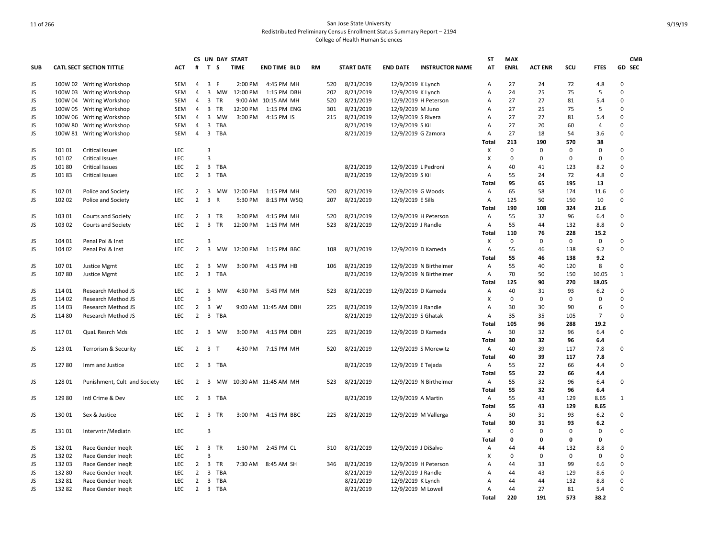|            |                 |                              |            |                |                         |            | CS UN DAY START |                      |           |     |                   |                     |                        | ST           | <b>MAX</b>        |                   |           |                    | <b>CMB</b>   |
|------------|-----------------|------------------------------|------------|----------------|-------------------------|------------|-----------------|----------------------|-----------|-----|-------------------|---------------------|------------------------|--------------|-------------------|-------------------|-----------|--------------------|--------------|
| <b>SUB</b> |                 | CATL SECT SECTION TITTLE     | ACT        | #              | T S                     |            | <b>TIME</b>     | <b>END TIME BLD</b>  | <b>RM</b> |     | <b>START DATE</b> | <b>END DATE</b>     | <b>INSTRUCTOR NAME</b> | AT           | <b>ENRL</b>       | <b>ACT ENR</b>    | SCU       | <b>FTES</b>        | GD SEC       |
| JS         |                 | 100W 02 Writing Workshop     | <b>SEM</b> | $\overline{4}$ | $\overline{\mathbf{3}}$ | - F        | 2:00 PM         | 4:45 PM MH           |           | 520 | 8/21/2019         | 12/9/2019 K Lynch   |                        | A            | 27                | 24                | 72        | 4.8                | $\Omega$     |
| JS         |                 | 100W 03 Writing Workshop     | SEM        | $\overline{4}$ |                         |            | 3 MW 12:00 PM   | 1:15 PM DBH          |           | 202 | 8/21/2019         | 12/9/2019 K Lynch   |                        | Α            | 24                | 25                | 75        | 5                  | 0            |
| JS         |                 | 100W 04 Writing Workshop     | <b>SEM</b> | $\overline{4}$ | 3                       | <b>TR</b>  |                 | 9:00 AM 10:15 AM MH  |           | 520 | 8/21/2019         |                     | 12/9/2019 H Peterson   | A            | 27                | 27                | 81        | 5.4                | $\Omega$     |
| JS         |                 | 100W 05 Writing Workshop     | SEM        | $\overline{4}$ | 3                       | TR         | 12:00 PM        | 1:15 PM ENG          |           | 301 | 8/21/2019         | 12/9/2019 M Juno    |                        | A            | 27                | 25                | 75        | 5                  | 0            |
| JS         |                 | 100W 06 Writing Workshop     | <b>SEM</b> | $\overline{4}$ | 3                       | <b>MW</b>  | 3:00 PM         | 4:15 PM IS           |           | 215 | 8/21/2019         | 12/9/2019 S Rivera  |                        | A            | 27                | 27                | 81        | 5.4                | $\Omega$     |
| JS         |                 | 100W 80 Writing Workshop     | <b>SEM</b> | $\overline{4}$ | 3                       | TBA        |                 |                      |           |     | 8/21/2019         | 12/9/2019 S Kil     |                        | A            | 27                | 20                | 60        | $\overline{4}$     | $\mathbf 0$  |
| JS         |                 | 100W 81 Writing Workshop     | SEM        | $\overline{4}$ |                         | 3 TBA      |                 |                      |           |     | 8/21/2019         | 12/9/2019 G Zamora  |                        | Α            | 27                | 18                | 54        | 3.6                | 0            |
|            |                 |                              |            |                |                         |            |                 |                      |           |     |                   |                     |                        | Total        | 213               | 190               | 570       | 38                 |              |
| JS         | 101 01          | <b>Critical Issues</b>       | <b>LEC</b> |                | 3                       |            |                 |                      |           |     |                   |                     |                        | х            | $\mathbf 0$       | 0                 | 0         | $\mathbf 0$        | 0            |
| JS         | 101 02          | <b>Critical Issues</b>       | LEC        |                | $\overline{3}$          |            |                 |                      |           |     |                   |                     |                        | х            | $\mathbf 0$       | $\mathbf 0$       | 0         | $\mathbf 0$        | 0            |
| JS         | 101 80          | <b>Critical Issues</b>       | LEC        | $2^{\circ}$    | $\overline{\mathbf{3}}$ | <b>TBA</b> |                 |                      |           |     | 8/21/2019         | 12/9/2019 L Pedroni |                        | A            | 40                | 41                | 123       | 8.2                | 0            |
| JS         | 10183           | <b>Critical Issues</b>       | LEC        | $\overline{2}$ | $\overline{\mathbf{3}}$ | TBA        |                 |                      |           |     | 8/21/2019         | 12/9/2019 S Kil     |                        | Α            | 55                | 24                | 72        | 4.8                | 0            |
|            |                 |                              |            |                |                         |            |                 |                      |           |     |                   |                     |                        | Total        | 95                | 65                | 195       | 13                 |              |
| JS         | 102 01          | Police and Society           | LEC        | 2              | 3                       | MW         | 12:00 PM        | 1:15 PM MH           |           | 520 | 8/21/2019         | 12/9/2019 G Woods   |                        | Α            | 65                | 58                | 174       | 11.6               | 0            |
| JS         | 102 02          | Police and Society           | LEC        | $\overline{2}$ | $\overline{\mathbf{3}}$ | R          | 5:30 PM         | 8:15 PM WSQ          |           | 207 | 8/21/2019         | 12/9/2019 E Sills   |                        | Α            | 125               | 50                | 150       | 10                 | 0            |
|            |                 |                              |            |                |                         |            |                 |                      |           |     |                   |                     |                        | <b>Total</b> | 190               | 108               | 324       | 21.6               |              |
| JS         | 103 01          | Courts and Society           | LEC        | $\overline{2}$ | $\overline{\mathbf{3}}$ | TR         | 3:00 PM         | 4:15 PM MH           |           | 520 | 8/21/2019         |                     | 12/9/2019 H Peterson   | Α            | 55                | 32                | 96        | 6.4                | 0            |
| JS         | 103 02          | Courts and Society           | LEC        | $\overline{2}$ | 3                       | <b>TR</b>  | 12:00 PM        | 1:15 PM MH           |           | 523 | 8/21/2019         | 12/9/2019 J Randle  |                        | А            | 55                | 44                | 132       | 8.8                | 0            |
|            |                 |                              |            |                |                         |            |                 |                      |           |     |                   |                     |                        | Total        | 110               | 76                | 228       | 15.2               |              |
| JS         | 104 01          | Penal Pol & Inst             | LEC        |                | 3                       |            |                 |                      |           |     |                   |                     |                        | X            | $\mathbf 0$       | $\mathbf 0$       | 0         | $\mathbf 0$        | $\Omega$     |
| JS.        | 104 02          | Penal Pol & Inst             | LEC        | $\overline{2}$ | $\overline{3}$          | <b>MW</b>  | 12:00 PM        | 1:15 PM BBC          |           | 108 | 8/21/2019         | 12/9/2019 D Kameda  |                        | Α            | 55                | 46                | 138       | 9.2                | 0            |
|            |                 |                              |            |                |                         |            |                 |                      |           |     |                   |                     |                        | Total        | 55                | 46                | 138       | 9.2                |              |
| JS         | 107 01          | Justice Mgmt                 | LEC        | $\overline{2}$ | 3                       | MW         | 3:00 PM         | 4:15 PM HB           |           | 106 | 8/21/2019         |                     | 12/9/2019 N Birthelmer | Α            | 55                | 40                | 120       | 8                  | 0            |
| JS         | 10780           | Justice Mgmt                 | LEC        | $\overline{2}$ | 3                       | <b>TBA</b> |                 |                      |           |     | 8/21/2019         |                     | 12/9/2019 N Birthelmer | Α            | 70                | 50                | 150       | 10.05              | $\mathbf{1}$ |
|            |                 |                              |            |                |                         |            |                 |                      |           |     |                   |                     |                        | Total        | 125               | 90                | 270       | 18.05              |              |
| JS         | 114 01          | Research Method JS           | <b>LEC</b> | $\overline{2}$ | $\overline{\mathbf{3}}$ | <b>MW</b>  | 4:30 PM         | 5:45 PM MH           |           | 523 | 8/21/2019         | 12/9/2019 D Kameda  |                        | Α            | 40                | 31                | 93        | 6.2                | 0            |
| JS         | 114 02          | Research Method JS           | <b>LEC</b> |                | $\overline{\mathbf{3}}$ |            |                 |                      |           |     |                   |                     |                        | X            | $\mathbf 0$       | $\mathbf 0$       | 0         | $\mathbf 0$        | $\mathbf 0$  |
| JS         | 114 03          | Research Method JS           | LEC        |                | $2 \quad 3$             | W          |                 | 9:00 AM 11:45 AM DBH |           | 225 | 8/21/2019         | 12/9/2019 J Randle  |                        | А            | 30                | 30                | 90        | 6                  | 0            |
| JS         | 114 80          | Research Method JS           | LEC        | $\overline{2}$ | 3                       | TBA        |                 |                      |           |     | 8/21/2019         | 12/9/2019 S Ghatak  |                        | Α            | 35                | 35                | 105       | $\overline{7}$     | $\Omega$     |
|            |                 |                              |            |                |                         |            |                 |                      |           |     |                   |                     |                        | Total        | 105               | 96                | 288       | 19.2               |              |
| JS         | 11701           | <b>QuaL Resrch Mds</b>       | <b>LEC</b> | 2              | $\overline{\mathbf{3}}$ | <b>MW</b>  | 3:00 PM         | 4:15 PM DBH          |           | 225 | 8/21/2019         | 12/9/2019 D Kameda  |                        | Α            | 30                | 32                | 96        | 6.4                | 0            |
|            |                 |                              |            |                |                         |            |                 |                      |           |     |                   |                     |                        | Total        | 30                | 32                | 96        | 6.4                |              |
| JS         | 123 01          | Terrorism & Security         | LEC        |                | $2 \quad 3$             | $\top$     | 4:30 PM         | 7:15 PM MH           |           | 520 | 8/21/2019         |                     | 12/9/2019 S Morewitz   | Α            | 40                | 39                | 117       | 7.8                | 0            |
|            |                 |                              |            |                |                         |            |                 |                      |           |     |                   |                     |                        | Total        | 40                | 39                | 117       | 7.8                |              |
| JS         | 12780           | Imm and Justice              | <b>LEC</b> | 2              | $\overline{\mathbf{3}}$ | TBA        |                 |                      |           |     | 8/21/2019         | 12/9/2019 E Tejada  |                        | Α            | 55                | 22                | 66        | 4.4                | 0            |
|            |                 |                              |            |                |                         |            |                 |                      |           |     |                   |                     |                        | Total        | 55                | 22                | 66        | 4.4                |              |
| JS.        | 12801           | Punishment, Cult and Society | <b>LEC</b> | 2              | $\overline{\mathbf{3}}$ | <b>MW</b>  |                 | 10:30 AM 11:45 AM MH |           | 523 | 8/21/2019         |                     | 12/9/2019 N Birthelmer | A            | 55                | 32                | 96        | 6.4                | $\Omega$     |
|            |                 |                              |            |                |                         |            |                 |                      |           |     |                   |                     |                        | <b>Total</b> | 55                | 32                | 96        | 6.4                |              |
| JS         | 129 80          | Intl Crime & Dev             | <b>LEC</b> | 2              | $\overline{\mathbf{3}}$ | TBA        |                 |                      |           |     | 8/21/2019         | 12/9/2019 A Martin  |                        | Α            | 55                | 43                | 129       | 8.65               | 1            |
|            |                 |                              |            |                |                         |            |                 |                      |           |     |                   |                     |                        | Total        | 55                | 43                | 129       | 8.65               |              |
| JS         | 13001           | Sex & Justice                | <b>LEC</b> |                | 2 3 TR                  |            | 3:00 PM         | 4:15 PM BBC          |           | 225 | 8/21/2019         |                     | 12/9/2019 M Vallerga   | Α            | 30                | 31                | 93        | 6.2                | 0            |
|            |                 |                              |            |                |                         |            |                 |                      |           |     |                   |                     |                        | Total        | 30                | 31                | 93        | 6.2                |              |
| JS         | 131 01          | Intervntn/Mediatn            | LEC        |                | 3                       |            |                 |                      |           |     |                   |                     |                        | X            | $\mathbf 0$       | $\mathbf 0$       | $\Omega$  | 0                  | 0            |
|            |                 |                              |            |                |                         |            |                 |                      |           |     |                   |                     |                        |              | 0                 | 0                 | 0         | 0                  |              |
|            |                 |                              |            |                |                         | <b>TR</b>  |                 |                      |           |     |                   |                     |                        | Total        |                   |                   |           |                    |              |
| JS<br>JS   | 132 01<br>13202 | Race Gender Ineglt           | LEC<br>LEC | $2 \quad 3$    | 3                       |            | 1:30 PM         | 2:45 PM CL           |           | 310 | 8/21/2019         | 12/9/2019 J DiSalvo |                        | Α<br>X       | 44<br>$\mathbf 0$ | 44<br>$\mathbf 0$ | 132<br>0  | 8.8<br>$\mathbf 0$ | 0<br>0       |
|            |                 | Race Gender Ineglt           |            |                |                         |            |                 |                      |           |     |                   |                     |                        |              | 44                |                   | 99        |                    |              |
| JS.        | 13203           | Race Gender Ineglt           | LEC        | $2 \quad 3$    |                         | TR         | 7:30 AM         | 8:45 AM SH           |           | 346 | 8/21/2019         |                     | 12/9/2019 H Peterson   | A            |                   | 33                |           | 6.6                | 0<br>0       |
| JS.        | 132 80          | Race Gender Ineglt           | LEC        | $\overline{2}$ | 3                       | TBA        |                 |                      |           |     | 8/21/2019         | 12/9/2019 J Randle  |                        | Α            | 44<br>44          | 43<br>44          | 129       | 8.6                | 0            |
| JS         | 132 81          | Race Gender Ineglt           | LEC        | $\overline{2}$ | $\overline{\mathbf{3}}$ | TBA        |                 |                      |           |     | 8/21/2019         | 12/9/2019 K Lynch   |                        | A            |                   |                   | 132       | 8.8                | $\Omega$     |
| JS         | 132 82          | Race Gender Ineglt           | <b>LEC</b> |                |                         | 2 3 TBA    |                 |                      |           |     | 8/21/2019         | 12/9/2019 M Lowell  |                        | A            | 44<br>220         | 27<br>191         | 81<br>573 | 5.4                |              |
|            |                 |                              |            |                |                         |            |                 |                      |           |     |                   |                     |                        | Total        |                   |                   |           | 38.2               |              |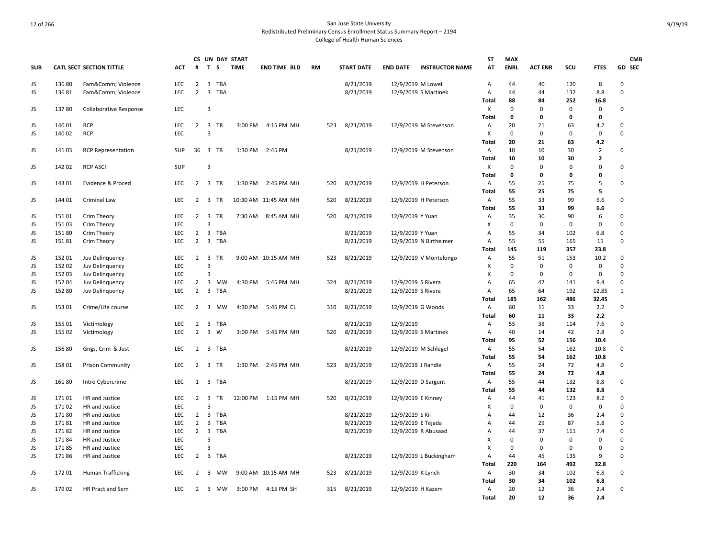|            |        |                                 |            |                |                         |            | CS UN DAY START |                      |           |     |                   |                    |                        | ST             | <b>MAX</b>  |                |             |                | <b>CMB</b>   |
|------------|--------|---------------------------------|------------|----------------|-------------------------|------------|-----------------|----------------------|-----------|-----|-------------------|--------------------|------------------------|----------------|-------------|----------------|-------------|----------------|--------------|
| <b>SUB</b> |        | <b>CATL SECT SECTION TITTLE</b> | ACT        | #              | $\mathbf{T}$            | -S         | <b>TIME</b>     | <b>END TIME BLD</b>  | <b>RM</b> |     | <b>START DATE</b> | <b>END DATE</b>    | <b>INSTRUCTOR NAME</b> | AT             | <b>ENRL</b> | <b>ACT ENR</b> | SCU         | <b>FTES</b>    | GD SEC       |
| JS         | 13680  | Fam&Comm Violence               | <b>LEC</b> | $\overline{2}$ | $\overline{3}$          | <b>TBA</b> |                 |                      |           |     | 8/21/2019         | 12/9/2019 M Lowell |                        | $\overline{A}$ | 44          | 40             | 120         | 8              | $\Omega$     |
| JS         | 13681  | Fam&Comm Violence               | <b>LEC</b> | $\overline{2}$ | $\overline{\mathbf{3}}$ | TBA        |                 |                      |           |     | 8/21/2019         |                    | 12/9/2019 S Martinek   | Α              | 44          | 44             | 132         | 8.8            | 0            |
|            |        |                                 |            |                |                         |            |                 |                      |           |     |                   |                    |                        | Total          | 88          | 84             | 252         | 16.8           |              |
| JS         | 13780  | Collaborative Response          | LEC        |                | 3                       |            |                 |                      |           |     |                   |                    |                        | х              | $\mathbf 0$ | 0              | $\Omega$    | 0              | 0            |
|            |        |                                 |            |                |                         |            |                 |                      |           |     |                   |                    |                        | Total          | 0           | 0              | 0           | 0              |              |
| JS         | 140 01 | <b>RCP</b>                      | LEC        | $2 \quad 3$    |                         | <b>TR</b>  | 3:00 PM         | 4:15 PM MH           |           | 523 | 8/21/2019         |                    | 12/9/2019 M Stevenson  | Α              | 20          | 21             | 63          | 4.2            | 0            |
| JS         | 140 02 | <b>RCP</b>                      | LEC        |                | $\mathbf{a}$            |            |                 |                      |           |     |                   |                    |                        | X              | $\mathbf 0$ | $\mathbf 0$    | $\mathbf 0$ | 0              | 0            |
|            |        |                                 |            |                |                         |            |                 |                      |           |     |                   |                    |                        | Total          | 20          | 21             | 63          | 4.2            |              |
| JS         | 141 03 | <b>RCP Representation</b>       | <b>SUP</b> |                | 36 3 TR                 |            | 1:30 PM         | 2:45 PM              |           |     | 8/21/2019         |                    | 12/9/2019 M Stevenson  | Α              | 10          | 10             | 30          | $\overline{2}$ | 0            |
|            |        |                                 |            |                |                         |            |                 |                      |           |     |                   |                    |                        | Total          | 10          | 10             | 30          | $\overline{2}$ |              |
| JS         | 14202  | <b>RCP ASCI</b>                 | SUP        |                | 3                       |            |                 |                      |           |     |                   |                    |                        | Х              | $\mathbf 0$ | 0              | $\Omega$    | $\Omega$       | 0            |
|            |        |                                 |            |                |                         |            |                 |                      |           |     |                   |                    |                        | Total          | $\mathbf 0$ | 0              | 0           | 0              |              |
| JS         | 143 01 | Evidence & Proced               | LEC        | $\overline{2}$ |                         | 3 TR       | 1:30 PM         | 2:45 PM MH           |           | 520 | 8/21/2019         |                    | 12/9/2019 H Peterson   | Α              | 55          | 25             | 75          | 5              | 0            |
|            |        |                                 |            |                |                         |            |                 |                      |           |     |                   |                    |                        | Total          | 55          | 25             | 75          | 5              |              |
| JS         | 144 01 | Criminal Law                    | <b>LEC</b> |                | 2 3 TR                  |            |                 | 10:30 AM 11:45 AM MH |           | 520 | 8/21/2019         |                    | 12/9/2019 H Peterson   | Α              | 55          | 33             | 99          | 6.6            | 0            |
|            |        |                                 |            |                |                         |            |                 |                      |           |     |                   |                    |                        | <b>Total</b>   | 55          | 33             | 99          | 6.6            |              |
| JS         | 151 01 | Crim Theory                     | LEC        |                | $2 \quad 3$             | TR         |                 | 7:30 AM 8:45 AM MH   |           | 520 | 8/21/2019         | 12/9/2019 Y Yuan   |                        | Α              | 35          | 30             | 90          | 6              | 0            |
| JS         | 15103  | Crim Theory                     | LEC        |                | 3                       |            |                 |                      |           |     |                   |                    |                        | X              | $\mathbf 0$ | 0              | 0           | $\mathbf 0$    | 0            |
| JS         | 151 80 | Crim Theory                     | LEC        | $\overline{2}$ | $\overline{\mathbf{3}}$ | <b>TBA</b> |                 |                      |           |     | 8/21/2019         | 12/9/2019 Y Yuan   |                        | A              | 55          | 34             | 102         | 6.8            | 0            |
| JS         | 15181  | Crim Theory                     | LEC        | $\overline{2}$ | $\overline{\mathbf{3}}$ | TBA        |                 |                      |           |     | 8/21/2019         |                    | 12/9/2019 N Birthelmer | $\overline{A}$ | 55          | 55             | 165         | 11             | $\Omega$     |
|            |        |                                 |            |                |                         |            |                 |                      |           |     |                   |                    |                        | Total          | 145         | 119            | 357         | 23.8           |              |
| JS         | 15201  | Juv Delinquency                 | <b>LEC</b> | $\overline{2}$ | $\overline{\mathbf{3}}$ | TR         |                 | 9:00 AM 10:15 AM MH  |           | 523 | 8/21/2019         |                    | 12/9/2019 V Montelongo | Α              | 55          | 51             | 153         | 10.2           | 0            |
| JS         | 152 02 | Juv Delinquency                 | LEC        |                | $\overline{3}$          |            |                 |                      |           |     |                   |                    |                        | X              | $\mathbf 0$ | 0              | $\mathsf 0$ | $\mathsf 0$    | 0            |
| JS         | 15203  | Juv Delinquency                 | LEC        |                | 3                       |            |                 |                      |           |     |                   |                    |                        | X              | 0           | 0              | $\Omega$    | 0              | 0            |
| JS         | 152 04 | Juv Delinquency                 | LEC        | $\overline{2}$ | 3                       | MW         | 4:30 PM         | 5:45 PM MH           |           | 324 | 8/21/2019         | 12/9/2019 S Rivera |                        | Α              | 65          | 47             | 141         | 9.4            | 0            |
| JS         | 152 80 | Juv Delinquency                 | LEC        | $\overline{2}$ | $\overline{\mathbf{3}}$ | TBA        |                 |                      |           |     | 8/21/2019         | 12/9/2019 S Rivera |                        | Α              | 65          | 64             | 192         | 12.85          | $\mathbf{1}$ |
|            |        |                                 |            |                |                         |            |                 |                      |           |     |                   |                    |                        | Total          | 185         | 162            | 486         | 32.45          |              |
| JS         | 153 01 | Crime/Life course               | LEC        |                |                         | 2 3 MW     | 4:30 PM         | 5:45 PM CL           |           | 310 | 8/21/2019         | 12/9/2019 G Woods  |                        | Α              | 60          | 11             | 33          | 2.2            | 0            |
|            |        |                                 |            |                |                         |            |                 |                      |           |     |                   |                    |                        | Total          | 60          | 11             | 33          | 2.2            |              |
| JS         | 155 01 | Victimology                     | LEC        | $\overline{2}$ | $\overline{\mathbf{3}}$ | TBA        |                 |                      |           |     | 8/21/2019         | 12/9/2019          |                        | Α              | 55          | 38             | 114         | 7.6            | 0            |
| JS         | 155 02 | Victimology                     | LEC        | $\overline{2}$ | $\overline{\mathbf{3}}$ | W          | 3:00 PM         | 5:45 PM MH           |           | 520 | 8/21/2019         |                    | 12/9/2019 S Martinek   | $\overline{A}$ | 40          | 14             | 42          | 2.8            | 0            |
|            |        |                                 |            |                |                         |            |                 |                      |           |     |                   |                    |                        | Total          | 95          | 52             | 156         | 10.4           |              |
| JS         | 15680  | Gngs, Crim & Just               | LEC        |                |                         | 2 3 TBA    |                 |                      |           |     | 8/21/2019         |                    | 12/9/2019 M Schlegel   | Α              | 55          | 54             | 162         | 10.8           | 0            |
|            |        |                                 |            |                |                         |            |                 |                      |           |     |                   |                    |                        | Total          | 55          | 54             | 162         | 10.8           |              |
| JS         | 158 01 | <b>Prison Community</b>         | <b>LEC</b> | $\overline{2}$ | $\overline{\mathbf{3}}$ | TR         | 1:30 PM         | 2:45 PM MH           |           | 523 | 8/21/2019         | 12/9/2019 J Randle |                        | Α              | 55          | 24             | 72          | 4.8            | 0            |
|            |        |                                 |            |                |                         |            |                 |                      |           |     |                   |                    |                        | Total          | 55          | 24             | 72          | 4.8            |              |
| JS         | 16180  | Intro Cybercrime                | <b>LEC</b> | 1              | $\overline{\mathbf{3}}$ | TBA        |                 |                      |           |     | 8/21/2019         |                    | 12/9/2019 D Sargent    | $\overline{A}$ | 55          | 44             | 132         | 8.8            | 0            |
|            |        |                                 |            |                |                         |            |                 |                      |           |     |                   |                    |                        | Total          | 55          | 44             | 132         | 8.8            |              |
| JS         | 17101  | HR and Justice                  | <b>LEC</b> | 2              | $\overline{\mathbf{3}}$ | <b>TR</b>  | 12:00 PM        | 1:15 PM MH           |           | 520 | 8/21/2019         | 12/9/2019 E Kinney |                        | Α              | 44          | 41             | 123         | 8.2            | 0            |
| JS         | 17102  | HR and Justice                  | LEC        |                | $\overline{3}$          |            |                 |                      |           |     |                   |                    |                        | X              | $\mathbf 0$ | 0              | 0           | 0              | 0            |
| JS         | 17180  | HR and Justice                  | LEC        | $\overline{2}$ | $\overline{\mathbf{3}}$ | TBA        |                 |                      |           |     | 8/21/2019         | 12/9/2019 S Kil    |                        | $\overline{A}$ | 44          | 12             | 36          | 2.4            | 0            |
| JS.        | 17181  | HR and Justice                  | LEC        | $\overline{2}$ | $\overline{3}$          | <b>TBA</b> |                 |                      |           |     | 8/21/2019         | 12/9/2019 E Tejada |                        | A              | 44          | 29             | 87          | 5.8            | 0            |
| JS         | 17182  | HR and Justice                  | LEC        | $\overline{2}$ | $\overline{\mathbf{3}}$ | TBA        |                 |                      |           |     | 8/21/2019         |                    | 12/9/2019 R Abusaad    | Α              | 44          | 37             | 111         | 7.4            | 0            |
| JS         | 17184  | HR and Justice                  | LEC        |                | 3                       |            |                 |                      |           |     |                   |                    |                        | х              | 0           | 0              | $\mathbf 0$ | $\pmb{0}$      | 0            |
| JS         | 17185  | HR and Justice                  | LEC        |                | 3                       |            |                 |                      |           |     |                   |                    |                        | X              | $\mathbf 0$ | 0              | 0           | 0              | 0            |
| JS.        | 17186  | HR and Justice                  | LEC        | $\overline{2}$ |                         | 3 TBA      |                 |                      |           |     | 8/21/2019         |                    | 12/9/2019 L Buckingham | Α              | 44          | 45             | 135         | 9              | 0            |
|            |        |                                 |            |                |                         |            |                 |                      |           |     |                   |                    |                        | Total          | 220         | 164            | 492         | 32.8           |              |
| JS         | 17201  | Human Trafficking               | LEC        | 2              | $\overline{\mathbf{3}}$ | МW         |                 | 9:00 AM 10:15 AM MH  |           | 523 | 8/21/2019         | 12/9/2019 K Lynch  |                        | Α              | 30          | 34             | 102         | 6.8            | 0            |
|            |        |                                 |            |                |                         |            |                 |                      |           |     |                   |                    |                        | Total          | 30          | 34             | 102         | 6.8            |              |
| JS         | 17902  | HR Pract and Sem                | <b>LEC</b> |                |                         | 2 3 MW     | 3:00 PM         | 4:15 PM SH           |           | 315 | 8/21/2019         | 12/9/2019 H Kazem  |                        | $\overline{A}$ | 20          | 12             | 36          | 2.4            | 0            |
|            |        |                                 |            |                |                         |            |                 |                      |           |     |                   |                    |                        | Total          | 20          | 12             | 36          | 2.4            |              |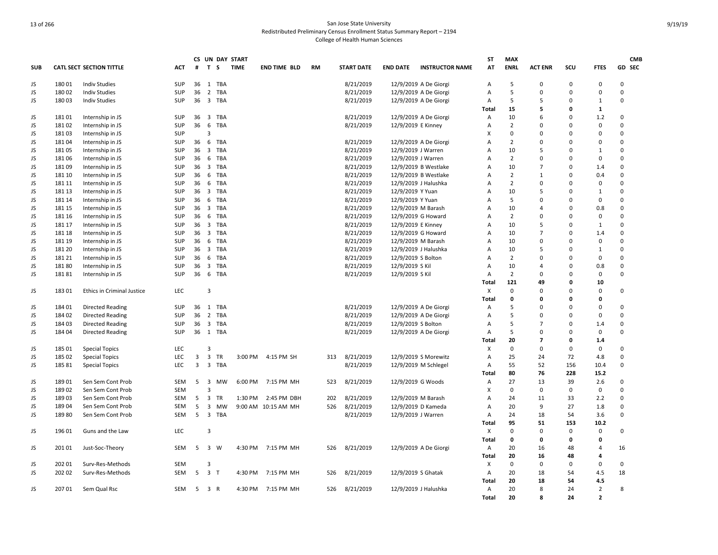|            |        |                                 |            |    |                         |            | CS UN DAY START |                     |           |                   |                    |                        | ST             | <b>MAX</b>     |                |             |                | <b>CMB</b>  |
|------------|--------|---------------------------------|------------|----|-------------------------|------------|-----------------|---------------------|-----------|-------------------|--------------------|------------------------|----------------|----------------|----------------|-------------|----------------|-------------|
| <b>SUB</b> |        | <b>CATL SECT SECTION TITTLE</b> | <b>ACT</b> | #  | T S                     |            | <b>TIME</b>     | <b>END TIME BLD</b> | <b>RM</b> | <b>START DATE</b> | <b>END DATE</b>    | <b>INSTRUCTOR NAME</b> | AT             | <b>ENRL</b>    | <b>ACT ENR</b> | SCU         | <b>FTES</b>    | GD SEC      |
| JS         | 18001  | <b>Indiv Studies</b>            | SUP        | 36 | 1                       | TBA        |                 |                     |           | 8/21/2019         |                    | 12/9/2019 A De Giorgi  | $\overline{A}$ | 5              | $\Omega$       | $\Omega$    | $\mathbf 0$    | 0           |
| JS         | 18002  | <b>Indiv Studies</b>            | SUP        | 36 | $\overline{2}$          | TBA        |                 |                     |           | 8/21/2019         |                    | 12/9/2019 A De Giorgi  | $\overline{A}$ | 5              | $\Omega$       | $\Omega$    | $\Omega$       | $\Omega$    |
| JS         | 18003  | <b>Indiv Studies</b>            | SUP        | 36 | 3 TBA                   |            |                 |                     |           | 8/21/2019         |                    | 12/9/2019 A De Giorgi  | Α              | 5              | 5              | $\Omega$    | 1              | 0           |
|            |        |                                 |            |    |                         |            |                 |                     |           |                   |                    |                        | Total          | 15             | 5              | $\Omega$    | 1              |             |
| JS         | 18101  | Internship in JS                | <b>SUP</b> | 36 | $\overline{\mathbf{3}}$ | TBA        |                 |                     |           | 8/21/2019         |                    | 12/9/2019 A De Giorgi  | Α              | 10             | 6              | 0           | 1.2            | 0           |
| JS         | 18102  | Internship in JS                | SUP        | 36 | 6                       | TBA        |                 |                     |           | 8/21/2019         | 12/9/2019 E Kinney |                        | A              | $\overline{2}$ | $\Omega$       | $\Omega$    | $\mathbf 0$    | 0           |
| JS         | 18103  | Internship in JS                | <b>SUP</b> |    | 3                       |            |                 |                     |           |                   |                    |                        | X              | $\mathbf 0$    | $\Omega$       | $\Omega$    | $\Omega$       | $\Omega$    |
| JS         | 18104  | Internship in JS                | <b>SUP</b> | 36 | 6                       | TBA        |                 |                     |           | 8/21/2019         |                    | 12/9/2019 A De Giorgi  | $\overline{A}$ | $\overline{2}$ | $\Omega$       | $\Omega$    | $\Omega$       | 0           |
| JS         | 18105  | Internship in JS                | SUP        | 36 | $\overline{\mathbf{3}}$ | <b>TBA</b> |                 |                     |           | 8/21/2019         | 12/9/2019 J Warren |                        | $\overline{A}$ | 10             | 5              | $\Omega$    | $\mathbf{1}$   | $\Omega$    |
| JS.        | 18106  | Internship in JS                | SUP        | 36 | 6                       | TBA        |                 |                     |           | 8/21/2019         | 12/9/2019 J Warren |                        | $\overline{A}$ | $\overline{2}$ | $\Omega$       | $\Omega$    | $\mathbf 0$    | $\mathbf 0$ |
| JS         | 18109  | Internship in JS                | SUP        | 36 | 3 TBA                   |            |                 |                     |           | 8/21/2019         |                    | 12/9/2019 B Westlake   | A              | 10             | $\overline{7}$ | $\Omega$    | 1.4            | 0           |
| JS         | 181 10 | Internship in JS                | SUP        | 36 | 6                       | TBA        |                 |                     |           | 8/21/2019         |                    | 12/9/2019 B Westlake   | $\overline{A}$ | $\overline{2}$ | $\mathbf{1}$   | $\Omega$    | 0.4            | $\mathbf 0$ |
| JS         | 181 11 | Internship in JS                | SUP        | 36 | 6                       | TBA        |                 |                     |           | 8/21/2019         |                    | 12/9/2019 J Halushka   | A              | $\overline{2}$ | $\Omega$       | $\Omega$    | $\mathbf 0$    | 0           |
| JS         | 181 13 | Internship in JS                | SUP        | 36 | $\overline{\mathbf{3}}$ | TBA        |                 |                     |           | 8/21/2019         | 12/9/2019 Y Yuan   |                        | A              | 10             | 5              | $\Omega$    | $1\,$          | 0           |
| JS         | 181 14 | Internship in JS                | <b>SUP</b> | 36 |                         | 6 TBA      |                 |                     |           | 8/21/2019         | 12/9/2019 Y Yuan   |                        | A              | 5              | 0              | $\Omega$    | 0              | 0           |
| JS         | 181 15 | Internship in JS                | SUP        | 36 | 3 TBA                   |            |                 |                     |           | 8/21/2019         | 12/9/2019 M Barash |                        | A              | 10             | 4              | $\Omega$    | 0.8            | 0           |
| JS.        | 181 16 | Internship in JS                | SUP        | 36 | 6                       | <b>TBA</b> |                 |                     |           | 8/21/2019         |                    | 12/9/2019 G Howard     | $\overline{A}$ | $\overline{2}$ | $\Omega$       | $\Omega$    | 0              | 0           |
| JS         | 181 17 | Internship in JS                | <b>SUP</b> | 36 | $\overline{\mathbf{3}}$ | TBA        |                 |                     |           | 8/21/2019         | 12/9/2019 E Kinney |                        | $\overline{A}$ | 10             | 5              | $\Omega$    | $\mathbf{1}$   | $\Omega$    |
| JS.        | 181 18 | Internship in JS                | SUP        | 36 | $\overline{\mathbf{3}}$ | TBA        |                 |                     |           | 8/21/2019         | 12/9/2019 G Howard |                        | A              | 10             | $\overline{7}$ | $\Omega$    | 1.4            | 0           |
| JS         | 181 19 | Internship in JS                | SUP        | 36 | 6                       | TBA        |                 |                     |           | 8/21/2019         | 12/9/2019 M Barash |                        | A              | 10             | $\Omega$       | $\Omega$    | 0              | 0           |
| JS         | 181 20 | Internship in JS                | <b>SUP</b> | 36 | 3 TBA                   |            |                 |                     |           | 8/21/2019         |                    | 12/9/2019 J Halushka   | A              | 10             | 5              | $\Omega$    | $\mathbf{1}$   | $\Omega$    |
| JS         | 181 21 | Internship in JS                | <b>SUP</b> | 36 | 6                       | TBA        |                 |                     |           | 8/21/2019         | 12/9/2019 S Bolton |                        | A              | $\overline{2}$ | $\Omega$       | $\Omega$    | $\mathbf 0$    | 0           |
| JS         | 18180  | Internship in JS                | <b>SUP</b> | 36 | $\overline{3}$          | <b>TBA</b> |                 |                     |           | 8/21/2019         | 12/9/2019 S Kil    |                        | A              | 10             | $\overline{4}$ | $\Omega$    | 0.8            | 0           |
| JS         | 18181  | Internship in JS                | SUP        | 36 | 6                       | TBA        |                 |                     |           | 8/21/2019         | 12/9/2019 S Kil    |                        | Α              | $\overline{2}$ | 0              | $\Omega$    | $\mathbf 0$    | 0           |
|            |        |                                 |            |    |                         |            |                 |                     |           |                   |                    |                        | Total          | 121            | 49             | 0           | 10             |             |
| JS         | 18301  | Ethics in Criminal Justice      | LEC        |    | 3                       |            |                 |                     |           |                   |                    |                        | Х              | $\mathbf 0$    | 0              | $\Omega$    | $\mathbf 0$    | 0           |
|            |        |                                 |            |    |                         |            |                 |                     |           |                   |                    |                        | Total          | $\mathbf 0$    | 0              | 0           | 0              |             |
| JS         | 18401  | <b>Directed Reading</b>         | <b>SUP</b> | 36 | 1                       | TBA        |                 |                     |           | 8/21/2019         |                    | 12/9/2019 A De Giorgi  | Α              | 5              | $\Omega$       | $\Omega$    | $\Omega$       | 0           |
| JS         | 18402  | <b>Directed Reading</b>         | <b>SUP</b> | 36 | 2 TBA                   |            |                 |                     |           | 8/21/2019         |                    | 12/9/2019 A De Giorgi  | Α              | 5              | $\Omega$       | $\Omega$    | 0              | 0           |
| JS         | 184 03 | <b>Directed Reading</b>         | <b>SUP</b> | 36 | 3 TBA                   |            |                 |                     |           | 8/21/2019         | 12/9/2019 S Bolton |                        | A              | 5              | $\overline{7}$ | $\Omega$    | 1.4            | 0           |
| JS         | 184 04 | <b>Directed Reading</b>         | SUP        |    | 36 1 TBA                |            |                 |                     |           | 8/21/2019         |                    | 12/9/2019 A De Giorgi  | Α              | 5              | $\Omega$       | $\mathbf 0$ | $\mathbf 0$    | 0           |
|            |        |                                 |            |    |                         |            |                 |                     |           |                   |                    |                        | Total          | 20             | $\overline{7}$ | 0           | 1.4            |             |
| JS         | 185 01 | <b>Special Topics</b>           | LEC        |    | $\overline{3}$          |            |                 |                     |           |                   |                    |                        | X              | $\mathbf 0$    | $\mathbf 0$    | $\Omega$    | 0              | 0           |
| JS         | 185 02 | <b>Special Topics</b>           | LEC        | 3  | $\overline{\mathbf{3}}$ | TR         | 3:00 PM         | 4:15 PM SH          | 313       | 8/21/2019         |                    | 12/9/2019 S Morewitz   | Α              | 25             | 24             | 72          | 4.8            | 0           |
| JS         | 185 81 | <b>Special Topics</b>           | LEC        | 3  | $\overline{\mathbf{3}}$ | TBA        |                 |                     |           | 8/21/2019         |                    | 12/9/2019 M Schlegel   | A              | 55             | 52             | 156         | 10.4           | 0           |
|            |        |                                 |            |    |                         |            |                 |                     |           |                   |                    |                        | Total          | 80             | 76             | 228         | 15.2           |             |
| JS         | 189 01 | Sen Sem Cont Prob               | <b>SEM</b> | 5  | 3                       | MW         | 6:00 PM         | 7:15 PM MH          | 523       | 8/21/2019         | 12/9/2019 G Woods  |                        | Α              | 27             | 13             | 39          | 2.6            | 0           |
| JS         | 18902  | Sen Sem Cont Prob               | <b>SEM</b> |    | 3                       |            |                 |                     |           |                   |                    |                        | X              | $\mathbf 0$    | $\mathbf 0$    | 0           | 0              | 0           |
| JS         | 189 03 | Sen Sem Cont Prob               | <b>SEM</b> | 5  | $\overline{\mathbf{3}}$ | <b>TR</b>  | 1:30 PM         | 2:45 PM DBH         | 202       | 8/21/2019         | 12/9/2019 M Barash |                        | A              | 24             | 11             | 33          | 2.2            | 0           |
| JS         | 18904  | Sen Sem Cont Prob               | <b>SEM</b> | 5  | $\overline{3}$          | <b>MW</b>  |                 | 9:00 AM 10:15 AM MH | 526       | 8/21/2019         |                    | 12/9/2019 D Kameda     | $\overline{A}$ | 20             | 9              | 27          | 1.8            | 0           |
| JS         | 18980  | Sen Sem Cont Prob               | <b>SEM</b> | 5  | $\overline{\mathbf{3}}$ | TBA        |                 |                     |           | 8/21/2019         | 12/9/2019 J Warren |                        | $\overline{A}$ | 24             | 18             | 54          | 3.6            | 0           |
|            |        |                                 |            |    |                         |            |                 |                     |           |                   |                    |                        | Total          | 95             | 51             | 153         | 10.2           |             |
| JS         | 196 01 | Guns and the Law                | LEC        |    | $\overline{3}$          |            |                 |                     |           |                   |                    |                        | X              | $\mathbf 0$    | 0              | $\Omega$    | 0              | $\Omega$    |
|            |        |                                 |            |    |                         |            |                 |                     |           |                   |                    |                        | Total          | 0              | 0              | 0           | 0              |             |
| JS         | 201 01 | Just-Soc-Theory                 | <b>SEM</b> | 5  | $\overline{\mathbf{3}}$ | W          | 4:30 PM         | 7:15 PM MH          | 526       | 8/21/2019         |                    | 12/9/2019 A De Giorgi  | Α              | 20             | 16             | 48          | $\overline{a}$ | 16          |
|            |        |                                 |            |    |                         |            |                 |                     |           |                   |                    |                        | Total          | 20             | 16             | 48          | 4              |             |
| JS         | 202 01 | Surv-Res-Methods                | <b>SEM</b> |    | 3                       |            |                 |                     |           |                   |                    |                        | x              | $\mathbf 0$    | 0              | 0           | 0              | 0           |
| JS         | 202 02 | Surv-Res-Methods                | <b>SEM</b> | 5  | $\overline{\mathbf{3}}$ | $\top$     | 4:30 PM         | 7:15 PM MH          | 526       | 8/21/2019         | 12/9/2019 S Ghatak |                        | Α              | 20             | 18             | 54          | 4.5            | 18          |
|            |        |                                 |            |    |                         |            |                 |                     |           |                   |                    |                        | Total          | 20             | 18             | 54          | 4.5            |             |
| JS         | 20701  | Sem Qual Rsc                    | <b>SEM</b> | 5  | 3 R                     |            | 4:30 PM         | 7:15 PM MH          | 526       | 8/21/2019         |                    | 12/9/2019 J Halushka   | $\overline{A}$ | 20             | 8              | 24          | $\overline{2}$ | 8           |
|            |        |                                 |            |    |                         |            |                 |                     |           |                   |                    |                        | <b>Total</b>   | 20             | R              | 24          | $\overline{2}$ |             |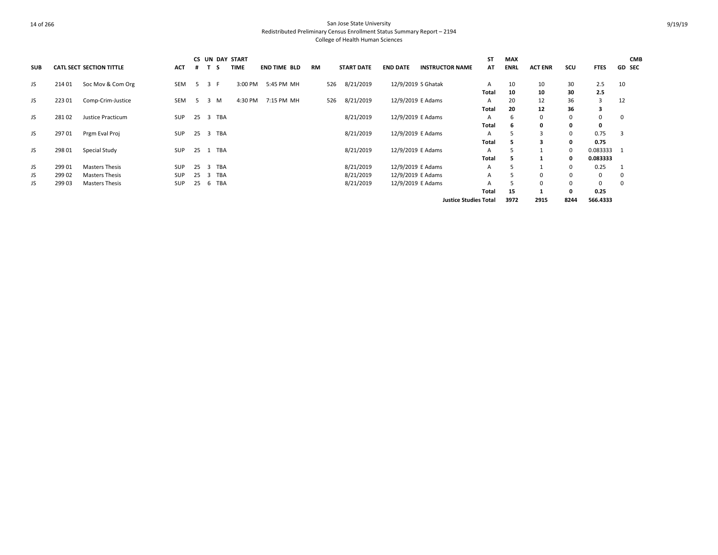|            |        |                                 |            |    |                  | CS UN DAY START |                     |    |                   |                    |                              | ST           | <b>MAX</b>  |                |      |             | <b>CMB</b>    |
|------------|--------|---------------------------------|------------|----|------------------|-----------------|---------------------|----|-------------------|--------------------|------------------------------|--------------|-------------|----------------|------|-------------|---------------|
| <b>SUB</b> |        | <b>CATL SECT SECTION TITTLE</b> | <b>ACT</b> | #  | -S               | <b>TIME</b>     | <b>END TIME BLD</b> | RM | <b>START DATE</b> | <b>END DATE</b>    | <b>INSTRUCTOR NAME</b>       | AT           | <b>ENRL</b> | <b>ACT ENR</b> | SCU  | <b>FTES</b> | <b>GD SEC</b> |
| JS         | 214 01 | Soc Mov & Com Org               | SEM        | -5 | 3 F              | 3:00 PM         | 5:45 PM MH          |    | 8/21/2019<br>526  | 12/9/2019 S Ghatak |                              | A            | 10          | 10             | 30   | 2.5         | 10            |
|            |        |                                 |            |    |                  |                 |                     |    |                   |                    |                              | <b>Total</b> | 10          | 10             | 30   | 2.5         |               |
| JS         | 22301  | Comp-Crim-Justice               | SEM        | 5  | M<br>3           | 4:30 PM         | 7:15 PM MH          |    | 8/21/2019<br>526  | 12/9/2019 E Adams  |                              | A            | 20          | 12             | 36   | 3           | 12            |
|            |        |                                 |            |    |                  |                 |                     |    |                   |                    |                              | Total        | 20          | 12             | 36   | з           |               |
| JS         | 28102  | Justice Practicum               | <b>SUP</b> | 25 | TBA<br>- 3       |                 |                     |    | 8/21/2019         | 12/9/2019 E Adams  |                              | A            | 6           | 0              | 0    | 0           | 0             |
|            |        |                                 |            |    |                  |                 |                     |    |                   |                    |                              | Total        | 6           | 0              | 0    | 0           |               |
| JS         | 297 01 | Prgm Eval Proj                  | <b>SUP</b> | 25 | 3 TBA            |                 |                     |    | 8/21/2019         | 12/9/2019 E Adams  |                              | Α            |             |                | 0    | 0.75        | 3             |
|            |        |                                 |            |    |                  |                 |                     |    |                   |                    |                              | Total        |             |                | 0    | 0.75        |               |
| JS         | 298 01 | Special Study                   | <b>SUP</b> | 25 | TBA              |                 |                     |    | 8/21/2019         | 12/9/2019 E Adams  |                              | A            |             |                | 0    | 0.083333 1  |               |
|            |        |                                 |            |    |                  |                 |                     |    |                   |                    |                              | Total        |             |                | 0    | 0.083333    |               |
| JS         | 299 01 | <b>Masters Thesis</b>           | <b>SUP</b> | 25 | <b>TBA</b><br>-3 |                 |                     |    | 8/21/2019         | 12/9/2019 E Adams  |                              | А            |             |                | 0    | 0.25        |               |
| JS         | 299 02 | <b>Masters Thesis</b>           | <b>SUP</b> | 25 | TBA<br>-3        |                 |                     |    | 8/21/2019         | 12/9/2019 E Adams  |                              | A            |             | $\Omega$       | 0    | 0           | -0            |
| JS         | 299 03 | <b>Masters Thesis</b>           | <b>SUP</b> | 25 | TBA<br>b         |                 |                     |    | 8/21/2019         | 12/9/2019 E Adams  |                              | А            |             | $\Omega$       | 0    | 0           | 0             |
|            |        |                                 |            |    |                  |                 |                     |    |                   |                    |                              | Total        | 15          |                | 0    | 0.25        |               |
|            |        |                                 |            |    |                  |                 |                     |    |                   |                    | <b>Justice Studies Total</b> |              | 3972        | 2915           | 8244 | 566.4333    |               |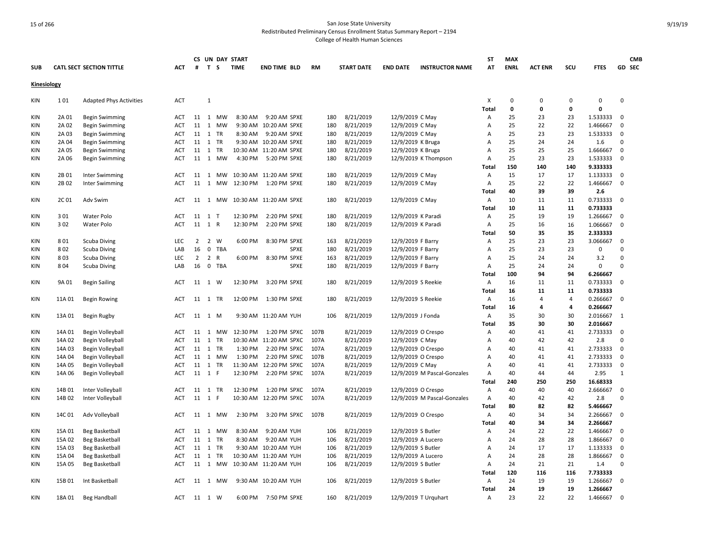|                    |        |                                 |            |                |                |              | CS UN DAY START |                        |           |                   |                    |                             | <b>ST</b>      | <b>MAX</b>  |                |     |             |              | <b>CMB</b> |
|--------------------|--------|---------------------------------|------------|----------------|----------------|--------------|-----------------|------------------------|-----------|-------------------|--------------------|-----------------------------|----------------|-------------|----------------|-----|-------------|--------------|------------|
| <b>SUB</b>         |        | <b>CATL SECT SECTION TITTLE</b> | ACT        | #              | T S            |              | <b>TIME</b>     | <b>END TIME BLD</b>    | <b>RM</b> | <b>START DATE</b> | <b>END DATE</b>    | <b>INSTRUCTOR NAME</b>      | AT             | <b>ENRL</b> | <b>ACT ENR</b> | SCU | <b>FTES</b> |              | GD SEC     |
| <b>Kinesiology</b> |        |                                 |            |                |                |              |                 |                        |           |                   |                    |                             |                |             |                |     |             |              |            |
| KIN                | 101    | <b>Adapted Phys Activities</b>  | <b>ACT</b> |                | $\mathbf{1}$   |              |                 |                        |           |                   |                    |                             | Х              | 0           | 0              | 0   | 0           | 0            |            |
|                    |        |                                 |            |                |                |              |                 |                        |           |                   |                    |                             | Total          | $\mathbf 0$ | 0              | 0   | 0           |              |            |
| KIN                | 2A 01  | <b>Begin Swimming</b>           | <b>ACT</b> |                |                | 11 1 MW      | 8:30 AM         | 9:20 AM SPXE           | 180       | 8/21/2019         | 12/9/2019 C May    |                             | A              | 25          | 23             | 23  | 1.533333    | 0            |            |
| KIN                | 2A 02  | <b>Begin Swimming</b>           | ACT        | 11 1           |                | <b>MW</b>    | 9:30 AM         | 10:20 AM SPXE          | 180       | 8/21/2019         | 12/9/2019 C May    |                             | A              | 25          | 22             | 22  | 1.466667    | $\mathbf 0$  |            |
| <b>KIN</b>         | 2A 03  | <b>Begin Swimming</b>           | ACT        |                | 11 1 TR        |              | 8:30 AM         | 9:20 AM SPXE           | 180       | 8/21/2019         | 12/9/2019 C May    |                             | A              | 25          | 23             | 23  | 1.533333    | 0            |            |
| KIN                | 2A 04  | <b>Begin Swimming</b>           | ACT        |                | 11 1           | TR           |                 | 9:30 AM 10:20 AM SPXE  | 180       | 8/21/2019         | 12/9/2019 K Bruga  |                             | A              | 25          | 24             | 24  | 1.6         | $\mathbf 0$  |            |
| <b>KIN</b>         | 2A 05  | <b>Begin Swimming</b>           | ACT        |                | 11 1           | <b>TR</b>    |                 | 10:30 AM 11:20 AM SPXE | 180       | 8/21/2019         | 12/9/2019 K Bruga  |                             | A              | 25          | 25             | 25  | 1.666667    | $\mathbf 0$  |            |
| <b>KIN</b>         | 2A 06  | <b>Begin Swimming</b>           | <b>ACT</b> |                |                | 11 1 MW      | 4:30 PM         | 5:20 PM SPXE           | 180       | 8/21/2019         |                    | 12/9/2019 K Thompson        | $\overline{A}$ | 25          | 23             | 23  | 1.533333    | 0            |            |
|                    |        |                                 |            |                |                |              |                 |                        |           |                   |                    |                             | Total          | 150         | 140            | 140 | 9.333333    |              |            |
| <b>KIN</b>         | 2B 01  | <b>Inter Swimming</b>           | ACT        |                | 11 1           | MW           |                 | 10:30 AM 11:20 AM SPXE | 180       | 8/21/2019         | 12/9/2019 C May    |                             | $\overline{A}$ | 15          | 17             | 17  | 1.133333    | 0            |            |
| <b>KIN</b>         | 2B02   | Inter Swimming                  | ACT        |                |                | 11 1 MW      | 12:30 PM        | 1:20 PM SPXE           | 180       | 8/21/2019         | 12/9/2019 C May    |                             | A              | 25          | 22             | 22  | 1.466667    | $\mathbf 0$  |            |
|                    |        |                                 |            |                |                |              |                 |                        |           |                   |                    |                             | Total          | 40          | 39             | 39  | 2.6         |              |            |
| <b>KIN</b>         | 2C01   | Adv Swim                        | ACT        |                |                | 11 1 MW      |                 | 10:30 AM 11:20 AM SPXE | 180       | 8/21/2019         | 12/9/2019 C May    |                             | A              | 10          | 11             | 11  | 0.733333 0  |              |            |
|                    |        |                                 |            |                |                |              |                 |                        |           |                   |                    |                             | Total          | 10          | 11             | 11  | 0.733333    |              |            |
| <b>KIN</b>         | 301    | Water Polo                      | ACT        |                | 11 1 T         |              | 12:30 PM        | 2:20 PM SPXE           | 180       | 8/21/2019         | 12/9/2019 K Paradi |                             | Α              | 25          | 19             | 19  | 1.266667    | 0            |            |
| <b>KIN</b>         | 302    | <b>Water Polo</b>               | <b>ACT</b> |                | 11 1 R         |              | 12:30 PM        | 2:20 PM SPXE           | 180       | 8/21/2019         | 12/9/2019 K Paradi |                             | A              | 25          | 16             | 16  | 1.066667    | 0            |            |
|                    |        |                                 |            |                |                |              |                 |                        |           |                   |                    |                             | Total          | 50          | 35             | 35  | 2.333333    |              |            |
| KIN                | 801    | Scuba Diving                    | <b>LEC</b> | $\overline{2}$ | $\overline{2}$ | W            | 6:00 PM         | 8:30 PM SPXE           | 163       | 8/21/2019         | 12/9/2019 F Barry  |                             | Α              | 25          | 23             | 23  | 3.066667    | $\mathbf 0$  |            |
| KIN                | 802    | Scuba Diving                    | LAB        | 16             | $\mathbf 0$    | TBA          |                 | SPXE                   | 180       | 8/21/2019         | 12/9/2019 F Barry  |                             | A              | 25          | 23             | 23  | 0           | $\mathbf 0$  |            |
| <b>KIN</b>         | 803    | <b>Scuba Diving</b>             | LEC        | $\overline{2}$ | $\overline{2}$ | $\mathsf{R}$ | 6:00 PM         | 8:30 PM SPXE           | 163       | 8/21/2019         | 12/9/2019 F Barry  |                             | A              | 25          | 24             | 24  | 3.2         | $\Omega$     |            |
| <b>KIN</b>         | 804    | <b>Scuba Diving</b>             | LAB        | 16             |                | 0 TBA        |                 | <b>SPXE</b>            | 180       | 8/21/2019         | 12/9/2019 F Barry  |                             | $\overline{A}$ | 25          | 24             | 24  | 0           | $\Omega$     |            |
|                    |        |                                 |            |                |                |              |                 |                        |           |                   |                    |                             | Total          | 100         | 94             | 94  | 6.266667    |              |            |
| KIN                | 9A 01  | <b>Begin Sailing</b>            | <b>ACT</b> |                | 11 1 W         |              | 12:30 PM        | 3:20 PM SPXE           | 180       | 8/21/2019         | 12/9/2019 S Reekie |                             | Α              | 16          | 11             | 11  | 0.733333    | $\Omega$     |            |
|                    |        |                                 |            |                |                |              |                 |                        |           |                   |                    |                             | Total          | 16          | 11             | 11  | 0.733333    |              |            |
| KIN                | 11A 01 | <b>Begin Rowing</b>             | <b>ACT</b> |                | 11 1 TR        |              | 12:00 PM        | 1:30 PM SPXE           | 180       | 8/21/2019         | 12/9/2019 S Reekie |                             | Α              | 16          | 4              | 4   | 0.266667    | $\Omega$     |            |
|                    |        |                                 |            |                |                |              |                 |                        |           |                   |                    |                             | Total          | 16          | 4              | 4   | 0.266667    |              |            |
| KIN                | 13A 01 | Begin Rugby                     | ACT        |                | 11 1 M         |              |                 | 9:30 AM 11:20 AM YUH   | 106       | 8/21/2019         | 12/9/2019 J Fonda  |                             | Α              | 35          | 30             | 30  | 2.016667    | 1            |            |
|                    |        |                                 |            |                |                |              |                 |                        |           |                   |                    |                             | Total          | 35          | 30             | 30  | 2.016667    |              |            |
| <b>KIN</b>         | 14A 01 | Begin Volleyball                | <b>ACT</b> |                |                | 11 1 MW      | 12:30 PM        | 1:20 PM SPXC           | 107B      | 8/21/2019         |                    | 12/9/2019 O Crespo          | A              | 40          | 41             | 41  | 2.733333    | 0            |            |
| <b>KIN</b>         | 14A 02 | Begin Volleyball                | <b>ACT</b> |                | 11 1           | <b>TR</b>    | 10:30 AM        | 11:20 AM SPXC          | 107A      | 8/21/2019         | 12/9/2019 C May    |                             | $\overline{A}$ | 40          | 42             | 42  | 2.8         | $\Omega$     |            |
| <b>KIN</b>         | 14A 03 | Begin Volleyball                | ACT        |                | 11 1 TR        |              | 1:30 PM         | 2:20 PM SPXC           | 107A      | 8/21/2019         |                    | 12/9/2019 O Crespo          | $\overline{A}$ | 40          | 41             | 41  | 2.733333    | $\mathbf 0$  |            |
| KIN                | 14A 04 | Begin Volleyball                | ACT        |                |                | 11 1 MW      | 1:30 PM         | 2:20 PM SPXC           | 107B      | 8/21/2019         |                    | 12/9/2019 O Crespo          | A              | 40          | 41             | 41  | 2.733333    | $\mathbf 0$  |            |
| <b>KIN</b>         | 14A 05 | Begin Volleyball                | ACT        |                | 11 1 TR        |              | 11:30 AM        | 12:20 PM SPXC          | 107A      | 8/21/2019         | 12/9/2019 C May    |                             | Α              | 40          | 41             | 41  | 2.733333    | 0            |            |
| <b>KIN</b>         | 14A 06 | Begin Volleyball                | ACT        |                | 11 1 F         |              | 12:30 PM        | 2:20 PM SPXC           | 107A      | 8/21/2019         |                    | 12/9/2019 M Pascal-Gonzales | $\overline{A}$ | 40          | 44             | 44  | 2.95        | $\mathbf{1}$ |            |
|                    |        |                                 |            |                |                |              |                 |                        |           |                   |                    |                             | Total          | 240         | 250            | 250 | 16.68333    |              |            |
| <b>KIN</b>         | 14B 01 | Inter Volleyball                | ACT        |                | 11 1 TR        |              | 12:30 PM        | 1:20 PM SPXC           | 107A      | 8/21/2019         |                    | 12/9/2019 O Crespo          | Α              | 40          | 40             | 40  | 2.666667    | 0            |            |
| <b>KIN</b>         | 14B 02 | Inter Volleyball                | ACT        |                | 11 1           | F            |                 | 10:30 AM 12:20 PM SPXC | 107A      | 8/21/2019         |                    | 12/9/2019 M Pascal-Gonzales | $\overline{A}$ | 40          | 42             | 42  | 2.8         | $\Omega$     |            |
|                    |        |                                 |            |                |                |              |                 |                        |           |                   |                    |                             | Total          | 80          | 82             | 82  | 5.466667    |              |            |
| KIN                | 14C 01 | Adv Volleyball                  | <b>ACT</b> |                |                | 11 1 MW      | 2:30 PM         | 3:20 PM SPXC           | 107B      | 8/21/2019         |                    | 12/9/2019 O Crespo          | Α              | 40          | 34             | 34  | 2.266667    | 0            |            |
|                    |        |                                 |            |                |                |              |                 |                        |           |                   |                    |                             | Total          | 40          | 34             | 34  | 2.266667    |              |            |
| KIN                | 15A 01 | Beg Basketball                  | ACT        |                | 11 1           | MW           | 8:30 AM         | 9:20 AM YUH            | 106       | 8/21/2019         | 12/9/2019 S Butler |                             | Α              | 24          | 22             | 22  | 1.466667    | 0            |            |
| <b>KIN</b>         | 15A 02 | Beg Basketball                  | ACT        |                | 11 1 TR        |              | 8:30 AM         | 9:20 AM YUH            | 106       | 8/21/2019         | 12/9/2019 A Lucero |                             | A              | 24          | 28             | 28  | 1.866667    | $\mathbf 0$  |            |
| <b>KIN</b>         | 15A 03 | Beg Basketball                  | <b>ACT</b> |                | 11 1           | <b>TR</b>    | 9:30 AM         | 10:20 AM YUH           | 106       | 8/21/2019         | 12/9/2019 S Butler |                             | A              | 24          | 17             | 17  | 1.133333    | 0            |            |
| <b>KIN</b>         | 15A 04 | Beg Basketball                  | ACT        |                |                | 11 1 TR      |                 | 10:30 AM 11:20 AM YUH  | 106       | 8/21/2019         | 12/9/2019 A Lucero |                             | A              | 24          | 28             | 28  | 1.866667    | $\mathbf 0$  |            |
| <b>KIN</b>         | 15A 05 | <b>Beg Basketball</b>           | <b>ACT</b> |                |                | 11 1 MW      |                 | 10:30 AM 11:20 AM YUH  | 106       | 8/21/2019         | 12/9/2019 S Butler |                             | Α              | 24          | 21             | 21  | 1.4         | $\Omega$     |            |
|                    |        |                                 |            |                |                |              |                 |                        |           |                   |                    |                             | Total          | 120         | 116            | 116 | 7.733333    |              |            |
| <b>KIN</b>         | 15B 01 | Int Basketball                  | ACT        |                |                | 11 1 MW      |                 | 9:30 AM 10:20 AM YUH   | 106       | 8/21/2019         | 12/9/2019 S Butler |                             | $\mathsf{A}$   | 24          | 19             | 19  | 1.266667    | $\mathbf 0$  |            |
|                    |        |                                 |            |                |                |              |                 |                        |           |                   |                    |                             | Total          | 24          | 19             | 19  | 1.266667    |              |            |
| KIN                | 18A 01 | <b>Beg Handball</b>             | ACT        | 11 1 W         |                |              |                 | 6:00 PM 7:50 PM SPXE   | 160       | 8/21/2019         |                    | 12/9/2019 T Urquhart        | $\overline{A}$ | 23          | 22             | 22  | 1.466667    | $\Omega$     |            |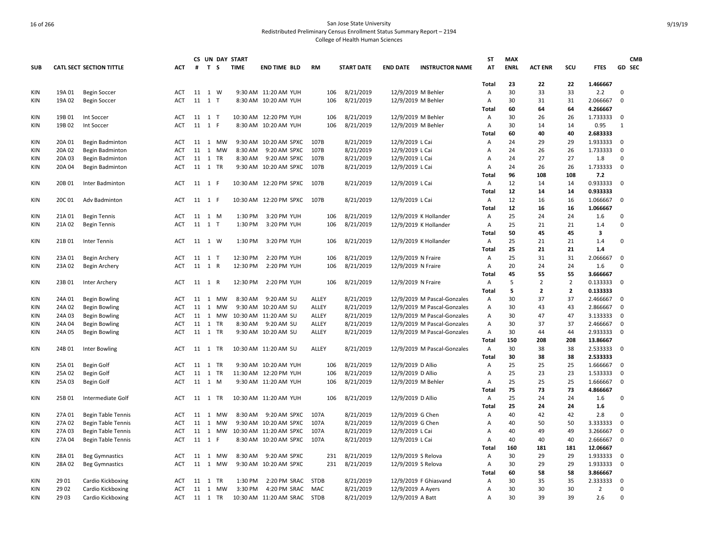|                          |                  |                                        |                   |            |              |           | CS UN DAY START |                                     |                |                   |                    |                                                            | ST             | <b>MAX</b>  |                |                |                      |              | <b>CMB</b> |
|--------------------------|------------------|----------------------------------------|-------------------|------------|--------------|-----------|-----------------|-------------------------------------|----------------|-------------------|--------------------|------------------------------------------------------------|----------------|-------------|----------------|----------------|----------------------|--------------|------------|
| <b>SUB</b>               |                  | <b>CATL SECT SECTION TITTLE</b>        | <b>ACT</b>        | #          | T S          |           | <b>TIME</b>     | <b>END TIME BLD</b>                 | <b>RM</b>      | <b>START DATE</b> | <b>END DATE</b>    | <b>INSTRUCTOR NAME</b>                                     | ΑT             | <b>ENRL</b> | <b>ACT ENR</b> | scu            | <b>FTES</b>          | GD SEC       |            |
|                          |                  |                                        |                   |            |              |           |                 |                                     |                |                   |                    |                                                            | <b>Total</b>   | 23          | 22             | 22             | 1.466667             |              |            |
| <b>KIN</b>               | 19A 01           | <b>Begin Soccer</b>                    | ACT               | 11 1 W     |              |           |                 | 9:30 AM 11:20 AM YUH                | 106            | 8/21/2019         | 12/9/2019 M Behler |                                                            | Α              | 30          | 33             | 33             | 2.2                  | $\Omega$     |            |
| KIN                      | 19A 02           | <b>Begin Soccer</b>                    | ACT               | 11 1 T     |              |           |                 | 8:30 AM 10:20 AM YUH                | 106            | 8/21/2019         | 12/9/2019 M Behler |                                                            | Α              | 30          | 31             | 31             | 2.066667             | $\mathbf 0$  |            |
|                          |                  |                                        |                   |            |              |           |                 |                                     |                |                   |                    |                                                            | Total          | 60          | 64             | 64             | 4.266667             |              |            |
| <b>KIN</b>               | 19B 01           | Int Soccer                             | <b>ACT</b>        | 11 1 T     |              |           |                 | 10:30 AM 12:20 PM YUH               | 106            | 8/21/2019         | 12/9/2019 M Behler |                                                            | Α              | 30          | 26             | 26             | 1.733333             | 0            |            |
| KIN                      | 19B 02           | Int Soccer                             | <b>ACT</b>        | 11 1 F     |              |           |                 | 8:30 AM 10:20 AM YUH                | 106            | 8/21/2019         | 12/9/2019 M Behler |                                                            | Α              | 30          | 14             | 14             | 0.95                 | $\mathbf{1}$ |            |
|                          |                  |                                        |                   |            |              |           |                 |                                     |                |                   |                    |                                                            | Total          | 60          | 40             | 40             | 2.683333             |              |            |
| <b>KIN</b>               | 20A 01           | Begin Badminton                        | ACT               | 11 1 MW    |              |           |                 | 9:30 AM 10:20 AM SPXC               | 107B           | 8/21/2019         | 12/9/2019 L Cai    |                                                            | Α              | 24          | 29             | 29             | 1.933333             | 0            |            |
| <b>KIN</b>               | 20A 02           | Begin Badminton                        | <b>ACT</b>        | 11 1       |              | MW        | 8:30 AM         | 9:20 AM SPXC                        | 107B           | 8/21/2019         | 12/9/2019 L Cai    |                                                            | Α              | 24          | 26             | 26             | 1.733333             | $\mathbf 0$  |            |
| KIN                      | 20A 03           | Begin Badminton                        | <b>ACT</b>        | 11 1       |              | <b>TR</b> | 8:30 AM         | 9:20 AM SPXC                        | 107B           | 8/21/2019         | 12/9/2019 L Cai    |                                                            | A              | 24          | 27             | 27             | 1.8                  | $\Omega$     |            |
| KIN                      | 20A 04           | Begin Badminton                        | ACT               | 11 1 TR    |              |           | 9:30 AM         | 10:20 AM SPXC                       | 107B           | 8/21/2019         | 12/9/2019 L Cai    |                                                            | А              | 24          | 26             | 26             | 1.733333             | $\mathbf 0$  |            |
|                          |                  |                                        |                   |            |              |           |                 |                                     |                |                   |                    |                                                            | Total          | 96          | 108            | 108            | 7.2                  |              |            |
| <b>KIN</b>               | 20B 01           | Inter Badminton                        | ACT               | 11 1 F     |              |           |                 | 10:30 AM 12:20 PM SPXC              | 107B           | 8/21/2019         | 12/9/2019 L Cai    |                                                            | Α              | 12          | 14             | 14             | 0.933333             | 0            |            |
|                          |                  |                                        |                   |            |              |           |                 |                                     |                |                   |                    |                                                            | <b>Total</b>   | 12          | 14             | 14             | 0.933333             |              |            |
| KIN                      | 20C 01           | Adv Badminton                          | <b>ACT</b>        | 11 1 F     |              |           |                 | 10:30 AM 12:20 PM SPXC              | 107B           | 8/21/2019         | 12/9/2019 L Cai    |                                                            | А              | 12          | 16             | 16             | 1.066667             | $\mathbf 0$  |            |
|                          |                  |                                        |                   |            |              |           |                 |                                     |                |                   |                    |                                                            | Total          | 12          | 16             | 16             | 1.066667             |              |            |
| <b>KIN</b>               | 21A 01           | <b>Begin Tennis</b>                    | ACT               | 11 1 M     |              |           | 1:30 PM         | 3:20 PM YUH                         | 106            | 8/21/2019         |                    | 12/9/2019 K Hollander                                      | Α              | 25          | 24             | 24             | 1.6                  | $\mathbf 0$  |            |
| KIN                      | 21A 02           | <b>Begin Tennis</b>                    | <b>ACT</b>        | 11 1 T     |              |           | 1:30 PM         | 3:20 PM YUH                         | 106            | 8/21/2019         |                    | 12/9/2019 K Hollander                                      | Α              | 25          | 21             | 21             | 1.4                  | $\Omega$     |            |
|                          |                  |                                        |                   |            |              |           |                 |                                     |                |                   |                    |                                                            | Total          | 50          | 45             | 45             | 3                    |              |            |
| KIN                      | 21B 01           | Inter Tennis                           | ACT               | 11 1 W     |              |           | 1:30 PM         | 3:20 PM YUH                         | 106            | 8/21/2019         |                    | 12/9/2019 K Hollander                                      | Α              | 25          | 21             | 21             | 1.4                  | $\mathbf 0$  |            |
|                          |                  |                                        |                   |            |              |           |                 |                                     |                |                   |                    |                                                            | Total          | 25          | 21             | 21             | 1.4                  |              |            |
| <b>KIN</b>               | 23A 01           | Begin Archery                          | <b>ACT</b>        | 11 1 T     |              |           | 12:30 PM        | 2:20 PM YUH                         | 106            | 8/21/2019         | 12/9/2019 N Fraire |                                                            | Α              | 25          | 31             | 31             | 2.066667             | $\mathbf 0$  |            |
| <b>KIN</b>               | 23A 02           |                                        | <b>ACT</b>        | 11 1 R     |              |           | 12:30 PM        | 2:20 PM YUH                         | 106            | 8/21/2019         |                    |                                                            | A              | 20          | 24             | 24             | 1.6                  | $\Omega$     |            |
|                          |                  | Begin Archery                          |                   |            |              |           |                 |                                     |                |                   | 12/9/2019 N Fraire |                                                            | <b>Total</b>   | 45          | 55             | 55             | 3.666667             |              |            |
|                          |                  |                                        |                   | 11 1 R     |              |           | 12:30 PM        | 2:20 PM YUH                         | 106            |                   |                    |                                                            |                | 5           | $\overline{2}$ | $\overline{2}$ | 0.133333             | 0            |            |
| ΚIΝ                      | 23B 01           | Inter Archery                          | ACT               |            |              |           |                 |                                     |                | 8/21/2019         | 12/9/2019 N Fraire |                                                            | Α<br>Total     | 5           | $\mathbf{2}$   | $\overline{2}$ | 0.133333             |              |            |
| KIN                      | 24A 01           |                                        | <b>ACT</b>        | 11 1       |              | <b>MW</b> | 8:30 AM         | 9:20 AM SU                          | <b>ALLEY</b>   | 8/21/2019         |                    | 12/9/2019 M Pascal-Gonzales                                | $\overline{A}$ | 30          | 37             | 37             | 2.466667             | 0            |            |
|                          |                  | <b>Begin Bowling</b>                   |                   |            |              |           | 9:30 AM         |                                     |                | 8/21/2019         |                    |                                                            | А              | 30          | 43             |                |                      | $\mathbf 0$  |            |
| KIN                      | 24A 02           | <b>Begin Bowling</b>                   | ACT               | 11         | <sup>1</sup> | MW        |                 | 10:20 AM SU<br>10:30 AM 11:20 AM SU | ALLEY          | 8/21/2019         |                    | 12/9/2019 M Pascal-Gonzales<br>12/9/2019 M Pascal-Gonzales | Α              | 30          | 47             | 43<br>47       | 2.866667<br>3.133333 | $\mathbf 0$  |            |
| <b>KIN</b><br><b>KIN</b> | 24A 03           | <b>Begin Bowling</b>                   | ACT<br><b>ACT</b> | 11<br>11 1 | 1            | МW<br>TR  | 8:30 AM         | 9:20 AM SU                          | ALLEY<br>ALLEY | 8/21/2019         |                    | 12/9/2019 M Pascal-Gonzales                                | Α              | 30          | 37             | 37             | 2.466667             | 0            |            |
| <b>KIN</b>               | 24A 04<br>24A 05 | <b>Begin Bowling</b>                   | <b>ACT</b>        | 11 1 TR    |              |           |                 | 9:30 AM 10:20 AM SU                 | ALLEY          | 8/21/2019         |                    |                                                            | Α              | 30          | 44             | 44             | 2.933333             | $\Omega$     |            |
|                          |                  | <b>Begin Bowling</b>                   |                   |            |              |           |                 |                                     |                |                   |                    | 12/9/2019 M Pascal-Gonzales                                | <b>Total</b>   | 150         | 208            | 208            | 13.86667             |              |            |
| KIN                      | 24B 01           | <b>Inter Bowling</b>                   | <b>ACT</b>        | 11 1 TR    |              |           |                 | 10:30 AM 11:20 AM SU                | ALLEY          | 8/21/2019         |                    | 12/9/2019 M Pascal-Gonzales                                | Α              | 30          | 38             | 38             | 2.533333             | 0            |            |
|                          |                  |                                        |                   |            |              |           |                 |                                     |                |                   |                    |                                                            | Total          | 30          | 38             | 38             | 2.533333             |              |            |
| KIN                      | 25A 01           | Begin Golf                             | <b>ACT</b>        | 11 1       |              | <b>TR</b> |                 | 9:30 AM 10:20 AM YUH                | 106            | 8/21/2019         | 12/9/2019 D Allio  |                                                            | Α              | 25          | 25             | 25             | 1.666667             | 0            |            |
| <b>KIN</b>               | 25A 02           |                                        | ACT               | 11         | <sup>1</sup> | TR        |                 | 11:30 AM 12:20 PM YUH               | 106            | 8/21/2019         | 12/9/2019 D Allio  |                                                            | А              | 25          | 23             | 23             | 1.533333             | $\mathbf 0$  |            |
| KIN                      | 25A 03           | <b>Begin Golf</b><br><b>Begin Golf</b> | <b>ACT</b>        | 11 1 M     |              |           |                 | 9:30 AM 11:20 AM YUH                | 106            | 8/21/2019         | 12/9/2019 M Behler |                                                            | Α              | 25          | 25             | 25             | 1.666667             | $\Omega$     |            |
|                          |                  |                                        |                   |            |              |           |                 |                                     |                |                   |                    |                                                            | Total          | 75          | 73             | 73             | 4.866667             |              |            |
| <b>KIN</b>               | 25B 01           | Intermediate Golf                      | ACT               | 11 1 TR    |              |           |                 | 10:30 AM 11:20 AM YUH               | 106            | 8/21/2019         |                    |                                                            | Α              | 25          | 24             | 24             | 1.6                  | $\mathbf 0$  |            |
|                          |                  |                                        |                   |            |              |           |                 |                                     |                |                   | 12/9/2019 D Allio  |                                                            | Total          | 25          | 24             | 24             | 1.6                  |              |            |
|                          |                  |                                        |                   |            |              |           | 8:30 AM         |                                     | 107A           |                   |                    |                                                            |                | 40          |                | 42             |                      | $\Omega$     |            |
| KIN                      | 27A 01           | <b>Begin Table Tennis</b>              | ACT               | 11 1       |              | MW        |                 | 9:20 AM SPXC                        |                | 8/21/2019         | 12/9/2019 G Chen   |                                                            | Α              |             | 42             |                | 2.8                  | $\mathsf 0$  |            |
| <b>KIN</b>               | 27A 02           | <b>Begin Table Tennis</b>              | <b>ACT</b>        | 11         | $\mathbf{1}$ | МW        |                 | 9:30 AM 10:20 AM SPXC               | 107A           | 8/21/2019         | 12/9/2019 G Chen   |                                                            | Α              | 40<br>40    | 50             | 50             | 3.333333             |              |            |
| KIN                      | 27A 03           | <b>Begin Table Tennis</b>              | <b>ACT</b>        |            |              | 11 1 MW   |                 | 10:30 AM 11:20 AM SPXC              | 107A           | 8/21/2019         | 12/9/2019 L Cai    |                                                            | Α              |             | 49             | 49<br>40       | 3.266667             | 0            |            |
| <b>KIN</b>               | 27A 04           | <b>Begin Table Tennis</b>              | <b>ACT</b>        | 11 1 F     |              |           |                 | 8:30 AM 10:20 AM SPXC               | 107A           | 8/21/2019         | 12/9/2019 L Cai    |                                                            | A              | 40          | 40             |                | 2.666667             | 0            |            |
|                          |                  |                                        |                   |            |              |           |                 |                                     |                |                   |                    |                                                            | <b>Total</b>   | 160         | 181            | 181            | 12.06667             |              |            |
| <b>KIN</b>               | 28A 01           | <b>Beg Gymnastics</b>                  | <b>ACT</b>        | 11 1       |              | MW        | 8:30 AM         | 9:20 AM SPXC                        | 231            | 8/21/2019         | 12/9/2019 S Relova |                                                            | Α              | 30          | 29             | 29             | 1.933333             | 0            |            |
| <b>KIN</b>               | 28A02            | <b>Beg Gymnastics</b>                  | <b>ACT</b>        |            |              | 11 1 MW   |                 | 9:30 AM 10:20 AM SPXC               | 231            | 8/21/2019         | 12/9/2019 S Relova |                                                            | Α              | 30          | 29             | 29             | 1.933333             | 0            |            |
|                          |                  |                                        |                   |            |              |           |                 |                                     |                |                   |                    |                                                            | <b>Total</b>   | 60          | 58             | 58             | 3.866667             | $\mathbf 0$  |            |
| <b>KIN</b>               | 29 01            | Cardio Kickboxing                      | <b>ACT</b>        | 11 1       |              | <b>TR</b> | 1:30 PM         | 2:20 PM SRAC                        | <b>STDB</b>    | 8/21/2019         |                    | 12/9/2019 F Ghiasvand                                      | Α              | 30          | 35             | 35<br>30       | 2.333333             | $\Omega$     |            |
| KIN                      | 29 02            | Cardio Kickboxing                      | <b>ACT</b>        | 11         |              | 1 MW      | 3:30 PM         | 4:20 PM SRAC                        | MAC            | 8/21/2019         | 12/9/2019 A Ayers  |                                                            | Α              | 30<br>30    | 30<br>39       | 39             | $\overline{2}$       | $\Omega$     |            |
| KIN                      | 29 03            | Cardio Kickboxing                      | ACT               | 11 1 TR    |              |           |                 | 10:30 AM 11:20 AM SRAC              | <b>STDB</b>    | 8/21/2019         | 12/9/2019 A Batt   |                                                            | Α              |             |                |                | 2.6                  |              |            |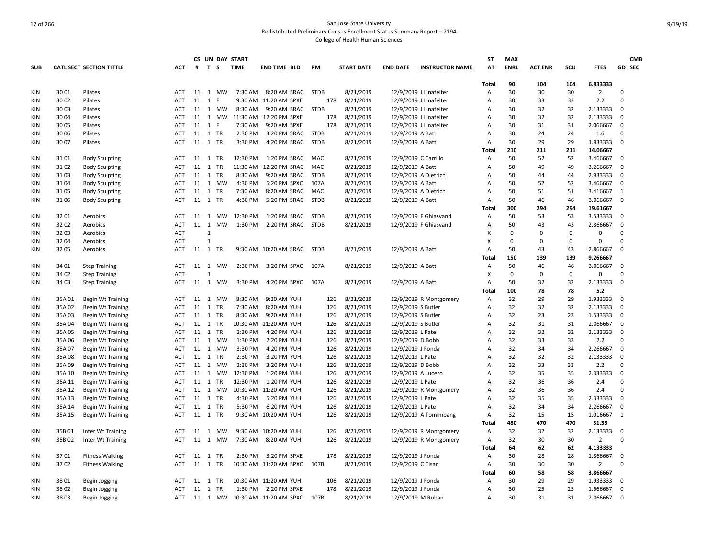|                          |                 |                                                      |                          |              |                |           | CS UN DAY START     |                                |             |                        |                                        |                        | ST           | <b>MAX</b>  |                |          |                      |             | <b>CMB</b> |
|--------------------------|-----------------|------------------------------------------------------|--------------------------|--------------|----------------|-----------|---------------------|--------------------------------|-------------|------------------------|----------------------------------------|------------------------|--------------|-------------|----------------|----------|----------------------|-------------|------------|
| <b>SUB</b>               |                 | <b>CATL SECT SECTION TITTLE</b>                      | ACT                      | #            | T S            |           | <b>TIME</b>         | <b>END TIME BLD</b>            | <b>RM</b>   | <b>START DATE</b>      | <b>END DATE</b>                        | <b>INSTRUCTOR NAME</b> | ΑT           | <b>ENRL</b> | <b>ACT ENR</b> | scu      | <b>FTES</b>          |             | GD SEC     |
|                          |                 |                                                      |                          |              |                |           |                     |                                |             |                        |                                        |                        | <b>Total</b> | 90          | 104            | 104      | 6.933333             |             |            |
| KIN                      | 30 01           | Pilates                                              | ACT                      | 11 1         |                | MW        | 7:30 AM             | 8:20 AM SRAC                   | <b>STDB</b> | 8/21/2019              |                                        | 12/9/2019 J Linafelter | Α            | 30          | 30             | 30       | $\overline{2}$       | $\Omega$    |            |
| KIN                      | 30 02           | Pilates                                              | ACT                      | 11           | 1              | F         |                     | 9:30 AM 11:20 AM SPXE          | 178         | 8/21/2019              |                                        | 12/9/2019 J Linafelter | А            | 30          | 33             | 33       | 2.2                  | $\Omega$    |            |
| <b>KIN</b>               | 30 03           | Pilates                                              | ACT                      | 11 1         |                | MW        | 8:30 AM             | 9:20 AM SRAC                   | <b>STDB</b> | 8/21/2019              |                                        | 12/9/2019 J Linafelter | Α            | 30          | 32             | 32       | 2.133333             | $\mathbf 0$ |            |
| <b>KIN</b>               | 30 04           | Pilates                                              | <b>ACT</b>               |              |                |           | 11 1 MW 11:30 AM    | 12:20 PM SPXE                  | 178         | 8/21/2019              |                                        | 12/9/2019 J Linafelter | A            | 30          | 32             | 32       | 2.133333             | 0           |            |
| KIN                      | 3005            | Pilates                                              | <b>ACT</b>               | 11           | <sup>1</sup>   | F         | 7:30 AM             | 9:20 AM SPXE                   | 178         | 8/21/2019              |                                        | 12/9/2019 J Linafelter | A            | 30          | 31             | 31       | 2.066667             | $\mathbf 0$ |            |
| <b>KIN</b>               | 30 06           | Pilates                                              | ACT                      | 11 1 TR      |                |           | 2:30 PM             | 3:20 PM SRAC                   | <b>STDB</b> | 8/21/2019              | 12/9/2019 A Batt                       |                        | А            | 30          | 24             | 24       | 1.6                  | $\mathbf 0$ |            |
| KIN                      | 3007            | Pilates                                              | ACT                      | 11 1 TR      |                |           | 3:30 PM             | 4:20 PM SRAC                   | <b>STDB</b> | 8/21/2019              | 12/9/2019 A Batt                       |                        | Α            | 30          | 29             | 29       | 1.933333             | 0           |            |
|                          |                 |                                                      |                          |              |                |           |                     |                                |             |                        |                                        |                        | Total        | 210         | 211            | 211      | 14.06667             |             |            |
| <b>KIN</b>               | 3101            | <b>Body Sculpting</b>                                | <b>ACT</b>               | 11 1         |                | TR        | 12:30 PM            | 1:20 PM SRAC                   | MAC         | 8/21/2019              | 12/9/2019 C Carrillo                   |                        | A            | 50          | 52             | 52       | 3.466667             | 0           |            |
| KIN                      | 31 02           | <b>Body Sculpting</b>                                | <b>ACT</b>               | 11           | 1              | TR        | 11:30 AM            | 12:20 PM SRAC                  | MAC         | 8/21/2019              | 12/9/2019 A Batt                       |                        | Α            | 50          | 49             | 49       | 3.266667             | $\mathbf 0$ |            |
| <b>KIN</b>               | 3103            | <b>Body Sculpting</b>                                | <b>ACT</b>               | $11 \quad 1$ |                | TR        | 8:30 AM             | 9:20 AM SRAC                   | <b>STDB</b> | 8/21/2019              | 12/9/2019 A Dietrich                   |                        | Α            | 50          | 44             | 44       | 2.933333             | $\mathsf 0$ |            |
| <b>KIN</b>               | 3104            | <b>Body Sculpting</b>                                | ACT                      |              |                | 11 1 MW   | 4:30 PM             | 5:20 PM SPXC                   | 107A        | 8/21/2019              | 12/9/2019 A Batt                       |                        | Α            | 50          | 52             | 52       | 3.466667             | $\mathbf 0$ |            |
| KIN                      | 3105            | <b>Body Sculpting</b>                                | <b>ACT</b>               | 11           | 1              | <b>TR</b> | 7:30 AM             | 8:20 AM SRAC                   | MAC         | 8/21/2019              | 12/9/2019 A Dietrich                   |                        | A            | 50          | 51             | 51       | 3.416667             | 1           |            |
| KIN                      | 3106            | <b>Body Sculpting</b>                                | ACT                      | 11 1 TR      |                |           | 4:30 PM             | 5:20 PM SRAC                   | <b>STDB</b> | 8/21/2019              | 12/9/2019 A Batt                       |                        | А            | 50          | 46             | 46       | 3.066667             | $\mathbf 0$ |            |
|                          |                 |                                                      |                          |              |                |           |                     |                                |             |                        |                                        |                        | Total        | 300         | 294            | 294      | 19.61667             |             |            |
| <b>KIN</b>               | 32 01           | Aerobics                                             | <b>ACT</b>               | 11 1         |                | MW        | 12:30 PM            | 1:20 PM SRAC                   | <b>STDB</b> | 8/21/2019              |                                        | 12/9/2019 F Ghiasvand  | Α            | 50          | 53             | 53       | 3.533333             | 0           |            |
| <b>KIN</b>               | 32 02           | Aerobics                                             | <b>ACT</b>               | $11 \quad 1$ |                | <b>MW</b> | 1:30 PM             | 2:20 PM SRAC                   | <b>STDB</b> | 8/21/2019              |                                        | 12/9/2019 F Ghiasvand  | A            | 50          | 43             | 43       | 2.866667             | 0           |            |
| KIN                      | 3203            | Aerobics                                             | <b>ACT</b>               |              | $\mathbf{1}$   |           |                     |                                |             |                        |                                        |                        | X            | $\mathbf 0$ | $\mathbf 0$    | $\Omega$ | $\Omega$             | $\Omega$    |            |
| KIN                      | 3204            | Aerobics                                             | <b>ACT</b>               |              | $\overline{1}$ |           |                     |                                |             |                        |                                        |                        | X            | $\mathbf 0$ | 0              | 0        | 0                    | $\mathbf 0$ |            |
| KIN                      | 3205            | Aerobics                                             | ACT                      | 11 1         |                | TR        |                     | 9:30 AM 10:20 AM SRAC          | <b>STDB</b> | 8/21/2019              | 12/9/2019 A Batt                       |                        | Α            | 50          | 43             | 43       | 2.866667             | $\mathbf 0$ |            |
|                          |                 |                                                      |                          |              |                |           |                     |                                |             |                        |                                        |                        | Total        | 150         | 139            | 139      | 9.266667             |             |            |
| <b>KIN</b>               | 34 01           | <b>Step Training</b>                                 | <b>ACT</b>               | 11 1         |                | MW        | 2:30 PM             | 3:20 PM SPXC                   | 107A        | 8/21/2019              | 12/9/2019 A Batt                       |                        | Α            | 50          | 46             | 46       | 3.066667             | 0           |            |
| KIN                      | 34 02           | <b>Step Training</b>                                 | <b>ACT</b>               |              | $\overline{1}$ |           |                     |                                |             |                        |                                        |                        | X            | $\mathbf 0$ | $\Omega$       | 0        | 0                    | $\Omega$    |            |
| KIN                      | 34 03           | <b>Step Training</b>                                 | ACT                      | 11 1         |                | МW        | 3:30 PM             | 4:20 PM SPXC                   | 107A        | 8/21/2019              | 12/9/2019 A Batt                       |                        | Α            | 50          | 32             | 32       | 2.133333             | $\mathbf 0$ |            |
|                          |                 |                                                      |                          |              |                |           |                     |                                |             |                        |                                        |                        | Total        | 100         | 78             | 78       | 5.2                  |             |            |
| <b>KIN</b>               | 35A01           | <b>Begin Wt Training</b>                             | ACT                      | 11           | 1              | MW        | 8:30 AM             | 9:20 AM YUH                    | 126         | 8/21/2019              |                                        | 12/9/2019 R Montgomery | Α            | 32          | 29             | 29       | 1.933333             | 0           |            |
| KIN                      | 35A02           | <b>Begin Wt Training</b>                             | ACT                      | 11 1         |                | <b>TR</b> | 7:30 AM             | 8:20 AM YUH                    | 126         | 8/21/2019              | 12/9/2019 S Butler                     |                        | A            | 32          | 32             | 32       | 2.133333             | $\mathbf 0$ |            |
| <b>KIN</b>               | 35A03           | <b>Begin Wt Training</b>                             | ACT                      | 11 1         |                | TR        | 8:30 AM             | 9:20 AM YUH                    | 126         | 8/21/2019              | 12/9/2019 S Butler                     |                        | Α            | 32          | 23             | 23       | 1.533333             | $\mathbf 0$ |            |
| KIN                      | 35A 04          | <b>Begin Wt Training</b>                             | <b>ACT</b>               | 11 1         |                | TR        | 10:30 AM            | 11:20 AM YUH                   | 126         | 8/21/2019              | 12/9/2019 S Butler                     |                        | Α            | 32          | 31             | 31       | 2.066667             | 0           |            |
| KIN                      | 35A 05          |                                                      | <b>ACT</b>               | 11 1         |                | <b>TR</b> | 3:30 PM             | 4:20 PM YUH                    | 126         | 8/21/2019              |                                        |                        | A            | 32          | 32             | 32       | 2.133333             | $\mathbf 0$ |            |
| <b>KIN</b>               | 35A06           | <b>Begin Wt Training</b>                             | <b>ACT</b>               | 11           | 1              | <b>MW</b> | 1:30 PM             | 2:20 PM YUH                    | 126         | 8/21/2019              | 12/9/2019 L Pate<br>12/9/2019 D Bobb   |                        | А            | 32          | 33             | 33       | 2.2                  | $\Omega$    |            |
| <b>KIN</b>               | 35A 07          | <b>Begin Wt Training</b><br><b>Begin Wt Training</b> | <b>ACT</b>               | 11           | $\mathbf{1}$   | MW        | 3:30 PM             | 4:20 PM YUH                    | 126         | 8/21/2019              | 12/9/2019 J Fonda                      |                        | Α            | 32          | 34             | 34       | 2.266667             | $\mathbf 0$ |            |
|                          |                 |                                                      |                          |              |                | TR        |                     |                                |             | 8/21/2019              |                                        |                        | A            | 32          | 32             | 32       | 2.133333             | $\mathbf 0$ |            |
| <b>KIN</b>               | 35A08           | <b>Begin Wt Training</b>                             | ACT                      | 11 1<br>11   | 1              | <b>MW</b> | 2:30 PM             | 3:20 PM YUH                    | 126         |                        | 12/9/2019 L Pate                       |                        | A            | 32          | 33             | 33       |                      | $\Omega$    |            |
| KIN<br><b>KIN</b>        | 35A09<br>35A 10 | <b>Begin Wt Training</b>                             | <b>ACT</b><br><b>ACT</b> | 11 1         |                | MW        | 2:30 PM<br>12:30 PM | 3:20 PM YUH<br>1:20 PM YUH     | 126<br>126  | 8/21/2019<br>8/21/2019 | 12/9/2019 D Bobb                       |                        | А            | 32          | 35             | 35       | 2.2<br>2.333333      | $\mathbf 0$ |            |
| KIN                      | 35A 11          | <b>Begin Wt Training</b>                             | <b>ACT</b>               | 11 1 TR      |                |           | 12:30 PM            | 1:20 PM YUH                    | 126         | 8/21/2019              | 12/9/2019 A Lucero<br>12/9/2019 L Pate |                        | A            | 32          | 36             | 36       | 2.4                  | $\Omega$    |            |
|                          |                 | <b>Begin Wt Training</b>                             | ACT                      | $11 \quad 1$ |                |           | 10:30 AM            |                                | 126         | 8/21/2019              |                                        | 12/9/2019 R Montgomery |              | 32          | 36             | 36       | 2.4                  | $\Omega$    |            |
| <b>KIN</b>               | 35A 12          | <b>Begin Wt Training</b>                             |                          |              |                | MW<br>TR  |                     | 11:20 AM YUH                   |             |                        |                                        |                        | Α<br>A       | 32          |                | 35       |                      | $\mathbf 0$ |            |
| <b>KIN</b><br><b>KIN</b> | 35A 13          | <b>Begin Wt Training</b>                             | <b>ACT</b><br><b>ACT</b> | 11 1<br>11   | 1              | TR        | 4:30 PM<br>5:30 PM  | 5:20 PM YUH<br>6:20 PM YUH     | 126<br>126  | 8/21/2019<br>8/21/2019 | 12/9/2019 L Pate<br>12/9/2019 L Pate   |                        | Α            | 32          | 35<br>34       | 34       | 2.333333<br>2.266667 | $\mathbf 0$ |            |
|                          | 35A 14          | <b>Begin Wt Training</b>                             |                          |              |                |           |                     |                                |             |                        |                                        |                        |              | 32          | 15             | 15       |                      | 1           |            |
| KIN                      | 35A 15          | <b>Begin Wt Training</b>                             | <b>ACT</b>               | 11 1 TR      |                |           |                     | 9:30 AM 10:20 AM YUH           | 126         | 8/21/2019              |                                        | 12/9/2019 A Tomimbang  | Α            | 480         | 470            | 470      | 1.016667             |             |            |
|                          |                 |                                                      |                          |              |                |           |                     |                                |             |                        |                                        |                        | Total        |             |                |          | 31.35                |             |            |
| KIN                      | 35B01           | Inter Wt Training                                    | ACT                      | 11 1         |                | MW        |                     | 9:30 AM 10:20 AM YUH           | 126         | 8/21/2019              |                                        | 12/9/2019 R Montgomery | Α            | 32          | 32             | 32       | 2.133333             | 0           |            |
| <b>KIN</b>               | 35B02           | Inter Wt Training                                    | <b>ACT</b>               | 11           |                | 1 MW      | 7:30 AM             | 8:20 AM YUH                    | 126         | 8/21/2019              |                                        | 12/9/2019 R Montgomery | Α            | 32          | 30             | 30       | $\overline{2}$       | $\Omega$    |            |
|                          |                 |                                                      |                          |              |                |           |                     |                                |             |                        |                                        |                        | Total        | 64          | 62             | 62       | 4.133333             |             |            |
| KIN                      | 3701            | <b>Fitness Walking</b>                               | <b>ACT</b>               | 11 1         |                | TR        | 2:30 PM             | 3:20 PM SPXE                   | 178         | 8/21/2019              | 12/9/2019 J Fonda                      |                        | Α            | 30          | 28             | 28       | 1.866667             | $\mathbf 0$ |            |
| KIN                      | 3702            | <b>Fitness Walking</b>                               | <b>ACT</b>               | 11 1 TR      |                |           |                     | 10:30 AM 11:20 AM SPXC         | 107B        | 8/21/2019              | 12/9/2019 C Cisar                      |                        | Α            | 30          | 30             | 30       | $\overline{2}$       | $\Omega$    |            |
|                          |                 |                                                      |                          |              |                |           |                     |                                |             |                        |                                        |                        | Total        | 60          | 58             | 58       | 3.866667             |             |            |
| <b>KIN</b>               | 3801            | Begin Jogging                                        | <b>ACT</b>               | 11 1         |                | <b>TR</b> |                     | 10:30 AM 11:20 AM YUH          | 106         | 8/21/2019              | 12/9/2019 J Fonda                      |                        | Α            | 30          | 29             | 29       | 1.933333             | 0           |            |
| KIN                      | 3802            | Begin Jogging                                        | ACT                      | 11           | 1              | <b>TR</b> | 1:30 PM             | 2:20 PM SPXE                   | 178         | 8/21/2019              | 12/9/2019 J Fonda                      |                        | A            | 30          | 25             | 25       | 1.666667             | $\mathbf 0$ |            |
| KIN                      | 38 03           | <b>Begin Jogging</b>                                 | ACT                      |              |                |           |                     | 11 1 MW 10:30 AM 11:20 AM SPXC | 107B        | 8/21/2019              | 12/9/2019 M Ruban                      |                        | Α            | 30          | 31             | 31       | 2.066667             | $\mathbf 0$ |            |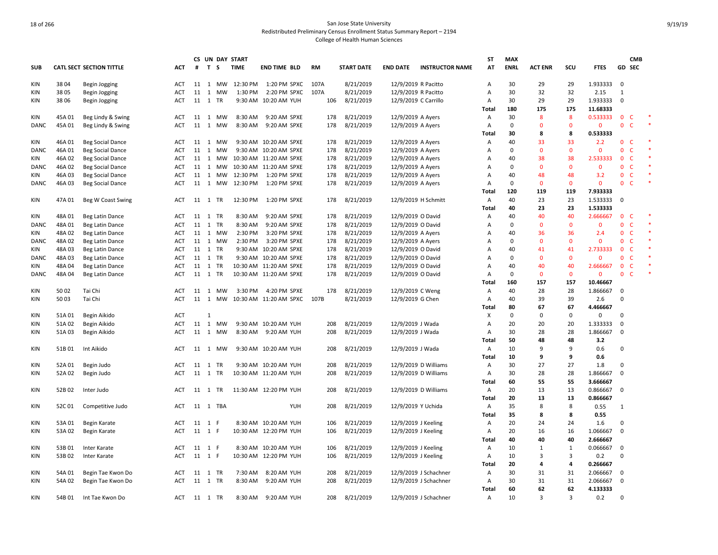|             |        |                                             |            |                  |              |                    | CS UN DAY START |                                               |            |                        |                                        |                        | ST             | <b>MAX</b>  |                |              |                      |                  | <b>CMB</b>   |        |
|-------------|--------|---------------------------------------------|------------|------------------|--------------|--------------------|-----------------|-----------------------------------------------|------------|------------------------|----------------------------------------|------------------------|----------------|-------------|----------------|--------------|----------------------|------------------|--------------|--------|
| <b>SUB</b>  |        | <b>CATL SECT SECTION TITTLE</b>             | ACT        | #                | T S          |                    | <b>TIME</b>     | <b>END TIME BLD</b>                           | <b>RM</b>  | <b>START DATE</b>      | <b>END DATE</b>                        | <b>INSTRUCTOR NAME</b> | AT             | <b>ENRL</b> | <b>ACT ENR</b> | scu          | <b>FTES</b>          |                  | GD SEC       |        |
| KIN         | 38 04  | Begin Jogging                               | ACT        |                  |              | 11 1 MW            | 12:30 PM        | 1:20 PM SPXC                                  | 107A       | 8/21/2019              |                                        | 12/9/2019 R Pacitto    | Α              | 30          | 29             | 29           | 1.933333             | $\mathbf 0$      |              |        |
| KIN         | 38 05  | Begin Jogging                               | ACT        |                  |              | 11 1 MW            | 1:30 PM         | 2:20 PM SPXC                                  | 107A       | 8/21/2019              |                                        | 12/9/2019 R Pacitto    | A              | 30          | 32             | 32           | 2.15                 | 1                |              |        |
| KIN         | 38 06  | Begin Jogging                               | ACT        | 11 1 TR          |              |                    |                 | 9:30 AM 10:20 AM YUH                          | 106        | 8/21/2019              |                                        | 12/9/2019 C Carrillo   | Α              | 30          | 29             | 29           | 1.933333             | $\mathbf 0$      |              |        |
|             |        |                                             |            |                  |              |                    |                 |                                               |            |                        |                                        |                        | Total          | 180         | 175            | 175          | 11.68333             |                  |              |        |
| KIN         | 45A 01 | Beg Lindy & Swing                           | ACT        |                  |              | 11 1 MW            | 8:30 AM         | 9:20 AM SPXE                                  | 178        | 8/21/2019              | 12/9/2019 A Ayers                      |                        | Α              | 30          | 8              | 8            | 0.533333             | 0 <sup>o</sup>   |              |        |
| DANC        | 45A 01 | Beg Lindy & Swing                           | ACT        |                  |              | 11 1 MW            | 8:30 AM         | 9:20 AM SPXE                                  | 178        | 8/21/2019              | 12/9/2019 A Ayers                      |                        | $\overline{A}$ | 0           | $\mathbf{0}$   | $\mathbf{0}$ | $\mathbf{0}$         | $\mathbf{0}$     | -C           | $\ast$ |
|             | 46A 01 |                                             |            |                  |              |                    |                 | 9:30 AM 10:20 AM SPXE                         | 178        |                        |                                        |                        | Total          | 30<br>40    | 8<br>33        | 8<br>33      | 0.533333<br>2.2      | $\mathbf{0}$     | <b>C</b>     |        |
| KIN<br>DANC | 46A01  | Beg Social Dance<br><b>Beg Social Dance</b> | ACT<br>ACT |                  |              | 11 1 MW<br>11 1 MW |                 | 9:30 AM 10:20 AM SPXE                         | 178        | 8/21/2019<br>8/21/2019 | 12/9/2019 A Ayers<br>12/9/2019 A Ayers |                        | Α<br>A         | $\mathbf 0$ | $\mathbf{0}$   | $\mathbf{0}$ | $\mathbf{0}$         | $\mathbf{0}$     | <b>C</b>     |        |
| <b>KIN</b>  | 46A 02 | <b>Beg Social Dance</b>                     | <b>ACT</b> |                  |              | 11 1 MW            |                 | 10:30 AM 11:20 AM SPXE                        | 178        | 8/21/2019              | 12/9/2019 A Ayers                      |                        | $\overline{A}$ | 40          | 38             | 38           | 2.533333             | 0 <sub>c</sub>   |              |        |
| DANC        | 46A 02 | <b>Beg Social Dance</b>                     | ACT        | 11               | $\mathbf{1}$ | MW                 |                 | 10:30 AM 11:20 AM SPXE                        | 178        | 8/21/2019              | 12/9/2019 A Ayers                      |                        | A              | $\mathbf 0$ | $\mathbf 0$    | $\mathbf 0$  | $\mathbf 0$          | $\mathbf 0$      | $\mathsf{C}$ |        |
| KIN         | 46A 03 | Beg Social Dance                            | ACT        | 11               |              | 1 MW               | 12:30 PM        | 1:20 PM SPXE                                  | 178        | 8/21/2019              | 12/9/2019 A Ayers                      |                        | A              | 40          | 48             | 48           | 3.2                  | 0                | <b>C</b>     |        |
| DANC        | 46A03  | Beg Social Dance                            | ACT        |                  |              | 11 1 MW            | 12:30 PM        | 1:20 PM SPXE                                  | 178        | 8/21/2019              | 12/9/2019 A Ayers                      |                        | $\overline{A}$ | $\mathbf 0$ | $\mathbf{0}$   | $\mathbf{0}$ | $\mathbf{0}$         | 0 <sup>o</sup>   |              |        |
|             |        |                                             |            |                  |              |                    |                 |                                               |            |                        |                                        |                        | Total          | 120         | 119            | 119          | 7.933333             |                  |              |        |
| KIN         | 47A 01 | Beg W Coast Swing                           | ACT        | 11 1 TR          |              |                    | 12:30 PM        | 1:20 PM SPXE                                  | 178        | 8/21/2019              |                                        | 12/9/2019 H Schmitt    | Α              | 40          | 23             | 23           | 1.533333             | 0                |              |        |
|             |        |                                             |            |                  |              |                    |                 |                                               |            |                        |                                        |                        | Total          | 40          | 23             | 23           | 1.533333             |                  |              |        |
| KIN         | 48A 01 | Beg Latin Dance                             | ACT        | 11 1 TR          |              |                    | 8:30 AM         | 9:20 AM SPXE                                  | 178        | 8/21/2019              | 12/9/2019 O David                      |                        | Α              | 40          | 40             | 40           | 2.666667             | 0 <sub>c</sub>   |              |        |
| <b>DANC</b> | 48A 01 | Beg Latin Dance                             | ACT        | 11 1 TR          |              |                    | 8:30 AM         | 9:20 AM SPXE                                  | 178        | 8/21/2019              | 12/9/2019 O David                      |                        | A              | $\mathbf 0$ | $\mathbf 0$    | $\mathbf 0$  | $\mathbf 0$          | $\mathbf{0}$     | $\mathsf{C}$ |        |
| KIN         | 48A 02 | Beg Latin Dance                             | ACT        |                  |              | 11 1 MW            | 2:30 PM         | 3:20 PM SPXE                                  | 178        | 8/21/2019              | 12/9/2019 A Ayers                      |                        | A              | 40          | 36             | 36           | 2.4                  | $\mathbf{0}$     | <b>C</b>     |        |
| DANC        | 48A 02 | Beg Latin Dance                             | ACT        |                  |              | 11 1 MW            | 2:30 PM         | 3:20 PM SPXE                                  | 178        | 8/21/2019              | 12/9/2019 A Ayers                      |                        | $\overline{A}$ | 0           | $\mathbf{0}$   | $\mathbf{0}$ | $\mathbf{0}$         | $\mathbf{0}$     | <b>C</b>     |        |
| KIN         | 48A03  | Beg Latin Dance                             | ACT        | 11 1 TR          |              |                    |                 | 9:30 AM 10:20 AM SPXE                         | 178        | 8/21/2019              | 12/9/2019 O David                      |                        | A              | 40          | 41             | 41           | 2.733333             | $\mathbf{0}$     | $\mathsf{C}$ |        |
| DANC        | 48A03  | Beg Latin Dance                             | ACT        | 11 1 TR          |              |                    |                 | 9:30 AM 10:20 AM SPXE                         | 178        | 8/21/2019              | 12/9/2019 O David                      |                        | A              | 0           | $\mathbf{0}$   | $\mathbf{0}$ | $\mathbf 0$          | $\mathbf{0}$     | $\mathsf{C}$ |        |
| KIN         | 48A 04 | Beg Latin Dance                             | <b>ACT</b> | 11 1 TR          |              |                    |                 | 10:30 AM 11:20 AM SPXE                        | 178        | 8/21/2019              | 12/9/2019 O David                      |                        | A              | 40          | 40             | 40           | 2.666667             | $\mathbf{0}$     | $\mathsf{C}$ |        |
| DANC        | 48A 04 | <b>Beg Latin Dance</b>                      | ACT        | 11               |              | 1 TR               |                 | 10:30 AM 11:20 AM SPXE                        | 178        | 8/21/2019              | 12/9/2019 O David                      |                        | $\overline{A}$ | 0           | $\Omega$       | $\mathbf{0}$ | $\mathbf{0}$         | $\mathbf{0}$     | - C          |        |
| KIN         | 50 02  | Tai Chi                                     | ACT        |                  |              | 11 1 MW            | 3:30 PM         | 4:20 PM SPXE                                  | 178        | 8/21/2019              | 12/9/2019 C Weng                       |                        | Total<br>Α     | 160<br>40   | 157<br>28      | 157<br>28    | 10.46667<br>1.866667 | 0                |              |        |
| KIN         | 50 03  | Tai Chi                                     | <b>ACT</b> | 11               | $\mathbf{1}$ | MW                 |                 | 10:30 AM 11:20 AM SPXC                        | 107B       | 8/21/2019              | 12/9/2019 G Chen                       |                        | Α              | 40          | 39             | 39           | 2.6                  | $\Omega$         |              |        |
|             |        |                                             |            |                  |              |                    |                 |                                               |            |                        |                                        |                        | Total          | 80          | 67             | 67           | 4.466667             |                  |              |        |
| KIN         | 51A 01 | Begin Aikido                                | ACT        |                  | 1            |                    |                 |                                               |            |                        |                                        |                        | х              | 0           | 0              | 0            | 0                    | 0                |              |        |
| KIN         | 51A02  | Begin Aikido                                | <b>ACT</b> |                  |              | 11 1 MW            |                 | 9:30 AM 10:20 AM YUH                          | 208        | 8/21/2019              | 12/9/2019 J Wada                       |                        | Α              | 20          | 20             | 20           | 1.333333             | $\mathbf 0$      |              |        |
| KIN         | 51A 03 | Begin Aikido                                | ACT        |                  |              | 11 1 MW            | 8:30 AM         | 9:20 AM YUH                                   | 208        | 8/21/2019              | 12/9/2019 J Wada                       |                        | Α              | 30          | 28             | 28           | 1.866667             | 0                |              |        |
|             |        |                                             |            |                  |              |                    |                 |                                               |            |                        |                                        |                        | Total          | 50          | 48             | 48           | 3.2                  |                  |              |        |
| KIN         | 51B01  | Int Aikido                                  | ACT        |                  |              | 11 1 MW            |                 | 9:30 AM 10:20 AM YUH                          | 208        | 8/21/2019              | 12/9/2019 J Wada                       |                        | Α              | 10          | 9              | 9            | 0.6                  | $\Omega$         |              |        |
|             |        |                                             |            |                  |              |                    |                 |                                               |            |                        |                                        |                        | Total          | 10          | 9              | 9            | 0.6                  |                  |              |        |
| KIN         | 52A 01 | Begin Judo                                  | ACT        | 11               |              | 1 TR               |                 | 9:30 AM 10:20 AM YUH                          | 208        | 8/21/2019              |                                        | 12/9/2019 D Williams   | Α              | 30          | 27             | 27           | 1.8                  | 0                |              |        |
| KIN         | 52A 02 | Begin Judo                                  | ACT        | 11 1 TR          |              |                    |                 | 10:30 AM 11:20 AM YUH                         | 208        | 8/21/2019              |                                        | 12/9/2019 D Williams   | Α              | 30          | 28             | 28           | 1.866667             | $\mathbf 0$      |              |        |
|             |        |                                             |            |                  |              |                    |                 |                                               |            |                        |                                        |                        | Total          | 60          | 55             | 55           | 3.666667             |                  |              |        |
| KIN         | 52B02  | Inter Judo                                  | ACT        | 11 1 TR          |              |                    |                 | 11:30 AM 12:20 PM YUH                         | 208        | 8/21/2019              |                                        | 12/9/2019 D Williams   | A              | 20          | 13             | 13           | 0.866667             | $\mathbf 0$      |              |        |
|             |        |                                             |            |                  |              |                    |                 |                                               |            |                        |                                        |                        | Total          | 20          | 13             | 13           | 0.866667             |                  |              |        |
| KIN         | 52C01  | Competitive Judo                            | ACT        |                  |              | 11 1 TBA           |                 | <b>YUH</b>                                    | 208        | 8/21/2019              | 12/9/2019 Y Uchida                     |                        | Α              | 35          | 8              | 8            | 0.55                 | 1                |              |        |
|             |        |                                             |            |                  |              |                    |                 |                                               |            |                        |                                        |                        | Total          | 35          | 8              | 8            | 0.55                 |                  |              |        |
| KIN         | 53A 01 | Begin Karate                                | ACT        | 11 1 F<br>11 1 F |              |                    |                 | 8:30 AM 10:20 AM YUH<br>10:30 AM 12:20 PM YUH | 106<br>106 | 8/21/2019<br>8/21/2019 | 12/9/2019 J Keeling                    |                        | Α<br>Α         | 20<br>20    | 24<br>16       | 24<br>16     | 1.6<br>1.066667      | 0<br>$\mathbf 0$ |              |        |
| KIN         | 53A 02 | Begin Karate                                | ACT        |                  |              |                    |                 |                                               |            |                        | 12/9/2019 J Keeling                    |                        | Total          | 40          | 40             | 40           | 2.666667             |                  |              |        |
| KIN         | 53B01  | <b>Inter Karate</b>                         | <b>ACT</b> | 11 1 F           |              |                    |                 | 8:30 AM 10:20 AM YUH                          | 106        | 8/21/2019              | 12/9/2019 J Keeling                    |                        | Α              | 10          | 1              | $\mathbf{1}$ | 0.066667             | 0                |              |        |
| KIN         | 53B02  | Inter Karate                                | ACT        | 11 1 F           |              |                    |                 | 10:30 AM 12:20 PM YUH                         | 106        | 8/21/2019              | 12/9/2019 J Keeling                    |                        | Α              | 10          | 3              | 3            | 0.2                  | 0                |              |        |
|             |        |                                             |            |                  |              |                    |                 |                                               |            |                        |                                        |                        | <b>Total</b>   | 20          | 4              | 4            | 0.266667             |                  |              |        |
| KIN         | 54A 01 | Begin Tae Kwon Do                           | ACT        | 11               |              | 1 TR               | 7:30 AM         | 8:20 AM YUH                                   | 208        | 8/21/2019              |                                        | 12/9/2019 J Schachner  | Α              | 30          | 31             | 31           | 2.066667             | $\Omega$         |              |        |
| KIN         | 54A 02 | Begin Tae Kwon Do                           | ACT        | 11 1 TR          |              |                    | 8:30 AM         | 9:20 AM YUH                                   | 208        | 8/21/2019              |                                        | 12/9/2019 J Schachner  | Α              | 30          | 31             | 31           | 2.066667             | 0                |              |        |
|             |        |                                             |            |                  |              |                    |                 |                                               |            |                        |                                        |                        | Total          | 60          | 62             | 62           | 4.133333             |                  |              |        |
| <b>KIN</b>  | 54B 01 | Int Tae Kwon Do                             | <b>ACT</b> | 11 1 TR          |              |                    | 8:30 AM         | 9:20 AM YUH                                   | 208        | 8/21/2019              |                                        | 12/9/2019 J Schachner  | $\overline{A}$ | 10          | 3              | 3            | 0.2                  | $\Omega$         |              |        |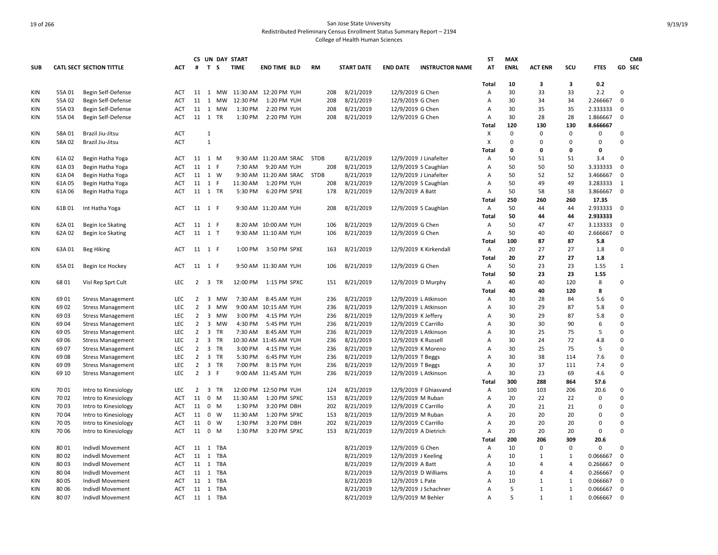|            |        |                                 |            |                |                         |              | CS UN DAY START |                               |             |                   |                      |                        | <b>ST</b>    | <b>MAX</b>  |                |                |             |              | <b>CMB</b> |
|------------|--------|---------------------------------|------------|----------------|-------------------------|--------------|-----------------|-------------------------------|-------------|-------------------|----------------------|------------------------|--------------|-------------|----------------|----------------|-------------|--------------|------------|
| <b>SUB</b> |        | <b>CATL SECT SECTION TITTLE</b> | <b>ACT</b> | #              | T S                     |              | <b>TIME</b>     | <b>END TIME BLD</b>           | <b>RM</b>   | <b>START DATE</b> | <b>END DATE</b>      | <b>INSTRUCTOR NAME</b> | AT           | <b>ENRL</b> | <b>ACT ENR</b> | scu            | <b>FTES</b> |              | GD SEC     |
|            |        |                                 |            |                |                         |              |                 |                               |             |                   |                      |                        | Total        | 10          | 3              | 3              | 0.2         |              |            |
| KIN        | 55A01  | Begin Self-Defense              | ACT        |                |                         |              |                 | 11 1 MW 11:30 AM 12:20 PM YUH | 208         | 8/21/2019         | 12/9/2019 G Chen     |                        | Α            | 30          | 33             | 33             | 2.2         | $\Omega$     |            |
| <b>KIN</b> | 55A02  | Begin Self-Defense              | ACT        | 11             | 1                       | МW           | 12:30 PM        | 1:20 PM YUH                   | 208         | 8/21/2019         | 12/9/2019 G Chen     |                        | Α            | 30          | 34             | 34             | 2.266667    | $\mathbf 0$  |            |
| KIN        | 55A03  | Begin Self-Defense              | <b>ACT</b> | 11             | 1                       | MW           | 1:30 PM         | 2:20 PM YUH                   | 208         | 8/21/2019         | 12/9/2019 G Chen     |                        | Α            | 30          | 35             | 35             | 2.333333    | $\Omega$     |            |
| <b>KIN</b> | 55A 04 | Begin Self-Defense              | <b>ACT</b> | 11 1           |                         | <b>TR</b>    | 1:30 PM         | 2:20 PM YUH                   | 208         | 8/21/2019         | 12/9/2019 G Chen     |                        | Α            | 30          | 28             | 28             | 1.866667    | $\Omega$     |            |
|            |        |                                 |            |                |                         |              |                 |                               |             |                   |                      |                        | Total        | 120         | 130            | 130            | 8.666667    |              |            |
| <b>KIN</b> | 58A 01 | Brazil Jiu-Jitsu                | ACT        |                | $\mathbf{1}$            |              |                 |                               |             |                   |                      |                        | X            | $\mathsf 0$ | 0              | $\mathbf 0$    | 0           | $\mathbf 0$  |            |
| KIN        | 58A02  | Brazil Jiu-Jitsu                | ACT        |                | $\mathbf{1}$            |              |                 |                               |             |                   |                      |                        | X            | 0           | 0              | 0              | 0           | $\mathbf 0$  |            |
|            |        |                                 |            |                |                         |              |                 |                               |             |                   |                      |                        | Total        | 0           | 0              | 0              | 0           |              |            |
| <b>KIN</b> | 61A02  | Begin Hatha Yoga                | ACT        | 11 1 M         |                         |              |                 | 9:30 AM 11:20 AM SRAC         | <b>STDB</b> | 8/21/2019         |                      | 12/9/2019 J Linafelter | Α            | 50          | 51             | 51             | 3.4         | $\Omega$     |            |
| KIN        | 61A03  | Begin Hatha Yoga                | <b>ACT</b> | $11 \quad 1$   |                         | E            | 7:30 AM         | 9:20 AM YUH                   | 208         | 8/21/2019         |                      | 12/9/2019 S Caughlan   | Α            | 50          | 50             | 50             | 3.333333    | $\mathbf 0$  |            |
| KIN        | 61A 04 | Begin Hatha Yoga                | ACT        | 11 1 W         |                         |              |                 | 9:30 AM 11:20 AM SRAC         | <b>STDB</b> | 8/21/2019         |                      | 12/9/2019 J Linafelter | Α            | 50          | 52             | 52             | 3.466667    | $\mathbf 0$  |            |
| <b>KIN</b> | 61A 05 | Begin Hatha Yoga                | ACT        | 11 1           |                         | $\mathsf{F}$ | 11:30 AM        | 1:20 PM YUH                   | 208         | 8/21/2019         |                      | 12/9/2019 S Caughlan   | Α            | 50          | 49             | 49             | 3.283333    | 1            |            |
| <b>KIN</b> | 61A06  | Begin Hatha Yoga                | <b>ACT</b> | 11 1 TR        |                         |              | 5:30 PM         | 6:20 PM SPXE                  | 178         | 8/21/2019         | 12/9/2019 A Batt     |                        | Α            | 50          | 58             | 58             | 3.866667    | $\mathbf 0$  |            |
|            |        |                                 |            |                |                         |              |                 |                               |             |                   |                      |                        | <b>Total</b> | 250         | 260            | 260            | 17.35       |              |            |
| <b>KIN</b> | 61B01  | Int Hatha Yoga                  | ACT        | 11 1 F         |                         |              |                 | 9:30 AM 11:20 AM YUH          | 208         | 8/21/2019         |                      | 12/9/2019 S Caughlan   | Α            | 50          | 44             | 44             | 2.933333    | $\mathbf 0$  |            |
|            |        |                                 |            |                |                         |              |                 |                               |             |                   |                      |                        | Total        | 50          | 44             | 44             | 2.933333    |              |            |
| <b>KIN</b> | 62A 01 | Begin Ice Skating               | ACT        | 11 1 F         |                         |              |                 | 8:20 AM 10:00 AM YUH          | 106         | 8/21/2019         | 12/9/2019 G Chen     |                        | Α            | 50          | 47             | 47             | 3.133333    | 0            |            |
| KIN        | 62A02  | Begin Ice Skating               | <b>ACT</b> | 11 1 T         |                         |              |                 | 9:30 AM 11:10 AM YUH          | 106         | 8/21/2019         | 12/9/2019 G Chen     |                        | Α            | 50          | 40             | 40             | 2.666667    | $\mathbf 0$  |            |
|            |        |                                 |            |                |                         |              |                 |                               |             |                   |                      |                        | <b>Total</b> | 100         | 87             | 87             | 5.8         |              |            |
| KIN        | 63A01  | <b>Beg Hiking</b>               | <b>ACT</b> | 11 1 F         |                         |              | 1:00 PM         | 3:50 PM SPXE                  | 163         | 8/21/2019         |                      | 12/9/2019 K Kirkendall | Α            | 20          | 27             | 27             | 1.8         | $\mathbf 0$  |            |
|            |        |                                 |            |                |                         |              |                 |                               |             |                   |                      |                        | Total        | 20          | 27             | 27             | 1.8         |              |            |
| KIN        | 65A01  | Begin Ice Hockey                | <b>ACT</b> | 11 1 F         |                         |              |                 | 9:50 AM 11:30 AM YUH          | 106         | 8/21/2019         | 12/9/2019 G Chen     |                        | A            | 50          | 23             | 23             | 1.55        | $\mathbf{1}$ |            |
|            |        |                                 |            |                |                         |              |                 |                               |             |                   |                      |                        | Total        | 50          | 23             | 23             | 1.55        |              |            |
| KIN        | 6801   | Visl Rep Sprt Cult              | LEC        | $\overline{2}$ | $\overline{\mathbf{3}}$ | TR           | 12:00 PM        | 1:15 PM SPXC                  | 151         | 8/21/2019         |                      | 12/9/2019 D Murphy     | Α            | 40          | 40             | 120            | 8           | $\Omega$     |            |
|            |        |                                 |            |                |                         |              |                 |                               |             |                   |                      |                        | Total        | 40          | 40             | 120            | 8           |              |            |
| <b>KIN</b> | 6901   | <b>Stress Management</b>        | LEC        | $\overline{2}$ | 3                       | <b>MW</b>    | 7:30 AM         | 8:45 AM YUH                   | 236         | 8/21/2019         |                      | 12/9/2019 L Atkinson   | Α            | 30          | 28             | 84             | 5.6         | $\Omega$     |            |
| <b>KIN</b> | 69 02  | <b>Stress Management</b>        | <b>LEC</b> | $\overline{2}$ | $\overline{3}$          | <b>MW</b>    | 9:00 AM         | 10:15 AM YUH                  | 236         | 8/21/2019         |                      | 12/9/2019 L Atkinson   | A            | 30          | 29             | 87             | 5.8         | $\Omega$     |            |
| <b>KIN</b> | 69 03  | <b>Stress Management</b>        | LEC        | $\overline{2}$ | $\overline{3}$          | <b>MW</b>    | 3:00 PM         | 4:15 PM YUH                   | 236         | 8/21/2019         | 12/9/2019 K Jeffery  |                        | А            | 30          | 29             | 87             | 5.8         | $\Omega$     |            |
| <b>KIN</b> | 69 04  | <b>Stress Management</b>        | LEC        | $\overline{2}$ | $\overline{3}$          | MW           | 4:30 PM         | 5:45 PM YUH                   | 236         | 8/21/2019         | 12/9/2019 C Carrillo |                        | Α            | 30          | 30             | 90             | 6           | $\Omega$     |            |
| <b>KIN</b> | 6905   | <b>Stress Management</b>        | LEC        | $\overline{2}$ | 3 TR                    |              | 7:30 AM         | 8:45 AM YUH                   | 236         | 8/21/2019         |                      | 12/9/2019 L Atkinson   | Α            | 30          | 25             | 75             | 5           | $\Omega$     |            |
| KIN        | 69 06  | <b>Stress Management</b>        | <b>LEC</b> | $\overline{2}$ | 3                       | <b>TR</b>    | 10:30 AM        | 11:45 AM YUH                  | 236         | 8/21/2019         | 12/9/2019 K Russell  |                        | A            | 30          | 24             | 72             | 4.8         | $\Omega$     |            |
| <b>KIN</b> | 6907   | <b>Stress Management</b>        | LEC        | $\overline{2}$ |                         | 3 TR         | 3:00 PM         | 4:15 PM YUH                   | 236         | 8/21/2019         |                      | 12/9/2019 K Moreno     | А            | 30          | 25             | 75             | 5           | $\Omega$     |            |
| KIN        | 69 08  | <b>Stress Management</b>        | <b>LEC</b> | $\overline{2}$ |                         | 3 TR         | 5:30 PM         | 6:45 PM YUH                   | 236         | 8/21/2019         | 12/9/2019 T Beggs    |                        | A            | 30          | 38             | 114            | 7.6         | $\Omega$     |            |
| <b>KIN</b> | 69 09  | <b>Stress Management</b>        | LEC        | $\overline{2}$ | $\overline{3}$          | TR           | 7:00 PM         | 8:15 PM YUH                   | 236         | 8/21/2019         | 12/9/2019 T Beggs    |                        | Α            | 30          | 37             | 111            | 7.4         | $\mathbf 0$  |            |
| <b>KIN</b> | 69 10  | <b>Stress Management</b>        | <b>LEC</b> | $\overline{2}$ | 3 F                     |              |                 | 9:00 AM 11:45 AM YUH          | 236         | 8/21/2019         |                      | 12/9/2019 L Atkinson   | Α            | 30          | 23             | 69             | 4.6         | $\Omega$     |            |
|            |        |                                 |            |                |                         |              |                 |                               |             |                   |                      |                        | Total        | 300         | 288            | 864            | 57.6        |              |            |
| <b>KIN</b> | 7001   | Intro to Kinesiology            | <b>LEC</b> | $\overline{2}$ | $\overline{3}$          | <b>TR</b>    | 12:00 PM        | 12:50 PM YUH                  | 124         | 8/21/2019         |                      | 12/9/2019 F Ghiasvand  | Α            | 100         | 103            | 206            | 20.6        | $\mathbf 0$  |            |
| KIN        | 7002   | Intro to Kinesiology            | <b>ACT</b> | 11             | $\mathbf 0$             | M            | 11:30 AM        | 1:20 PM SPXC                  | 153         | 8/21/2019         | 12/9/2019 M Ruban    |                        | A            | 20          | 22             | 22             | 0           | $\Omega$     |            |
| <b>KIN</b> | 7003   | Intro to Kinesiology            | <b>ACT</b> | 11 0           |                         | M            | 1:30 PM         | 3:20 PM DBH                   | 202         | 8/21/2019         | 12/9/2019 C Carrillo |                        | Α            | 20          | 21             | 21             | $\Omega$    | $\Omega$     |            |
| <b>KIN</b> | 70 04  | Intro to Kinesiology            | ACT        | 11             | $\mathbf 0$             | W            | 11:30 AM        | 1:20 PM SPXC                  | 153         | 8/21/2019         |                      | 12/9/2019 M Ruban      | Α            | 20          | 20             | 20             | 0           | $\Omega$     |            |
| KIN        | 70 05  | Intro to Kinesiology            | ACT        | 11             | 0                       | W            | 1:30 PM         | 3:20 PM DBH                   | 202         | 8/21/2019         | 12/9/2019 C Carrillo |                        | Α            | 20          | 20             | 20             | 0           | $\Omega$     |            |
| <b>KIN</b> | 70 06  | Intro to Kinesiology            | <b>ACT</b> | 11             | $\overline{0}$          | M            | 1:30 PM         | 3:20 PM SPXC                  | 153         | 8/21/2019         |                      | 12/9/2019 A Dietrich   | Α            | 20          | 20             | 20             | 0           | $\Omega$     |            |
|            |        |                                 |            |                |                         |              |                 |                               |             |                   |                      |                        | Total        | 200         | 206            | 309            | 20.6        |              |            |
| <b>KIN</b> | 8001   | Indivdl Movement                | ACT        | 11             | 1                       | TBA          |                 |                               |             | 8/21/2019         | 12/9/2019 G Chen     |                        | Α            | 10          | 0              | $\mathbf 0$    | 0           | $\Omega$     |            |
| <b>KIN</b> | 8002   | Indivdl Movement                | <b>ACT</b> | 11 1           |                         | TBA          |                 |                               |             | 8/21/2019         | 12/9/2019 J Keeling  |                        | Α            | 10          | $\mathbf{1}$   | $\mathbf{1}$   | 0.066667    | $\mathbf 0$  |            |
| <b>KIN</b> | 8003   | Indivdl Movement                | <b>ACT</b> | 11 1           |                         | TBA          |                 |                               |             | 8/21/2019         | 12/9/2019 A Batt     |                        | A            | 10          | $\overline{4}$ | $\overline{4}$ | 0.266667    | $\mathbf 0$  |            |
| <b>KIN</b> | 8004   | Indivdl Movement                | ACT        | 11 1           |                         | TBA          |                 |                               |             | 8/21/2019         |                      | 12/9/2019 D Williams   | A            | 10          | 4              | $\overline{4}$ | 0.266667    | $\mathbf 0$  |            |
| <b>KIN</b> | 80 05  | Indivdl Movement                | ACT        | 11 1           |                         | TBA          |                 |                               |             | 8/21/2019         | 12/9/2019 L Pate     |                        | A            | 10          | $\mathbf{1}$   | $\mathbf{1}$   | 0.066667    | $\mathbf 0$  |            |
| <b>KIN</b> | 80 06  | Indivdl Movement                | ACT        | 11 1           |                         | TBA          |                 |                               |             | 8/21/2019         |                      | 12/9/2019 J Schachner  | Α            | 5           | $\mathbf{1}$   | 1              | 0.066667    | 0            |            |
| <b>KIN</b> | 8007   | Indivdl Movement                | <b>ACT</b> |                |                         | 11 1 TBA     |                 |                               |             | 8/21/2019         |                      | 12/9/2019 M Behler     | A            | 5           | $\mathbf{1}$   | $\mathbf{1}$   | 0.066667    | 0            |            |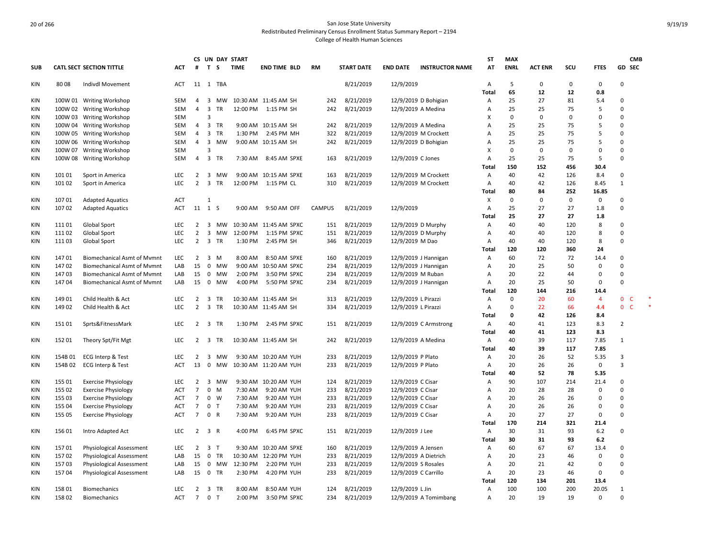|            |         |                                    |            |                     |                                           |                 | CS UN DAY START |                        |               |                        |                      |                        | <b>ST</b> | <b>MAX</b>  |                |          |                  | <b>CMB</b>                  |  |
|------------|---------|------------------------------------|------------|---------------------|-------------------------------------------|-----------------|-----------------|------------------------|---------------|------------------------|----------------------|------------------------|-----------|-------------|----------------|----------|------------------|-----------------------------|--|
| <b>SUB</b> |         | <b>CATL SECT SECTION TITTLE</b>    | ACT        | #                   | T S                                       |                 | <b>TIME</b>     | <b>END TIME BLD</b>    | RM            | <b>START DATE</b>      | <b>END DATE</b>      | <b>INSTRUCTOR NAME</b> | AT        | <b>ENRL</b> | <b>ACT ENR</b> | SCU      | <b>FTES</b>      | GD SEC                      |  |
| KIN        | 80 08   | Indivdl Movement                   | ACT        |                     |                                           | 11 1 TBA        |                 |                        |               | 8/21/2019              | 12/9/2019            |                        | Α         | 5           | $\mathbf 0$    | 0        | $\mathbf 0$      | 0                           |  |
|            |         |                                    |            |                     |                                           | <b>MW</b>       |                 |                        |               |                        |                      |                        | Total     | 65          | 12<br>27       | 12       | 0.8              | $\Omega$                    |  |
| <b>KIN</b> |         | 100W 01 Writing Workshop           | SEM        | 4<br>$\overline{4}$ | 3<br>$\overline{3}$                       | <b>TR</b>       | 12:00 PM        | 10:30 AM 11:45 AM SH   | 242           | 8/21/2019              |                      | 12/9/2019 D Bohigian   | Α         | 25<br>25    |                | 81<br>75 | 5.4              | $\Omega$                    |  |
| KIN        |         | 100W 02 Writing Workshop           | <b>SEM</b> |                     | 3                                         |                 |                 | 1:15 PM SH             | 242           | 8/21/2019              | 12/9/2019 A Medina   |                        | Α<br>X    | $\mathbf 0$ | 25<br>$\Omega$ | $\Omega$ | 5<br>$\mathbf 0$ | 0                           |  |
| KIN        |         | 100W 03 Writing Workshop           | SEM        |                     |                                           | <b>TR</b>       |                 |                        |               |                        |                      |                        | A         |             |                |          |                  | $\Omega$                    |  |
| KIN        | 100W 04 | <b>Writing Workshop</b>            | SEM        | $\overline{4}$      | $\overline{3}$                            |                 |                 | 9:00 AM 10:15 AM SH    | 242           | 8/21/2019<br>8/21/2019 | 12/9/2019 A Medina   |                        |           | 25<br>25    | 25<br>25       | 75       | 5<br>5           | 0                           |  |
| KIN        | 100W 05 | <b>Writing Workshop</b>            | SEM        | 4                   | $\overline{3}$                            | TR<br><b>MW</b> | 1:30 PM         | 2:45 PM MH             | 322           |                        |                      | 12/9/2019 M Crockett   | A         | 25          | 25             | 75<br>75 | 5                | $\Omega$                    |  |
| KIN        | 100W 06 | <b>Writing Workshop</b>            | <b>SEM</b> | $\overline{4}$      | $\overline{\mathbf{3}}$<br>$\overline{3}$ |                 |                 | 9:00 AM 10:15 AM SH    | 242           | 8/21/2019              |                      | 12/9/2019 D Bohigian   | A         |             | $\Omega$       | $\Omega$ |                  |                             |  |
| KIN        |         | 100W 07 Writing Workshop           | SEM        | $\overline{4}$      |                                           | 3 TR            |                 |                        |               |                        |                      |                        | X         | 0<br>25     |                |          | $\mathbf 0$      | 0                           |  |
| KIN        |         | 100W 08 Writing Workshop           | SEM        |                     |                                           |                 | 7:30 AM         | 8:45 AM SPXE           | 163           | 8/21/2019              | 12/9/2019 C Jones    |                        | A         |             | 25             | 75       | 5                | 0                           |  |
|            |         |                                    |            |                     |                                           |                 |                 |                        |               |                        |                      |                        | Total     | 150         | 152<br>42      | 456      | 30.4             |                             |  |
| <b>KIN</b> | 101 01  | Sport in America                   | <b>LEC</b> | $\overline{2}$      |                                           | 3 MW            |                 | 9:00 AM 10:15 AM SPXE  | 163           | 8/21/2019              |                      | 12/9/2019 M Crockett   | A         | 40          |                | 126      | 8.4              | 0                           |  |
| <b>KIN</b> | 101 02  | Sport in America                   | <b>LEC</b> | $\overline{2}$      | $\overline{\mathbf{3}}$                   | TR              | 12:00 PM        | 1:15 PM CL             | 310           | 8/21/2019              |                      | 12/9/2019 M Crockett   | А         | 40          | 42             | 126      | 8.45             | $\mathbf{1}$                |  |
|            |         |                                    |            |                     |                                           |                 |                 |                        |               |                        |                      |                        | Total     | 80          | 84             | 252      | 16.85            |                             |  |
| KIN        | 107 01  | <b>Adapted Aquatics</b>            | <b>ACT</b> |                     | $\mathbf{1}$                              |                 |                 |                        |               |                        |                      |                        | X         | 0           | $\mathbf 0$    | 0        | $\pmb{0}$        | 0                           |  |
| KIN        | 107 02  | <b>Adapted Aquatics</b>            | ACT        | 11 1 S              |                                           |                 | 9:00 AM         | 9:50 AM OFF            | <b>CAMPUS</b> | 8/21/2019              | 12/9/2019            |                        | Α         | 25          | 27             | 27       | 1.8              | 0                           |  |
|            |         |                                    |            |                     |                                           |                 |                 |                        |               |                        |                      |                        | Total     | 25          | 27             | 27       | 1.8              |                             |  |
| <b>KIN</b> | 11101   | Global Sport                       | <b>LEC</b> | 2                   |                                           | 3 MW            |                 | 10:30 AM 11:45 AM SPXC | 151           | 8/21/2019              | 12/9/2019 D Murphy   |                        | A         | 40          | 40             | 120      | 8                | $\Omega$                    |  |
| KIN        | 11102   | <b>Global Sport</b>                | LEC        | $\overline{2}$      | $\overline{3}$                            | MW              | 12:00 PM        | 1:15 PM SPXC           | 151           | 8/21/2019              |                      | 12/9/2019 D Murphy     | Α         | 40          | 40             | 120      | 8                | 0                           |  |
| <b>KIN</b> | 11103   | <b>Global Sport</b>                | <b>LEC</b> | $\overline{2}$      |                                           | 3 TR            | 1:30 PM         | 2:45 PM SH             | 346           | 8/21/2019              | 12/9/2019 M Dao      |                        | Α         | 40          | 40             | 120      | 8                | $\Omega$                    |  |
|            |         |                                    |            |                     |                                           |                 |                 |                        |               |                        |                      |                        | Total     | 120         | 120            | 360      | 24               |                             |  |
| KIN        | 14701   | <b>Biomechanical Asmt of Mvmnt</b> | <b>LEC</b> | $\overline{2}$      | $\overline{3}$                            | M               | 8:00 AM         | 8:50 AM SPXE           | 160           | 8/21/2019              |                      | 12/9/2019 J Hannigan   | A         | 60          | 72             | 72       | 14.4             | $\Omega$                    |  |
| KIN        | 14702   | <b>Biomechanical Asmt of Mymnt</b> | LAB        | 15                  | $\mathbf 0$                               | <b>MW</b>       | 9:00 AM         | 10:50 AM SPXC          | 234           | 8/21/2019              |                      | 12/9/2019 J Hannigan   | Α         | 20          | 25             | 50       | $\mathbf 0$      | 0                           |  |
| KIN        | 14703   | <b>Biomechanical Asmt of Mymnt</b> | LAB        | 15                  |                                           | 0 MW            | 2:00 PM         | 3:50 PM SPXC           | 234           | 8/21/2019              | 12/9/2019 M Ruban    |                        | A         | 20          | 22             | 44       | $\mathbf 0$      | $\Omega$                    |  |
| KIN        | 14704   | <b>Biomechanical Asmt of Mymnt</b> | LAB        | 15                  |                                           | 0 MW            | 4:00 PM         | 5:50 PM SPXC           | 234           | 8/21/2019              |                      | 12/9/2019 J Hannigan   | Α         | 20          | 25             | 50       | $\mathbf 0$      | 0                           |  |
|            |         |                                    |            |                     |                                           |                 |                 |                        |               |                        |                      |                        | Total     | 120         | 144            | 216      | 14.4             |                             |  |
| KIN        | 149 01  | Child Health & Act                 | <b>LEC</b> | $\overline{2}$      | $\overline{3}$                            | TR              |                 | 10:30 AM 11:45 AM SH   | 313           | 8/21/2019              | 12/9/2019 L Pirazzi  |                        | Α         | 0           | 20             | 60       | $\overline{4}$   | $\mathbf{0}$<br>C           |  |
| KIN        | 14902   | Child Health & Act                 | LEC        | $\overline{2}$      |                                           | 3 TR            |                 | 10:30 AM 11:45 AM SH   | 334           | 8/21/2019              | 12/9/2019 L Pirazzi  |                        | Α         | 0           | 22             | 66       | 4.4              | $\mathsf{C}$<br>$\mathbf 0$ |  |
|            |         |                                    |            |                     |                                           |                 |                 |                        |               |                        |                      |                        | Total     | $\mathbf 0$ | 42             | 126      | 8.4              |                             |  |
| KIN        | 15101   | Sprts&FitnessMark                  | <b>LEC</b> | 2                   | 3 TR                                      |                 | 1:30 PM         | 2:45 PM SPXC           | 151           | 8/21/2019              |                      | 12/9/2019 C Armstrong  | A         | 40          | 41             | 123      | 8.3              | $\overline{2}$              |  |
|            |         |                                    |            |                     |                                           |                 |                 |                        |               |                        |                      |                        | Total     | 40          | 41             | 123      | 8.3              |                             |  |
| KIN        | 15201   | Theory Spt/Fit Mgt                 | <b>LEC</b> | $\overline{2}$      |                                           | 3 TR            |                 | 10:30 AM 11:45 AM SH   | 242           | 8/21/2019              | 12/9/2019 A Medina   |                        | Α         | 40          | 39             | 117      | 7.85             | 1                           |  |
|            |         |                                    |            |                     |                                           |                 |                 |                        |               |                        |                      |                        | Total     | 40          | 39             | 117      | 7.85             |                             |  |
| KIN        | 154B 01 | ECG Interp & Test                  | LEC        | $\overline{2}$      |                                           | 3 MW            |                 | 9:30 AM 10:20 AM YUH   | 233           | 8/21/2019              | 12/9/2019 P Plato    |                        | Α         | 20          | 26             | 52       | 5.35             | 3                           |  |
| <b>KIN</b> | 154B 02 | ECG Interp & Test                  | ACT        | 13                  | 0                                         | MW              |                 | 10:30 AM 11:20 AM YUH  | 233           | 8/21/2019              | 12/9/2019 P Plato    |                        | Α         | 20          | 26             | 26       | $\mathbf 0$      | 3                           |  |
|            |         |                                    |            |                     |                                           |                 |                 |                        |               |                        |                      |                        | Total     | 40          | 52             | 78       | 5.35             |                             |  |
| <b>KIN</b> | 155 01  | <b>Exercise Physiology</b>         | LEC        | $\overline{2}$      |                                           | 3 MW            |                 | 9:30 AM 10:20 AM YUH   | 124           | 8/21/2019              | 12/9/2019 C Cisar    |                        | Α         | 90          | 107            | 214      | 21.4             | 0                           |  |
| KIN        | 155 02  | <b>Exercise Physiology</b>         | <b>ACT</b> | $\overline{7}$      |                                           | $0$ M           | 7:30 AM         | 9:20 AM YUH            | 233           | 8/21/2019              | 12/9/2019 C Cisar    |                        | A         | 20          | 28             | 28       | 0                | $\Omega$                    |  |
| KIN        | 155 03  | <b>Exercise Physiology</b>         | <b>ACT</b> | $\overline{7}$      |                                           | $0 \quad W$     | 7:30 AM         | 9:20 AM YUH            | 233           | 8/21/2019              | 12/9/2019 C Cisar    |                        | Α         | 20          | 26             | 26       | $\mathbf 0$      | 0                           |  |
| KIN        | 155 04  | <b>Exercise Physiology</b>         | ACT        | $7\overline{ }$     | 0 <sub>T</sub>                            |                 | 7:30 AM         | 9:20 AM YUH            | 233           | 8/21/2019              | 12/9/2019 C Cisar    |                        | Α         | 20          | 26             | 26       | $\mathbf 0$      | $\Omega$                    |  |
| KIN        | 155 05  | <b>Exercise Physiology</b>         | ACT        | $\overline{7}$      | 0 R                                       |                 | 7:30 AM         | 9:20 AM YUH            | 233           | 8/21/2019              | 12/9/2019 C Cisar    |                        | Α         | 20          | 27             | 27       | $\mathbf 0$      | 0                           |  |
|            |         |                                    |            |                     |                                           |                 |                 |                        |               |                        |                      |                        | Total     | 170         | 214            | 321      | 21.4             |                             |  |
| <b>KIN</b> | 156 01  | Intro Adapted Act                  | LEC        | $\overline{2}$      | 3 R                                       |                 | 4:00 PM         | 6:45 PM SPXC           | 151           | 8/21/2019              | 12/9/2019 J Lee      |                        | Α         | 30          | 31             | 93       | 6.2              | 0                           |  |
|            |         |                                    |            |                     |                                           |                 |                 |                        |               |                        |                      |                        | Total     | 30          | 31             | 93       | 6.2              |                             |  |
| <b>KIN</b> | 15701   | <b>Physiological Assessment</b>    | <b>LEC</b> |                     | $2 \quad 3 \quad T$                       |                 |                 | 9:30 AM 10:20 AM SPXE  | 160           | 8/21/2019              | 12/9/2019 A Jensen   |                        | Α         | 60          | 67             | 67       | 13.4             | 0                           |  |
| KIN        | 15702   | Physiological Assessment           | LAB        | 15                  | $\mathbf 0$                               | TR              | 10:30 AM        | 12:20 PM YUH           | 233           | 8/21/2019              |                      | 12/9/2019 A Dietrich   | Α         | 20          | 23             | 46       | $\mathbf 0$      | $\Omega$                    |  |
| KIN        | 15703   | Physiological Assessment           | LAB        | 15                  |                                           | 0 MW            | 12:30 PM        | 2:20 PM YUH            | 233           | 8/21/2019              | 12/9/2019 S Rosales  |                        | Α         | 20          | 21             | 42       | $\mathbf 0$      | 0                           |  |
| KIN        | 157 04  | Physiological Assessment           | LAB        | 15                  | $\mathbf 0$                               | TR              | 2:30 PM         | 4:20 PM YUH            | 233           | 8/21/2019              | 12/9/2019 C Carrillo |                        | A         | 20          | 23             | 46       | $\mathbf 0$      | $\Omega$                    |  |
|            |         |                                    |            |                     |                                           |                 |                 |                        |               |                        |                      |                        | Total     | 120         | 134            | 201      | 13.4             |                             |  |
| KIN        | 158 01  | <b>Biomechanics</b>                | <b>LEC</b> | 2                   | $\overline{3}$                            | TR              | 8:00 AM         | 8:50 AM YUH            | 124           | 8/21/2019              | 12/9/2019 L Jin      |                        | A         | 100         | 100            | 200      | 20.05            | $\mathbf{1}$                |  |
| KIN        | 15802   | <b>Biomechanics</b>                | <b>ACT</b> | $7^{\circ}$         | $\mathbf 0$                               | $\mathsf{T}$    | 2:00 PM         | 3:50 PM SPXC           | 234           | 8/21/2019              |                      | 12/9/2019 A Tomimbang  | Α         | 20          | 19             | 19       | $\mathbf 0$      | 0                           |  |
|            |         |                                    |            |                     |                                           |                 |                 |                        |               |                        |                      |                        |           |             |                |          |                  |                             |  |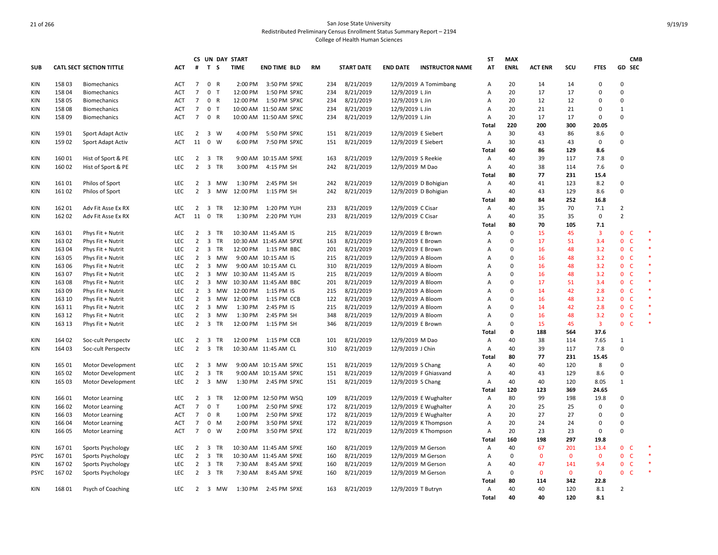|             |        |                          |            |                |                         |           | CS UN DAY START |                        |           |                   |                   |                        | <b>ST</b>      | <b>MAX</b>  |                |              |                | <b>CMB</b>                     |  |
|-------------|--------|--------------------------|------------|----------------|-------------------------|-----------|-----------------|------------------------|-----------|-------------------|-------------------|------------------------|----------------|-------------|----------------|--------------|----------------|--------------------------------|--|
| <b>SUB</b>  |        | CATL SECT SECTION TITTLE | ACT        | #              | T S                     |           | <b>TIME</b>     | <b>END TIME BLD</b>    | <b>RM</b> | <b>START DATE</b> | <b>END DATE</b>   | <b>INSTRUCTOR NAME</b> | AT             | <b>ENRL</b> | <b>ACT ENR</b> | SCU          | <b>FTES</b>    | GD SEC                         |  |
| KIN         | 15803  | <b>Biomechanics</b>      | ACT        | $\overline{7}$ | 0 R                     |           | 2:00 PM         | 3:50 PM SPXC           | 234       | 8/21/2019         |                   | 12/9/2019 A Tomimbang  | Α              | 20          | 14             | 14           | 0              | 0                              |  |
| <b>KIN</b>  | 15804  | <b>Biomechanics</b>      | <b>ACT</b> | $\overline{7}$ | 0 <sub>T</sub>          |           | 12:00 PM        | 1:50 PM SPXC           | 234       | 8/21/2019         | 12/9/2019 L Jin   |                        | Α              | 20          | 17             | 17           | $\mathbf 0$    | $\mathbf 0$                    |  |
| <b>KIN</b>  | 15805  | <b>Biomechanics</b>      | ACT        | $\overline{7}$ | 0 R                     |           | 12:00 PM        | 1:50 PM SPXC           | 234       | 8/21/2019         | 12/9/2019 L Jin   |                        | А              | 20          | 12             | 12           | 0              | $\mathsf 0$                    |  |
| <b>KIN</b>  | 15808  | <b>Biomechanics</b>      | <b>ACT</b> | $\overline{7}$ | 0 <sub>T</sub>          |           |                 | 10:00 AM 11:50 AM SPXC | 234       | 8/21/2019         | 12/9/2019 LJin    |                        | Α              | 20          | 21             | 21           | 0              | $\mathbf{1}$                   |  |
| KIN         | 15809  | <b>Biomechanics</b>      | <b>ACT</b> | $\overline{7}$ | 0 R                     |           |                 | 10:00 AM 11:50 AM SPXC | 234       | 8/21/2019         | 12/9/2019 L Jin   |                        | Α              | 20          | 17             | 17           | 0              | 0                              |  |
|             |        |                          |            |                |                         |           |                 |                        |           |                   |                   |                        | <b>Total</b>   | 220         | 200            | 300          | 20.05          |                                |  |
| KIN         | 159 01 | Sport Adapt Activ        | <b>LEC</b> | $\overline{2}$ | 3 W                     |           | 4:00 PM         | 5:50 PM SPXC           | 151       | 8/21/2019         |                   | 12/9/2019 E Siebert    | Α              | 30          | 43             | 86           | 8.6            | 0                              |  |
| KIN         | 159 02 | Sport Adapt Activ        | ACT        | 11             | $0 \quad W$             |           | 6:00 PM         | 7:50 PM SPXC           | 151       | 8/21/2019         |                   | 12/9/2019 E Siebert    | Α              | 30          | 43             | 43           | 0              | 0                              |  |
|             |        |                          |            |                |                         |           |                 |                        |           |                   |                   |                        | Total          | 60          | 86             | 129          | 8.6            |                                |  |
| <b>KIN</b>  | 16001  | Hist of Sport & PE       | <b>LEC</b> |                | 2 3 TR                  |           |                 | 9:00 AM 10:15 AM SPXE  | 163       | 8/21/2019         |                   | 12/9/2019 S Reekie     | Α              | 40          | 39             | 117          | 7.8            | 0                              |  |
| KIN         | 16002  | Hist of Sport & PE       | <b>LEC</b> | $\overline{2}$ |                         | 3 TR      | 3:00 PM         | 4:15 PM SH             | 242       | 8/21/2019         | 12/9/2019 M Dao   |                        | Α              | 40          | 38             | 114          | 7.6            | 0                              |  |
|             |        |                          |            |                |                         |           |                 |                        |           |                   |                   |                        | Total          | 80          | 77             | 231          | 15.4           |                                |  |
| <b>KIN</b>  | 16101  | Philos of Sport          | <b>LEC</b> | $\overline{2}$ |                         | 3 MW      | 1:30 PM         | 2:45 PM SH             | 242       | 8/21/2019         |                   | 12/9/2019 D Bohigian   | Α              | 40          | 41             | 123          | 8.2            | 0                              |  |
| KIN         | 161 02 | Philos of Sport          | LEC        | $\overline{2}$ | $\overline{\mathbf{3}}$ | MW        | 12:00 PM        | 1:15 PM SH             | 242       | 8/21/2019         |                   | 12/9/2019 D Bohigian   | Α              | 40          | 43             | 129          | 8.6            | $\mathsf 0$                    |  |
|             |        |                          |            |                |                         |           |                 |                        |           |                   |                   |                        | Total          | 80          | 84             | 252          | 16.8           |                                |  |
| <b>KIN</b>  | 162 01 | Adv Fit Asse Ex RX       | LEC        | 2              | 3                       | TR        | 12:30 PM        | 1:20 PM YUH            | 233       | 8/21/2019         | 12/9/2019 C Cisar |                        | Α              | 40          | 35             | 70           | 7.1            | $\overline{2}$                 |  |
| KIN         | 162 02 | Adv Fit Asse Ex RX       | ACT        | 11             |                         | 0 TR      | 1:30 PM         | 2:20 PM YUH            | 233       | 8/21/2019         | 12/9/2019 C Cisar |                        | Α              | 40          | 35             | 35           | 0              | $\overline{2}$                 |  |
|             |        |                          |            |                |                         |           |                 |                        |           |                   |                   |                        | Total          | 80          | 70             | 105          | 7.1            |                                |  |
| <b>KIN</b>  | 16301  | Phys Fit + Nutrit        | <b>LEC</b> | $\overline{2}$ |                         | 3 TR      |                 | 10:30 AM 11:45 AM IS   | 215       | 8/21/2019         |                   | 12/9/2019 E Brown      | Α              | $\Omega$    | 15             | 45           | 3              | $\mathbf{0}$<br>C              |  |
| <b>KIN</b>  | 163 02 | Phys Fit + Nutrit        | LEC        | $\overline{2}$ | $\overline{\mathbf{3}}$ | TR        |                 | 10:30 AM 11:45 AM SPXE | 163       | 8/21/2019         |                   | 12/9/2019 E Brown      | А              | 0           | 17             | 51           | 3.4            | 0<br>$\mathsf{C}$              |  |
| <b>KIN</b>  | 163 04 | Phys Fit + Nutrit        | <b>LEC</b> | $\overline{2}$ |                         | 3 TR      |                 | 12:00 PM 1:15 PM BBC   | 201       | 8/21/2019         |                   | 12/9/2019 E Brown      | Α              | 0           | 16             | 48           | 3.2            | $\mathsf{C}$<br>$\mathbf 0$    |  |
| <b>KIN</b>  | 163 05 | Phys Fit + Nutrit        | <b>LEC</b> | $\overline{2}$ |                         | 3 MW      |                 | 9:00 AM 10:15 AM IS    | 215       | 8/21/2019         |                   | 12/9/2019 A Bloom      | Α              | $\Omega$    | 16             | 48           | 3.2            | $\mathsf{C}$<br>0              |  |
| <b>KIN</b>  | 163 06 | Phys Fit + Nutrit        | <b>LEC</b> |                |                         | 2 3 MW    |                 | 9:00 AM 10:15 AM CL    | 310       | 8/21/2019         |                   | 12/9/2019 A Bloom      | A              | $\Omega$    | 16             | 48           | 3.2            | 0 <sub>c</sub>                 |  |
| <b>KIN</b>  | 163 07 | Phys Fit + Nutrit        | <b>LEC</b> | $\overline{2}$ | $\overline{\mathbf{3}}$ | <b>MW</b> |                 | 10:30 AM 11:45 AM IS   | 215       | 8/21/2019         |                   | 12/9/2019 A Bloom      | A              | $\Omega$    | 16             | 48           | 3.2            | $\mathbf{0}$<br>C              |  |
| <b>KIN</b>  | 16308  | Phys Fit + Nutrit        | LEC        | $\overline{2}$ | $\overline{\mathbf{3}}$ | MW        |                 | 10:30 AM 11:45 AM BBC  | 201       | 8/21/2019         |                   | 12/9/2019 A Bloom      | $\overline{A}$ | $\Omega$    | 17             | 51           | 3.4            | $0-$                           |  |
| <b>KIN</b>  | 16309  | Phys Fit + Nutrit        | <b>LEC</b> | $\overline{2}$ | $\overline{\mathbf{3}}$ | МW        | 12:00 PM        | 1:15 PM IS             | 215       | 8/21/2019         |                   | 12/9/2019 A Bloom      | Α              | $\mathbf 0$ | 14             | 42           | 2.8            | $\mathsf{C}$<br>0              |  |
| <b>KIN</b>  | 163 10 | Phys Fit + Nutrit        | LEC        | $\overline{2}$ | 3                       | МW        | 12:00 PM        | 1:15 PM CCB            | 122       | 8/21/2019         |                   | 12/9/2019 A Bloom      | A              | $\Omega$    | 16             | 48           | 3.2            | $\mathbf{0}$<br><b>C</b>       |  |
| <b>KIN</b>  | 163 11 | Phys Fit + Nutrit        | <b>LEC</b> | $\overline{2}$ | $\overline{\mathbf{3}}$ | MW        | 1:30 PM         | 2:45 PM IS             | 215       | 8/21/2019         |                   | 12/9/2019 A Bloom      | A              | $\Omega$    | 14             | 42           | 2.8            | $0-$                           |  |
| <b>KIN</b>  | 163 12 | Phys Fit + Nutrit        | LEC        | $\overline{2}$ | 3                       | MW        | 1:30 PM         | 2:45 PM SH             | 348       | 8/21/2019         |                   | 12/9/2019 A Bloom      | Α              | $\Omega$    | 16             | 48           | 3.2            | $\mathbf 0$<br>$\mathsf{C}$    |  |
| <b>KIN</b>  | 163 13 | Phys Fit + Nutrit        | <b>LEC</b> | $\overline{2}$ |                         | 3 TR      | 12:00 PM        | 1:15 PM SH             | 346       | 8/21/2019         |                   | 12/9/2019 E Brown      | Α              | $\Omega$    | 15             | 45           | $\overline{3}$ | $\mathbf{0}$<br>-C             |  |
|             |        |                          |            |                |                         |           |                 |                        |           |                   |                   |                        | Total          | 0           | 188            | 564          | 37.6           |                                |  |
| <b>KIN</b>  | 164 02 | Soc-cult Perspectv       | LEC        | $\overline{2}$ | $\overline{\mathbf{3}}$ | TR        | 12:00 PM        | 1:15 PM CCB            | 101       | 8/21/2019         | 12/9/2019 M Dao   |                        | Α              | 40          | 38             | 114          | 7.65           | $\mathbf{1}$                   |  |
| KIN         | 164 03 | Soc-cult Perspectv       | LEC        | $\overline{2}$ |                         | 3 TR      |                 | 10:30 AM 11:45 AM CL   | 310       | 8/21/2019         | 12/9/2019 J Chin  |                        | Α              | 40          | 39             | 117          | 7.8            | 0                              |  |
|             |        |                          |            |                |                         |           |                 |                        |           |                   |                   |                        | <b>Total</b>   | 80          | 77             | 231          | 15.45          |                                |  |
| <b>KIN</b>  | 165 01 | Motor Development        | <b>LEC</b> |                |                         | 2 3 MW    |                 | 9:00 AM 10:15 AM SPXC  | 151       | 8/21/2019         | 12/9/2019 S Chang |                        | Α              | 40          | 40             | 120          | 8              | $\Omega$                       |  |
| KIN         | 165 02 | Motor Development        | <b>LEC</b> | $\overline{2}$ |                         | 3 TR      |                 | 9:00 AM 10:15 AM SPXC  | 151       | 8/21/2019         |                   | 12/9/2019 F Ghiasvand  | Α              | 40          | 43             | 129          | 8.6            | $\mathbf 0$                    |  |
| KIN         | 165 03 | Motor Development        | <b>LEC</b> | $\overline{2}$ |                         | 3 MW      | 1:30 PM         | 2:45 PM SPXC           | 151       | 8/21/2019         |                   | 12/9/2019 S Chang      | Α              | 40          | 40             | 120          | 8.05           | $\mathbf{1}$                   |  |
|             |        |                          |            |                |                         |           |                 |                        |           |                   |                   |                        | Total          | 120         | 123            | 369          | 24.65          |                                |  |
| KIN         | 166 01 | <b>Motor Learning</b>    | <b>LEC</b> |                | 2 3 TR                  |           |                 | 12:00 PM 12:50 PM WSQ  | 109       | 8/21/2019         |                   | 12/9/2019 E Wughalter  | Α              | 80          | 99             | 198          | 19.8           | 0                              |  |
| <b>KIN</b>  | 16602  | <b>Motor Learning</b>    | ACT        | $\overline{7}$ | 0 <sub>T</sub>          |           | 1:00 PM         | 2:50 PM SPXE           | 172       | 8/21/2019         |                   | 12/9/2019 E Wughalter  | Α              | 20          | 25             | 25           | 0              | $\mathbf 0$                    |  |
| <b>KIN</b>  | 16603  | Motor Learning           | <b>ACT</b> | $7^{\circ}$    | 0 R                     |           | 1:00 PM         | 2:50 PM SPXE           | 172       | 8/21/2019         |                   | 12/9/2019 E Wughalter  | Α              | 20          | 27             | 27           | $\mathbf 0$    | $\mathbf 0$                    |  |
| KIN         | 16604  | Motor Learning           | ACT        | $\overline{7}$ | $0$ M                   |           | 2:00 PM         | 3:50 PM SPXE           | 172       | 8/21/2019         |                   | 12/9/2019 K Thompson   | Α              | 20          | 24             | 24           | 0              | 0                              |  |
| KIN         | 166 05 | Motor Learning           | <b>ACT</b> | $\overline{7}$ | $0 \quad W$             |           | 2:00 PM         | 3:50 PM SPXE           | 172       | 8/21/2019         |                   | 12/9/2019 K Thompson   | Α              | 20          | 23             | 23           | 0              | $\Omega$                       |  |
|             |        |                          |            |                |                         |           |                 |                        |           |                   |                   |                        | Total          | 160         | 198            | 297          | 19.8           |                                |  |
| KIN         | 16701  | Sports Psychology        | <b>LEC</b> | $\overline{2}$ |                         | 3 TR      |                 | 10:30 AM 11:45 AM SPXE | 160       | 8/21/2019         |                   | 12/9/2019 M Gerson     | Α              | 40          | 67             | 201          | 13.4           | $\mathbf 0$<br><b>C</b>        |  |
| <b>PSYC</b> | 16701  | Sports Psychology        | LEC        | $\overline{2}$ |                         | 3 TR      |                 | 10:30 AM 11:45 AM SPXE | 160       | 8/21/2019         |                   | 12/9/2019 M Gerson     | Α              | $\mathbf 0$ | $\mathbf{0}$   | $\mathbf{0}$ | $\mathbf 0$    | $\mathbf{0}$<br>$\mathsf{C}$   |  |
| KIN         | 16702  | Sports Psychology        | <b>LEC</b> | $\overline{2}$ |                         | 3 TR      | 7:30 AM         | 8:45 AM SPXE           | 160       | 8/21/2019         |                   | 12/9/2019 M Gerson     | Α              | 40          | 47             | 141          | 9.4            | $\mathbf 0$<br>$\mathsf{C}$    |  |
| <b>PSYC</b> | 16702  | Sports Psychology        | LEC        | $\overline{2}$ |                         | 3 TR      | 7:30 AM         | 8:45 AM SPXE           | 160       | 8/21/2019         |                   | 12/9/2019 M Gerson     | Α              | $\mathbf 0$ | $\mathbf{0}$   | $\mathbf 0$  | $\mathbf 0$    | $\overline{0}$<br>$\mathsf{C}$ |  |
|             |        |                          |            |                |                         |           |                 |                        |           |                   |                   |                        | Total          | 80          | 114            | 342          | 22.8           |                                |  |
| KIN         | 16801  | Psych of Coaching        | <b>LEC</b> |                |                         | 2 3 MW    | 1:30 PM         | 2:45 PM SPXE           | 163       | 8/21/2019         |                   | 12/9/2019 T Butryn     | A              | 40          | 40             | 120          | 8.1            | $\overline{2}$                 |  |
|             |        |                          |            |                |                         |           |                 |                        |           |                   |                   |                        | Total          | 40          | 40             | 120          | 8.1            |                                |  |
|             |        |                          |            |                |                         |           |                 |                        |           |                   |                   |                        |                |             |                |              |                |                                |  |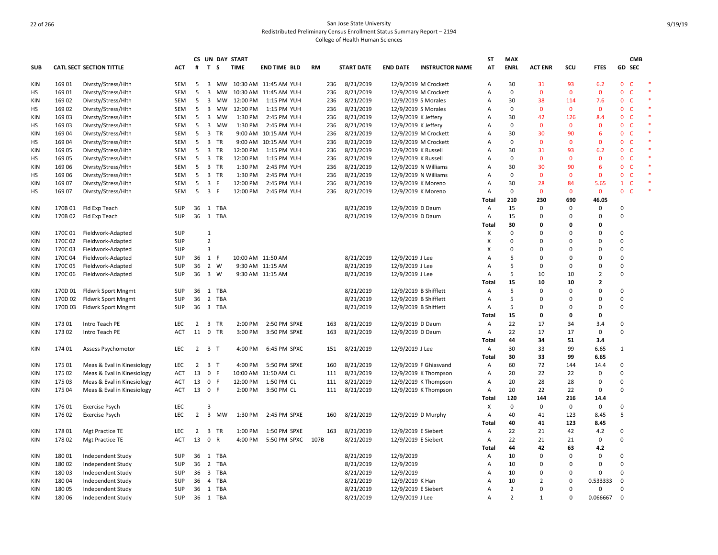|            |         |                                 |            |                     |                         | CS UN DAY START |             |                       |           |     |                   |                       |                        | <b>ST</b> | <b>MAX</b>     |                |              |                | <b>CMB</b>                   |  |
|------------|---------|---------------------------------|------------|---------------------|-------------------------|-----------------|-------------|-----------------------|-----------|-----|-------------------|-----------------------|------------------------|-----------|----------------|----------------|--------------|----------------|------------------------------|--|
| <b>SUB</b> |         | <b>CATL SECT SECTION TITTLE</b> | <b>ACT</b> | #                   | T S                     |                 | <b>TIME</b> | <b>END TIME BLD</b>   | <b>RM</b> |     | <b>START DATE</b> | <b>END DATE</b>       | <b>INSTRUCTOR NAME</b> | AT        | <b>ENRL</b>    | <b>ACT ENR</b> | SCU          | <b>FTES</b>    | GD SEC                       |  |
| KIN        | 169 01  | Divrsty/Stress/Hlth             | SEM        | 5                   | 3                       | МW              |             | 10:30 AM 11:45 AM YUH |           | 236 | 8/21/2019         |                       | 12/9/2019 M Crockett   | A         | 30             | 31             | 93           | 6.2            | $\mathbf{0}$<br>C            |  |
| HS         | 169 01  | Divrsty/Stress/Hlth             | SEM        | 5                   |                         | 3 MW            |             | 10:30 AM 11:45 AM YUH |           | 236 | 8/21/2019         |                       | 12/9/2019 M Crockett   | Α         | 0              | $\mathbf{0}$   | $\mathbf{0}$ | $\mathbf 0$    | $\mathbf{0}$<br>$\mathsf{C}$ |  |
| <b>KIN</b> | 169 02  | Divrsty/Stress/Hlth             | SEM        | 5                   | $\overline{\mathbf{3}}$ | MW              | 12:00 PM    | 1:15 PM YUH           |           | 236 | 8/21/2019         | 12/9/2019 S Morales   |                        | Α         | 30             | 38             | 114          | 7.6            | $\mathsf{C}$<br>$\mathbf 0$  |  |
| HS         | 169 02  | Divrsty/Stress/Hlth             | SEM        | 5                   | $\overline{\mathbf{3}}$ | МW              | 12:00 PM    | 1:15 PM YUH           |           | 236 | 8/21/2019         | 12/9/2019 S Morales   |                        | Α         | $\mathbf 0$    | $\mathbf{0}$   | $\mathbf 0$  | $\mathbf 0$    | $\mathbf{0}$<br>$\mathsf{C}$ |  |
| KIN        | 169 03  | Divrsty/Stress/Hlth             | SEM        | 5                   | $\overline{\mathbf{3}}$ | МW              | 1:30 PM     | 2:45 PM YUH           |           | 236 | 8/21/2019         | 12/9/2019 K Jeffery   |                        | A         | 30             | 42             | 126          | 8.4            | $\mathbf{0}$<br>$\mathsf{C}$ |  |
| НS         | 16903   | Divrsty/Stress/Hlth             | SEM        | 5                   | $\overline{3}$          | MW              | 1:30 PM     | 2:45 PM YUH           |           | 236 | 8/21/2019         | 12/9/2019 K Jeffery   |                        | A         | 0              | $\Omega$       | $\mathbf{0}$ | $\mathbf 0$    | $\mathbf{0}$<br>$\mathsf{C}$ |  |
| <b>KIN</b> | 16904   | Divrsty/Stress/Hlth             | <b>SEM</b> | 5                   | $\overline{\mathbf{3}}$ | <b>TR</b>       |             | 9:00 AM 10:15 AM YUH  |           | 236 | 8/21/2019         |                       | 12/9/2019 M Crockett   | A         | 30             | 30             | 90           | 6              | $\mathbf{0}$<br><b>C</b>     |  |
| HS         | 16904   | Divrsty/Stress/Hlth             | SEM        | 5                   |                         | 3 TR            |             | 9:00 AM 10:15 AM YUH  |           | 236 | 8/21/2019         |                       | 12/9/2019 M Crockett   | A         | 0              | $\Omega$       | $\mathbf 0$  | $\mathbf 0$    | $\mathbf 0$<br>$\mathsf{C}$  |  |
| KIN        | 169 05  | Divrsty/Stress/Hlth             | SEM        | 5                   | 3                       | TR              | 12:00 PM    | 1:15 PM YUH           |           | 236 | 8/21/2019         | 12/9/2019 K Russell   |                        | A         | 30             | 31             | 93           | 6.2            | $\mathsf{C}$<br>$\mathbf{0}$ |  |
| HS         | 169 05  | Divrsty/Stress/Hlth             | SEM        | 5                   |                         | 3 TR            | 12:00 PM    | 1:15 PM YUH           |           | 236 | 8/21/2019         | 12/9/2019 K Russell   |                        | A         | 0              | $\mathbf{0}$   | $\mathbf 0$  | $\mathbf 0$    | $\mathbf{0}$<br>$\mathsf{C}$ |  |
| <b>KIN</b> | 169 06  | Divrsty/Stress/Hlth             | <b>SEM</b> | 5                   |                         | 3 TR            | 1:30 PM     | 2:45 PM YUH           |           | 236 | 8/21/2019         | 12/9/2019 N Williams  |                        | A         | 30             | 30             | 90           | 6              | $\mathsf{C}$<br>$\mathbf{0}$ |  |
| HS         | 169 06  | Divrsty/Stress/Hlth             | SEM        | 5                   |                         | 3 TR            | 1:30 PM     | 2:45 PM YUH           |           | 236 | 8/21/2019         | 12/9/2019 N Williams  |                        | Α         | $\mathbf 0$    | $\Omega$       | $\mathbf{0}$ | $\mathbf{0}$   | $\mathbf{0}$<br>$\mathsf{C}$ |  |
| <b>KIN</b> | 169 07  | Divrsty/Stress/Hlth             | SEM        | 5                   | 3 F                     |                 | 12:00 PM    | 2:45 PM YUH           |           | 236 | 8/21/2019         | 12/9/2019 K Moreno    |                        | Α         | 30             | 28             | 84           | 5.65           | $\mathsf{C}$<br>$\mathbf{1}$ |  |
| НS         | 169 07  | Divrsty/Stress/Hlth             | SEM        | 5                   | $\overline{\mathbf{3}}$ | F               | 12:00 PM    | 2:45 PM YUH           |           | 236 | 8/21/2019         | 12/9/2019 K Moreno    |                        | Α         | $\pmb{0}$      | $\overline{0}$ | $\mathbf 0$  | $\mathbf 0$    | $\mathbf 0$<br>$\mathsf{C}$  |  |
|            |         |                                 |            |                     |                         |                 |             |                       |           |     |                   |                       |                        | Total     | 210            | 230            | 690          | 46.05          |                              |  |
| <b>KIN</b> | 170B 01 | Fld Exp Teach                   | SUP        |                     |                         | 36 1 TBA        |             |                       |           |     | 8/21/2019         | 12/9/2019 D Daum      |                        | Α         | 15             | $\Omega$       | 0            | 0              | $\mathbf 0$                  |  |
| KIN        | 170B 02 | Fld Exp Teach                   | <b>SUP</b> |                     |                         | 36 1 TBA        |             |                       |           |     | 8/21/2019         | 12/9/2019 D Daum      |                        | Α         | 15             | $\Omega$       | 0            | $\mathbf 0$    | $\Omega$                     |  |
|            |         |                                 |            |                     |                         |                 |             |                       |           |     |                   |                       |                        | Total     | 30             | 0              | $\Omega$     | 0              |                              |  |
| KIN        | 170C 01 | Fieldwork-Adapted               | <b>SUP</b> |                     | 1                       |                 |             |                       |           |     |                   |                       |                        | Χ         | 0              | $\Omega$       | $\Omega$     | $\mathbf 0$    | 0                            |  |
| KIN        | 170C02  | Fieldwork-Adapted               | <b>SUP</b> |                     | $\overline{2}$          |                 |             |                       |           |     |                   |                       |                        | X         | $\mathbf 0$    | $\Omega$       | $\Omega$     | $\overline{0}$ | $\Omega$                     |  |
| KIN        | 170C03  | Fieldwork-Adapted               | <b>SUP</b> |                     | 3                       |                 |             |                       |           |     |                   |                       |                        | X         | $\mathbf 0$    | $\Omega$       | $\Omega$     | $\mathbf 0$    | $\Omega$                     |  |
| KIN        | 170C04  | Fieldwork-Adapted               | SUP        | 36                  | 1 F                     |                 |             | 10:00 AM 11:50 AM     |           |     | 8/21/2019         | 12/9/2019 J Lee       |                        | A         | 5              | $\Omega$       | $\Omega$     | $\Omega$       | $\Omega$                     |  |
| KIN        | 170C05  | Fieldwork-Adapted               | SUP        | 36                  |                         | 2 W             |             | 9:30 AM 11:15 AM      |           |     | 8/21/2019         | 12/9/2019 J Lee       |                        | Α         | 5              | $\mathbf 0$    | 0            | $\mathbf 0$    | $\Omega$                     |  |
| KIN        | 170C06  | Fieldwork-Adapted               | SUP        | 36                  |                         | 3 W             |             | 9:30 AM 11:15 AM      |           |     | 8/21/2019         | 12/9/2019 J Lee       |                        | Α         | 5              | 10             | 10           | $\overline{2}$ | 0                            |  |
|            |         |                                 |            |                     |                         |                 |             |                       |           |     |                   |                       |                        | Total     | 15             | 10             | 10           | $\overline{2}$ |                              |  |
| <b>KIN</b> | 170D 01 | <b>Fldwrk Sport Mngmt</b>       | SUP        | 36                  |                         | 1 TBA           |             |                       |           |     | 8/21/2019         | 12/9/2019 B Shifflett |                        | A         | 5              | $\Omega$       | $\Omega$     | $\mathbf 0$    | $\Omega$                     |  |
| KIN        | 170D 02 | Fldwrk Sport Mngmt              | SUP        | 36                  |                         | 2 TBA           |             |                       |           |     | 8/21/2019         | 12/9/2019 B Shifflett |                        | Α         | 5              | $\Omega$       | $\Omega$     | $\mathbf 0$    | $\Omega$                     |  |
| KIN        | 170D 03 | Fldwrk Sport Mngmt              | SUP        | 36                  |                         | 3 TBA           |             |                       |           |     | 8/21/2019         | 12/9/2019 B Shifflett |                        | Α         | 5              | $\mathbf 0$    | $\Omega$     | 0              | $\Omega$                     |  |
|            |         |                                 |            |                     |                         |                 |             |                       |           |     |                   |                       |                        | Total     | 15             | $\mathbf{0}$   | $\mathbf 0$  | 0              |                              |  |
| KIN        | 17301   | Intro Teach PE                  | <b>LEC</b> | 2                   | 3                       | <b>TR</b>       | 2:00 PM     | 2:50 PM SPXE          |           | 163 | 8/21/2019         | 12/9/2019 D Daum      |                        | A         | 22             | 17             | 34           | 3.4            | $\Omega$                     |  |
| KIN        | 17302   | Intro Teach PE                  | <b>ACT</b> | 11                  |                         | 0 TR            | 3:00 PM     | 3:50 PM SPXE          |           | 163 | 8/21/2019         | 12/9/2019 D Daum      |                        | Α         | 22             | 17             | 17           | $\mathbf 0$    | $\Omega$                     |  |
|            |         |                                 |            |                     |                         |                 |             |                       |           |     |                   |                       |                        | Total     | 44             | 34             | 51           | 3.4            |                              |  |
| <b>KIN</b> | 174 01  | Assess Psychomotor              | <b>LEC</b> | $2 \quad 3 \quad T$ |                         |                 | 4:00 PM     | 6:45 PM SPXC          |           | 151 | 8/21/2019         | 12/9/2019 J Lee       |                        | Α         | 30             | 33             | 99           | 6.65           | $\mathbf{1}$                 |  |
|            |         |                                 |            |                     |                         |                 |             |                       |           |     |                   |                       |                        | Total     | 30             | 33             | 99           | 6.65           |                              |  |
| KIN        | 175 01  | Meas & Eval in Kinesiology      | <b>LEC</b> | 2                   | 3 <sub>T</sub>          |                 | 4:00 PM     | 5:50 PM SPXE          |           | 160 | 8/21/2019         |                       | 12/9/2019 F Ghiasvand  | Α         | 60             | 72             | 144          | 14.4           | $\mathbf 0$                  |  |
| KIN        | 175 02  | Meas & Eval in Kinesiology      | <b>ACT</b> | 13                  | 0 F                     |                 |             | 10:00 AM 11:50 AM CL  |           | 111 | 8/21/2019         |                       | 12/9/2019 K Thompson   | Α         | 20             | 22             | 22           | $\mathsf 0$    | $\Omega$                     |  |
| KIN        | 175 03  | Meas & Eval in Kinesiology      | ACT        | 13                  | 0 F                     |                 | 12:00 PM    | 1:50 PM CL            |           | 111 | 8/21/2019         |                       | 12/9/2019 K Thompson   | Α         | 20             | 28             | 28           | $\mathbf 0$    | $\Omega$                     |  |
| KIN        | 175 04  | Meas & Eval in Kinesiology      | ACT        | 13                  | 0 F                     |                 | 2:00 PM     | 3:50 PM CL            |           | 111 | 8/21/2019         |                       | 12/9/2019 K Thompson   | Α         | 20             | 22             | 22           | 0              | $\Omega$                     |  |
|            |         |                                 |            |                     |                         |                 |             |                       |           |     |                   |                       |                        | Total     | 120            | 144            | 216          | 14.4           |                              |  |
| <b>KIN</b> | 17601   | <b>Exercise Psych</b>           | <b>LEC</b> |                     | 3                       |                 |             |                       |           |     |                   |                       |                        | X         | $\mathbf 0$    | $\Omega$       | 0            | 0              | $\Omega$                     |  |
| <b>KIN</b> | 17602   | <b>Exercise Psych</b>           | <b>LEC</b> | $2^{\circ}$         |                         | 3 MW            | 1:30 PM     | 2:45 PM SPXE          |           | 160 | 8/21/2019         | 12/9/2019 D Murphy    |                        | Α         | 40             | 41             | 123          | 8.45           | 5                            |  |
|            |         |                                 |            |                     |                         |                 |             |                       |           |     |                   |                       |                        | Total     | 40             | 41             | 123          | 8.45           |                              |  |
| KIN        | 178 01  | Mgt Practice TE                 | LEC        | 2                   |                         | 3 TR            | 1:00 PM     | 1:50 PM SPXE          |           | 163 | 8/21/2019         | 12/9/2019 E Siebert   |                        | Α         | 22             | 21             | 42           | 4.2            | 0                            |  |
| KIN        | 178 02  | Mgt Practice TE                 | <b>ACT</b> | 13                  | 0 R                     |                 | 4:00 PM     | 5:50 PM SPXC          | 107B      |     | 8/21/2019         | 12/9/2019 E Siebert   |                        | Α         | 22             | 21             | 21           | $\mathbf 0$    | $\Omega$                     |  |
|            |         |                                 |            |                     |                         |                 |             |                       |           |     |                   |                       |                        | Total     | 44             | 42             | 63           | 4.2            |                              |  |
| KIN        | 180 01  | Independent Study               | <b>SUP</b> |                     |                         | 36 1 TBA        |             |                       |           |     | 8/21/2019         | 12/9/2019             |                        | Α         | 10             | $\Omega$       | $\Omega$     | $\mathbf 0$    | $\Omega$                     |  |
| KIN        | 18002   | Independent Study               | SUP        | 36                  |                         | 2 TBA           |             |                       |           |     | 8/21/2019         | 12/9/2019             |                        | Α         | 10             | $\Omega$       | 0            | $\mathbf 0$    | $\Omega$                     |  |
| <b>KIN</b> | 18003   | Independent Study               | <b>SUP</b> | 36                  |                         | 3 TBA           |             |                       |           |     | 8/21/2019         | 12/9/2019             |                        | Α         | 10             | $\mathbf 0$    | $\mathbf 0$  | $\overline{0}$ | $\mathbf 0$                  |  |
| <b>KIN</b> | 18004   | Independent Study               | <b>SUP</b> | 36                  |                         | 4 TBA           |             |                       |           |     | 8/21/2019         | 12/9/2019 K Han       |                        | A         | 10             | 2              | 0            | 0.533333       | $\mathbf 0$                  |  |
| KIN        | 18005   | Independent Study               | SUP        |                     |                         | 36 1 TBA        |             |                       |           |     | 8/21/2019         | 12/9/2019 E Siebert   |                        | A         | $\overline{2}$ | $\Omega$       | $\mathbf 0$  | $\mathbf 0$    | $\Omega$                     |  |
| KIN        | 18006   | Independent Study               | SUP        |                     |                         | 36 1 TBA        |             |                       |           |     | 8/21/2019         | 12/9/2019 J Lee       |                        | Α         | $\mathfrak{p}$ | $\mathbf{1}$   | 0            | 0.066667       | $\mathbf 0$                  |  |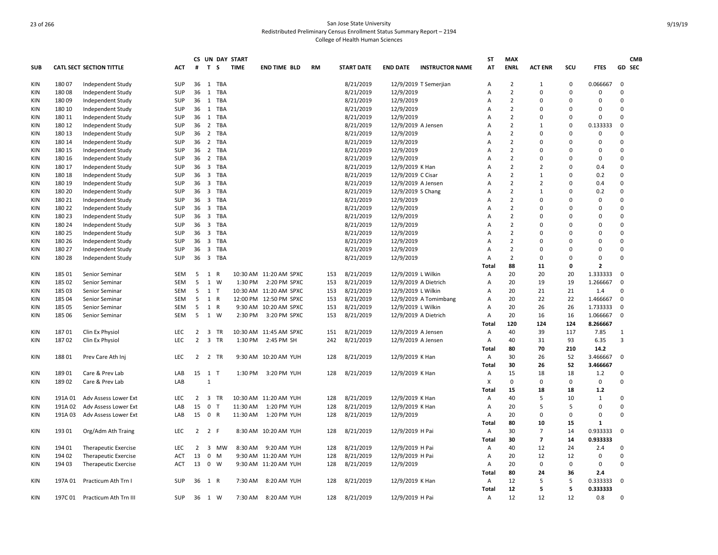|            |         |                                 |            |                 |                         |            | CS UN DAY START |                        |           |     |                   |                      |                        | ST             | <b>MAX</b>     |                          |             |              |                | <b>CMB</b> |
|------------|---------|---------------------------------|------------|-----------------|-------------------------|------------|-----------------|------------------------|-----------|-----|-------------------|----------------------|------------------------|----------------|----------------|--------------------------|-------------|--------------|----------------|------------|
| <b>SUB</b> |         | <b>CATL SECT SECTION TITTLE</b> | <b>ACT</b> | #               | T S                     |            | <b>TIME</b>     | <b>END TIME BLD</b>    | <b>RM</b> |     | <b>START DATE</b> | <b>END DATE</b>      | <b>INSTRUCTOR NAME</b> | AT             | <b>ENRL</b>    | <b>ACT ENR</b>           | scu         | <b>FTES</b>  |                | GD SEC     |
| KIN        | 18007   | Independent Study               | SUP        | 36              | 1                       | TBA        |                 |                        |           |     | 8/21/2019         |                      | 12/9/2019 T Semerjian  | Α              | $\overline{2}$ | $\mathbf{1}$             | 0           | 0.066667     | 0              |            |
| KIN        | 18008   | Independent Study               | SUP        | 36              | 1                       | <b>TBA</b> |                 |                        |           |     | 8/21/2019         | 12/9/2019            |                        | A              | $\overline{2}$ | 0                        | 0           | 0            | $\Omega$       |            |
| <b>KIN</b> | 18009   | Independent Study               | <b>SUP</b> | 36              | <sup>1</sup>            | TBA        |                 |                        |           |     | 8/21/2019         | 12/9/2019            |                        | Α              | $\overline{2}$ | $\Omega$                 | $\Omega$    | 0            | $\Omega$       |            |
| KIN        | 180 10  | Independent Study               | <b>SUP</b> |                 |                         | 36 1 TBA   |                 |                        |           |     | 8/21/2019         | 12/9/2019            |                        | Α              | $\overline{2}$ | 0                        | $\Omega$    | $\Omega$     | $\Omega$       |            |
| KIN        | 180 11  | Independent Study               | <b>SUP</b> | 36 1            |                         | TBA        |                 |                        |           |     | 8/21/2019         | 12/9/2019            |                        | Α              | $\overline{2}$ | 0                        | $\Omega$    | 0            | $\Omega$       |            |
| KIN        | 180 12  | Independent Study               | SUP        | 36              | $\overline{2}$          | TBA        |                 |                        |           |     | 8/21/2019         | 12/9/2019 A Jensen   |                        | A              | $\overline{2}$ | $\mathbf{1}$             | $\Omega$    | 0.133333     | $\mathbf 0$    |            |
| <b>KIN</b> | 180 13  | Independent Study               | <b>SUP</b> | 36              | $\overline{2}$          | TBA        |                 |                        |           |     | 8/21/2019         | 12/9/2019            |                        | A              | $\overline{2}$ | 0                        | $\Omega$    | 0            | $\Omega$       |            |
| <b>KIN</b> | 180 14  | Independent Study               | <b>SUP</b> |                 |                         | 36 2 TBA   |                 |                        |           |     | 8/21/2019         | 12/9/2019            |                        | $\overline{A}$ | $\overline{2}$ | $\Omega$                 | $\Omega$    | $\Omega$     | $\Omega$       |            |
| KIN        | 180 15  | Independent Study               | SUP        | 36 2            |                         | TBA        |                 |                        |           |     | 8/21/2019         | 12/9/2019            |                        | A              | $\overline{2}$ | 0                        | $\Omega$    | 0            | $\Omega$       |            |
| <b>KIN</b> | 180 16  | Independent Study               | <b>SUP</b> | 36              | $\overline{2}$          | TBA        |                 |                        |           |     | 8/21/2019         | 12/9/2019            |                        | A              | $\overline{2}$ | 0                        | $\Omega$    | 0            | $\mathbf 0$    |            |
| KIN        | 180 17  | Independent Study               | <b>SUP</b> | 36              |                         | 3 TBA      |                 |                        |           |     | 8/21/2019         | 12/9/2019 K Han      |                        | A              | $\overline{2}$ | $\overline{2}$           | $\Omega$    | 0.4          | $\Omega$       |            |
| <b>KIN</b> | 180 18  | Independent Study               | SUP        |                 |                         | 36 3 TBA   |                 |                        |           |     | 8/21/2019         | 12/9/2019 C Cisar    |                        | A              | $\overline{2}$ | $\mathbf{1}$             | $\Omega$    | 0.2          | $\Omega$       |            |
| <b>KIN</b> | 180 19  | Independent Study               | <b>SUP</b> |                 |                         | 36 3 TBA   |                 |                        |           |     | 8/21/2019         | 12/9/2019 A Jensen   |                        | A              | $\overline{2}$ | $\overline{2}$           | $\Omega$    | 0.4          | $\mathbf 0$    |            |
| <b>KIN</b> | 180 20  | Independent Study               | <b>SUP</b> | 36              | $\overline{\mathbf{3}}$ | TBA        |                 |                        |           |     | 8/21/2019         | 12/9/2019 S Chang    |                        | A              | $\overline{2}$ | $\mathbf{1}$             | $\Omega$    | 0.2          | $\mathbf 0$    |            |
| KIN        | 180 21  | Independent Study               | <b>SUP</b> | 36 <sub>3</sub> |                         | TBA        |                 |                        |           |     | 8/21/2019         | 12/9/2019            |                        | A              | $\overline{2}$ | $\Omega$                 | $\Omega$    | 0            | $\Omega$       |            |
| <b>KIN</b> | 180 22  | Independent Study               | SUP        | 36              | $\overline{\mathbf{3}}$ | TBA        |                 |                        |           |     | 8/21/2019         | 12/9/2019            |                        | A              | $\overline{2}$ | $\mathbf 0$              | $\Omega$    | 0            | $\Omega$       |            |
| KIN        | 180 23  | Independent Study               | <b>SUP</b> | 36 <sub>3</sub> |                         | TBA        |                 |                        |           |     | 8/21/2019         | 12/9/2019            |                        | $\overline{A}$ | $\overline{2}$ | $\Omega$                 | $\Omega$    | O            | $\Omega$       |            |
| <b>KIN</b> | 180 24  | Independent Study               | <b>SUP</b> | 36              | $\overline{\mathbf{3}}$ | <b>TBA</b> |                 |                        |           |     | 8/21/2019         | 12/9/2019            |                        | A              | $\overline{2}$ | 0                        | $\Omega$    | 0            | $\mathbf 0$    |            |
| KIN        | 180 25  | Independent Study               | <b>SUP</b> | 36              | $\overline{\mathbf{3}}$ | TBA        |                 |                        |           |     | 8/21/2019         | 12/9/2019            |                        | Α              | $\overline{2}$ | $\Omega$                 | $\Omega$    | $\Omega$     | $\mathbf 0$    |            |
| KIN        | 180 26  | Independent Study               | <b>SUP</b> | 36              | $\overline{\mathbf{3}}$ | TBA        |                 |                        |           |     | 8/21/2019         | 12/9/2019            |                        | Α              | $\overline{2}$ | $\Omega$                 | $\Omega$    | 0            | $\Omega$       |            |
| <b>KIN</b> | 180 27  | Independent Study               | <b>SUP</b> | 36              |                         | 3 TBA      |                 |                        |           |     | 8/21/2019         | 12/9/2019            |                        | A              | $\overline{2}$ | 0                        | $\Omega$    | $\Omega$     | $\Omega$       |            |
| KIN        | 180 28  | Independent Study               | <b>SUP</b> |                 |                         | 36 3 TBA   |                 |                        |           |     | 8/21/2019         | 12/9/2019            |                        | Α              | $\overline{2}$ | 0                        | $\Omega$    | 0            | $\Omega$       |            |
|            |         |                                 |            |                 |                         |            |                 |                        |           |     |                   |                      |                        | Total          | 88             | 11                       | $\mathbf 0$ | $\mathbf{z}$ |                |            |
| KIN        | 18501   | Senior Seminar                  | SEM        | 5               | 1                       | R          |                 | 10:30 AM 11:20 AM SPXC |           | 153 | 8/21/2019         | 12/9/2019 L Wilkin   |                        | Α              | 20             | 20                       | 20          | 1.333333     | 0              |            |
| <b>KIN</b> | 185 02  | Senior Seminar                  | SEM        | 5               | 1 W                     |            | 1:30 PM         | 2:20 PM SPXC           |           | 153 | 8/21/2019         | 12/9/2019 A Dietrich |                        | Α              | 20             | 19                       | 19          | 1.266667     | $\mathbf 0$    |            |
| <b>KIN</b> | 185 03  | Senior Seminar                  | <b>SEM</b> | 5               | 1                       | T          |                 | 10:30 AM 11:20 AM SPXC |           | 153 | 8/21/2019         | 12/9/2019 L Wilkin   |                        | A              | 20             | 21                       | 21          | 1.4          | $\Omega$       |            |
| <b>KIN</b> | 185 04  | Senior Seminar                  | SEM        | 5               | 1 R                     |            |                 | 12:00 PM 12:50 PM SPXC |           | 153 | 8/21/2019         |                      | 12/9/2019 A Tomimbang  | Α              | 20             | 22                       | 22          | 1.466667     | $\mathbf 0$    |            |
| KIN        | 185 05  | Senior Seminar                  | SEM        | 5               | 1 R                     |            |                 | 9:30 AM 10:20 AM SPXC  |           | 153 | 8/21/2019         | 12/9/2019 L Wilkin   |                        | Α              | 20             | 26                       | 26          | 1.733333     | 0              |            |
| <b>KIN</b> | 185 06  | Senior Seminar                  | SEM        | 5               | 1 W                     |            | 2:30 PM         | 3:20 PM SPXC           |           | 153 | 8/21/2019         | 12/9/2019 A Dietrich |                        | Α              | 20             | 16                       | 16          | 1.066667     | $\mathbf 0$    |            |
|            |         |                                 |            |                 |                         |            |                 |                        |           |     |                   |                      |                        | Total          | 120            | 124                      | 124         | 8.266667     |                |            |
| KIN        | 18701   | Clin Ex Physiol                 | <b>LEC</b> | 2               | $\overline{\mathbf{3}}$ | <b>TR</b>  |                 | 10:30 AM 11:45 AM SPXC |           | 151 | 8/21/2019         | 12/9/2019 A Jensen   |                        | Α              | 40             | 39                       | 117         | 7.85         | 1              |            |
| KIN        | 18702   | Clin Ex Physiol                 | <b>LEC</b> | $\overline{2}$  | 3 TR                    |            | 1:30 PM         | 2:45 PM SH             |           | 242 | 8/21/2019         | 12/9/2019 A Jensen   |                        | Α              | 40             | 31                       | 93          | 6.35         | $\overline{3}$ |            |
|            |         |                                 |            |                 |                         |            |                 |                        |           |     |                   |                      |                        | Total          | 80             | 70                       | 210         | 14.2         |                |            |
| KIN        | 18801   | Prev Care Ath Inj               | LEC        | 2 2 TR          |                         |            |                 | 9:30 AM 10:20 AM YUH   |           | 128 | 8/21/2019         | 12/9/2019 K Han      |                        | A              | 30             | 26                       | 52          | 3.466667     | 0              |            |
|            |         |                                 |            |                 |                         |            |                 |                        |           |     |                   |                      |                        | Total          | 30             | 26                       | 52          | 3.466667     |                |            |
| KIN        | 189 01  | Care & Prev Lab                 | LAB        | 15 1 T          |                         |            |                 | 1:30 PM 3:20 PM YUH    |           | 128 | 8/21/2019         | 12/9/2019 K Han      |                        | Α              | 15             | 18                       | 18          | 1.2          | $\mathbf 0$    |            |
| <b>KIN</b> | 189 02  | Care & Prev Lab                 | LAB        |                 | $\mathbf{1}$            |            |                 |                        |           |     |                   |                      |                        | Х              | $\mathbf 0$    | 0                        | $\mathbf 0$ | 0            | $\mathbf 0$    |            |
|            |         |                                 |            |                 |                         |            |                 |                        |           |     |                   |                      |                        | Total          | 15             | 18                       | 18          | 1.2          |                |            |
| KIN        | 191A01  | Adv Assess Lower Ext            | LEC        | $\overline{2}$  | 3 TR                    |            |                 | 10:30 AM 11:20 AM YUH  |           | 128 | 8/21/2019         | 12/9/2019 K Han      |                        | Α              | 40             | 5                        | 10          | 1            | $\Omega$       |            |
| <b>KIN</b> | 191A 02 | Adv Assess Lower Ext            | LAB        | 15              | $\overline{\mathbf{0}}$ | T          | 11:30 AM        | 1:20 PM YUH            |           | 128 | 8/21/2019         | 12/9/2019 K Han      |                        | Α              | 20             | 5                        | .5          | 0            | $\mathbf 0$    |            |
| KIN        | 191A03  | Adv Assess Lower Ext            | LAB        | 15 0 R          |                         |            | 11:30 AM        | 1:20 PM YUH            |           | 128 | 8/21/2019         | 12/9/2019            |                        | Α              | 20             | $\Omega$                 | 0           | 0            | $\Omega$       |            |
|            |         |                                 |            |                 |                         |            |                 |                        |           |     |                   |                      |                        | Total          | 80             | 10                       | 15          | 1            |                |            |
| KIN        | 193 01  | Org/Adm Ath Traing              | LEC        | $\overline{2}$  | 2 F                     |            |                 | 8:30 AM 10:20 AM YUH   |           | 128 | 8/21/2019         | 12/9/2019 H Pai      |                        | Α              | 30             | $\overline{7}$           | 14          | 0.933333     | 0              |            |
|            |         |                                 |            |                 |                         |            |                 |                        |           |     |                   |                      |                        | Total          | 30             | $\overline{\phantom{a}}$ | 14          | 0.933333     |                |            |
| KIN        | 194 01  | Therapeutic Exercise            | <b>LEC</b> | 2               |                         | 3 MW       | 8:30 AM         | 9:20 AM YUH            |           | 128 | 8/21/2019         | 12/9/2019 H Pai      |                        | $\mathsf{A}$   | 40             | 12                       | 24          | 2.4          | $\Omega$       |            |
| KIN        | 194 02  | Therapeutic Exercise            | ACT        | 13              | $\mathbf 0$             | M          |                 | 9:30 AM 11:20 AM YUH   |           | 128 | 8/21/2019         | 12/9/2019 H Pai      |                        | Α              | 20             | 12                       | 12          | 0            | $\Omega$       |            |
| KIN        | 194 03  | <b>Therapeutic Exercise</b>     | <b>ACT</b> | 13 0 W          |                         |            |                 | 9:30 AM 11:20 AM YUH   |           | 128 | 8/21/2019         | 12/9/2019            |                        | Α              | 20             | 0                        | 0           | 0            | $\Omega$       |            |
|            |         |                                 |            |                 |                         |            |                 |                        |           |     |                   |                      |                        | Total          | 80             | 24                       | 36          | 2.4          |                |            |
| KIN        | 197A 01 | Practicum Ath Trn I             | SUP        | 36 1 R          |                         |            | 7:30 AM         | 8:20 AM YUH            |           | 128 | 8/21/2019         | 12/9/2019 K Han      |                        | Α              | 12             | 5                        | 5           | 0.333333     | 0              |            |
|            |         |                                 |            |                 |                         |            |                 |                        |           |     |                   |                      |                        | Total          | 12             | 5                        | 5           | 0.333333     |                |            |
| KIN        |         | 197C 01 Practicum Ath Trn III   | SUP        | 36 1 W          |                         |            |                 | 7:30 AM 8:20 AM YUH    |           | 128 | 8/21/2019         | 12/9/2019 H Pai      |                        | Α              | 12             | 12                       | 12          | 0.8          | $\Omega$       |            |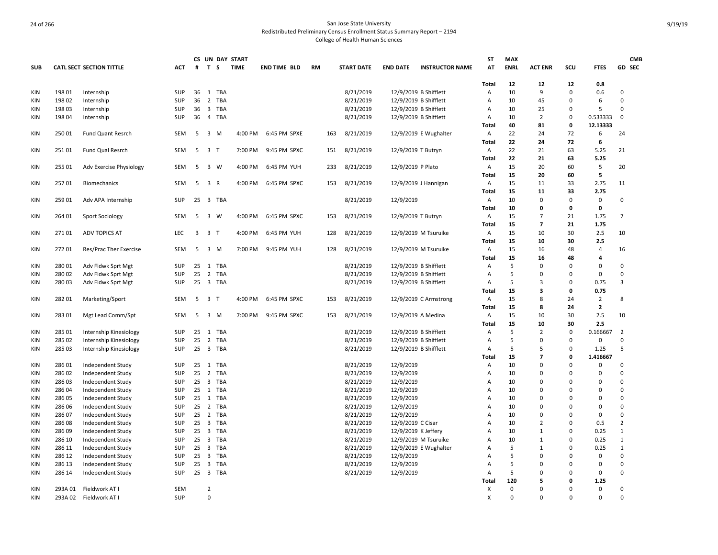|            |         |                                 |            |                 |                         | CS UN DAY START |             |                     |           |     |                   |                     |                        | <b>ST</b>         | <b>MAX</b>  |                         |           |                | <b>CMB</b>     |
|------------|---------|---------------------------------|------------|-----------------|-------------------------|-----------------|-------------|---------------------|-----------|-----|-------------------|---------------------|------------------------|-------------------|-------------|-------------------------|-----------|----------------|----------------|
| <b>SUB</b> |         | <b>CATL SECT SECTION TITTLE</b> | ACT        | #               | T S                     |                 | <b>TIME</b> | <b>END TIME BLD</b> | <b>RM</b> |     | <b>START DATE</b> | <b>END DATE</b>     | <b>INSTRUCTOR NAME</b> | AT                | <b>ENRL</b> | <b>ACT ENR</b>          | scu       | <b>FTES</b>    | GD SEC         |
|            |         |                                 |            |                 |                         |                 |             |                     |           |     |                   |                     |                        | Total             | 12          | 12                      | 12        | 0.8            |                |
| KIN        | 198 01  | Internship                      | SUP        |                 |                         | 36 1 TBA        |             |                     |           |     | 8/21/2019         |                     | 12/9/2019 B Shifflett  | Α                 | 10          | 9                       | $\pmb{0}$ | 0.6            | 0              |
| <b>KIN</b> | 198 02  | Internship                      | SUP        | 36              | $\overline{2}$          | <b>TBA</b>      |             |                     |           |     | 8/21/2019         |                     | 12/9/2019 B Shifflett  | Α                 | 10          | 45                      | 0         | 6              | 0              |
| KIN        | 19803   | Internship                      | <b>SUP</b> | 36 <sub>3</sub> |                         | TBA             |             |                     |           |     | 8/21/2019         |                     |                        | A                 | 10          | 25                      | $\Omega$  | 5              | $\Omega$       |
|            | 198 04  |                                 | <b>SUP</b> |                 |                         | 36  4  TBA      |             |                     |           |     |                   |                     | 12/9/2019 B Shifflett  |                   | 10          | $\overline{2}$          | 0         | 0.533333       | $\mathbf 0$    |
| KIN        |         | Internship                      |            |                 |                         |                 |             |                     |           |     | 8/21/2019         |                     | 12/9/2019 B Shifflett  | Α<br><b>Total</b> | 40          | 81                      | 0         | 12.13333       |                |
| KIN        | 250 01  | Fund Quant Resrch               | <b>SEM</b> | 5               | 3 M                     |                 | 4:00 PM     | 6:45 PM SPXE        |           | 163 | 8/21/2019         |                     | 12/9/2019 E Wughalter  | Α                 | 22          | 24                      | 72        | 6              | 24             |
|            |         |                                 |            |                 |                         |                 |             |                     |           |     |                   |                     |                        | Total             | 22          | 24                      | 72        | 6              |                |
| KIN        | 25101   | Fund Qual Resrch                | <b>SEM</b> | 5               | 3 <sub>T</sub>          |                 | 7:00 PM     | 9:45 PM SPXC        |           |     | 8/21/2019         |                     |                        |                   | 22          | 21                      | 63        | 5.25           | 21             |
|            |         |                                 |            |                 |                         |                 |             |                     |           | 151 |                   | 12/9/2019 T Butryn  |                        | Α                 | 22          | 21                      | 63        |                |                |
| KIN        | 255 01  |                                 |            | 5               |                         | W               |             |                     |           |     | 8/21/2019         |                     |                        | Total             | 15          | 20                      | 60        | 5.25<br>5      |                |
|            |         | Adv Exercise Physiology         | SEM        |                 | $\overline{\mathbf{3}}$ |                 | 4:00 PM     | 6:45 PM YUH         |           | 233 |                   | 12/9/2019 P Plato   |                        | Α                 | 15          | 20                      | 60        | 5              | 20             |
|            |         |                                 |            |                 |                         |                 |             |                     |           |     |                   |                     |                        | Total             |             |                         |           |                |                |
| KIN        | 25701   | <b>Biomechanics</b>             | SEM        | 5               | $\overline{\mathbf{3}}$ | R               | 4:00 PM     | 6:45 PM SPXC        |           | 153 | 8/21/2019         |                     | 12/9/2019 J Hannigan   | Α                 | 15          | 11                      | 33        | 2.75           | 11             |
|            |         |                                 |            |                 |                         |                 |             |                     |           |     |                   |                     |                        | <b>Total</b>      | 15          | 11                      | 33        | 2.75           |                |
| KIN        | 259 01  | Adv APA Internship              | <b>SUP</b> |                 |                         | 25 3 TBA        |             |                     |           |     | 8/21/2019         | 12/9/2019           |                        | Α                 | 10          | $\pmb{0}$               | 0         | 0              | 0              |
|            |         |                                 |            |                 |                         |                 |             |                     |           |     |                   |                     |                        | Total             | 10          | $\mathbf 0$             | 0         | 0              |                |
| KIN        | 264 01  | Sport Sociology                 | <b>SEM</b> | 5               | $\overline{\mathbf{3}}$ | W               | 4:00 PM     | 6:45 PM SPXC        |           | 153 | 8/21/2019         | 12/9/2019 T Butryn  |                        | Α                 | 15          | $\overline{7}$          | 21        | 1.75           | $\overline{7}$ |
|            |         |                                 |            |                 |                         |                 |             |                     |           |     |                   |                     |                        | Total             | 15          | $\overline{7}$          | 21        | 1.75           |                |
| <b>KIN</b> | 271 01  | <b>ADV TOPICS AT</b>            | LEC        | 3               | 3 <sub>T</sub>          |                 | 4:00 PM     | 6:45 PM YUH         |           | 128 | 8/21/2019         |                     | 12/9/2019 M Tsuruike   | Α                 | 15          | 10                      | 30        | 2.5            | 10             |
|            |         |                                 |            |                 |                         |                 |             |                     |           |     |                   |                     |                        | Total             | 15          | 10                      | 30        | 2.5            |                |
| KIN        | 27201   | Res/Prac Ther Exercise          | SEM        | 5 3 M           |                         |                 | 7:00 PM     | 9:45 PM YUH         |           | 128 | 8/21/2019         |                     | 12/9/2019 M Tsuruike   | Α                 | 15          | 16                      | 48        | $\overline{4}$ | 16             |
|            |         |                                 |            |                 |                         |                 |             |                     |           |     |                   |                     |                        | Total             | 15          | 16                      | 48        | 4              |                |
| KIN        | 28001   | Adv Fldwk Sprt Mgt              | <b>SUP</b> | $25 \quad 1$    |                         | <b>TBA</b>      |             |                     |           |     | 8/21/2019         |                     | 12/9/2019 B Shifflett  | Α                 | 5           | 0                       | 0         | $\mathbf 0$    | 0              |
| KIN        | 28002   | Adv Fldwk Sprt Mgt              | SUP        | 25              |                         | 2 TBA           |             |                     |           |     | 8/21/2019         |                     | 12/9/2019 B Shifflett  | Α                 | 5           | $\Omega$                | $\Omega$  | 0              | $\Omega$       |
| KIN        | 280 03  | Adv Fldwk Sprt Mgt              | <b>SUP</b> | 25              |                         | 3 TBA           |             |                     |           |     | 8/21/2019         |                     | 12/9/2019 B Shifflett  | A                 | 5           | $\overline{3}$          | 0         | 0.75           | 3              |
|            |         |                                 |            |                 |                         |                 |             |                     |           |     |                   |                     |                        | Total             | 15          | $\overline{\mathbf{3}}$ | 0         | 0.75           |                |
| KIN        | 282 01  | Marketing/Sport                 | <b>SEM</b> | 5               | 3 <sub>T</sub>          |                 | 4:00 PM     | 6:45 PM SPXC        |           | 153 | 8/21/2019         |                     | 12/9/2019 C Armstrong  | Α                 | 15          | 8                       | 24        | $\overline{2}$ | 8              |
|            |         |                                 |            |                 |                         |                 |             |                     |           |     |                   |                     |                        | Total             | 15          | 8                       | 24        | $\overline{2}$ |                |
| KIN        | 283 01  | Mgt Lead Comm/Spt               | SEM        | 5               | 3 M                     |                 | 7:00 PM     | 9:45 PM SPXC        |           | 153 | 8/21/2019         |                     | 12/9/2019 A Medina     | Α                 | 15          | 10                      | 30        | 2.5            | 10             |
|            |         |                                 |            |                 |                         |                 |             |                     |           |     |                   |                     |                        | Total             | 15          | 10                      | 30        | 2.5            |                |
| KIN        | 285 01  | Internship Kinesiology          | SUP        | $25 \quad 1$    |                         | TBA             |             |                     |           |     | 8/21/2019         |                     | 12/9/2019 B Shifflett  | Α                 | 5           | $\overline{2}$          | 0         | 0.166667       | 2              |
| <b>KIN</b> | 285 02  | Internship Kinesiology          | <b>SUP</b> | 25              | $\overline{2}$          | <b>TBA</b>      |             |                     |           |     | 8/21/2019         |                     | 12/9/2019 B Shifflett  | Α                 | 5           | $\mathbf 0$             | $\Omega$  | 0              | 0              |
| KIN        | 285 03  | Internship Kinesiology          | <b>SUP</b> |                 |                         | 25 3 TBA        |             |                     |           |     | 8/21/2019         |                     | 12/9/2019 B Shifflett  | A                 | 5           | 5                       | 0         | 1.25           | 5              |
|            |         |                                 |            |                 |                         |                 |             |                     |           |     |                   |                     |                        | Total             | 15          | $\overline{7}$          | 0         | 1.416667       |                |
| KIN        | 286 01  | Independent Study               | SUP        | 25              | 1                       | <b>TBA</b>      |             |                     |           |     | 8/21/2019         | 12/9/2019           |                        | Α                 | 10          | $\Omega$                | 0         | $\mathbf 0$    | 0              |
| <b>KIN</b> | 286 02  | Independent Study               | <b>SUP</b> | 25              | $\overline{2}$          | <b>TBA</b>      |             |                     |           |     | 8/21/2019         | 12/9/2019           |                        | A                 | 10          | $\Omega$                | $\Omega$  | 0              | 0              |
| KIN        | 286 03  | Independent Study               | <b>SUP</b> |                 |                         | 25 3 TBA        |             |                     |           |     | 8/21/2019         | 12/9/2019           |                        | Α                 | 10          | $\Omega$                | 0         | $\Omega$       | 0              |
| <b>KIN</b> | 286 04  | Independent Study               | <b>SUP</b> | 25 1            |                         | TBA             |             |                     |           |     | 8/21/2019         | 12/9/2019           |                        | Α                 | 10          | $\Omega$                | $\Omega$  | $\Omega$       | 0              |
| <b>KIN</b> | 286 05  | Independent Study               | <b>SUP</b> | 25              |                         | 1 TBA           |             |                     |           |     | 8/21/2019         | 12/9/2019           |                        | A                 | 10          | $\Omega$                | 0         | $\Omega$       | 0              |
| <b>KIN</b> | 286 06  | Independent Study               | <b>SUP</b> |                 |                         | 25 2 TBA        |             |                     |           |     | 8/21/2019         | 12/9/2019           |                        | A                 | 10          | $\Omega$                | $\Omega$  | $\Omega$       | $\Omega$       |
| <b>KIN</b> | 286 07  | Independent Study               | <b>SUP</b> | 25              | $\overline{2}$          | TBA             |             |                     |           |     | 8/21/2019         | 12/9/2019           |                        | $\overline{A}$    | 10          | $\mathbf 0$             | $\Omega$  | $\Omega$       | 0              |
| KIN        | 28608   | Independent Study               | <b>SUP</b> |                 |                         | 25 3 TBA        |             |                     |           |     | 8/21/2019         | 12/9/2019 C Cisar   |                        | A                 | 10          | $\overline{2}$          | 0         | 0.5            | $\overline{2}$ |
| <b>KIN</b> | 286 09  | Independent Study               | <b>SUP</b> | 25              | $\overline{\mathbf{3}}$ | <b>TBA</b>      |             |                     |           |     | 8/21/2019         | 12/9/2019 K Jeffery |                        | A                 | 10          | $\mathbf{1}$            | 0         | 0.25           | $\mathbf{1}$   |
| <b>KIN</b> | 286 10  | Independent Study               | <b>SUP</b> | $25 \quad 3$    |                         | <b>TBA</b>      |             |                     |           |     | 8/21/2019         |                     | 12/9/2019 M Tsuruike   | $\overline{A}$    | 10          | $\mathbf{1}$            | 0         | 0.25           | $\mathbf{1}$   |
| KIN        | 286 11  | Independent Study               | SUP        | 25              | $\overline{\mathbf{3}}$ | TBA             |             |                     |           |     | 8/21/2019         |                     | 12/9/2019 E Wughalter  | A                 | 5           | $\mathbf{1}$            | $\Omega$  | 0.25           | $\mathbf{1}$   |
| <b>KIN</b> | 286 12  | Independent Study               | <b>SUP</b> | 25              | $\overline{\mathbf{3}}$ | TBA             |             |                     |           |     | 8/21/2019         | 12/9/2019           |                        | A                 | 5           | $\Omega$                | $\Omega$  | 0              | 0              |
| <b>KIN</b> | 286 13  | Independent Study               | <b>SUP</b> | $25 \quad 3$    |                         | <b>TBA</b>      |             |                     |           |     | 8/21/2019         | 12/9/2019           |                        | A                 | 5           | $\mathbf 0$             | $\Omega$  | $\mathbf 0$    | 0              |
| <b>KIN</b> | 286 14  | Independent Study               | <b>SUP</b> | $25 \quad 3$    |                         | <b>TBA</b>      |             |                     |           |     | 8/21/2019         | 12/9/2019           |                        | Α                 | 5           | $\mathbf 0$             | $\Omega$  | $\mathbf 0$    | 0              |
|            |         |                                 |            |                 |                         |                 |             |                     |           |     |                   |                     |                        | Tota              | 120         | 5                       | 0         | 1.25           |                |
| KIN        | 293A 01 | Fieldwork AT I                  | <b>SEM</b> |                 | $\overline{2}$          |                 |             |                     |           |     |                   |                     |                        | x                 | $\Omega$    | $\Omega$                | $\Omega$  | $\mathbf 0$    | 0              |
| KIN        | 293A 02 | Fieldwork AT I                  | SUP        |                 | $\Omega$                |                 |             |                     |           |     |                   |                     |                        | X                 | $\Omega$    | $\Omega$                | $\Omega$  | $\Omega$       | $\mathbf 0$    |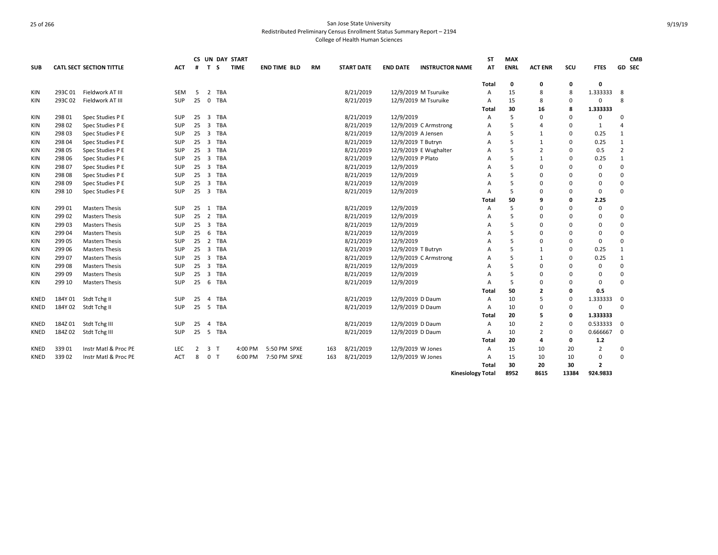| <b>SUB</b>  |         | <b>CATL SECT SECTION TITTLE</b> | <b>ACT</b> | #               | T                       | CS UN DAY START<br>-S | <b>TIME</b> | <b>END TIME BLD</b> | <b>RM</b> | <b>START DATE</b> | <b>END DATE</b>    | <b>INSTRUCTOR NAME</b> | <b>ST</b><br>AT | <b>MAX</b><br><b>ENRL</b> | <b>ACT ENR</b> | scu      | <b>FTES</b>    |                | <b>CMB</b><br>GD SEC |
|-------------|---------|---------------------------------|------------|-----------------|-------------------------|-----------------------|-------------|---------------------|-----------|-------------------|--------------------|------------------------|-----------------|---------------------------|----------------|----------|----------------|----------------|----------------------|
|             |         |                                 |            |                 |                         |                       |             |                     |           |                   |                    |                        | Total           | 0                         | 0              | 0        | 0              |                |                      |
| KIN         | 293C 01 | Fieldwork AT III                | <b>SEM</b> | -5              | 2                       | TBA                   |             |                     |           | 8/21/2019         |                    | 12/9/2019 M Tsuruike   | A               | 15                        | 8              | 8        | 1.333333       | 8              |                      |
| <b>KIN</b>  | 293C02  | Fieldwork AT III                | <b>SUP</b> | 25              | $\mathbf 0$             | <b>TBA</b>            |             |                     |           | 8/21/2019         |                    | 12/9/2019 M Tsuruike   | A               | 15                        | 8              | $\Omega$ | 0              | 8              |                      |
|             |         |                                 |            |                 |                         |                       |             |                     |           |                   |                    |                        | Total           | 30                        | 16             | я        | 1.333333       |                |                      |
| KIN         | 298 01  | Spec Studies P E                | SUP        | 25              | $\overline{\mathbf{3}}$ | TBA                   |             |                     |           | 8/21/2019         | 12/9/2019          |                        | A               | 5                         | 0              | $\Omega$ | 0              | $\Omega$       |                      |
| KIN         | 298 02  | Spec Studies P E                | SUP        | 25              | 3                       | TBA                   |             |                     |           | 8/21/2019         |                    | 12/9/2019 C Armstrong  | А               | 5                         | 4              | $\Omega$ | 1              | 4              |                      |
| KIN         | 298 03  | Spec Studies P E                | SUP        | 25              | $\overline{\mathbf{3}}$ | TBA                   |             |                     |           | 8/21/2019         |                    | 12/9/2019 A Jensen     | А               | 5                         | $\mathbf{1}$   | $\Omega$ | 0.25           | 1              |                      |
| KIN         | 298 04  | Spec Studies P E                | <b>SUP</b> | $25 \quad 3$    |                         | TBA                   |             |                     |           | 8/21/2019         | 12/9/2019 T Butryn |                        | A               | 5                         | $\mathbf{1}$   | $\Omega$ | 0.25           | 1              |                      |
| KIN         | 298 05  | Spec Studies P E                | SUP        | $25 \quad 3$    |                         | <b>TBA</b>            |             |                     |           | 8/21/2019         |                    | 12/9/2019 E Wughalter  | A               | 5                         | $\overline{2}$ | $\Omega$ | 0.5            | $\overline{2}$ |                      |
| KIN         | 298 06  | Spec Studies P E                | SUP        | $25 \quad 3$    |                         | <b>TBA</b>            |             |                     |           | 8/21/2019         | 12/9/2019 P Plato  |                        | А               | 5                         | $\mathbf{1}$   | $\Omega$ | 0.25           | $\mathbf{1}$   |                      |
| KIN         | 298 07  | Spec Studies P E                | SUP        | $25 \quad 3$    |                         | TBA                   |             |                     |           | 8/21/2019         | 12/9/2019          |                        | А               | 5                         | 0              | $\Omega$ | 0              | $\Omega$       |                      |
| KIN         | 298 08  | Spec Studies P E                | SUP        | 25              | $\overline{\mathbf{3}}$ | <b>TBA</b>            |             |                     |           | 8/21/2019         | 12/9/2019          |                        | А               | 5                         | $\Omega$       | $\Omega$ | 0              | $\Omega$       |                      |
| KIN         | 298 09  | Spec Studies P E                | <b>SUP</b> | 25              | $\overline{\mathbf{3}}$ | <b>TBA</b>            |             |                     |           | 8/21/2019         | 12/9/2019          |                        | А               | 5                         | 0              | $\Omega$ | 0              | $\mathbf 0$    |                      |
| <b>KIN</b>  | 298 10  | Spec Studies P E                | <b>SUP</b> | $25 \quad 3$    |                         | TBA                   |             |                     |           | 8/21/2019         | 12/9/2019          |                        | A               | 5                         | $\Omega$       | $\Omega$ | 0              | $\Omega$       |                      |
|             |         |                                 |            |                 |                         |                       |             |                     |           |                   |                    |                        | Total           | 50                        | q              | O        | 2.25           |                |                      |
| <b>KIN</b>  | 299 01  | <b>Masters Thesis</b>           | <b>SUP</b> | 25              | 1                       | <b>TBA</b>            |             |                     |           | 8/21/2019         | 12/9/2019          |                        | A               | 5                         | 0              | $\Omega$ | $\mathbf 0$    | $\mathbf 0$    |                      |
| <b>KIN</b>  | 299 02  | <b>Masters Thesis</b>           | SUP        | 25              | 2                       | <b>TBA</b>            |             |                     |           | 8/21/2019         | 12/9/2019          |                        | A               | 5                         | $\Omega$       | $\Omega$ | 0              | $\mathbf 0$    |                      |
| KIN         | 299 03  | <b>Masters Thesis</b>           | <b>SUP</b> | 25              | $\overline{\mathbf{3}}$ | <b>TBA</b>            |             |                     |           | 8/21/2019         | 12/9/2019          |                        | А               | 5                         | $\Omega$       | $\Omega$ | 0              | $\mathbf 0$    |                      |
| KIN         | 29904   | <b>Masters Thesis</b>           | SUP        | 25              | - 6                     | <b>TBA</b>            |             |                     |           | 8/21/2019         | 12/9/2019          |                        | А               | 5                         | $\Omega$       | $\Omega$ | 0              | $\mathbf 0$    |                      |
| KIN         | 299 05  | <b>Masters Thesis</b>           | SUP        | 25              | $\overline{2}$          | TBA                   |             |                     |           | 8/21/2019         | 12/9/2019          |                        | А               | 5                         | $\Omega$       | $\Omega$ | 0              | $\Omega$       |                      |
| KIN         | 299 06  | <b>Masters Thesis</b>           | SUP        | 25              | $\overline{\mathbf{3}}$ | <b>TBA</b>            |             |                     |           | 8/21/2019         | 12/9/2019 T Butryn |                        | А               | 5                         | $\mathbf{1}$   | $\Omega$ | 0.25           | 1              |                      |
| KIN         | 299 07  | <b>Masters Thesis</b>           | SUP        | $25 \quad 3$    |                         | <b>TBA</b>            |             |                     |           | 8/21/2019         |                    | 12/9/2019 C Armstrong  | А               | 5                         | $\mathbf{1}$   | $\Omega$ | 0.25           | 1              |                      |
| <b>KIN</b>  | 299 08  | <b>Masters Thesis</b>           | <b>SUP</b> | $25 \quad 3$    |                         | <b>TBA</b>            |             |                     |           | 8/21/2019         | 12/9/2019          |                        | Α               | 5                         | $\Omega$       | $\Omega$ | 0              | $\Omega$       |                      |
| <b>KIN</b>  | 299 09  | <b>Masters Thesis</b>           | SUP        | 25              | $\overline{\mathbf{3}}$ | <b>TBA</b>            |             |                     |           | 8/21/2019         | 12/9/2019          |                        | A               | 5                         | 0              | $\Omega$ | 0              | $\mathbf 0$    |                      |
| KIN         | 299 10  | <b>Masters Thesis</b>           | SUP        | 256             |                         | <b>TBA</b>            |             |                     |           | 8/21/2019         | 12/9/2019          |                        | A               | 5                         | $\Omega$       | $\Omega$ | 0              | $\Omega$       |                      |
|             |         |                                 |            |                 |                         |                       |             |                     |           |                   |                    |                        | Total           | 50                        | $\mathbf{2}$   | 0        | 0.5            |                |                      |
| <b>KNED</b> | 184Y01  | Stdt Tchg II                    | SUP        | 25              | $\overline{4}$          | <b>TBA</b>            |             |                     |           | 8/21/2019         | 12/9/2019 D Daum   |                        | A               | 10                        | 5              | 0        | 1.333333       | 0              |                      |
| KNED        | 184Y 02 | Stdt Tchg II                    | SUP        | 25 <sub>5</sub> |                         | TBA                   |             |                     |           | 8/21/2019         | 12/9/2019 D Daum   |                        | A               | 10                        | $\Omega$       | 0        | 0              | $\Omega$       |                      |
|             |         |                                 |            |                 |                         |                       |             |                     |           |                   |                    |                        | Total           | 20                        | 5              | 0        | 1.333333       |                |                      |
| KNED        | 184Z 01 | Stdt Tchg III                   | SUP        | 25              | $\overline{4}$          | <b>TBA</b>            |             |                     |           | 8/21/2019         | 12/9/2019 D Daum   |                        | A               | 10                        | $\overline{2}$ | $\Omega$ | 0.533333       | $\Omega$       |                      |
| KNED        | 184Z 02 | Stdt Tchg III                   | SUP        | 25              | $5^{\circ}$             | <b>TBA</b>            |             |                     |           | 8/21/2019         | 12/9/2019 D Daum   |                        | A               | 10                        | 2              | $\Omega$ | 0.666667       | $\Omega$       |                      |
|             |         |                                 |            |                 |                         |                       |             |                     |           |                   |                    |                        | Total           | 20                        | 4              | 0        | $1.2$          |                |                      |
| KNED        | 339 01  | Instr Matl & Proc PE            | LEC        | 2               | 3                       | ਾ                     | 4:00 PM     | 5:50 PM SPXE        | 163       | 8/21/2019         | 12/9/2019 W Jones  |                        | A               | 15                        | 10             | 20       | $\overline{2}$ | $\Omega$       |                      |
| KNED        | 33902   | Instr Matl & Proc PE            | ACT        | 8               | 0                       |                       | 6:00 PM     | 7:50 PM SPXE        | 163       | 8/21/2019         | 12/9/2019 W Jones  |                        | A               | 15                        | 10             | 10       | 0              | $\Omega$       |                      |
|             |         |                                 |            |                 |                         |                       |             |                     |           |                   |                    |                        | Total           | 30                        | 20             | 30       | $\overline{2}$ |                |                      |

**Kinesiology Total 8952 8615 13384 924.9833**

9/19/19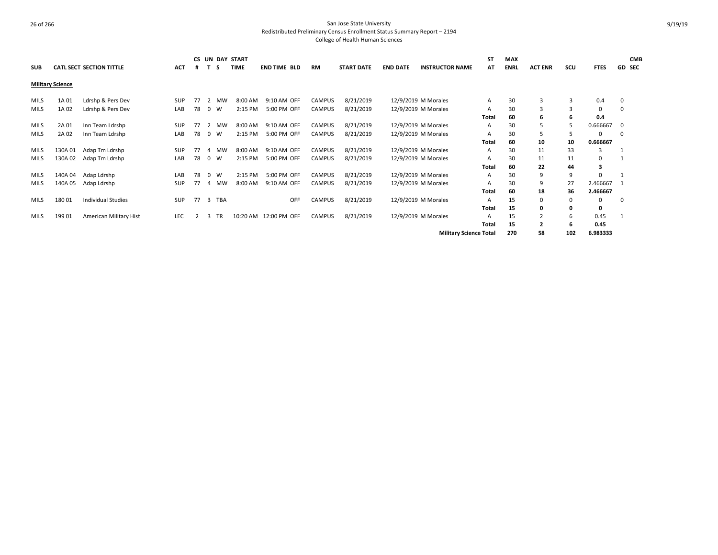| <b>SUB</b>  |                         | CATL SECT SECTION TITTLE  | <b>ACT</b> |    |            | s         | <b>CS UN DAY START</b><br><b>TIME</b> | <b>END TIME BLD</b>   | <b>RM</b>     | <b>START DATE</b> | <b>END DATE</b>     | <b>INSTRUCTOR NAME</b>        | ST<br>АΤ | <b>MAX</b><br><b>ENRL</b> | <b>ACT ENR</b> | SCU | <b>FTES</b> | <b>GD SEC</b> | <b>CMB</b> |
|-------------|-------------------------|---------------------------|------------|----|------------|-----------|---------------------------------------|-----------------------|---------------|-------------------|---------------------|-------------------------------|----------|---------------------------|----------------|-----|-------------|---------------|------------|
|             | <b>Military Science</b> |                           |            |    |            |           |                                       |                       |               |                   |                     |                               |          |                           |                |     |             |               |            |
| <b>MILS</b> | 1A 01                   | Ldrshp & Pers Dev         | SUP        | 77 | 2          | MW        | 8:00 AM                               | 9:10 AM OFF           | <b>CAMPUS</b> | 8/21/2019         | 12/9/2019 M Morales |                               | A        | 30                        | 3              | 3   | 0.4         | 0             |            |
| <b>MILS</b> | 1A 02                   | Ldrshp & Pers Dev         | LAB        | 78 | $^{\circ}$ | W         | 2:15 PM                               | 5:00 PM OFF           | <b>CAMPUS</b> | 8/21/2019         |                     | 12/9/2019 M Morales           | Α        | 30                        | $\overline{3}$ | 3   | 0           | 0             |            |
|             |                         |                           |            |    |            |           |                                       |                       |               |                   |                     |                               | Total    | 60                        | 6              | 6   | 0.4         |               |            |
| MILS        | 2A 01                   | Inn Team Ldrshp           | SUP        | 77 | 2          | MW        | 8:00 AM                               | 9:10 AM OFF           | <b>CAMPUS</b> | 8/21/2019         |                     | 12/9/2019 M Morales           | A        | 30                        | 5              |     | 0.666667    | 0             |            |
| <b>MILS</b> | 2A 02                   | Inn Team Ldrshp           | LAB        | 78 | $^{\circ}$ | W         | 2:15 PM                               | 5:00 PM OFF           | <b>CAMPUS</b> | 8/21/2019         | 12/9/2019 M Morales |                               | А        | 30                        | 5              |     |             | 0             |            |
|             |                         |                           |            |    |            |           |                                       |                       |               |                   |                     |                               | Total    | 60                        | 10             | 10  | 0.666667    |               |            |
| <b>MILS</b> | 130A 01                 | Adap Tm Ldrshp            | <b>SUP</b> | 77 | 4          | MW        | 8:00 AM                               | 9:10 AM OFF           | <b>CAMPUS</b> | 8/21/2019         | 12/9/2019 M Morales |                               | A        | 30                        | 11             | 33  |             |               |            |
| <b>MILS</b> | 130A 02                 | Adap Tm Ldrshp            | LAB        | 78 | $^{\circ}$ | W         | 2:15 PM                               | 5:00 PM OFF           | <b>CAMPUS</b> | 8/21/2019         |                     | 12/9/2019 M Morales           |          | 30                        | 11             | 11  | $\Omega$    |               |            |
|             |                         |                           |            |    |            |           |                                       |                       |               |                   |                     |                               | Total    | 60                        | 22             | 44  | 3           |               |            |
| <b>MILS</b> | 140A 04                 | Adap Ldrshp               | LAB        | 78 | $\Omega$   | W         | 2:15 PM                               | 5:00 PM OFF           | <b>CAMPUS</b> | 8/21/2019         |                     | 12/9/2019 M Morales           | A        | 30                        | 9              | 9   |             |               |            |
| <b>MILS</b> | 140A 05                 | Adap Ldrshp               | <b>SUP</b> | 77 | 4          | <b>MW</b> | 8:00 AM                               | 9:10 AM OFF           | <b>CAMPUS</b> | 8/21/2019         | 12/9/2019 M Morales |                               |          | 30                        | 9              | 27  | 2.466667    |               |            |
|             |                         |                           |            |    |            |           |                                       |                       |               |                   |                     |                               | Total    | 60                        | 18             | 36  | 2.466667    |               |            |
| <b>MILS</b> | 18001                   | <b>Individual Studies</b> | SUP        | 77 | 3          | TBA       |                                       | OFF                   | <b>CAMPUS</b> | 8/21/2019         | 12/9/2019 M Morales |                               | А        | 15                        | 0              | 0   | 0           | 0             |            |
|             |                         |                           |            |    |            |           |                                       |                       |               |                   |                     |                               | Total    | 15                        | 0              | 0   | 0           |               |            |
| <b>MILS</b> | 199 01                  | American Military Hist    | <b>LEC</b> |    | 3          | <b>TR</b> |                                       | 10:20 AM 12:00 PM OFF | <b>CAMPUS</b> | 8/21/2019         | 12/9/2019 M Morales |                               | А        | 15                        | $\overline{2}$ | 6   | 0.45        |               |            |
|             |                         |                           |            |    |            |           |                                       |                       |               |                   |                     |                               | Total    | 15                        | $\overline{2}$ | 6   | 0.45        |               |            |
|             |                         |                           |            |    |            |           |                                       |                       |               |                   |                     | <b>Military Science Total</b> |          | 270                       | 58             | 102 | 6.983333    |               |            |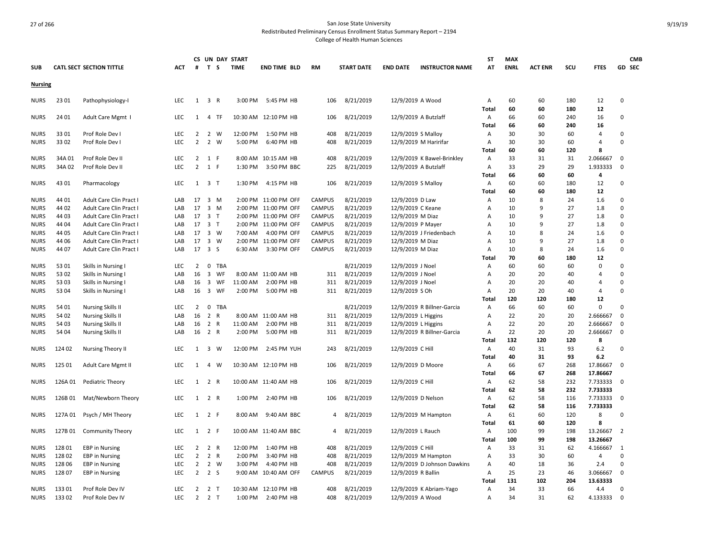|                |         |                                 |            |                |                         |              | CS UN DAY START |                       |               |                   |                     |                             | <b>ST</b>      | <b>MAX</b>  |                |     |                | <b>CMB</b>     |
|----------------|---------|---------------------------------|------------|----------------|-------------------------|--------------|-----------------|-----------------------|---------------|-------------------|---------------------|-----------------------------|----------------|-------------|----------------|-----|----------------|----------------|
| <b>SUB</b>     |         | <b>CATL SECT SECTION TITTLE</b> | ACT        | #              | T S                     |              | <b>TIME</b>     | <b>END TIME BLD</b>   | <b>RM</b>     | <b>START DATE</b> | <b>END DATE</b>     | <b>INSTRUCTOR NAME</b>      | AT             | <b>ENRL</b> | <b>ACT ENR</b> | scu | <b>FTES</b>    | GD SEC         |
| <b>Nursing</b> |         |                                 |            |                |                         |              |                 |                       |               |                   |                     |                             |                |             |                |     |                |                |
| <b>NURS</b>    | 23 01   | Pathophysiology-I               | <b>LEC</b> | 1              | 3 R                     |              | 3:00 PM         | 5:45 PM HB            | 106           | 8/21/2019         | 12/9/2019 A Wood    |                             | Α              | 60          | 60             | 180 | 12             | 0              |
|                |         |                                 |            |                |                         |              |                 |                       |               |                   |                     |                             | Total          | 60          | 60             | 180 | 12             |                |
| <b>NURS</b>    | 24 01   | Adult Care Mgmt I               | <b>LEC</b> | 1              | $\overline{4}$          | - TF         |                 | 10:30 AM 12:10 PM HB  | 106           | 8/21/2019         |                     | 12/9/2019 A Butzlaff        | Α              | 66          | 60             | 240 | 16             | 0              |
|                |         |                                 |            |                |                         |              |                 |                       |               |                   |                     |                             | Total          | 66          | 60             | 240 | 16             |                |
| <b>NURS</b>    | 33 01   | Prof Role Dev I                 | <b>LEC</b> | 2              | 2                       | W            | 12:00 PM        | 1:50 PM HB            | 408           | 8/21/2019         | 12/9/2019 S Malloy  |                             | Α              | 30          | 30             | 60  | 4              | 0              |
| <b>NURS</b>    | 33 02   | Prof Role Dev I                 | <b>LEC</b> | 2              | $\overline{2}$          | W            | 5:00 PM         | 6:40 PM HB            | 408           | 8/21/2019         |                     | 12/9/2019 M Haririfar       | Α              | 30          | 30             | 60  | 4              | 0              |
|                |         |                                 |            |                |                         |              |                 |                       |               |                   |                     |                             | Total          | 60          | 60             | 120 | 8              |                |
| <b>NURS</b>    | 34A 01  | Prof Role Dev II                | <b>LEC</b> |                | $2 \t1 F$               |              |                 | 8:00 AM 10:15 AM HB   | 408           | 8/21/2019         |                     | 12/9/2019 K Bawel-Brinkley  | Α              | 33          | 31             | 31  | 2.066667       | $\mathbf 0$    |
| <b>NURS</b>    | 34A 02  | Prof Role Dev II                | LEC        | $\overline{2}$ | 1 F                     |              | 1:30 PM         | 3:50 PM BBC           | 225           | 8/21/2019         |                     | 12/9/2019 A Butzlaff        | Α              | 33          | 29             | 29  | 1.933333       | 0              |
|                |         |                                 |            |                |                         |              |                 |                       |               |                   |                     |                             | Total          | 66          | 60             | 60  | 4              |                |
| <b>NURS</b>    | 43 01   | Pharmacology                    | <b>LEC</b> |                | $1 \quad 3 \quad T$     |              | 1:30 PM         | 4:15 PM HB            | 106           | 8/21/2019         | 12/9/2019 S Malloy  |                             | Α              | 60          | 60             | 180 | 12             | 0              |
|                |         |                                 |            |                |                         |              |                 |                       |               |                   |                     |                             | Total          | 60          | 60             | 180 | 12             |                |
| <b>NURS</b>    | 44 01   | Adult Care Clin Pract I         | LAB        | 17 3 M         |                         |              | 2:00 PM         | 11:00 PM OFF          | <b>CAMPUS</b> | 8/21/2019         | 12/9/2019 D Law     |                             | A              | 10          | 8              | 24  | 1.6            | 0              |
| <b>NURS</b>    | 44 02   | Adult Care Clin Pract I         | LAB        | 17             | 3 M                     |              | 2:00 PM         | 11:00 PM OFF          | CAMPUS        | 8/21/2019         | 12/9/2019 C Keane   |                             | A              | 10          | 9              | 27  | 1.8            | 0              |
| <b>NURS</b>    | 44 03   | Adult Care Clin Pract I         | LAB        | 17             | 3 T                     |              |                 | 2:00 PM 11:00 PM OFF  | <b>CAMPUS</b> | 8/21/2019         | 12/9/2019 M Diaz    |                             | A              | 10          | 9              | 27  | 1.8            | 0              |
| <b>NURS</b>    | 44 04   | Adult Care Clin Pract I         | LAB        | 17 3 T         |                         |              |                 | 2:00 PM 11:00 PM OFF  | <b>CAMPUS</b> | 8/21/2019         | 12/9/2019 P Mayer   |                             | A              | 10          | 9              | 27  | 1.8            | 0              |
| <b>NURS</b>    | 44 05   | Adult Care Clin Pract           | LAB        | 17             | 3 W                     |              | 7:00 AM         | 4:00 PM OFF           | <b>CAMPUS</b> | 8/21/2019         |                     | 12/9/2019 J Friedenbach     | A              | 10          | 8              | 24  | 1.6            | 0              |
| <b>NURS</b>    | 44 06   | Adult Care Clin Pract I         | LAB        | 17             | 3 W                     |              | 2:00 PM         | 11:00 PM OFF          | CAMPUS        | 8/21/2019         | 12/9/2019 M Diaz    |                             | A              | 10          | 9              | 27  | 1.8            | 0              |
| <b>NURS</b>    | 44 07   | Adult Care Clin Pract I         | LAB        | 17 3 S         |                         |              | 6:30 AM         | 3:30 PM OFF           | <b>CAMPUS</b> | 8/21/2019         | 12/9/2019 M Diaz    |                             | Α              | 10          | 8              | 24  | 1.6            | 0              |
|                |         |                                 |            |                |                         |              |                 |                       |               |                   |                     |                             | Total          | 70          | 60             | 180 | 12             |                |
| <b>NURS</b>    | 53 01   | Skills in Nursing I             | <b>LEC</b> | $\overline{2}$ | $\overline{0}$          | TBA          |                 |                       |               | 8/21/2019         | 12/9/2019 J Noel    |                             | Α              | 60          | 60             | 60  | $\Omega$       | 0              |
| <b>NURS</b>    | 53 02   | Skills in Nursing I             | LAB        | 16             | $\overline{\mathbf{3}}$ | WF           | 8:00 AM         | 11:00 AM HB           | 311           | 8/21/2019         | 12/9/2019 J Noel    |                             | Α              | 20          | 20             | 40  | 4              | $\Omega$       |
| <b>NURS</b>    | 53 03   | Skills in Nursing I             | LAB        | 16             | $\overline{\mathbf{3}}$ | WF           | 11:00 AM        | 2:00 PM HB            | 311           | 8/21/2019         | 12/9/2019 J Noel    |                             | $\overline{A}$ | 20          | 20             | 40  | $\overline{a}$ | 0              |
| <b>NURS</b>    | 53 04   | Skills in Nursing I             | LAB        | 16             | $\overline{\mathbf{3}}$ | WF           | 2:00 PM         | 5:00 PM HB            | 311           | 8/21/2019         | 12/9/2019 S Oh      |                             | A              | 20          | 20             | 40  | 4              | 0              |
|                |         |                                 |            |                |                         |              |                 |                       |               |                   |                     |                             | Total          | 120         | 120            | 180 | 12             |                |
| <b>NURS</b>    | 54 01   | <b>Nursing Skills II</b>        | LEC.       | $\overline{2}$ | $\mathbf 0$             | <b>TBA</b>   |                 |                       |               | 8/21/2019         |                     | 12/9/2019 R Billner-Garcia  | A              | 66          | 60             | 60  | $\mathbf 0$    | 0              |
| <b>NURS</b>    | 54 02   | <b>Nursing Skills II</b>        | LAB        | 16             | $\overline{2}$          | $\mathsf{R}$ |                 | 8:00 AM 11:00 AM HB   | 311           | 8/21/2019         | 12/9/2019 L Higgins |                             | $\overline{A}$ | 22          | 20             | 20  | 2.666667       | 0              |
| <b>NURS</b>    | 54 03   | <b>Nursing Skills II</b>        | LAB        | 16             | 2 R                     |              | 11:00 AM        | 2:00 PM HB            | 311           | 8/21/2019         | 12/9/2019 L Higgins |                             | Α              | 22          | 20             | 20  | 2.666667       | 0              |
| <b>NURS</b>    | 54 04   | <b>Nursing Skills II</b>        | LAB        | 16 2 R         |                         |              | 2:00 PM         | 5:00 PM HB            | 311           | 8/21/2019         |                     | 12/9/2019 R Billner-Garcia  | Α              | 22          | 20             | 20  | 2.666667       | 0              |
|                |         |                                 |            |                |                         |              |                 |                       |               |                   |                     |                             | Total          | 132         | 120            | 120 | 8              |                |
| <b>NURS</b>    | 124 02  | Nursing Theory II               | <b>LEC</b> | 1              | 3 W                     |              | 12:00 PM        | 2:45 PM YUH           | 243           | 8/21/2019         | 12/9/2019 C Hill    |                             | Α              | 40          | 31             | 93  | 6.2            | 0              |
|                |         |                                 |            |                |                         |              |                 |                       |               |                   |                     |                             | Total          | 40          | 31             | 93  | 6.2            |                |
| <b>NURS</b>    | 125 01  | Adult Care Mgmt II              | LEC        | $\mathbf{1}$   | $\overline{4}$          | W            |                 | 10:30 AM 12:10 PM HB  | 106           | 8/21/2019         | 12/9/2019 D Moore   |                             | Α              | 66          | 67             | 268 | 17.86667       | $\mathbf 0$    |
|                |         |                                 |            |                |                         |              |                 |                       |               |                   |                     |                             | Total          | 66          | 67             | 268 | 17.86667       |                |
| <b>NURS</b>    | 126A 01 | Pediatric Theory                | <b>LEC</b> | 1              | 2 R                     |              |                 | 10:00 AM 11:40 AM HB  | 106           | 8/21/2019         | 12/9/2019 C Hill    |                             | Α              | 62          | 58             | 232 | 7.733333       | 0              |
|                |         |                                 |            |                |                         |              |                 |                       |               |                   |                     |                             | Total          | 62          | 58             | 232 | 7.733333       |                |
| <b>NURS</b>    | 126B 01 | Mat/Newborn Theory              | <b>LEC</b> | $\mathbf{1}$   | 2 R                     |              | 1:00 PM         | 2:40 PM HB            | 106           | 8/21/2019         | 12/9/2019 D Nelson  |                             | Α              | 62          | 58             | 116 | 7.733333       | $\mathbf 0$    |
|                |         |                                 |            |                |                         |              |                 |                       |               |                   |                     |                             | <b>Total</b>   | 62          | 58             | 116 | 7.733333       |                |
| <b>NURS</b>    | 127A 01 | Psych / MH Theory               | <b>LEC</b> |                | 1 2 F                   |              | 8:00 AM         | 9:40 AM BBC           | 4             | 8/21/2019         |                     | 12/9/2019 M Hampton         | Α              | 61          | 60             | 120 | 8              | 0              |
|                |         |                                 |            |                |                         |              |                 |                       |               |                   |                     |                             | <b>Total</b>   | 61          | 60             | 120 | 8              |                |
| <b>NURS</b>    | 127B 01 | <b>Community Theory</b>         | <b>LEC</b> | 1              | 2 F                     |              |                 | 10:00 AM 11:40 AM BBC | 4             | 8/21/2019         | 12/9/2019 L Rauch   |                             | Α              | 100         | 99             | 198 | 13.26667       | $\overline{2}$ |
|                |         |                                 |            |                |                         |              |                 |                       |               |                   |                     |                             | Total          | 100         | 99             | 198 | 13.26667       |                |
| <b>NURS</b>    | 128 01  | <b>EBP</b> in Nursing           | <b>LEC</b> | 2              | 2                       | R            | 12:00 PM        | 1:40 PM HB            | 408           | 8/21/2019         | 12/9/2019 C Hill    |                             | A              | 33          | 31             | 62  | 4.166667       | 1              |
| <b>NURS</b>    | 12802   | <b>EBP</b> in Nursing           | <b>LEC</b> | 2              | 2 R                     |              | 2:00 PM         | 3:40 PM HB            | 408           | 8/21/2019         |                     | 12/9/2019 M Hampton         | A              | 33          | 30             | 60  | 4              | 0              |
| <b>NURS</b>    | 128 06  | <b>EBP</b> in Nursing           | <b>LEC</b> | $\overline{2}$ | 2 W                     |              | 3:00 PM         | 4:40 PM HB            | 408           | 8/21/2019         |                     | 12/9/2019 D Johnson Dawkins | Α              | 40          | 18             | 36  | 2.4            | $\Omega$       |
| <b>NURS</b>    | 12807   | <b>EBP</b> in Nursing           | <b>LEC</b> | $\overline{2}$ | 2 S                     |              |                 | 9:00 AM 10:40 AM OFF  | <b>CAMPUS</b> | 8/21/2019         | 12/9/2019 R Ballin  |                             | A              | 25          | 23             | 46  | 3.066667       | $\mathbf 0$    |
|                |         |                                 |            |                |                         |              |                 |                       |               |                   |                     |                             | Total          | 131         | 102            | 204 | 13.63333       |                |
| <b>NURS</b>    | 133 01  | Prof Role Dev IV                | <b>LEC</b> | 2              | 2 T                     |              |                 | 10:30 AM 12:10 PM HB  | 408           | 8/21/2019         |                     | 12/9/2019 K Abriam-Yago     | Α              | 34          | 33             | 66  | 4.4            | 0              |
| <b>NURS</b>    | 13302   | Prof Role Dev IV                | <b>LEC</b> | $\overline{2}$ | 2 <sub>T</sub>          |              | 1:00 PM         | 2:40 PM HB            | 408           | 8/21/2019         | 12/9/2019 A Wood    |                             | A              | 34          | 31             | 62  | 4.133333       | 0              |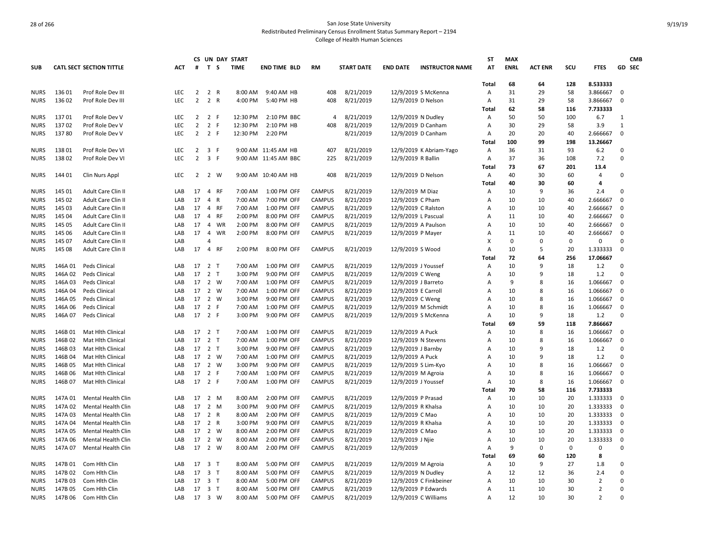|                            |         |                                 |            |                 |                         | CS UN DAY START         |                      |                |                   |                     |                         | <b>ST</b> | <b>MAX</b>  |                |          |                |              | <b>CMB</b>    |
|----------------------------|---------|---------------------------------|------------|-----------------|-------------------------|-------------------------|----------------------|----------------|-------------------|---------------------|-------------------------|-----------|-------------|----------------|----------|----------------|--------------|---------------|
| <b>SUB</b>                 |         | <b>CATL SECT SECTION TITTLE</b> | ACT        | #               | T S                     | <b>TIME</b>             | <b>END TIME BLD</b>  | RM             | <b>START DATE</b> | <b>END DATE</b>     | <b>INSTRUCTOR NAME</b>  | АТ        | <b>ENRL</b> | <b>ACT ENR</b> | scu      | <b>FTES</b>    |              | <b>GD SEC</b> |
|                            |         |                                 |            |                 |                         |                         |                      |                |                   |                     |                         |           |             |                |          |                |              |               |
|                            |         |                                 |            |                 |                         |                         |                      |                |                   |                     |                         | Total     | 68          | 64             | 128      | 8.533333       |              |               |
| <b>NURS</b>                | 13601   | Prof Role Dev III               | <b>LEC</b> | $\overline{2}$  | 2 R                     | 8:00 AM                 | 9:40 AM HB           | 408            | 8/21/2019         |                     | 12/9/2019 S McKenna     | Α         | 31          | 29             | 58       | 3.866667       | 0            |               |
| <b>NURS</b>                | 136 02  | Prof Role Dev III               | LEC        | $\overline{2}$  | 2 R                     | 4:00 PM                 | 5:40 PM HB           | 408            | 8/21/2019         | 12/9/2019 D Nelson  |                         | Α         | 31          | 29             | 58       | 3.866667       | $\mathbf 0$  |               |
|                            |         |                                 |            |                 |                         |                         |                      |                |                   |                     |                         | Total     | 62          | 58             | 116      | 7.733333       |              |               |
| <b>NURS</b>                | 13701   | Prof Role Dev V                 | <b>LEC</b> |                 | $2 \t2 \tF$             | 12:30 PM                | 2:10 PM BBC          | $\overline{4}$ | 8/21/2019         | 12/9/2019 N Dudley  |                         | Α         | 50          | 50             | 100      | 6.7            | $\mathbf{1}$ |               |
| <b>NURS</b>                | 13702   | Prof Role Dev V                 | <b>LEC</b> | $\overline{2}$  | $\overline{2}$          | 12:30 PM<br>F           | 2:10 PM HB           | 408            | 8/21/2019         |                     | 12/9/2019 D Canham      | A         | 30          | 29             | 58       | 3.9            | $\mathbf{1}$ |               |
| <b>NURS</b>                | 13780   | Prof Role Dev V                 | LEC        | $\overline{2}$  | 2 F                     | 12:30 PM                | 2:20 PM              |                | 8/21/2019         |                     | 12/9/2019 D Canham      | Α         | 20          | 20             | 40       | 2.666667       | $\mathbf 0$  |               |
|                            |         |                                 |            |                 |                         |                         |                      |                |                   |                     |                         | Total     | 100         | 99             | 198      | 13.26667       |              |               |
| <b>NURS</b>                | 138 01  | Prof Role Dev VI                | LEC        | $\overline{2}$  | $\overline{\mathbf{3}}$ | F                       | 9:00 AM 11:45 AM HB  | 407            | 8/21/2019         |                     | 12/9/2019 K Abriam-Yago | Α         | 36          | 31             | 93       | 6.2            | $\mathbf 0$  |               |
| <b>NURS</b>                | 13802   | Prof Role Dev VI                | <b>LEC</b> | $\overline{2}$  | 3 F                     |                         | 9:00 AM 11:45 AM BBC | 225            | 8/21/2019         | 12/9/2019 R Ballin  |                         | A         | 37          | 36             | 108      | 7.2            | $\Omega$     |               |
|                            |         |                                 |            |                 |                         |                         |                      |                |                   |                     |                         | Total     | 73          | 67             | 201      | 13.4           |              |               |
| <b>NURS</b>                | 144 01  | Clin Nurs Appl                  | LEC        | $\overline{2}$  | 2 W                     |                         | 9:00 AM 10:40 AM HB  | 408            | 8/21/2019         | 12/9/2019 D Nelson  |                         | Α         | 40          | 30             | 60       | $\overline{4}$ | $\Omega$     |               |
|                            |         |                                 |            |                 |                         |                         |                      |                |                   |                     |                         | Total     | 40          | 30             | 60       | 4              |              |               |
| <b>NURS</b>                | 145 01  | Adult Care Clin II              | LAB        | 17 4            |                         | <b>RF</b><br>7:00 AM    | 1:00 PM OFF          | <b>CAMPUS</b>  | 8/21/2019         | 12/9/2019 M Diaz    |                         | A         | 10          | 9              | 36       | 2.4            | $\Omega$     |               |
| <b>NURS</b>                | 145 02  | Adult Care Clin II              | LAB        | 17              | $\overline{4}$          | $\mathsf{R}$<br>7:00 AM | 7:00 PM OFF          | <b>CAMPUS</b>  | 8/21/2019         | 12/9/2019 C Pham    |                         | A         | 10          | 10             | 40       | 2.666667       | $\mathbf 0$  |               |
| <b>NURS</b>                | 145 03  | Adult Care Clin II              | LAB        | 17              | $\overline{4}$          | <b>RF</b><br>7:00 AM    | 1:00 PM OFF          | <b>CAMPUS</b>  | 8/21/2019         | 12/9/2019 C Ralston |                         | A         | 10          | 10             | 40       | 2.666667       | $\Omega$     |               |
| <b>NURS</b>                | 145 04  | Adult Care Clin II              | LAB        | 17 4            |                         | <b>RF</b><br>2:00 PM    | 8:00 PM OFF          | <b>CAMPUS</b>  | 8/21/2019         | 12/9/2019 L Pascual |                         | Α         | 11          | 10             | 40       | 2.666667       | $\mathbf 0$  |               |
| <b>NURS</b>                | 145 05  | Adult Care Clin II              | LAB        | 17 4            |                         | WR<br>2:00 PM           | 8:00 PM OFF          | <b>CAMPUS</b>  | 8/21/2019         |                     | 12/9/2019 A Paulson     | A         | 10          | 10             | 40       | 2.666667       | $\Omega$     |               |
| NURS                       | 145 06  | Adult Care Clin II              | LAB        | 17              | 4                       | WR<br>2:00 PM           | 8:00 PM OFF          | <b>CAMPUS</b>  | 8/21/2019         | 12/9/2019 P Mayer   |                         | Α         | 11          | 10             | 40       | 2.666667       | $\Omega$     |               |
| <b>NURS</b>                | 145 07  | Adult Care Clin II              | LAB        |                 | $\overline{a}$          |                         |                      |                |                   |                     |                         | X         | 0           | 0              | 0        | $\Omega$       | $\Omega$     |               |
| <b>NURS</b>                | 145 08  | Adult Care Clin II              | LAB        | 17              | $\overline{4}$          | <b>RF</b><br>2:00 PM    | 8:00 PM OFF          | <b>CAMPUS</b>  | 8/21/2019         | 12/9/2019 S Wood    |                         | A         | 10          | 5              | 20       | 1.333333       | $\Omega$     |               |
|                            |         |                                 |            |                 |                         |                         |                      |                |                   |                     |                         | Total     | 72          | 64             | 256      | 17.06667       |              |               |
| <b>NURS</b>                | 146A 01 | Peds Clinical                   | LAB        |                 | 17 2 T                  | 7:00 AM                 | 1:00 PM OFF          | <b>CAMPUS</b>  | 8/21/2019         | 12/9/2019 J Youssef |                         | Α         | 10          | 9              | 18       | 1.2            | $\mathbf 0$  |               |
| <b>NURS</b>                | 146A02  | Peds Clinical                   | LAB        | 17              | 2 T                     | 3:00 PM                 | 9:00 PM OFF          | <b>CAMPUS</b>  | 8/21/2019         | 12/9/2019 C Weng    |                         | A         | 10          | 9              | 18       | 1.2            | $\mathbf 0$  |               |
| <b>NURS</b>                | 146A03  | Peds Clinical                   | LAB        |                 | 17 2 W                  | 7:00 AM                 | 1:00 PM OFF          | <b>CAMPUS</b>  | 8/21/2019         | 12/9/2019 J Barreto |                         | A         | 9           | 8              | 16       | 1.066667       | $\mathbf 0$  |               |
| <b>NURS</b>                | 146A 04 | Peds Clinical                   | LAB        |                 | 17 2 W                  | 7:00 AM                 | 1:00 PM OFF          | CAMPUS         | 8/21/2019         | 12/9/2019 E Carroll |                         | A         | 10          | 8              | 16       | 1.066667       | $\mathbf 0$  |               |
| <b>NURS</b>                | 146A 05 | Peds Clinical                   | LAB        | 17              | $\overline{2}$          | W<br>3:00 PM            | 9:00 PM OFF          | <b>CAMPUS</b>  | 8/21/2019         | 12/9/2019 C Weng    |                         | Α         | 10          | 8              | 16       | 1.066667       | $\mathbf 0$  |               |
| <b>NURS</b>                | 146A 06 | Peds Clinical                   | LAB        |                 | 17 2 F                  | 7:00 AM                 | 1:00 PM OFF          | <b>CAMPUS</b>  | 8/21/2019         |                     | 12/9/2019 M Schmidt     | A         | 10          | 8              | 16       | 1.066667       | 0            |               |
| <b>NURS</b>                | 146A 07 | Peds Clinical                   | LAB        |                 | 17 2 F                  | 3:00 PM                 | 9:00 PM OFF          | <b>CAMPUS</b>  | 8/21/2019         |                     | 12/9/2019 S McKenna     | A         | 10          | 9              | 18       | 1.2            | $\Omega$     |               |
|                            |         |                                 |            |                 |                         |                         |                      |                |                   |                     |                         | Total     | 69          | 59             | 118      | 7.866667       |              |               |
| <b>NURS</b>                | 146B 01 | Mat Hlth Clinical               | LAB        |                 | 17 2 T                  | 7:00 AM                 | 1:00 PM OFF          | <b>CAMPUS</b>  | 8/21/2019         | 12/9/2019 A Puck    |                         | Α         | 10          | 8              | 16       | 1.066667       | $\Omega$     |               |
| <b>NURS</b>                | 146B 02 | Mat Hith Clinical               | LAB        | 17              | 2 T                     | 7:00 AM                 | 1:00 PM OFF          | <b>CAMPUS</b>  | 8/21/2019         |                     | 12/9/2019 N Stevens     | Α         | 10          | 8              | 16       | 1.066667       | $\mathbf 0$  |               |
| <b>NURS</b>                | 146B03  | Mat Hlth Clinical               | LAB        |                 | 17 2 T                  | 3:00 PM                 | 9:00 PM OFF          | <b>CAMPUS</b>  | 8/21/2019         | 12/9/2019 J Barnby  |                         | Α         | 10          | 9              | 18       | 1.2            | $\mathbf 0$  |               |
| <b>NURS</b>                | 146B 04 | Mat Hlth Clinical               | LAB        |                 | 17 2 W                  | 7:00 AM                 | 1:00 PM OFF          | <b>CAMPUS</b>  | 8/21/2019         | 12/9/2019 A Puck    |                         | Α         | 10          | 9              | 18       | 1.2            | $\Omega$     |               |
| <b>NURS</b>                | 146B 05 | Mat Hlth Clinical               | LAB        | 17 <sup>2</sup> |                         | W<br>3:00 PM            | 9:00 PM OFF          | CAMPUS         | 8/21/2019         |                     | 12/9/2019 S Lim-Kyo     | A         | 10          | 8              | 16       | 1.066667       | $\mathbf 0$  |               |
|                            | 146B 06 | Mat Hlth Clinical               | LAB        | 17              | 2 F                     | 7:00 AM                 | 1:00 PM OFF          | <b>CAMPUS</b>  | 8/21/2019         | 12/9/2019 M Agroia  |                         | Α         | 10          | 8              | 16       | 1.066667       | $\mathbf 0$  |               |
| <b>NURS</b><br><b>NURS</b> | 146B 07 | Mat Hith Clinical               | LAB        |                 | 17 2 F                  | 7:00 AM                 | 1:00 PM OFF          | <b>CAMPUS</b>  | 8/21/2019         | 12/9/2019 J Youssef |                         | Α         | 10          | 8              | 16       | 1.066667       | $\Omega$     |               |
|                            |         |                                 |            |                 |                         |                         |                      |                |                   |                     |                         |           | 70          | 58             | 116      |                |              |               |
|                            |         |                                 |            |                 | 17 2 M                  |                         |                      | <b>CAMPUS</b>  |                   |                     |                         | Total     |             |                | 20       | 7.733333       |              |               |
| <b>NURS</b>                | 147A 01 | Mental Health Clin              | LAB        |                 |                         | 8:00 AM                 | 2:00 PM OFF          |                | 8/21/2019         | 12/9/2019 P Prasad  |                         | Α         | 10          | 10             | 20       | 1.333333       | 0            |               |
| <b>NURS</b>                | 147A 02 | Mental Health Clin              | LAB        | 17              | $\overline{2}$          | 3:00 PM<br>M            | 9:00 PM OFF          | CAMPUS         | 8/21/2019         | 12/9/2019 R Khalsa  |                         | A         | 10          | 10             |          | 1.333333       | 0            |               |
| <b>NURS</b>                | 147A 03 | Mental Health Clin              | LAB        |                 | 17 2 R                  | 8:00 AM                 | 2:00 PM OFF          | <b>CAMPUS</b>  | 8/21/2019         | 12/9/2019 C Mao     |                         | Α         | 10          | 10             | 20       | 1.333333       | $\mathbf 0$  |               |
| <b>NURS</b>                | 147A 04 | Mental Health Clin              | LAB        | 17              | 2 R                     | 3:00 PM                 | 9:00 PM OFF          | <b>CAMPUS</b>  | 8/21/2019         | 12/9/2019 R Khalsa  |                         | Α         | 10          | 10             | 20       | 1.333333       | 0            |               |
| <b>NURS</b>                | 147A 05 | Mental Health Clin              | LAB        | 17 2            |                         | W<br>8:00 AM            | 2:00 PM OFF          | <b>CAMPUS</b>  | 8/21/2019         | 12/9/2019 C Mao     |                         | Α         | 10          | 10             | 20       | 1.333333       | 0            |               |
| <b>NURS</b>                | 147A 06 | Mental Health Clin              | LAB        | 17 <sup>2</sup> |                         | W<br>8:00 AM            | 2:00 PM OFF          | <b>CAMPUS</b>  | 8/21/2019         | 12/9/2019 J Njie    |                         | A         | 10          | 10             | 20       | 1.333333       | $\mathbf 0$  |               |
| <b>NURS</b>                | 147A 07 | Mental Health Clin              | LAB        | 17              | 2 W                     | 8:00 AM                 | 2:00 PM OFF          | <b>CAMPUS</b>  | 8/21/2019         | 12/9/2019           |                         | Α         | 9           | 0              | $\Omega$ | 0              | $\Omega$     |               |
|                            |         |                                 |            |                 |                         |                         |                      |                |                   |                     |                         | Total     | 69          | 60             | 120      | 8              |              |               |
| <b>NURS</b>                | 147B 01 | Com Hlth Clin                   | LAB        |                 | 17 3 T                  | 8:00 AM                 | 5:00 PM OFF          | <b>CAMPUS</b>  | 8/21/2019         | 12/9/2019 M Agroia  |                         | Α         | 10          | 9              | 27       | 1.8            | $\Omega$     |               |
| <b>NURS</b>                | 147B 02 | Com Hlth Clin                   | LAB        | 17 <sub>3</sub> |                         | $\mathsf{T}$<br>8:00 AM | 5:00 PM OFF          | <b>CAMPUS</b>  | 8/21/2019         | 12/9/2019 N Dudley  |                         | A         | 12          | 12             | 36       | 2.4            | $\Omega$     |               |
| <b>NURS</b>                | 147B 03 | Com Hlth Clin                   | LAB        |                 | 17 3 T                  | 8:00 AM                 | 5:00 PM OFF          | <b>CAMPUS</b>  | 8/21/2019         |                     | 12/9/2019 C Finkbeiner  | Α         | 10          | 10             | 30       | $\overline{2}$ | $\mathbf 0$  |               |
| <b>NURS</b>                | 147B 05 | Com Hlth Clin                   | LAB        |                 | 17 3 T                  | 8:00 AM                 | 5:00 PM OFF          | <b>CAMPUS</b>  | 8/21/2019         |                     | 12/9/2019 P Edwards     | Α         | 11          | 10             | 30       | $\overline{2}$ | $\mathbf 0$  |               |
| <b>NURS</b>                | 147B 06 | Com Hlth Clin                   | LAB        |                 | 17 3 W                  | 8:00 AM                 | 5:00 PM OFF          | <b>CAMPUS</b>  | 8/21/2019         |                     | 12/9/2019 C Williams    | Α         | 12          | 10             | 30       | $\overline{2}$ | $\Omega$     |               |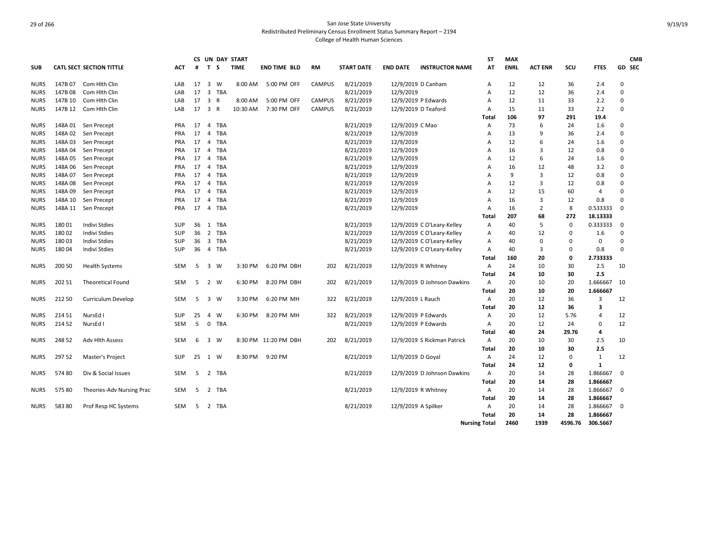|             |         |                                 |            |                 |                         | <b>CS UN DAY START</b> |             |                      |               |                   |                     |                             | <b>ST</b>            | <b>MAX</b>  |                |          |                         |             | <b>CMB</b> |
|-------------|---------|---------------------------------|------------|-----------------|-------------------------|------------------------|-------------|----------------------|---------------|-------------------|---------------------|-----------------------------|----------------------|-------------|----------------|----------|-------------------------|-------------|------------|
| <b>SUB</b>  |         | <b>CATL SECT SECTION TITTLE</b> | ACT        | #               | T S                     |                        | <b>TIME</b> | <b>END TIME BLD</b>  | <b>RM</b>     | <b>START DATE</b> | <b>END DATE</b>     | <b>INSTRUCTOR NAME</b>      | AT                   | <b>ENRL</b> | <b>ACT ENR</b> | SCU      | <b>FTES</b>             |             | GD SEC     |
| <b>NURS</b> | 147B 07 | Com Hith Clin                   | LAB        | 17              | $\overline{\mathbf{3}}$ | W                      | 8:00 AM     | 5:00 PM OFF          | <b>CAMPUS</b> | 8/21/2019         | 12/9/2019 D Canham  |                             | A                    | 12          | 12             | 36       | 2.4                     | $\Omega$    |            |
| <b>NURS</b> | 147B 08 | Com Hith Clin                   | LAB        | 17              |                         | 3 TBA                  |             |                      |               | 8/21/2019         | 12/9/2019           |                             | A                    | 12          | 12             | 36       | 2.4                     | $\mathbf 0$ |            |
| <b>NURS</b> | 147B 10 | Com Hlth Clin                   | LAB        | 17              | $\overline{\mathbf{3}}$ | $\mathsf{R}$           | 8:00 AM     | 5:00 PM OFF          | <b>CAMPUS</b> | 8/21/2019         | 12/9/2019 P Edwards |                             | A                    | 12          | 11             | 33       | 2.2                     | $\Omega$    |            |
| <b>NURS</b> | 147B 12 | Com Hlth Clin                   | LAB        | 17              | $\overline{\mathbf{3}}$ | $\mathsf{R}$           | 10:30 AM    | 7:30 PM OFF          | <b>CAMPUS</b> | 8/21/2019         | 12/9/2019 D Teaford |                             | A                    | 15          | 11             | 33       | 2.2                     | $\Omega$    |            |
|             |         |                                 |            |                 |                         |                        |             |                      |               |                   |                     |                             | Total                | 106         | 97             | 291      | 19.4                    |             |            |
| <b>NURS</b> | 148A 01 | Sen Precept                     | <b>PRA</b> | 17              | $\overline{4}$          | <b>TBA</b>             |             |                      |               | 8/21/2019         | 12/9/2019 C Mao     |                             | A                    | 73          | 6              | 24       | 1.6                     | 0           |            |
| <b>NURS</b> | 148A 02 | Sen Precept                     | <b>PRA</b> | 17              | $\overline{4}$          | <b>TBA</b>             |             |                      |               | 8/21/2019         | 12/9/2019           |                             | $\overline{A}$       | 13          | 9              | 36       | 2.4                     | $\Omega$    |            |
| <b>NURS</b> | 148A03  | Sen Precept                     | <b>PRA</b> | 17              | $\overline{4}$          | <b>TBA</b>             |             |                      |               | 8/21/2019         | 12/9/2019           |                             | $\overline{A}$       | 12          | 6              | 24       | 1.6                     | $\Omega$    |            |
| <b>NURS</b> | 148A 04 | Sen Precept                     | <b>PRA</b> | 17              | $\overline{4}$          | TBA                    |             |                      |               | 8/21/2019         | 12/9/2019           |                             | $\overline{A}$       | 16          | 3              | 12       | 0.8                     | $\Omega$    |            |
| <b>NURS</b> | 148A05  | Sen Precept                     | <b>PRA</b> | 17              | $\overline{4}$          | <b>TBA</b>             |             |                      |               | 8/21/2019         | 12/9/2019           |                             | A                    | 12          | 6              | 24       | 1.6                     | $\Omega$    |            |
| <b>NURS</b> | 148A 06 | Sen Precept                     | <b>PRA</b> | 17              | $\overline{4}$          | TBA                    |             |                      |               | 8/21/2019         | 12/9/2019           |                             | A                    | 16          | 12             | 48       | 3.2                     | $\Omega$    |            |
| <b>NURS</b> | 148A 07 | Sen Precept                     | <b>PRA</b> | 17              | $\overline{4}$          | TBA                    |             |                      |               | 8/21/2019         | 12/9/2019           |                             | $\overline{A}$       | 9           | 3              | 12       | 0.8                     | $\Omega$    |            |
| <b>NURS</b> | 148A 08 | Sen Precept                     | <b>PRA</b> | 17              | $\overline{4}$          | <b>TBA</b>             |             |                      |               | 8/21/2019         | 12/9/2019           |                             | A                    | 12          | 3              | 12       | 0.8                     | $\Omega$    |            |
| <b>NURS</b> | 148A 09 | Sen Precept                     | <b>PRA</b> | 17              | $\overline{4}$          | <b>TBA</b>             |             |                      |               | 8/21/2019         | 12/9/2019           |                             | A                    | 12          | 15             | 60       | $\overline{4}$          | $\Omega$    |            |
| <b>NURS</b> | 148A 10 | Sen Precept                     | <b>PRA</b> | 17              | $\overline{4}$          | TBA                    |             |                      |               | 8/21/2019         | 12/9/2019           |                             | A                    | 16          | 3              | 12       | 0.8                     | $\mathbf 0$ |            |
| <b>NURS</b> |         | 148A 11 Sen Precept             | <b>PRA</b> | 17              | $\overline{4}$          | <b>TBA</b>             |             |                      |               | 8/21/2019         | 12/9/2019           |                             | $\overline{A}$       | 16          | $\overline{2}$ | 8        | 0.533333                | $\Omega$    |            |
|             |         |                                 |            |                 |                         |                        |             |                      |               |                   |                     |                             | Total                | 207         | 68             | 272      | 18.13333                |             |            |
| <b>NURS</b> | 18001   | <b>Indivi Stdies</b>            | SUP        | 36              | 1                       | TBA                    |             |                      |               | 8/21/2019         |                     | 12/9/2019 C O'Leary-Kelley  | Α                    | 40          | 5              | $\Omega$ | 0.333333                | 0           |            |
| <b>NURS</b> | 18002   | <b>Indivi Stdies</b>            | SUP        | 36              | $\overline{2}$          | <b>TBA</b>             |             |                      |               | 8/21/2019         |                     | 12/9/2019 C O'Leary-Kelley  | A                    | 40          | 12             | $\Omega$ | 1.6                     | $\mathbf 0$ |            |
| <b>NURS</b> | 18003   | Indivi Stdies                   | SUP        | 36 <sub>3</sub> |                         | TBA                    |             |                      |               | 8/21/2019         |                     | 12/9/2019 C O'Leary-Kelley  | A                    | 40          | 0              | $\Omega$ | 0                       | $\Omega$    |            |
| <b>NURS</b> | 18004   | <b>Indivi Stdies</b>            | <b>SUP</b> | 36              |                         | 4 TBA                  |             |                      |               | 8/21/2019         |                     | 12/9/2019 C O'Leary-Kelley  | Α                    | 40          | 3              | $\Omega$ | 0.8                     | $\Omega$    |            |
|             |         |                                 |            |                 |                         |                        |             |                      |               |                   |                     |                             | Total                | 160         | 20             | 0        | 2.733333                |             |            |
| <b>NURS</b> | 200 50  | <b>Health Systems</b>           | SEM        | 5               | 3 W                     |                        | 3:30 PM     | 6:20 PM DBH          | 202           | 8/21/2019         | 12/9/2019 R Whitney |                             | A                    | 24          | 10             | 30       | 2.5                     | 10          |            |
|             |         |                                 |            |                 |                         |                        |             |                      |               |                   |                     |                             | Total                | 24          | 10             | 30       | 2.5                     |             |            |
| <b>NURS</b> | 202 51  | <b>Theoretical Found</b>        | <b>SEM</b> | 5               | $\overline{2}$          | W                      | 6:30 PM     | 8:20 PM DBH          | 202           | 8/21/2019         |                     | 12/9/2019 D Johnson Dawkins | $\overline{A}$       | 20          | 10             | 20       | 1.666667                | 10          |            |
|             |         |                                 |            |                 |                         |                        |             |                      |               |                   |                     |                             | Total                | 20          | 10             | 20       | 1.666667                |             |            |
| <b>NURS</b> | 212 50  | Curriculum Develop              | SEM        | 5               | $\overline{\mathbf{3}}$ | W                      | 3:30 PM     | 6:20 PM MH           | 322           | 8/21/2019         | 12/9/2019 L Rauch   |                             | Α                    | 20          | 12             | 36       | 3                       | 12          |            |
|             |         |                                 |            |                 |                         |                        |             |                      |               |                   |                     |                             | Total                | 20          | 12             | 36       | $\overline{\mathbf{3}}$ |             |            |
| <b>NURS</b> | 214 51  | NursEd I                        | <b>SUP</b> | 25              | $\overline{4}$          | W                      | 6:30 PM     | 8:20 PM MH           | 322           | 8/21/2019         | 12/9/2019 P Edwards |                             | Α                    | 20          | 12             | 5.76     | 4                       | 12          |            |
| <b>NURS</b> | 214 52  | NursEd I                        | <b>SEM</b> | 5               | $\mathbf 0$             | <b>TBA</b>             |             |                      |               | 8/21/2019         | 12/9/2019 P Edwards |                             | Α                    | 20          | 12             | 24       | 0                       | 12          |            |
|             |         |                                 |            |                 |                         |                        |             |                      |               |                   |                     |                             | Total                | 40          | 24             | 29.76    | 4                       |             |            |
| <b>NURS</b> | 248 52  | Adv Hlth Assess                 | SEM        | 6               | 3                       | w                      |             | 8:30 PM 11:20 PM DBH | 202           | 8/21/2019         |                     | 12/9/2019 S Rickman Patrick | $\mathsf{A}$         | 20          | 10             | 30       | 2.5                     | 10          |            |
|             |         |                                 |            |                 |                         |                        |             |                      |               |                   |                     |                             | Total                | 20          | 10             | 30       | 2.5                     |             |            |
| <b>NURS</b> | 297 52  | Master's Project                | <b>SUP</b> | 25              | 1                       | W                      | 8:30 PM     | 9:20 PM              |               | 8/21/2019         | 12/9/2019 D Goyal   |                             | Α                    | 24          | 12             | $\Omega$ | $\mathbf{1}$            | 12          |            |
|             |         |                                 |            |                 |                         |                        |             |                      |               |                   |                     |                             | Total                | 24          | 12             | 0        | $\mathbf{1}$            |             |            |
| <b>NURS</b> | 57480   | Div & Social Issues             | <b>SEM</b> | 5               | $\overline{2}$          | TBA                    |             |                      |               | 8/21/2019         |                     | 12/9/2019 D Johnson Dawkins | $\overline{A}$       | 20          | 14             | 28       | 1.866667                | 0           |            |
|             |         |                                 |            |                 |                         |                        |             |                      |               |                   |                     |                             | Total                | 20          | 14             | 28       | 1.866667                |             |            |
| <b>NURS</b> | 575 80  | Theories-Adv Nursing Prac       | <b>SEM</b> | -5              |                         | 2 TBA                  |             |                      |               | 8/21/2019         | 12/9/2019 R Whitney |                             | Α                    | 20          | 14             | 28       | 1.866667                | 0           |            |
|             |         |                                 |            |                 |                         |                        |             |                      |               |                   |                     |                             | Total                | 20          | 14             | 28       | 1.866667                |             |            |
| <b>NURS</b> | 58380   | Prof Resp HC Systems            | SEM        | -5              | 2                       | TBA                    |             |                      |               | 8/21/2019         | 12/9/2019 A Spilker |                             | A                    | 20          | 14             | 28       | 1.866667                | 0           |            |
|             |         |                                 |            |                 |                         |                        |             |                      |               |                   |                     |                             | Total                | 20          | 14             | 28       | 1.866667                |             |            |
|             |         |                                 |            |                 |                         |                        |             |                      |               |                   |                     |                             | <b>Nursing Total</b> | 2460        | 1939           | 4596.76  | 306.5667                |             |            |
|             |         |                                 |            |                 |                         |                        |             |                      |               |                   |                     |                             |                      |             |                |          |                         |             |            |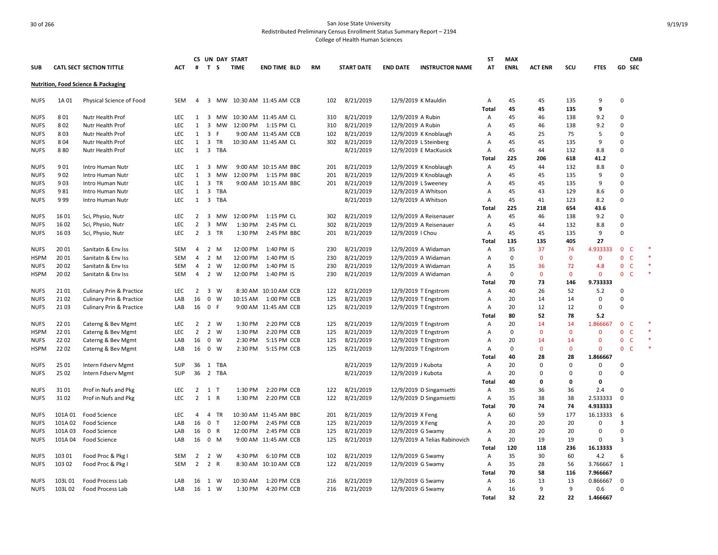|             |         |                                                |            |                |                         |       | CS UN DAY START |                       |           |                   |                    |                               | ST           | <b>MAX</b>  |                |          |              | <b>CMB</b>                   |  |
|-------------|---------|------------------------------------------------|------------|----------------|-------------------------|-------|-----------------|-----------------------|-----------|-------------------|--------------------|-------------------------------|--------------|-------------|----------------|----------|--------------|------------------------------|--|
| <b>SUB</b>  |         | <b>CATL SECT SECTION TITTLE</b>                | <b>ACT</b> | #              | T S                     |       | <b>TIME</b>     | <b>END TIME BLD</b>   | <b>RM</b> | <b>START DATE</b> | <b>END DATE</b>    | <b>INSTRUCTOR NAME</b>        | AT           | <b>ENRL</b> | <b>ACT ENR</b> | SCU      | <b>FTES</b>  | GD SEC                       |  |
|             |         | <b>Nutrition, Food Science &amp; Packaging</b> |            |                |                         |       |                 |                       |           |                   |                    |                               |              |             |                |          |              |                              |  |
| <b>NUFS</b> | 1A 01   | Physical Science of Food                       | <b>SEM</b> | $\overline{4}$ | 3                       | MW    |                 | 10:30 AM 11:45 AM CCB | 102       | 8/21/2019         |                    | 12/9/2019 K Mauldin           | Α            | 45          | 45             | 135      | 9            | $\Omega$                     |  |
|             |         |                                                |            |                |                         |       |                 |                       |           |                   |                    |                               | <b>Total</b> | 45          | 45             | 135      | 9            |                              |  |
| <b>NUFS</b> | 801     | Nutr Health Prof                               | LEC.       | 1              |                         | 3 MW  |                 | 10:30 AM 11:45 AM CL  | 310       | 8/21/2019         | 12/9/2019 A Rubin  |                               | Α            | 45          | 46             | 138      | 9.2          | $\Omega$                     |  |
| <b>NUFS</b> | 802     | Nutr Health Prof                               | LEC        | 1              | 3                       | МW    | 12:00 PM        | 1:15 PM CL            | 310       | 8/21/2019         | 12/9/2019 A Rubin  |                               | A            | 45          | 46             | 138      | 9.2          | $\Omega$                     |  |
| <b>NUFS</b> | 803     | Nutr Health Prof                               | LEC        | 1              | $\overline{\mathbf{3}}$ | E     |                 | 9:00 AM 11:45 AM CCB  | 102       | 8/21/2019         |                    | 12/9/2019 K Knoblaugh         | A            | 45          | 25             | 75       | 5            | $\Omega$                     |  |
| NUFS        | 804     | Nutr Health Prof                               | LEC        | 1              | 3                       | TR    |                 | 10:30 AM 11:45 AM CL  | 302       | 8/21/2019         |                    | 12/9/2019 L Steinberg         | Α            | 45          | 45             | 135      | 9            | $\Omega$                     |  |
| <b>NUFS</b> | 880     | Nutr Health Prof                               | LEC        | $\mathbf{1}$   |                         | 3 TBA |                 |                       |           | 8/21/2019         |                    | 12/9/2019 E MacKusick         | Α            | 45          | 44             | 132      | 8.8          | $\Omega$                     |  |
|             |         |                                                |            |                |                         |       |                 |                       |           |                   |                    |                               | Total        | 225         | 206            | 618      | 41.2         |                              |  |
| <b>NUFS</b> | 901     | Intro Human Nutr                               | LEC        | 1              | 3                       | MW    |                 | 9:00 AM 10:15 AM BBC  | 201       | 8/21/2019         |                    | 12/9/2019 K Knoblaugh         | Α            | 45          | 44             | 132      | 8.8          | $\Omega$                     |  |
| <b>NUFS</b> | 902     | Intro Human Nutr                               | LEC        | 1              | 3                       | MW    | 12:00 PM        | 1:15 PM BBC           | 201       | 8/21/2019         |                    | 12/9/2019 K Knoblaugh         | Α            | 45          | 45             | 135      | 9            | $\Omega$                     |  |
| <b>NUFS</b> | 903     | Intro Human Nutr                               | LEC        | 1              | $\overline{3}$          | TR    |                 | 9:00 AM 10:15 AM BBC  | 201       | 8/21/2019         |                    | 12/9/2019 L Sweeney           | A            | 45          | 45             | 135      | 9            | $\Omega$                     |  |
| <b>NUFS</b> | 981     | Intro Human Nutr                               | LEC        | $\mathbf{1}$   |                         | 3 TBA |                 |                       |           | 8/21/2019         |                    | 12/9/2019 A Whitson           | Α            | 45          | 43             | 129      | 8.6          | 0                            |  |
| NUFS        | 999     | Intro Human Nutr                               | LEC        | 1              |                         | 3 TBA |                 |                       |           | 8/21/2019         |                    | 12/9/2019 A Whitson           | Α            | 45          | 41             | 123      | 8.2          | $\Omega$                     |  |
|             |         |                                                |            |                |                         |       |                 |                       |           |                   |                    |                               | <b>Total</b> | 225         | 218            | 654      | 43.6         |                              |  |
| <b>NUFS</b> | 1601    | Sci, Physio, Nutr                              | <b>LEC</b> | 2              | 3                       | MW    | 12:00 PM        | 1:15 PM CL            | 302       | 8/21/2019         |                    | 12/9/2019 A Reisenauer        | А            | 45          | 46             | 138      | 9.2          | $\Omega$                     |  |
| NUFS        | 1602    | Sci, Physio, Nutr                              | LEC        | $\overline{2}$ |                         | 3 MW  | 1:30 PM         | 2:45 PM CL            | 302       | 8/21/2019         |                    | 12/9/2019 A Reisenauer        | A            | 45          | 44             | 132      | 8.8          | $\Omega$                     |  |
| NUFS        | 16 03   | Sci, Physio, Nutr                              | LEC        | $\overline{2}$ |                         | 3 TR  | 1:30 PM         | 2:45 PM BBC           | 201       | 8/21/2019         | 12/9/2019   Chou   |                               | Α            | 45          | 45             | 135      | 9            | 0                            |  |
|             |         |                                                |            |                |                         |       |                 |                       |           |                   |                    |                               | Total        | 135         | 135            | 405      | 27           |                              |  |
| <b>NUFS</b> | 20 01   | Sanitatn & Env Iss                             | <b>SEM</b> | 4              | 2 M                     |       | 12:00 PM        | 1:40 PM IS            | 230       | 8/21/2019         |                    | 12/9/2019 A Widaman           | Α            | 35          | 37             | 74       | 4.933333     | $\mathbf{0}$<br>C            |  |
| <b>HSPM</b> | 20 01   | Sanitatn & Env Iss                             | <b>SEM</b> | $\overline{4}$ | 2 M                     |       | 12:00 PM        | 1:40 PM IS            | 230       | 8/21/2019         |                    | 12/9/2019 A Widaman           | A            | $\mathbf 0$ | $\Omega$       | $\Omega$ | $\mathbf{0}$ | $\mathbf{0}$<br>$\mathsf{C}$ |  |
| <b>NUFS</b> | 2002    | Sanitatn & Env Iss                             | <b>SEM</b> | $\overline{4}$ | 2 W                     |       | 12:00 PM        | 1:40 PM IS            | 230       | 8/21/2019         |                    | 12/9/2019 A Widaman           | Α            | 35          | 36             | 72       | 4.8          | $\mathbf{0}$<br>$\mathsf{C}$ |  |
| HSPM        | 20 02   | Sanitatn & Env Iss                             | <b>SEM</b> | $\overline{4}$ | 2 W                     |       | 12:00 PM        | 1:40 PM IS            | 230       | 8/21/2019         |                    | 12/9/2019 A Widaman           | A            | 0           | $\mathbf 0$    | $\Omega$ | $\mathbf{0}$ | $\mathbf{0}$<br><b>C</b>     |  |
|             |         |                                                |            |                |                         |       |                 |                       |           |                   |                    |                               | Total        | 70          | 73             | 146      | 9.733333     |                              |  |
| <b>NUFS</b> | 2101    | <b>Culinary Prin &amp; Practice</b>            | <b>LEC</b> | $\overline{2}$ | 3 W                     |       |                 | 8:30 AM 10:10 AM CCB  | 122       | 8/21/2019         |                    | 12/9/2019 T Engstrom          | Α            | 40          | 26             | 52       | 5.2          | $\Omega$                     |  |
| <b>NUFS</b> | 21 02   | <b>Culinary Prin &amp; Practice</b>            | LAB        | 16             | $\mathbf 0$             | W     | 10:15 AM        | 1:00 PM CCB           | 125       | 8/21/2019         |                    | 12/9/2019 T Engstrom          | Α            | 20          | 14             | 14       | 0            | 0                            |  |
| NUFS        | 21 03   | Culinary Prin & Practice                       | LAB        |                | 16 0 F                  |       |                 | 9:00 AM 11:45 AM CCB  | 125       | 8/21/2019         |                    | 12/9/2019 T Engstrom          | Α            | 20          | 12             | 12       | 0            | $\Omega$                     |  |
|             |         |                                                |            |                |                         |       |                 |                       |           |                   |                    |                               | Total        | 80          | 52             | 78       | 5.2          |                              |  |
| <b>NUFS</b> | 2201    | Caterng & Bev Mgmt                             | <b>LEC</b> | $\overline{2}$ | 2 W                     |       | 1:30 PM         | 2:20 PM CCB           | 125       | 8/21/2019         |                    | 12/9/2019 T Engstrom          | Α            | 20          | 14             | 14       | 1.866667     | $\mathbf{0}$<br>C            |  |
| <b>HSPM</b> | 2201    | Caterng & Bev Mgmt                             | LEC        | $\overline{2}$ | 2 W                     |       | 1:30 PM         | 2:20 PM CCB           | 125       | 8/21/2019         |                    | 12/9/2019 T Engstrom          | Α            | $\Omega$    | $\Omega$       | $\Omega$ | $\mathbf 0$  | $\mathbf{0}$<br>$\mathsf{C}$ |  |
| NUFS        | 2202    | Caterng & Bev Mgmt                             | LAB        | 16             | 0 W                     |       | 2:30 PM         | 5:15 PM CCB           | 125       | 8/21/2019         |                    | 12/9/2019 T Engstrom          | Α            | 20          | 14             | 14       | $\mathbf 0$  | $\mathbf{0}$<br>$\mathsf{C}$ |  |
| HSPM        | 22 02   | Caterng & Bev Mgmt                             | LAB        | 16             | 0 W                     |       | 2:30 PM         | 5:15 PM CCB           | 125       | 8/21/2019         |                    | 12/9/2019 T Engstrom          | Α            | 0           | $\mathbf{0}$   | $\Omega$ | $\Omega$     | $\mathbf{0}$<br>$\mathsf{C}$ |  |
|             |         |                                                |            |                |                         |       |                 |                       |           |                   |                    |                               | Total        | 40          | 28             | 28       | 1.866667     |                              |  |
| NUFS        | 25 01   | Intern Fdserv Mgmt                             | <b>SUP</b> | 36             | 1                       | TBA   |                 |                       |           | 8/21/2019         | 12/9/2019 J Kubota |                               | A            | 20          | $\Omega$       | $\Omega$ | 0            | $\Omega$                     |  |
| <b>NUFS</b> | 25 02   | Intern Fdserv Mgmt                             | SUP        | 36             |                         | 2 TBA |                 |                       |           | 8/21/2019         | 12/9/2019 J Kubota |                               | Α            | 20          | $\Omega$       | $\Omega$ | $\mathbf 0$  | 0                            |  |
|             |         |                                                |            |                |                         |       |                 |                       |           |                   |                    |                               | Total        | 40          | 0              | 0        | 0            |                              |  |
| <b>NUFS</b> | 3101    | Prof in Nufs and Pkg                           | <b>LEC</b> | $\overline{2}$ | $1$ T                   |       | 1:30 PM         | 2:20 PM CCB           | 122       | 8/21/2019         |                    | 12/9/2019 D Singamsetti       | Α            | 35          | 36             | 36       | 2.4          | $\Omega$                     |  |
| <b>NUFS</b> | 3102    | Prof in Nufs and Pkg                           | LEC        | $\overline{2}$ | 1 R                     |       | 1:30 PM         | 2:20 PM CCB           | 122       | 8/21/2019         |                    | 12/9/2019 D Singamsetti       | Α            | 35          | 38             | 38       | 2.533333     | 0                            |  |
|             |         |                                                |            |                |                         |       |                 |                       |           |                   |                    |                               | <b>Total</b> | 70          | 74             | 74       | 4.933333     |                              |  |
| <b>NUFS</b> | 101A 01 | <b>Food Science</b>                            | <b>LEC</b> | $\overline{4}$ |                         | 4 TR  |                 | 10:30 AM 11:45 AM BBC | 201       | 8/21/2019         | 12/9/2019 X Feng   |                               | Α            | 60          | 59             | 177      | 16.13333     | 6                            |  |
| <b>NUFS</b> | 101A 02 | <b>Food Science</b>                            | LAB        | 16             | 0 <sub>T</sub>          |       | 12:00 PM        | 2:45 PM CCB           | 125       | 8/21/2019         | 12/9/2019 X Feng   |                               | Α            | 20          | 20             | 20       | 0            | 3                            |  |
| <b>NUFS</b> | 101A03  | <b>Food Science</b>                            | LAB        | 16             | 0 R                     |       | 12:00 PM        | 2:45 PM CCB           | 125       | 8/21/2019         |                    | 12/9/2019 G Swamy             | Α            | 20          | 20             | 20       | 0            | $\Omega$                     |  |
| <b>NUFS</b> | 101A 04 | Food Science                                   | LAB        | 16             | 0 M                     |       |                 | 9:00 AM 11:45 AM CCB  | 125       | 8/21/2019         |                    | 12/9/2019 A Telias Rabinovich | Α            | 20          | 19             | 19       | $\mathbf 0$  | $\overline{3}$               |  |
|             |         |                                                |            |                |                         |       |                 |                       |           |                   |                    |                               | <b>Total</b> | 120         | 118            | 236      | 16.13333     |                              |  |
| <b>NUFS</b> | 103 01  | Food Proc & Pkg I                              | SEM        | 2              | 2 W                     |       | 4:30 PM         | 6:10 PM CCB           | 102       | 8/21/2019         |                    | 12/9/2019 G Swamy             | Α            | 35          | 30             | 60       | 4.2          | 6                            |  |
| NUFS        | 103 02  | Food Proc & Pkg I                              | <b>SEM</b> | $\overline{2}$ | 2 R                     |       |                 | 8:30 AM 10:10 AM CCB  | 122       | 8/21/2019         |                    | 12/9/2019 G Swamy             | Α            | 35          | 28             | 56       | 3.766667     | 1                            |  |
|             |         |                                                |            |                |                         |       |                 |                       |           |                   |                    |                               | Total        | 70          | 58             | 116      | 7.966667     |                              |  |
| <b>NUFS</b> | 103L01  | Food Process Lab                               | LAB        |                | 16 1 W                  |       | 10:30 AM        | 1:20 PM CCB           | 216       | 8/21/2019         |                    | 12/9/2019 G Swamy             | А            | 16          | 13             | 13       | 0.866667     | $\Omega$                     |  |
| <b>NUFS</b> | 103L02  | Food Process Lab                               | LAB        | 16             | 1 W                     |       | 1:30 PM         | 4:20 PM CCB           | 216       | 8/21/2019         |                    | 12/9/2019 G Swamy             | Α            | 16          | 9              | 9        | 0.6          | $\Omega$                     |  |
|             |         |                                                |            |                |                         |       |                 |                       |           |                   |                    |                               | Total        | 32          | 22             | 22       | 1.466667     |                              |  |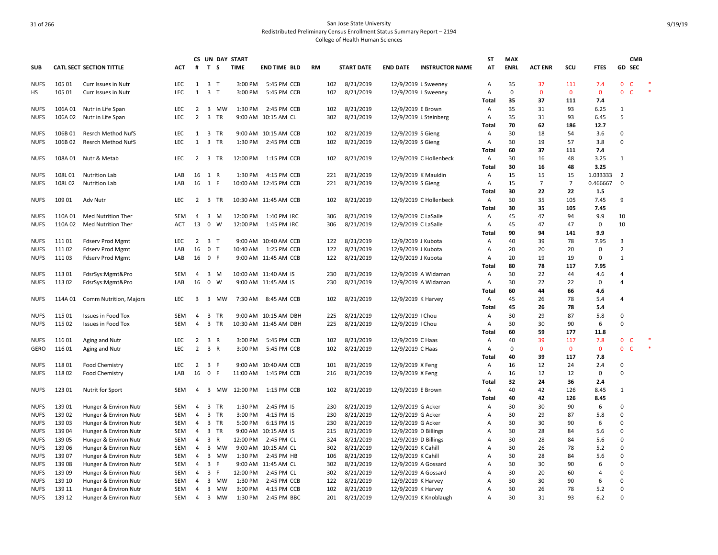|                            |                   |                                                 |                   | CS                  |                         |              | UN DAY START       |                                               |           |            |                        |                                            |                        | ST           | <b>MAX</b>  |                |                |              |                              | <b>CMB</b>   |        |
|----------------------------|-------------------|-------------------------------------------------|-------------------|---------------------|-------------------------|--------------|--------------------|-----------------------------------------------|-----------|------------|------------------------|--------------------------------------------|------------------------|--------------|-------------|----------------|----------------|--------------|------------------------------|--------------|--------|
| <b>SUB</b>                 |                   | <b>CATL SECT SECTION TITTLE</b>                 | ACT               | #                   | T S                     |              | <b>TIME</b>        | <b>END TIME BLD</b>                           | <b>RM</b> |            | <b>START DATE</b>      | <b>END DATE</b>                            | <b>INSTRUCTOR NAME</b> | AT           | <b>ENRL</b> | <b>ACT ENR</b> | SCU            | <b>FTES</b>  | GD SEC                       |              |        |
| <b>NUFS</b>                | 105 01            | Curr Issues in Nutr                             | LEC               | $\mathbf{1}$        | 3 <sub>T</sub>          |              | 3:00 PM            | 5:45 PM CCB                                   |           | 102        | 8/21/2019              | 12/9/2019 L Sweeney                        |                        | Α            | 35          | 37             | 111            | 7.4          | $\mathbf{0}$                 | $\mathsf{C}$ |        |
| HS                         | 105 01            | Curr Issues in Nutr                             | LEC               | $\mathbf{1}$        | 3 <sub>T</sub>          |              | 3:00 PM            | 5:45 PM CCB                                   |           | 102        | 8/21/2019              |                                            | 12/9/2019 L Sweeney    | Α            | 0           | 0              | $\mathbf 0$    | $\mathbf 0$  | $\overline{0}$               | $\mathsf{C}$ | $\ast$ |
|                            |                   |                                                 |                   |                     |                         |              |                    |                                               |           |            |                        |                                            |                        | Total        | 35          | 37             | 111            | 7.4          |                              |              |        |
| <b>NUFS</b><br><b>NUFS</b> | 106A01<br>106A 02 | Nutr in Life Span<br>Nutr in Life Span          | <b>LEC</b><br>LEC | 2<br>$\overline{2}$ | $\overline{\mathbf{3}}$ | 3 MW<br>TR   | 1:30 PM            | 2:45 PM CCB<br>9:00 AM 10:15 AM CL            |           | 102<br>302 | 8/21/2019<br>8/21/2019 | 12/9/2019 E Brown                          | 12/9/2019 L Steinberg  | A<br>Α       | 35<br>35    | 31<br>31       | 93<br>93       | 6.25<br>6.45 | 1<br>5                       |              |        |
|                            |                   |                                                 |                   |                     |                         |              |                    |                                               |           |            |                        |                                            |                        | <b>Total</b> | 70          | 62             | 186            | 12.7         |                              |              |        |
| <b>NUFS</b>                | 106B01            | <b>Resrch Method NufS</b>                       | LEC               | 1                   |                         | 3 TR         |                    | 9:00 AM 10:15 AM CCB                          |           | 102        | 8/21/2019              | 12/9/2019 S Gieng                          |                        | Α            | 30          | 18             | 54             | 3.6          | 0                            |              |        |
| <b>NUFS</b>                | 106B02            | <b>Resrch Method NufS</b>                       | LEC               | $\mathbf{1}$        | $\overline{\mathbf{3}}$ | TR           | 1:30 PM            | 2:45 PM CCB                                   |           | 102        | 8/21/2019              | 12/9/2019 S Gieng                          |                        | Α            | 30          | 19             | 57             | 3.8          | $\Omega$                     |              |        |
|                            |                   |                                                 |                   |                     |                         |              |                    |                                               |           |            |                        |                                            |                        | <b>Total</b> | 60          | 37             | 111            | 7.4          |                              |              |        |
| <b>NUFS</b>                |                   | 108A 01 Nutr & Metab                            | <b>LEC</b>        |                     |                         | 2 3 TR       |                    | 12:00 PM 1:15 PM CCB                          |           | 102        | 8/21/2019              |                                            | 12/9/2019 C Hollenbeck | Α            | 30          | 16             | 48             | 3.25         | $\mathbf{1}$                 |              |        |
|                            |                   |                                                 |                   |                     |                         |              |                    |                                               |           |            |                        |                                            |                        | Total        | 30          | 16             | 48             | 3.25         |                              |              |        |
| <b>NUFS</b>                | 108L01            | <b>Nutrition Lab</b>                            | LAB               | 16                  | 1 R                     |              | 1:30 PM            | 4:15 PM CCB                                   |           | 221        | 8/21/2019              | 12/9/2019 K Mauldin                        |                        | Α            | 15          | 15             | 15             | 1.033333     | $\overline{2}$               |              |        |
| <b>NUFS</b>                | 108L02            | <b>Nutrition Lab</b>                            | LAB               | 16                  | 1 F                     |              |                    | 10:00 AM 12:45 PM CCB                         |           | 221        | 8/21/2019              | 12/9/2019 S Gieng                          |                        | Α            | 15          | $\overline{7}$ | $\overline{7}$ | 0.466667     | $\mathbf 0$                  |              |        |
|                            |                   |                                                 |                   |                     |                         |              |                    |                                               |           |            |                        |                                            |                        | <b>Total</b> | 30          | 22             | 22             | 1.5          |                              |              |        |
| <b>NUFS</b>                | 109 01            | Adv Nutr                                        | <b>LEC</b>        | $\overline{2}$      |                         | 3 TR         |                    | 10:30 AM 11:45 AM CCB                         |           | 102        | 8/21/2019              |                                            | 12/9/2019 C Hollenbeck | Α            | 30          | 35             | 105            | 7.45         | q                            |              |        |
|                            | 110A 01           |                                                 | SEM               |                     | 3 M                     |              | 12:00 PM           | 1:40 PM IRC                                   |           | 306        | 8/21/2019              |                                            |                        | Total        | 30<br>45    | 35<br>47       | 105<br>94      | 7.45<br>9.9  | 10                           |              |        |
| <b>NUFS</b><br><b>NUFS</b> | 110A 02           | Med Nutrition Ther<br><b>Med Nutrition Ther</b> | <b>ACT</b>        | 4<br>13             | 0 W                     |              | 12:00 PM           | 1:45 PM IRC                                   |           | 306        | 8/21/2019              | 12/9/2019 C LaSalle<br>12/9/2019 C LaSalle |                        | Α<br>A       | 45          | 47             | 47             | $\mathbf 0$  | 10                           |              |        |
|                            |                   |                                                 |                   |                     |                         |              |                    |                                               |           |            |                        |                                            |                        | <b>Total</b> | 90          | 94             | 141            | 9.9          |                              |              |        |
| <b>NUFS</b>                | 111 01            | <b>Fdserv Prod Mgmt</b>                         | <b>LEC</b>        | $\overline{2}$      | 3 <sub>T</sub>          |              |                    | 9:00 AM 10:40 AM CCB                          |           | 122        | 8/21/2019              | 12/9/2019 J Kubota                         |                        | Α            | 40          | 39             | 78             | 7.95         | 3                            |              |        |
| <b>NUFS</b>                | 11102             | <b>Fdserv Prod Mgmt</b>                         | LAB               | 16                  | 0 <sub>T</sub>          |              | 10:40 AM           | 1:25 PM CCB                                   |           | 122        | 8/21/2019              | 12/9/2019 J Kubota                         |                        | Α            | 20          | 20             | 20             | 0            | $\overline{2}$               |              |        |
| <b>NUFS</b>                | 11103             | <b>Fdserv Prod Mgmt</b>                         | LAB               | 16                  | 0 F                     |              |                    | 9:00 AM 11:45 AM CCB                          |           | 122        | 8/21/2019              | 12/9/2019 J Kubota                         |                        | A            | 20          | 19             | 19             | $\Omega$     | $\mathbf{1}$                 |              |        |
|                            |                   |                                                 |                   |                     |                         |              |                    |                                               |           |            |                        |                                            |                        | <b>Total</b> | 80          | 78             | 117            | 7.95         |                              |              |        |
| <b>NUFS</b>                | 113 01            | FdsrSys:Mgmt&Pro                                | SEM               | 4                   | 3 M                     |              |                    | 10:00 AM 11:40 AM IS                          |           | 230        | 8/21/2019              |                                            | 12/9/2019 A Widaman    | Α            | 30          | 22             | 44             | 4.6          | $\overline{4}$               |              |        |
| <b>NUFS</b>                | 113 02            | FdsrSys:Mgmt&Pro                                | LAB               | 16                  |                         | $0 \quad W$  |                    | 9:00 AM 11:45 AM IS                           |           | 230        | 8/21/2019              |                                            | 12/9/2019 A Widaman    | Α            | 30          | 22             | 22             | $\mathbf 0$  | 4                            |              |        |
|                            |                   |                                                 |                   |                     |                         |              |                    |                                               |           |            |                        |                                            |                        | Total        | 60          | 44             | 66             | 4.6          |                              |              |        |
| <b>NUFS</b>                | 114A 01           | Comm Nutrition, Majors                          | LEC               | 3                   |                         | 3 MW         | 7:30 AM            | 8:45 AM CCB                                   |           | 102        | 8/21/2019              | 12/9/2019 K Harvey                         |                        | Α            | 45          | 26             | 78             | 5.4          | 4                            |              |        |
|                            |                   |                                                 |                   |                     |                         |              |                    |                                               |           |            |                        |                                            |                        | <b>Total</b> | 45          | 26<br>29       | 78<br>87       | 5.4          | $\Omega$                     |              |        |
| <b>NUFS</b><br><b>NUFS</b> | 115 01<br>115 02  | <b>Issues in Food Tox</b><br>Issues in Food Tox | <b>SEM</b><br>SEM | 4<br>$\overline{4}$ | $\overline{\mathbf{3}}$ | TR<br>3 TR   |                    | 9:00 AM 10:15 AM DBH<br>10:30 AM 11:45 AM DBH |           | 225<br>225 | 8/21/2019<br>8/21/2019 | 12/9/2019   Chou<br>12/9/2019   Chou       |                        | Α<br>Α       | 30<br>30    | 30             | 90             | 5.8<br>6     | $\mathbf 0$                  |              |        |
|                            |                   |                                                 |                   |                     |                         |              |                    |                                               |           |            |                        |                                            |                        | Total        | 60          | 59             | 177            | 11.8         |                              |              |        |
| <b>NUFS</b>                | 11601             | Aging and Nutr                                  | LEC               | $\overline{2}$      | 3 R                     |              | 3:00 PM            | 5:45 PM CCB                                   |           | 102        | 8/21/2019              | 12/9/2019 C Haas                           |                        | Α            | 40          | 39             | 117            | 7.8          | $\mathbf{0}$<br>$\mathsf{C}$ |              |        |
| GERO                       | 11601             | Aging and Nutr                                  | <b>LEC</b>        | $\overline{2}$      | 3 R                     |              | 3:00 PM            | 5:45 PM CCB                                   |           | 102        | 8/21/2019              | 12/9/2019 C Haas                           |                        | A            | $\mathbf 0$ | $\mathbf{0}$   | $\mathbf{0}$   | $\mathbf{0}$ | $\mathbf{0}$<br>$\mathsf{C}$ |              |        |
|                            |                   |                                                 |                   |                     |                         |              |                    |                                               |           |            |                        |                                            |                        | <b>Total</b> | 40          | 39             | 117            | 7.8          |                              |              |        |
| <b>NUFS</b>                | 11801             | Food Chemistry                                  | LEC               | 2                   | 3 F                     |              |                    | 9:00 AM 10:40 AM CCB                          |           | 101        | 8/21/2019              | 12/9/2019 X Feng                           |                        | Α            | 16          | 12             | 24             | 2.4          | $\Omega$                     |              |        |
| <b>NUFS</b>                | 11802             | Food Chemistry                                  | LAB               | 16                  | 0 F                     |              | 11:00 AM           | 1:45 PM CCB                                   |           | 216        | 8/21/2019              | 12/9/2019 X Feng                           |                        | Α            | 16          | 12             | 12             | $\mathbf 0$  | $\Omega$                     |              |        |
|                            |                   |                                                 |                   |                     |                         |              |                    |                                               |           |            |                        |                                            |                        | Total        | 32          | 24             | 36             | 2.4          |                              |              |        |
| <b>NUFS</b>                | 123 01            | Nutrit for Sport                                | SEM               | 4                   | 3                       | MW           | 12:00 PM           | 1:15 PM CCB                                   |           | 102        | 8/21/2019              | 12/9/2019 E Brown                          |                        | Α            | 40          | 42             | 126            | 8.45         | 1                            |              |        |
|                            |                   |                                                 |                   |                     |                         |              |                    |                                               |           |            |                        |                                            |                        | Total        | 40          | 42             | 126            | 8.45         |                              |              |        |
| <b>NUFS</b>                | 13901             | Hunger & Environ Nutr                           | <b>SEM</b>        | $\overline{4}$      |                         | 3 TR         | 1:30 PM            | 2:45 PM IS                                    |           | 230        | 8/21/2019              | 12/9/2019 G Acker                          |                        | Α            | 30          | 30             | 90             | 6            | $\Omega$<br>$\Omega$         |              |        |
| <b>NUFS</b><br><b>NUFS</b> | 13902<br>139 03   | Hunger & Environ Nutr<br>Hunger & Environ Nutr  | SEM<br>SEM        | 4<br>$\overline{4}$ |                         | 3 TR<br>3 TR | 3:00 PM<br>5:00 PM | 4:15 PM IS<br>6:15 PM IS                      |           | 230<br>230 | 8/21/2019<br>8/21/2019 | 12/9/2019 G Acker<br>12/9/2019 G Acker     |                        | Α<br>Α       | 30<br>30    | 29<br>30       | 87<br>90       | 5.8<br>6     | $\Omega$                     |              |        |
| <b>NUFS</b>                | 139 04            | Hunger & Environ Nutr                           | SEM               | 4                   | $\overline{\mathbf{3}}$ | TR           |                    | 9:00 AM 10:15 AM IS                           |           | 215        | 8/21/2019              | 12/9/2019 D Billings                       |                        | Α            | 30          | 28             | 84             | 5.6          | $\Omega$                     |              |        |
| <b>NUFS</b>                | 139 05            | Hunger & Environ Nutr                           | SEM               | 4                   | 3 R                     |              | 12:00 PM           | 2:45 PM CL                                    |           | 324        | 8/21/2019              | 12/9/2019 D Billings                       |                        | Α            | 30          | 28             | 84             | 5.6          | $\Omega$                     |              |        |
| <b>NUFS</b>                | 139 06            | Hunger & Environ Nutr                           | SEM               | 4                   |                         | 3 MW         |                    | 9:00 AM 10:15 AM CL                           |           | 302        | 8/21/2019              | 12/9/2019 K Cahill                         |                        | Α            | 30          | 26             | 78             | 5.2          | $\Omega$                     |              |        |
| <b>NUFS</b>                | 13907             | Hunger & Environ Nutr                           | SEM               | 4                   |                         | 3 MW         | 1:30 PM            | 2:45 PM HB                                    |           | 106        | 8/21/2019              | 12/9/2019 K Cahill                         |                        | Α            | 30          | 28             | 84             | 5.6          | $\Omega$                     |              |        |
| <b>NUFS</b>                | 13908             | Hunger & Environ Nutr                           | <b>SEM</b>        | $\overline{4}$      | 3 F                     |              |                    | 9:00 AM 11:45 AM CL                           |           | 302        | 8/21/2019              | 12/9/2019 A Gossard                        |                        | A            | 30          | 30             | 90             | 6            | $\Omega$                     |              |        |
| <b>NUFS</b>                | 139 09            | Hunger & Environ Nutr                           | SEM               | 4                   | $\overline{\mathbf{3}}$ | - F          | 12:00 PM           | 2:45 PM CL                                    |           | 302        | 8/21/2019              | 12/9/2019 A Gossard                        |                        | Α            | 30          | 20             | 60             | 4            | $\Omega$                     |              |        |
| <b>NUFS</b>                | 139 10            | Hunger & Environ Nutr                           | SEM               | 4                   |                         | 3 MW         | 1:30 PM            | 2:45 PM CCB                                   |           | 122        | 8/21/2019              | 12/9/2019 K Harvey                         |                        | Α            | 30          | 30             | 90             | 6            | $\Omega$                     |              |        |
| <b>NUFS</b>                | 139 11            | Hunger & Environ Nutr                           | <b>SEM</b>        | 4                   |                         | 3 MW         | 3:00 PM            | 4:15 PM CCB                                   |           | 102        | 8/21/2019              | 12/9/2019 K Harvey                         |                        | А            | 30          | 26             | 78             | 5.2          | $\Omega$                     |              |        |
| <b>NUFS</b>                | 139 12            | Hunger & Environ Nutr                           | <b>SEM</b>        | $\overline{4}$      | $\overline{3}$          | MW           | 1:30 PM            | 2:45 PM BBC                                   |           | 201        | 8/21/2019              |                                            | 12/9/2019 K Knoblaugh  | A            | 30          | 31             | 93             | 6.2          | $\Omega$                     |              |        |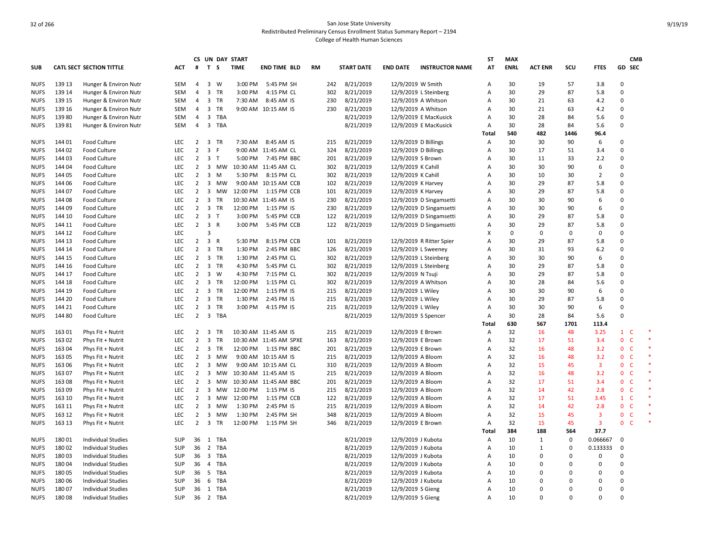|             |        |                                 |            |                |                         |           | CS UN DAY START |                        |           |     |                   |                    |                          | ST             | <b>MAX</b>  |                |          |                         |                                | <b>CMB</b> |
|-------------|--------|---------------------------------|------------|----------------|-------------------------|-----------|-----------------|------------------------|-----------|-----|-------------------|--------------------|--------------------------|----------------|-------------|----------------|----------|-------------------------|--------------------------------|------------|
| <b>SUB</b>  |        | <b>CATL SECT SECTION TITTLE</b> | ACT        | #              | T S                     |           | <b>TIME</b>     | <b>END TIME BLD</b>    | <b>RM</b> |     | <b>START DATE</b> | <b>END DATE</b>    | <b>INSTRUCTOR NAME</b>   | AT             | <b>ENRL</b> | <b>ACT ENR</b> | SCU      | <b>FTES</b>             | GD SEC                         |            |
| <b>NUFS</b> | 139 13 | Hunger & Environ Nutr           | <b>SEM</b> | $\overline{4}$ |                         | 3 W       | 3:00 PM         | 5:45 PM SH             |           | 242 | 8/21/2019         | 12/9/2019 W Smith  |                          | Α              | 30          | 19             | 57       | 3.8                     | $\Omega$                       |            |
| <b>NUFS</b> | 139 14 | Hunger & Environ Nutr           | SEM        | $\overline{4}$ |                         | 3 TR      | 3:00 PM         | 4:15 PM CL             |           | 302 | 8/21/2019         |                    | 12/9/2019 L Steinberg    | Α              | 30          | 29             | 87       | 5.8                     | 0                              |            |
| <b>NUFS</b> | 139 15 | Hunger & Environ Nutr           | SEM        | 4              |                         | 3 TR      | 7:30 AM         | 8:45 AM IS             |           | 230 | 8/21/2019         |                    | 12/9/2019 A Whitson      | Α              | 30          | 21             | 63       | 4.2                     | 0                              |            |
| <b>NUFS</b> | 139 16 | Hunger & Environ Nutr           | SEM        | $\overline{4}$ |                         | 3 TR      |                 | 9:00 AM 10:15 AM IS    |           | 230 | 8/21/2019         |                    | 12/9/2019 A Whitson      | Α              | 30          | 21             | 63       | 4.2                     | 0                              |            |
| <b>NUFS</b> | 13980  | Hunger & Environ Nutr           | <b>SEM</b> | 4              |                         | 3 TBA     |                 |                        |           |     | 8/21/2019         |                    | 12/9/2019 E MacKusick    | Α              | 30          | 28             | 84       | 5.6                     | $\Omega$                       |            |
| <b>NUFS</b> | 13981  | Hunger & Environ Nutr           | SEM        | $\overline{4}$ |                         | 3 TBA     |                 |                        |           |     | 8/21/2019         |                    | 12/9/2019 E MacKusick    | A              | 30          | 28             | 84       | 5.6                     | $\Omega$                       |            |
|             |        |                                 |            |                |                         |           |                 |                        |           |     |                   |                    |                          | Total          | 540         | 482            | 1446     | 96.4                    |                                |            |
| <b>NUFS</b> | 144 01 | Food Culture                    | <b>LEC</b> | $\overline{2}$ |                         | 3 TR      | 7:30 AM         | 8:45 AM IS             |           | 215 | 8/21/2019         |                    | 12/9/2019 D Billings     | Α              | 30          | 30             | 90       | 6                       | 0                              |            |
| <b>NUFS</b> | 144 02 | <b>Food Culture</b>             | <b>LEC</b> | $\overline{2}$ | 3 F                     |           |                 | 9:00 AM 11:45 AM CL    |           | 324 | 8/21/2019         |                    | 12/9/2019 D Billings     | Α              | 30          | 17             | 51       | 3.4                     | $\Omega$                       |            |
| <b>NUFS</b> | 144 03 | Food Culture                    | <b>LEC</b> |                | $2 \quad 3 \quad T$     |           | 5:00 PM         | 7:45 PM BBC            |           | 201 | 8/21/2019         | 12/9/2019 S Brown  |                          | Α              | 30          | 11             | 33       | 2.2                     | $\Omega$                       |            |
| <b>NUFS</b> | 144 04 | Food Culture                    | <b>LEC</b> | $\overline{2}$ |                         | 3 MW      |                 | 10:30 AM 11:45 AM CL   |           | 302 | 8/21/2019         | 12/9/2019 K Cahill |                          | Α              | 30          | 30             | 90       | 6                       | $\Omega$                       |            |
| <b>NUFS</b> | 144 05 | Food Culture                    | LEC        | $\overline{2}$ |                         | $3 \, M$  | 5:30 PM         | 8:15 PM CL             |           | 302 | 8/21/2019         | 12/9/2019 K Cahill |                          | A              | 30          | 10             | 30       | $\overline{2}$          | 0                              |            |
| <b>NUFS</b> | 144 06 | <b>Food Culture</b>             | <b>LEC</b> | $\overline{2}$ |                         | 3 MW      |                 | 9:00 AM 10:15 AM CCB   |           | 102 | 8/21/2019         | 12/9/2019 K Harvey |                          | Α              | 30          | 29             | 87       | 5.8                     | $\Omega$                       |            |
| <b>NUFS</b> | 144 07 | <b>Food Culture</b>             | <b>LEC</b> | $\overline{2}$ |                         | 3 MW      | 12:00 PM        | 1:15 PM CCB            |           | 101 | 8/21/2019         | 12/9/2019 K Harvey |                          | Α              | 30          | 29             | 87       | 5.8                     | $\Omega$                       |            |
| <b>NUFS</b> | 144 08 | <b>Food Culture</b>             | <b>LEC</b> | $\overline{2}$ | $\overline{\mathbf{3}}$ | TR        |                 | 10:30 AM 11:45 AM IS   |           | 230 | 8/21/2019         |                    | 12/9/2019 D Singamsetti  | A              | 30          | 30             | 90       | 6                       | $\Omega$                       |            |
| <b>NUFS</b> | 144 09 | Food Culture                    | LEC        | $\overline{2}$ |                         | 3 TR      | 12:00 PM        | 1:15 PM IS             |           | 230 | 8/21/2019         |                    | 12/9/2019 D Singamsetti  | Α              | 30          | 30             | 90       | 6                       | $\mathbf 0$                    |            |
| <b>NUFS</b> | 144 10 | Food Culture                    | <b>LEC</b> | $\overline{2}$ | 3 T                     |           | 3:00 PM         | 5:45 PM CCB            |           | 122 | 8/21/2019         |                    | 12/9/2019 D Singamsetti  | Α              | 30          | 29             | 87       | 5.8                     | 0                              |            |
| <b>NUFS</b> | 144 11 | Food Culture                    | <b>LEC</b> |                | $2 \quad 3 \quad R$     |           | 3:00 PM         | 5:45 PM CCB            |           | 122 | 8/21/2019         |                    | 12/9/2019 D Singamsetti  | Α              | 30          | 29             | 87       | 5.8                     | 0                              |            |
| <b>NUFS</b> | 144 12 | <b>Food Culture</b>             | <b>LEC</b> |                | 3                       |           |                 |                        |           |     |                   |                    |                          | X              | 0           | 0              | $\Omega$ | 0                       | $\Omega$                       |            |
| <b>NUFS</b> | 144 13 | Food Culture                    | <b>LEC</b> | $\overline{2}$ | 3 R                     |           | 5:30 PM         | 8:15 PM CCB            |           | 101 | 8/21/2019         |                    | 12/9/2019 R Ritter Spier | A              | 30          | 29             | 87       | 5.8                     | $\Omega$                       |            |
| <b>NUFS</b> | 144 14 | Food Culture                    | <b>LEC</b> | $2^{\circ}$    |                         | 3 TR      | 1:30 PM         | 2:45 PM BBC            |           | 126 | 8/21/2019         |                    | 12/9/2019 L Sweeney      | Α              | 30          | 31             | 93       | 6.2                     | 0                              |            |
| <b>NUFS</b> | 144 15 | <b>Food Culture</b>             | LEC        | $\overline{2}$ |                         | 3 TR      | 1:30 PM         | 2:45 PM CL             |           | 302 | 8/21/2019         |                    | 12/9/2019 L Steinberg    | Α              | 30          | 30             | 90       | 6                       | 0                              |            |
| <b>NUFS</b> | 144 16 | Food Culture                    | <b>LEC</b> | $\overline{2}$ |                         | 3 TR      | 4:30 PM         | 5:45 PM CL             |           | 302 | 8/21/2019         |                    | 12/9/2019 L Steinberg    | Α              | 30          | 29             | 87       | 5.8                     | $\Omega$                       |            |
| <b>NUFS</b> | 144 17 | <b>Food Culture</b>             | <b>LEC</b> | $\overline{2}$ |                         | 3 W       | 4:30 PM         | 7:15 PM CL             |           | 302 | 8/21/2019         | 12/9/2019 N Tsuji  |                          | Α              | 30          | 29             | 87       | 5.8                     | $\Omega$                       |            |
| <b>NUFS</b> | 144 18 | Food Culture                    | LEC        | $\overline{2}$ |                         | 3 TR      | 12:00 PM        | 1:15 PM CL             |           | 302 | 8/21/2019         |                    | 12/9/2019 A Whitson      | A              | 30          | 28             | 84       | 5.6                     | $\Omega$                       |            |
| <b>NUFS</b> | 144 19 | <b>Food Culture</b>             | LEC        | $\overline{2}$ |                         | 3 TR      | 12:00 PM        | 1:15 PM IS             |           | 215 | 8/21/2019         | 12/9/2019 L Wiley  |                          | Α              | 30          | 30             | 90       | 6                       | $\mathbf 0$                    |            |
| <b>NUFS</b> | 144 20 | Food Culture                    | <b>LEC</b> | $\overline{2}$ |                         | 3 TR      | 1:30 PM         | 2:45 PM IS             |           | 215 | 8/21/2019         | 12/9/2019 L Wiley  |                          | Α              | 30          | 29             | 87       | 5.8                     | 0                              |            |
| <b>NUFS</b> | 144 21 | <b>Food Culture</b>             | <b>LEC</b> | $\overline{2}$ |                         | 3 TR      | 3:00 PM         | 4:15 PM IS             |           | 215 | 8/21/2019         | 12/9/2019 L Wiley  |                          | Α              | 30          | 30             | 90       | 6                       | $\Omega$                       |            |
| <b>NUFS</b> | 144 80 | Food Culture                    | <b>LEC</b> | $\overline{2}$ |                         | 3 TBA     |                 |                        |           |     | 8/21/2019         |                    | 12/9/2019 S Spencer      | Α              | 30          | 28             | 84       | 5.6                     | $\Omega$                       |            |
|             |        |                                 |            |                |                         |           |                 |                        |           |     |                   |                    |                          | Total          | 630         | 567            | 1701     | 113.4                   |                                |            |
| <b>NUFS</b> | 16301  | Phys Fit + Nutrit               | <b>LEC</b> | $\overline{2}$ |                         | 3 TR      |                 | 10:30 AM 11:45 AM IS   |           | 215 | 8/21/2019         | 12/9/2019 E Brown  |                          | Α              | 32          | 16             | 48       | 3.25                    | $\mathbf{1}$<br>- C            |            |
| <b>NUFS</b> | 163 02 | Phys Fit + Nutrit               | <b>LEC</b> | $\overline{2}$ | $\overline{\mathbf{3}}$ | <b>TR</b> |                 | 10:30 AM 11:45 AM SPXE |           | 163 | 8/21/2019         | 12/9/2019 E Brown  |                          | A              | 32          | 17             | 51       | 3.4                     | $\mathbf{0}$<br><sup>c</sup>   |            |
| <b>NUFS</b> | 163 04 | Phys Fit + Nutrit               | <b>LEC</b> | $\overline{2}$ |                         | 3 TR      | 12:00 PM        | 1:15 PM BBC            |           | 201 | 8/21/2019         | 12/9/2019 E Brown  |                          | Α              | 32          | 16             | 48       | 3.2                     | $\mathbf{0}$<br>$\mathsf{C}$   |            |
| <b>NUFS</b> | 163 05 | Phys Fit + Nutrit               | <b>LEC</b> | $\overline{2}$ |                         | 3 MW      |                 | 9:00 AM 10:15 AM IS    |           | 215 | 8/21/2019         | 12/9/2019 A Bloom  |                          | A              | 32          | 16             | 48       | 3.2                     | $\mathsf{C}$<br>$\mathbf{0}$   |            |
| <b>NUFS</b> | 163 06 | Phys Fit + Nutrit               | LEC        | 2              | $\overline{\mathbf{3}}$ | мw        |                 | 9:00 AM 10:15 AM CL    |           | 310 | 8/21/2019         | 12/9/2019 A Bloom  |                          | Α              | 32          | 15             | 45       | $\overline{\mathbf{3}}$ | $\overline{0}$<br>$\mathsf{C}$ |            |
| <b>NUFS</b> | 16307  | Phys Fit + Nutrit               | <b>LEC</b> | $\overline{2}$ | $\overline{\mathbf{3}}$ | MW        |                 | 10:30 AM 11:45 AM IS   |           | 215 | 8/21/2019         | 12/9/2019 A Bloom  |                          | Α              | 32          | 16             | 48       | 3.2                     | $\mathbf{0}$<br><b>C</b>       |            |
| <b>NUFS</b> | 16308  | Phys Fit + Nutrit               | <b>LEC</b> | $\overline{2}$ | $\overline{\mathbf{3}}$ | МW        |                 | 10:30 AM 11:45 AM BBC  |           | 201 | 8/21/2019         | 12/9/2019 A Bloom  |                          | Α              | 32          | 17             | 51       | 3.4                     | 0<br>$\mathsf{C}$              |            |
| <b>NUFS</b> | 16309  | Phys Fit + Nutrit               | <b>LEC</b> | $\overline{2}$ | $\overline{\mathbf{3}}$ | MW        | 12:00 PM        | 1:15 PM IS             |           | 215 | 8/21/2019         | 12/9/2019 A Bloom  |                          | Α              | 32          | 14             | 42       | 2.8                     | 0 <sup>o</sup>                 |            |
| <b>NUFS</b> | 163 10 | Phys Fit + Nutrit               | <b>LEC</b> | $\overline{2}$ | $\overline{\mathbf{3}}$ | МW        | 12:00 PM        | 1:15 PM CCB            |           | 122 | 8/21/2019         | 12/9/2019 A Bloom  |                          | $\overline{A}$ | 32          | 17             | 51       | 3.45                    | $1 \quad C$                    |            |
| <b>NUFS</b> | 163 11 | Phys Fit + Nutrit               | <b>LEC</b> | $\overline{2}$ | $\overline{\mathbf{3}}$ | <b>MW</b> | 1:30 PM         | 2:45 PM IS             |           | 215 | 8/21/2019         | 12/9/2019 A Bloom  |                          | Α              | 32          | 14             | 42       | 2.8                     | 0<br>$\mathsf{C}$              |            |
| <b>NUFS</b> | 163 12 | Phys Fit + Nutrit               | LEC        | $\overline{2}$ | $\overline{\mathbf{3}}$ | МW        | 1:30 PM         | 2:45 PM SH             |           | 348 | 8/21/2019         | 12/9/2019 A Bloom  |                          | Α              | 32          | 15             | 45       | $\overline{\mathbf{3}}$ | $\mathbf{0}$<br>C              |            |
| <b>NUFS</b> | 163 13 | Phys Fit + Nutrit               | <b>LEC</b> | $\overline{2}$ | $\overline{\mathbf{3}}$ | <b>TR</b> | 12:00 PM        | 1:15 PM SH             |           | 346 | 8/21/2019         | 12/9/2019 E Brown  |                          | Α              | 32          | 15             | 45       | $\overline{\mathbf{3}}$ | $\mathbf{0}$<br><b>C</b>       |            |
|             |        |                                 |            |                |                         |           |                 |                        |           |     |                   |                    |                          | Total          | 384         | 188            | 564      | 37.7                    |                                |            |
| <b>NUFS</b> | 18001  | <b>Individual Studies</b>       | <b>SUP</b> |                |                         | 36 1 TBA  |                 |                        |           |     | 8/21/2019         | 12/9/2019 J Kubota |                          | Α              | 10          | $\mathbf{1}$   | $\Omega$ | 0.066667                | $\mathbf 0$                    |            |
| <b>NUFS</b> | 18002  | Individual Studies              | SUP        | 36             | $\overline{2}$          | TBA       |                 |                        |           |     | 8/21/2019         | 12/9/2019 J Kubota |                          | Α              | 10          | 1              | 0        | 0.133333                | 0                              |            |
| <b>NUFS</b> | 18003  | Individual Studies              | SUP        | 36             |                         | 3 TBA     |                 |                        |           |     | 8/21/2019         | 12/9/2019 J Kubota |                          | Α              | 10          | $\Omega$       | 0        | 0                       | 0                              |            |
| <b>NUFS</b> | 18004  | <b>Individual Studies</b>       | <b>SUP</b> | 36             |                         | 4 TBA     |                 |                        |           |     | 8/21/2019         | 12/9/2019 J Kubota |                          | A              | 10          | $\Omega$       | $\Omega$ | $\Omega$                | $\Omega$                       |            |
| <b>NUFS</b> | 180 05 | <b>Individual Studies</b>       | <b>SUP</b> | 36             | 5                       | TBA       |                 |                        |           |     | 8/21/2019         | 12/9/2019 J Kubota |                          | Α              | 10          | $\Omega$       | $\Omega$ | 0                       | $\Omega$                       |            |
| <b>NUFS</b> | 18006  | <b>Individual Studies</b>       | <b>SUP</b> | 36             | 6                       | TBA       |                 |                        |           |     | 8/21/2019         | 12/9/2019 J Kubota |                          | $\overline{A}$ | 10          | 0              | O        | $\Omega$                | $\Omega$                       |            |
| <b>NUFS</b> | 18007  | <b>Individual Studies</b>       | <b>SUP</b> | 36             |                         | 1 TBA     |                 |                        |           |     | 8/21/2019         | 12/9/2019 S Gieng  |                          | Α              | 10          | $\Omega$       | 0        | 0                       | 0                              |            |
| <b>NUFS</b> | 18008  | <b>Individual Studies</b>       | SUP        | 36             |                         | 2 TBA     |                 |                        |           |     | 8/21/2019         | 12/9/2019 S Gieng  |                          | A              | 10          | $\Omega$       | $\Omega$ | $\Omega$                | $\Omega$                       |            |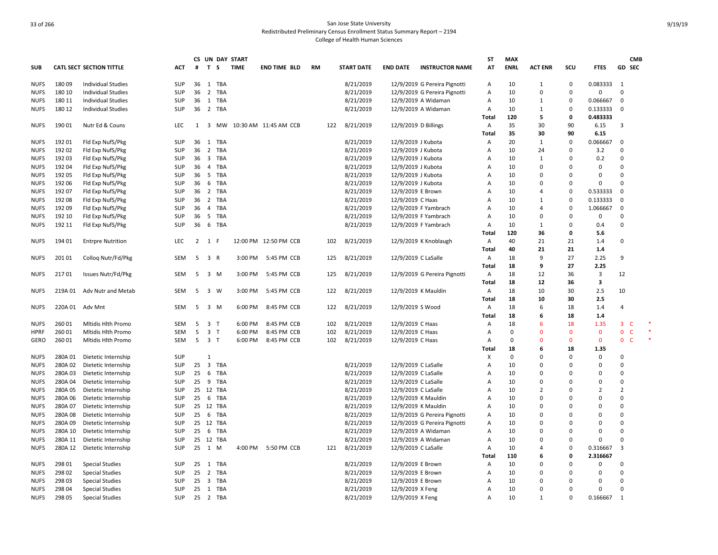|             |         |                                 |            |    |                     |           | CS UN DAY START |                       |    |     |                   |                      |                              | ST    | MAX         |                |              |                |                | <b>CMB</b>   |  |
|-------------|---------|---------------------------------|------------|----|---------------------|-----------|-----------------|-----------------------|----|-----|-------------------|----------------------|------------------------------|-------|-------------|----------------|--------------|----------------|----------------|--------------|--|
| <b>SUB</b>  |         | <b>CATL SECT SECTION TITTLE</b> | ACT        | #  | T S                 |           | <b>TIME</b>     | <b>END TIME BLD</b>   | RM |     | <b>START DATE</b> | <b>END DATE</b>      | <b>INSTRUCTOR NAME</b>       | AT    | <b>ENRL</b> | <b>ACT ENR</b> | SCU          | <b>FTES</b>    | <b>GD SEC</b>  |              |  |
| <b>NUFS</b> | 18009   | <b>Individual Studies</b>       | <b>SUP</b> |    |                     | 36 1 TBA  |                 |                       |    |     | 8/21/2019         |                      | 12/9/2019 G Pereira Pignotti | Α     | 10          | 1              | 0            | 0.083333       | 1              |              |  |
| <b>NUFS</b> | 180 10  | <b>Individual Studies</b>       | <b>SUP</b> |    | 36 2                | TBA       |                 |                       |    |     | 8/21/2019         |                      | 12/9/2019 G Pereira Pignotti | Α     | 10          | $\Omega$       | $\mathbf 0$  | $\Omega$       | $\Omega$       |              |  |
| <b>NUFS</b> | 180 11  | <b>Individual Studies</b>       | SUP        | 36 | 1                   | TBA       |                 |                       |    |     | 8/21/2019         |                      | 12/9/2019 A Widaman          | Α     | 10          | $\mathbf{1}$   | $\mathbf 0$  | 0.066667       | 0              |              |  |
| <b>NUFS</b> | 180 12  | <b>Individual Studies</b>       | SUP        |    |                     | 36 2 TBA  |                 |                       |    |     | 8/21/2019         |                      | 12/9/2019 A Widaman          | Α     | 10          | 1              | 0            | 0.133333       | $\mathbf 0$    |              |  |
|             |         |                                 |            |    |                     |           |                 |                       |    |     |                   |                      |                              | Total | 120         | 5              | 0            | 0.483333       |                |              |  |
| <b>NUFS</b> | 190 01  | Nutr Ed & Couns                 | <b>LEC</b> | 1  |                     | 3 MW      |                 | 10:30 AM 11:45 AM CCB |    | 122 | 8/21/2019         | 12/9/2019 D Billings |                              | Α     | 35          | 30             | 90           | 6.15           | 3              |              |  |
|             |         |                                 |            |    |                     |           |                 |                       |    |     |                   |                      |                              | Total | 35          | 30             | 90           | 6.15           |                |              |  |
| <b>NUFS</b> | 192 01  | Fld Exp NufS/Pkg                | <b>SUP</b> | 36 |                     | 1 TBA     |                 |                       |    |     | 8/21/2019         | 12/9/2019 J Kubota   |                              | Α     | 20          | $\mathbf{1}$   | $\mathbf 0$  | 0.066667       | $\Omega$       |              |  |
| <b>NUFS</b> | 192 02  | Fld Exp NufS/Pkg                | SUP        |    |                     | 36 2 TBA  |                 |                       |    |     | 8/21/2019         | 12/9/2019 J Kubota   |                              | Α     | 10          | 24             | $\mathbf 0$  | 3.2            | $\Omega$       |              |  |
| <b>NUFS</b> | 192 03  | Fld Exp NufS/Pkg                | SUP        |    |                     | 36 3 TBA  |                 |                       |    |     | 8/21/2019         | 12/9/2019 J Kubota   |                              | A     | 10          | 1              | $\Omega$     | 0.2            | $\Omega$       |              |  |
| <b>NUFS</b> | 192 04  | Fld Exp NufS/Pkg                | SUP        | 36 | $\overline{4}$      | TBA       |                 |                       |    |     | 8/21/2019         | 12/9/2019 J Kubota   |                              | A     | 10          | $\Omega$       | $\Omega$     | 0              | $\Omega$       |              |  |
| <b>NUFS</b> | 192 05  | Fld Exp NufS/Pkg                | <b>SUP</b> |    |                     | 36 5 TBA  |                 |                       |    |     | 8/21/2019         | 12/9/2019 J Kubota   |                              | A     | 10          | $\Omega$       | $\Omega$     | $\Omega$       | $\Omega$       |              |  |
| <b>NUFS</b> | 192 06  | Fld Exp NufS/Pkg                | <b>SUP</b> | 36 |                     | 6 TBA     |                 |                       |    |     | 8/21/2019         | 12/9/2019 J Kubota   |                              | A     | 10          | $\Omega$       | $\mathbf 0$  | $\mathbf 0$    | $\Omega$       |              |  |
| <b>NUFS</b> | 192 07  | Fld Exp NufS/Pkg                | SUP        |    |                     | 36 2 TBA  |                 |                       |    |     | 8/21/2019         | 12/9/2019 E Brown    |                              | A     | 10          | 4              | $\mathbf 0$  | 0.533333       | $\mathbf 0$    |              |  |
| <b>NUFS</b> | 192 08  | Fld Exp NufS/Pkg                | SUP        | 36 |                     | 2 TBA     |                 |                       |    |     | 8/21/2019         | 12/9/2019 C Haas     |                              | A     | 10          | 1              | $\mathbf 0$  | 0.133333       | 0              |              |  |
| <b>NUFS</b> | 192 09  | Fld Exp NufS/Pkg                | <b>SUP</b> | 36 | $\overline{4}$      | TBA       |                 |                       |    |     | 8/21/2019         |                      | 12/9/2019 F Yambrach         | A     | 10          | $\overline{4}$ | $\mathbf 0$  | 1.066667       | $\mathbf 0$    |              |  |
| <b>NUFS</b> | 192 10  | Fld Exp NufS/Pkg                | <b>SUP</b> | 36 |                     | 5 TBA     |                 |                       |    |     | 8/21/2019         |                      | 12/9/2019 F Yambrach         | A     | 10          | $\Omega$       | $\Omega$     | 0              | $\Omega$       |              |  |
| <b>NUFS</b> | 192 11  | Fld Exp NufS/Pkg                | SUP        |    |                     | 36 6 TBA  |                 |                       |    |     | 8/21/2019         |                      | 12/9/2019 F Yambrach         | Α     | 10          | $\mathbf{1}$   | $\mathbf 0$  | 0.4            | $\Omega$       |              |  |
|             |         |                                 |            |    |                     |           |                 |                       |    |     |                   |                      |                              | Total | 120         | 36             | 0            | 5.6            |                |              |  |
| <b>NUFS</b> | 194 01  | <b>Entrpre Nutrition</b>        | <b>LEC</b> |    | $2 \quad 1 \quad F$ |           |                 | 12:00 PM 12:50 PM CCB |    | 102 | 8/21/2019         |                      | 12/9/2019 K Knoblaugh        | Α     | 40          | 21             | 21           | 1.4            | $\Omega$       |              |  |
|             |         |                                 |            |    |                     |           |                 |                       |    |     |                   |                      |                              | Total | 40          | 21             | 21           | 1.4            |                |              |  |
| <b>NUFS</b> | 20101   | Colloq Nutr/Fd/Pkg              | SEM        | 5  | 3 R                 |           | 3:00 PM         | 5:45 PM CCB           |    | 125 | 8/21/2019         | 12/9/2019 C LaSalle  |                              | Α     | 18          | 9              | 27           | 2.25           | 9              |              |  |
|             |         |                                 |            |    |                     |           |                 |                       |    |     |                   |                      |                              | Total | 18          | 9              | 27           | 2.25           |                |              |  |
| <b>NUFS</b> | 21701   | Issues Nutr/Fd/Pkg              | SEM        | 5  | 3 M                 |           | 3:00 PM         | 5:45 PM CCB           |    | 125 | 8/21/2019         |                      | 12/9/2019 G Pereira Pignotti | A     | 18          | 12             | 36           | 3              | 12             |              |  |
|             |         |                                 |            |    |                     |           |                 |                       |    |     |                   |                      |                              | Total | 18          | 12             | 36           | 3              |                |              |  |
| <b>NUFS</b> | 219A 01 | Adv Nutr and Metab              | <b>SEM</b> | 5  | 3 W                 |           | 3:00 PM         | 5:45 PM CCB           |    | 122 | 8/21/2019         | 12/9/2019 K Mauldin  |                              | Α     | 18          | 10             | 30           | 2.5            | 10             |              |  |
|             |         |                                 |            |    |                     |           |                 |                       |    |     |                   |                      |                              | Total | 18          | 10             | 30           | 2.5            |                |              |  |
| <b>NUFS</b> | 220A 01 | Adv Mnt                         | <b>SEM</b> | 5  | 3 M                 |           | 6:00 PM         | 8:45 PM CCB           |    | 122 | 8/21/2019         | 12/9/2019 S Wood     |                              | Α     | 18          | 6              | 18           | 1.4            | $\overline{a}$ |              |  |
|             |         |                                 |            |    |                     |           |                 |                       |    |     |                   |                      |                              | Total | 18          | 6              | 18           | 1.4            |                |              |  |
| <b>NUFS</b> | 26001   | Mitidis Hith Promo              | <b>SEM</b> | 5  | 3 T                 |           | 6:00 PM         | 8:45 PM CCB           |    | 102 | 8/21/2019         | 12/9/2019 C Haas     |                              | Α     | 18          | 6              | 18           | 1.35           | 3              | C            |  |
| <b>HPRF</b> | 260 01  | Mitidis Hith Promo              | SEM        | 5  | 3 <sub>1</sub>      |           | 6:00 PM         | 8:45 PM CCB           |    | 102 | 8/21/2019         | 12/9/2019 C Haas     |                              | Α     | $\Omega$    | $\Omega$       | $\mathbf 0$  | $\mathbf 0$    | $\mathbf{0}$   | $\mathsf{C}$ |  |
| GERO        | 26001   | Mitidis Hith Promo              | <b>SEM</b> | 5  | 3 T                 |           | 6:00 PM         | 8:45 PM CCB           |    | 102 | 8/21/2019         | 12/9/2019 C Haas     |                              | A     | $\Omega$    | $\Omega$       | $\mathbf{0}$ | $\mathbf{0}$   | $\mathbf{0}$   | $\mathsf{C}$ |  |
|             |         |                                 |            |    |                     |           |                 |                       |    |     |                   |                      |                              | Total | 18          | 6              | 18           | 1.35           |                |              |  |
| <b>NUFS</b> | 280A 01 | Dietetic Internship             | <b>SUP</b> |    | $\mathbf{1}$        |           |                 |                       |    |     |                   |                      |                              | X     | $\mathbf 0$ | $\Omega$       | $\mathbf 0$  | $\mathbf 0$    | $\Omega$       |              |  |
| <b>NUFS</b> | 280A 02 | Dietetic Internship             | <b>SUP</b> |    |                     | 25 3 TBA  |                 |                       |    |     | 8/21/2019         | 12/9/2019 C LaSalle  |                              | A     | 10          | $\Omega$       | $\Omega$     | $\mathbf 0$    | $\Omega$       |              |  |
| <b>NUFS</b> | 280A03  | Dietetic Internship             | SUP        | 25 |                     | 6 TBA     |                 |                       |    |     | 8/21/2019         | 12/9/2019 C LaSalle  |                              | A     | 10          | $\Omega$       | $\Omega$     | $\Omega$       | $\Omega$       |              |  |
| <b>NUFS</b> | 280A 04 | Dietetic Internship             | <b>SUP</b> | 25 |                     | 9 TBA     |                 |                       |    |     | 8/21/2019         | 12/9/2019 C LaSalle  |                              | A     | 10          | $\Omega$       | $\Omega$     | $\mathbf 0$    | $\Omega$       |              |  |
| <b>NUFS</b> | 280A 05 | Dietetic Internship             | SUP        |    |                     | 25 12 TBA |                 |                       |    |     | 8/21/2019         | 12/9/2019 C LaSalle  |                              | A     | 10          | $\overline{2}$ | $\Omega$     | $\overline{2}$ | $\overline{2}$ |              |  |
| <b>NUFS</b> | 280A 06 | Dietetic Internship             | <b>SUP</b> | 25 |                     | 6 TBA     |                 |                       |    |     | 8/21/2019         | 12/9/2019 K Mauldin  |                              | A     | 10          | $\mathbf 0$    | $\Omega$     | $\overline{0}$ | $\Omega$       |              |  |
| <b>NUFS</b> | 280A 07 | Dietetic Internship             | SUP        |    |                     | 25 12 TBA |                 |                       |    |     | 8/21/2019         | 12/9/2019 K Mauldin  |                              | А     | 10          | $\Omega$       | $\Omega$     | $\Omega$       | $\Omega$       |              |  |
| <b>NUFS</b> | 280A08  | Dietetic Internship             | <b>SUP</b> | 25 |                     | 6 TBA     |                 |                       |    |     | 8/21/2019         |                      | 12/9/2019 G Pereira Pignotti | Α     | 10          | $\Omega$       | $\Omega$     | $\mathbf 0$    | $\Omega$       |              |  |
| <b>NUFS</b> | 280A 09 | Dietetic Internship             | <b>SUP</b> |    |                     | 25 12 TBA |                 |                       |    |     | 8/21/2019         |                      | 12/9/2019 G Pereira Pignotti | Α     | 10          | $\Omega$       | $\Omega$     | $\Omega$       | $\Omega$       |              |  |
| <b>NUFS</b> | 280A 10 | Dietetic Internship             | <b>SUP</b> | 25 |                     | 6 TBA     |                 |                       |    |     | 8/21/2019         |                      | 12/9/2019 A Widaman          | Α     | 10          | $\Omega$       | $\mathbf 0$  | $\Omega$       | $\Omega$       |              |  |
| <b>NUFS</b> | 280A 11 | Dietetic Internship             | SUP        |    |                     | 25 12 TBA |                 |                       |    |     | 8/21/2019         | 12/9/2019 A Widaman  |                              | Α     | 10          | $\Omega$       | $\mathbf 0$  | $\Omega$       | $\Omega$       |              |  |
| <b>NUFS</b> | 280A 12 | Dietetic Internship             | SUP        | 25 | 1 M                 |           | 4:00 PM         | 5:50 PM CCB           |    | 121 | 8/21/2019         | 12/9/2019 C LaSalle  |                              | Α     | 10          | 4              | 0            | 0.316667       | 3              |              |  |
|             |         |                                 |            |    |                     |           |                 |                       |    |     |                   |                      |                              | Total | 110         | 6              | 0            | 2.316667       |                |              |  |
| <b>NUFS</b> | 298 01  | <b>Special Studies</b>          | <b>SUP</b> |    |                     | 25 1 TBA  |                 |                       |    |     | 8/21/2019         | 12/9/2019 E Brown    |                              | Α     | 10          | $\Omega$       | $\Omega$     | $\Omega$       | $\Omega$       |              |  |
| <b>NUFS</b> | 298 02  | <b>Special Studies</b>          | <b>SUP</b> | 25 |                     | 2 TBA     |                 |                       |    |     | 8/21/2019         | 12/9/2019 E Brown    |                              | Α     | 10          | $\Omega$       | $\Omega$     | $\Omega$       | $\Omega$       |              |  |
| <b>NUFS</b> | 298 03  | <b>Special Studies</b>          | <b>SUP</b> | 25 |                     | 3 TBA     |                 |                       |    |     | 8/21/2019         | 12/9/2019 E Brown    |                              | A     | 10          | $\Omega$       | $\Omega$     | $\Omega$       | $\Omega$       |              |  |
| <b>NUFS</b> | 298 04  | <b>Special Studies</b>          | SUP        | 25 |                     | 1 TBA     |                 |                       |    |     | 8/21/2019         | 12/9/2019 X Feng     |                              | A     | 10          | $\Omega$       | $\Omega$     | $\mathbf 0$    | $\Omega$       |              |  |
| <b>NUFS</b> | 298 05  | <b>Special Studies</b>          | <b>SUP</b> |    |                     | 25 2 TBA  |                 |                       |    |     | 8/21/2019         | 12/9/2019 X Feng     |                              | A     | 10          | $\mathbf{1}$   | $\mathbf 0$  | 0.166667       | 1              |              |  |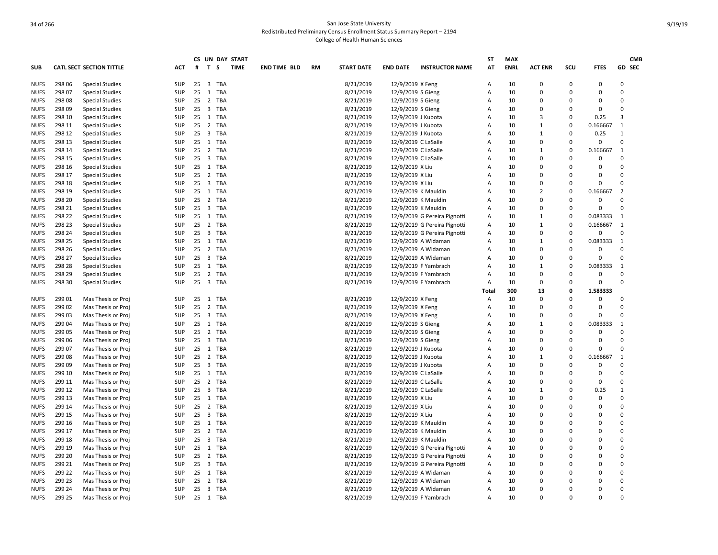| GD SEC<br>T <sub>S</sub><br>AT<br><b>ENRL</b><br>SCU<br><b>FTES</b><br><b>CATL SECT SECTION TITTLE</b><br><b>ACT</b><br>#<br><b>TIME</b><br><b>END TIME BLD</b><br><b>RM</b><br><b>START DATE</b><br><b>END DATE</b><br><b>INSTRUCTOR NAME</b><br><b>ACT ENR</b><br>298 06<br><b>Special Studies</b><br>SUP<br>25<br>$\overline{\mathbf{3}}$<br>TBA<br>8/21/2019<br>12/9/2019 X Feng<br>Α<br>10<br>$\Omega$<br>$\Omega$<br>0<br>0<br>298 07<br>SUP<br>25<br>$\mathbf{1}$<br>TBA<br>8/21/2019<br>12/9/2019 S Gieng<br>Α<br>10<br>$\mathbf 0$<br>$\Omega$<br>0<br>0<br><b>Special Studies</b><br>298 08<br><b>Special Studies</b><br><b>SUP</b><br>25<br>$\overline{2}$<br>TBA<br>8/21/2019<br>12/9/2019 S Gieng<br>10<br>$\Omega$<br>A<br>$\Omega$<br>$\Omega$<br>0<br>25 3 TBA<br>$\Omega$<br>298 09<br><b>Special Studies</b><br><b>SUP</b><br>8/21/2019<br>12/9/2019 S Gieng<br>10<br>$\Omega$<br>$\Omega$<br>$\Omega$<br>A<br>3<br>298 10<br><b>Special Studies</b><br><b>SUP</b><br>25 1 TBA<br>8/21/2019<br>12/9/2019 J Kubota<br>10<br>3<br>$\Omega$<br>0.25<br>A<br>298 11<br>TBA<br>8/21/2019<br>$\Omega$<br>0.166667<br><b>NUFS</b><br><b>Special Studies</b><br><b>SUP</b><br>25<br>$\overline{2}$<br>12/9/2019 J Kubota<br>A<br>10<br>$\mathbf{1}$<br>1<br>$\overline{\mathbf{3}}$<br><b>TBA</b><br><b>NUFS</b><br>298 12<br><b>Special Studies</b><br><b>SUP</b><br>25<br>8/21/2019<br>12/9/2019 J Kubota<br>A<br>10<br>$\mathbf{1}$<br>$\Omega$<br>0.25<br>$\mathbf{1}$<br>$\mathbf 0$<br>298 13<br><b>SUP</b><br>25 1 TBA<br>8/21/2019<br>10<br>$\mathbf 0$<br>$\Omega$<br>0<br><b>NUFS</b><br><b>Special Studies</b><br>12/9/2019 C LaSalle<br>A<br><b>NUFS</b><br>298 14<br><b>SUP</b><br>25 2 TBA<br>8/21/2019<br>12/9/2019 C LaSalle<br>10<br>$\Omega$<br>0.166667<br><b>Special Studies</b><br>$\mathsf{A}$<br>1<br>1<br>298 15<br>$25 \quad 3$<br>TBA<br>8/21/2019<br>10<br>0<br>$\Omega$<br>$\Omega$<br><b>Special Studies</b><br><b>SUP</b><br>12/9/2019 C LaSalle<br>A<br>0<br>298 16<br><b>SUP</b><br>1 TBA<br>8/21/2019<br>12/9/2019 X Liu<br>10<br>$\Omega$<br>$\Omega$<br>0<br>0<br><b>Special Studies</b><br>25<br>A<br>$\Omega$<br>298 17<br><b>SUP</b><br>25 2<br>TBA<br>8/21/2019<br>12/9/2019 X Liu<br>10<br>$\Omega$<br>0<br><b>Special Studies</b><br>A<br>$\Omega$<br>25 3 TBA<br>8/21/2019<br>$\Omega$<br>298 18<br><b>Special Studies</b><br><b>SUP</b><br>12/9/2019 X Liu<br>10<br>0<br>$\Omega$<br>0<br>A<br>$\overline{2}$<br>298 19<br><b>Special Studies</b><br><b>SUP</b><br>25 1<br>TBA<br>8/21/2019<br>12/9/2019 K Mauldin<br>$\overline{A}$<br>10<br>$\overline{2}$<br>$\Omega$<br>0.166667<br>25 2 TBA<br>8/21/2019<br>10<br>$\mathbf 0$<br>$\Omega$<br>298 20<br><b>Special Studies</b><br>SUP<br>12/9/2019 K Mauldin<br>$\overline{A}$<br>$\Omega$<br>0<br>$\mathbf 0$<br>298 21<br>$\overline{\mathbf{3}}$<br><b>TBA</b><br>8/21/2019<br>10<br>$\Omega$<br><b>Special Studies</b><br><b>SUP</b><br>25<br>12/9/2019 K Mauldin<br>A<br>$\Omega$<br>$\Omega$<br>298 22<br><b>SUP</b><br>25 1 TBA<br>8/21/2019<br>10<br>$\mathbf{1}$<br>$\Omega$<br>0.083333<br><b>Special Studies</b><br>12/9/2019 G Pereira Pignotti<br>1<br>A<br>298 23<br><b>SUP</b><br>25 2 TBA<br>8/21/2019<br>12/9/2019 G Pereira Pignotti<br>10<br>$\mathbf{1}$<br>$\Omega$<br>0.166667<br><b>Special Studies</b><br>Α<br>1<br>298 24<br><b>Special Studies</b><br><b>SUP</b><br>$\overline{\mathbf{3}}$<br>TBA<br>8/21/2019<br>12/9/2019 G Pereira Pignotti<br>10<br>0<br>$\Omega$<br>0<br>$\Omega$<br>25<br>Α<br>298 25<br><b>Special Studies</b><br><b>SUP</b><br>25 1 TBA<br>8/21/2019<br>12/9/2019 A Widaman<br>Α<br>10<br>$\mathbf{1}$<br>$\Omega$<br>0.083333<br>1<br>$\Omega$<br>298 26<br><b>SUP</b><br>$25 \quad 2$<br>TBA<br>8/21/2019<br>12/9/2019 A Widaman<br>10<br>0<br>$\Omega$<br>0<br><b>Special Studies</b><br>A<br>298 27<br><b>SUP</b><br>$25 \quad 3$<br><b>TBA</b><br>8/21/2019<br>$\mathbf 0$<br>$\Omega$<br><b>Special Studies</b><br>12/9/2019 A Widaman<br>$\overline{A}$<br>10<br>$\Omega$<br>$\Omega$<br>298 28<br><b>Special Studies</b><br><b>SUP</b><br>25 1<br>TBA<br>8/21/2019<br>12/9/2019 F Yambrach<br>$\overline{A}$<br>10<br>$\mathbf{1}$<br>$\Omega$<br>0.083333<br>1<br>298 29<br>2 TBA<br>8/21/2019<br>10<br>0<br>$\Omega$<br>$\mathbf 0$<br><b>Special Studies</b><br><b>SUP</b><br>25<br>12/9/2019 F Yambrach<br>Α<br>0<br>$\Omega$<br>298 30<br><b>SUP</b><br>25 3 TBA<br>8/21/2019<br>12/9/2019 F Yambrach<br>10<br>0<br>$\Omega$<br><b>Special Studies</b><br>Α<br>$\Omega$<br>300<br>1.583333<br>13<br>0<br>Total<br>299 01<br>$25 \quad 1$<br>TBA<br>8/21/2019<br>12/9/2019 X Feng<br>10<br>$\Omega$<br>$\Omega$<br>0<br>$\Omega$<br>Mas Thesis or Proj<br>SUP<br>A<br>$\overline{2}$<br>TBA<br>8/21/2019<br>0<br>$\Omega$<br>299 02<br>Mas Thesis or Proj<br><b>SUP</b><br>25<br>12/9/2019 X Feng<br>$\overline{A}$<br>10<br>$\Omega$<br>$\Omega$<br>$\Omega$<br>299 03<br>Mas Thesis or Proj<br><b>SUP</b><br>25<br>$\overline{\mathbf{3}}$<br>TBA<br>8/21/2019<br>12/9/2019 X Feng<br>$\overline{A}$<br>10<br>$\Omega$<br>$\Omega$<br>0<br>299 04<br>0.083333<br><b>SUP</b><br>25 1 TBA<br>8/21/2019<br>12/9/2019 S Gieng<br>10<br>$\mathbf{1}$<br>$\Omega$<br>1<br>Mas Thesis or Proj<br>A<br>299 05<br><b>SUP</b><br>25 2 TBA<br>8/21/2019<br>10<br>$\Omega$<br>$\Omega$<br>$\Omega$<br>$\Omega$<br>Mas Thesis or Proj<br>12/9/2019 S Gieng<br>$\overline{A}$<br>$\Omega$<br>TBA<br>8/21/2019<br>$\Omega$<br>299 06<br>Mas Thesis or Proj<br><b>SUP</b><br>25<br>$_{3}$<br>12/9/2019 S Gieng<br>A<br>10<br>O<br>$\Omega$<br>299 07<br><b>SUP</b><br>25 1 TBA<br>8/21/2019<br>10<br>$\mathbf 0$<br>0<br>0<br>Mas Thesis or Proj<br>12/9/2019 J Kubota<br>Α<br>$\Omega$<br>299 08<br>Mas Thesis or Proj<br><b>SUP</b><br>2 TBA<br>8/21/2019<br>12/9/2019 J Kubota<br>10<br>$\mathbf{1}$<br>0.166667<br>1<br>25<br>A<br>$\Omega$<br>$\Omega$<br>299 09<br><b>SUP</b><br>25<br>$\overline{\mathbf{3}}$<br>TBA<br>8/21/2019<br>12/9/2019 J Kubota<br>10<br>0<br>$\Omega$<br>0<br>Mas Thesis or Proj<br>A<br>$\Omega$<br>299 10<br>Mas Thesis or Proj<br><b>SUP</b><br>25 1 TBA<br>8/21/2019<br>12/9/2019 C LaSalle<br>$\overline{A}$<br>10<br>$\Omega$<br>0<br>0<br>8/21/2019<br>0<br>299 11<br>SUP<br>2 TBA<br>12/9/2019 C LaSalle<br>$\overline{A}$<br>10<br>$\Omega$<br>$\Omega$<br>Mas Thesis or Proj<br>25<br>0<br>$25 \quad 3$<br>TBA<br>299 12<br>Mas Thesis or Proj<br><b>SUP</b><br>8/21/2019<br>12/9/2019 C LaSalle<br>A<br>10<br>$\mathbf{1}$<br>$\Omega$<br>0.25<br>$\mathbf{1}$<br>299 13<br>25 1 TBA<br>8/21/2019<br>0<br>0<br>$\Omega$<br>Mas Thesis or Proj<br><b>SUP</b><br>12/9/2019 X Liu<br>10<br>$\Omega$<br>A<br>299 14<br>25 <sub>2</sub><br><b>TBA</b><br>8/21/2019<br>12/9/2019 X Liu<br>$\mathbf 0$<br>Mas Thesis or Proj<br><b>SUP</b><br>$\Delta$<br>10<br>$\Omega$<br>$\Omega$<br>0<br>$\Omega$<br>299 15<br>$25 \quad 3$<br>TBA<br>8/21/2019<br>12/9/2019 X Liu<br>10<br>$\Omega$<br>$\Omega$<br>Mas Thesis or Proj<br><b>SUP</b><br>A<br>$\Omega$<br>299 16<br>Mas Thesis or Proj<br><b>SUP</b><br>1 TBA<br>8/21/2019<br>12/9/2019 K Mauldin<br>10<br>$\Omega$<br>$\Omega$<br>0<br>25<br>Α<br>$\Omega$<br>$\Omega$<br>299 17<br><b>SUP</b><br>25 2 TBA<br>8/21/2019<br>10<br>$\Omega$<br>Mas Thesis or Proj<br>12/9/2019 K Mauldin<br>A<br>$\Omega$<br>0<br>299 18<br>25 3 TBA<br>8/21/2019<br>$\Omega$<br>Mas Thesis or Proj<br><b>SUP</b><br>12/9/2019 K Mauldin<br>10<br>0<br>$\Omega$<br>O<br>$\overline{A}$<br>$\Omega$<br>299 19<br>Mas Thesis or Proj<br><b>SUP</b><br>25<br>1<br>TBA<br>8/21/2019<br>12/9/2019 G Pereira Pignotti<br>10<br>$\Omega$<br>$\Omega$<br>$\Omega$<br>A<br>2 TBA<br>$\mathbf 0$<br>299 20<br>Mas Thesis or Proj<br><b>SUP</b><br>25<br>8/21/2019<br>12/9/2019 G Pereira Pignotti<br>Α<br>10<br>$\Omega$<br>$\Omega$<br>$\Omega$<br>299 21<br>$25 \quad 3$<br>TBA<br>$\Omega$<br>Mas Thesis or Proj<br><b>SUP</b><br>8/21/2019<br>12/9/2019 G Pereira Pignotti<br>Α<br>10<br>$\Omega$<br>$\Omega$<br>O<br>$\mathbf 0$<br>299 22<br>TBA<br>8/21/2019<br>Mas Thesis or Proj<br><b>SUP</b><br>25 1<br>12/9/2019 A Widaman<br>10<br>0<br>$\Omega$<br>0<br>A<br>299 23<br>$\overline{2}$<br>TBA<br>8/21/2019<br>$\Omega$<br>Mas Thesis or Proj<br><b>SUP</b><br>25<br>12/9/2019 A Widaman<br>A<br>10<br>0<br>$\Omega$<br>0<br>$\Omega$<br>299 24<br><b>SUP</b><br>25<br>$\overline{\mathbf{3}}$<br>TBA<br>8/21/2019<br>12/9/2019 A Widaman<br>10<br>$\Omega$<br>Mas Thesis or Proj<br>A<br>0<br>$\Omega$<br>$\Omega$<br>299 25<br><b>SUP</b><br>25 1 TBA<br>8/21/2019<br>12/9/2019 F Yambrach<br>A<br>10<br>$\Omega$<br>$\Omega$<br>O |             |                    |  |  | CS UN DAY START |  |  | ST | <b>MAX</b> |  |  | <b>CMB</b> |
|------------------------------------------------------------------------------------------------------------------------------------------------------------------------------------------------------------------------------------------------------------------------------------------------------------------------------------------------------------------------------------------------------------------------------------------------------------------------------------------------------------------------------------------------------------------------------------------------------------------------------------------------------------------------------------------------------------------------------------------------------------------------------------------------------------------------------------------------------------------------------------------------------------------------------------------------------------------------------------------------------------------------------------------------------------------------------------------------------------------------------------------------------------------------------------------------------------------------------------------------------------------------------------------------------------------------------------------------------------------------------------------------------------------------------------------------------------------------------------------------------------------------------------------------------------------------------------------------------------------------------------------------------------------------------------------------------------------------------------------------------------------------------------------------------------------------------------------------------------------------------------------------------------------------------------------------------------------------------------------------------------------------------------------------------------------------------------------------------------------------------------------------------------------------------------------------------------------------------------------------------------------------------------------------------------------------------------------------------------------------------------------------------------------------------------------------------------------------------------------------------------------------------------------------------------------------------------------------------------------------------------------------------------------------------------------------------------------------------------------------------------------------------------------------------------------------------------------------------------------------------------------------------------------------------------------------------------------------------------------------------------------------------------------------------------------------------------------------------------------------------------------------------------------------------------------------------------------------------------------------------------------------------------------------------------------------------------------------------------------------------------------------------------------------------------------------------------------------------------------------------------------------------------------------------------------------------------------------------------------------------------------------------------------------------------------------------------------------------------------------------------------------------------------------------------------------------------------------------------------------------------------------------------------------------------------------------------------------------------------------------------------------------------------------------------------------------------------------------------------------------------------------------------------------------------------------------------------------------------------------------------------------------------------------------------------------------------------------------------------------------------------------------------------------------------------------------------------------------------------------------------------------------------------------------------------------------------------------------------------------------------------------------------------------------------------------------------------------------------------------------------------------------------------------------------------------------------------------------------------------------------------------------------------------------------------------------------------------------------------------------------------------------------------------------------------------------------------------------------------------------------------------------------------------------------------------------------------------------------------------------------------------------------------------------------------------------------------------------------------------------------------------------------------------------------------------------------------------------------------------------------------------------------------------------------------------------------------------------------------------------------------------------------------------------------------------------------------------------------------------------------------------------------------------------------------------------------------------------------------------------------------------------------------------------------------------------------------------------------------------------------------------------------------------------------------------------------------------------------------------------------------------------------------------------------------------------------------------------------------------------------------------------------------------------------------------------------------------------------------------------------------------------------------------------------------------------------------------------------------------------------------------------------------------------------------------------------------------------------------------------------------------------------------------------------------------------------------------------------------------------------------------------------------------------------------------------------------------------------------------------------------------------------------------------------------------------------------------------------------------------------------------------------------------------------------------------------------------------------------------------------------------------------------------------------------------------------------------------------------------------------------------------------------------------------------------------------------------------------------------------------------------------------------------------------------------------------------------------------------------------------------------------------------------------------------------------------------------------------------------------------------------------------------------------------------------------------------------------------------------------------------------------------------------------------------------------------------------------------------------------------------------------------------------------------------------------------------------------------------------------------------------------------------------------------------------------------------------------------------------------------------------------------------------------------------------------------------------------------------------------------------------------------------------------------------------------------------------------------------------------------------------------------------------------------------------------------------------------------------------------------------------------------------------------------------------------------------------------------------------------------------------------------------------|-------------|--------------------|--|--|-----------------|--|--|----|------------|--|--|------------|
|                                                                                                                                                                                                                                                                                                                                                                                                                                                                                                                                                                                                                                                                                                                                                                                                                                                                                                                                                                                                                                                                                                                                                                                                                                                                                                                                                                                                                                                                                                                                                                                                                                                                                                                                                                                                                                                                                                                                                                                                                                                                                                                                                                                                                                                                                                                                                                                                                                                                                                                                                                                                                                                                                                                                                                                                                                                                                                                                                                                                                                                                                                                                                                                                                                                                                                                                                                                                                                                                                                                                                                                                                                                                                                                                                                                                                                                                                                                                                                                                                                                                                                                                                                                                                                                                                                                                                                                                                                                                                                                                                                                                                                                                                                                                                                                                                                                                                                                                                                                                                                                                                                                                                                                                                                                                                                                                                                                                                                                                                                                                                                                                                                                                                                                                                                                                                                                                                                                                                                                                                                                                                                                                                                                                                                                                                                                                                                                                                                                                                                                                                                                                                                                                                                                                                                                                                                                                                                                                                                                                                                                                                                                                                                                                                                                                                                                                                                                                                                                                                                                                                                                                                                                                                                                                                                                                                                                                                                                                                                                                                                                                                                                                                                                                                                                                                                                                                                                                                                                                                                                                                                                                                                                                        | <b>SUB</b>  |                    |  |  |                 |  |  |    |            |  |  |            |
|                                                                                                                                                                                                                                                                                                                                                                                                                                                                                                                                                                                                                                                                                                                                                                                                                                                                                                                                                                                                                                                                                                                                                                                                                                                                                                                                                                                                                                                                                                                                                                                                                                                                                                                                                                                                                                                                                                                                                                                                                                                                                                                                                                                                                                                                                                                                                                                                                                                                                                                                                                                                                                                                                                                                                                                                                                                                                                                                                                                                                                                                                                                                                                                                                                                                                                                                                                                                                                                                                                                                                                                                                                                                                                                                                                                                                                                                                                                                                                                                                                                                                                                                                                                                                                                                                                                                                                                                                                                                                                                                                                                                                                                                                                                                                                                                                                                                                                                                                                                                                                                                                                                                                                                                                                                                                                                                                                                                                                                                                                                                                                                                                                                                                                                                                                                                                                                                                                                                                                                                                                                                                                                                                                                                                                                                                                                                                                                                                                                                                                                                                                                                                                                                                                                                                                                                                                                                                                                                                                                                                                                                                                                                                                                                                                                                                                                                                                                                                                                                                                                                                                                                                                                                                                                                                                                                                                                                                                                                                                                                                                                                                                                                                                                                                                                                                                                                                                                                                                                                                                                                                                                                                                                                        | <b>NUFS</b> |                    |  |  |                 |  |  |    |            |  |  |            |
|                                                                                                                                                                                                                                                                                                                                                                                                                                                                                                                                                                                                                                                                                                                                                                                                                                                                                                                                                                                                                                                                                                                                                                                                                                                                                                                                                                                                                                                                                                                                                                                                                                                                                                                                                                                                                                                                                                                                                                                                                                                                                                                                                                                                                                                                                                                                                                                                                                                                                                                                                                                                                                                                                                                                                                                                                                                                                                                                                                                                                                                                                                                                                                                                                                                                                                                                                                                                                                                                                                                                                                                                                                                                                                                                                                                                                                                                                                                                                                                                                                                                                                                                                                                                                                                                                                                                                                                                                                                                                                                                                                                                                                                                                                                                                                                                                                                                                                                                                                                                                                                                                                                                                                                                                                                                                                                                                                                                                                                                                                                                                                                                                                                                                                                                                                                                                                                                                                                                                                                                                                                                                                                                                                                                                                                                                                                                                                                                                                                                                                                                                                                                                                                                                                                                                                                                                                                                                                                                                                                                                                                                                                                                                                                                                                                                                                                                                                                                                                                                                                                                                                                                                                                                                                                                                                                                                                                                                                                                                                                                                                                                                                                                                                                                                                                                                                                                                                                                                                                                                                                                                                                                                                                                        | <b>NUFS</b> |                    |  |  |                 |  |  |    |            |  |  |            |
|                                                                                                                                                                                                                                                                                                                                                                                                                                                                                                                                                                                                                                                                                                                                                                                                                                                                                                                                                                                                                                                                                                                                                                                                                                                                                                                                                                                                                                                                                                                                                                                                                                                                                                                                                                                                                                                                                                                                                                                                                                                                                                                                                                                                                                                                                                                                                                                                                                                                                                                                                                                                                                                                                                                                                                                                                                                                                                                                                                                                                                                                                                                                                                                                                                                                                                                                                                                                                                                                                                                                                                                                                                                                                                                                                                                                                                                                                                                                                                                                                                                                                                                                                                                                                                                                                                                                                                                                                                                                                                                                                                                                                                                                                                                                                                                                                                                                                                                                                                                                                                                                                                                                                                                                                                                                                                                                                                                                                                                                                                                                                                                                                                                                                                                                                                                                                                                                                                                                                                                                                                                                                                                                                                                                                                                                                                                                                                                                                                                                                                                                                                                                                                                                                                                                                                                                                                                                                                                                                                                                                                                                                                                                                                                                                                                                                                                                                                                                                                                                                                                                                                                                                                                                                                                                                                                                                                                                                                                                                                                                                                                                                                                                                                                                                                                                                                                                                                                                                                                                                                                                                                                                                                                                        | <b>NUFS</b> |                    |  |  |                 |  |  |    |            |  |  |            |
|                                                                                                                                                                                                                                                                                                                                                                                                                                                                                                                                                                                                                                                                                                                                                                                                                                                                                                                                                                                                                                                                                                                                                                                                                                                                                                                                                                                                                                                                                                                                                                                                                                                                                                                                                                                                                                                                                                                                                                                                                                                                                                                                                                                                                                                                                                                                                                                                                                                                                                                                                                                                                                                                                                                                                                                                                                                                                                                                                                                                                                                                                                                                                                                                                                                                                                                                                                                                                                                                                                                                                                                                                                                                                                                                                                                                                                                                                                                                                                                                                                                                                                                                                                                                                                                                                                                                                                                                                                                                                                                                                                                                                                                                                                                                                                                                                                                                                                                                                                                                                                                                                                                                                                                                                                                                                                                                                                                                                                                                                                                                                                                                                                                                                                                                                                                                                                                                                                                                                                                                                                                                                                                                                                                                                                                                                                                                                                                                                                                                                                                                                                                                                                                                                                                                                                                                                                                                                                                                                                                                                                                                                                                                                                                                                                                                                                                                                                                                                                                                                                                                                                                                                                                                                                                                                                                                                                                                                                                                                                                                                                                                                                                                                                                                                                                                                                                                                                                                                                                                                                                                                                                                                                                                        | <b>NUFS</b> |                    |  |  |                 |  |  |    |            |  |  |            |
|                                                                                                                                                                                                                                                                                                                                                                                                                                                                                                                                                                                                                                                                                                                                                                                                                                                                                                                                                                                                                                                                                                                                                                                                                                                                                                                                                                                                                                                                                                                                                                                                                                                                                                                                                                                                                                                                                                                                                                                                                                                                                                                                                                                                                                                                                                                                                                                                                                                                                                                                                                                                                                                                                                                                                                                                                                                                                                                                                                                                                                                                                                                                                                                                                                                                                                                                                                                                                                                                                                                                                                                                                                                                                                                                                                                                                                                                                                                                                                                                                                                                                                                                                                                                                                                                                                                                                                                                                                                                                                                                                                                                                                                                                                                                                                                                                                                                                                                                                                                                                                                                                                                                                                                                                                                                                                                                                                                                                                                                                                                                                                                                                                                                                                                                                                                                                                                                                                                                                                                                                                                                                                                                                                                                                                                                                                                                                                                                                                                                                                                                                                                                                                                                                                                                                                                                                                                                                                                                                                                                                                                                                                                                                                                                                                                                                                                                                                                                                                                                                                                                                                                                                                                                                                                                                                                                                                                                                                                                                                                                                                                                                                                                                                                                                                                                                                                                                                                                                                                                                                                                                                                                                                                                        | <b>NUFS</b> |                    |  |  |                 |  |  |    |            |  |  |            |
|                                                                                                                                                                                                                                                                                                                                                                                                                                                                                                                                                                                                                                                                                                                                                                                                                                                                                                                                                                                                                                                                                                                                                                                                                                                                                                                                                                                                                                                                                                                                                                                                                                                                                                                                                                                                                                                                                                                                                                                                                                                                                                                                                                                                                                                                                                                                                                                                                                                                                                                                                                                                                                                                                                                                                                                                                                                                                                                                                                                                                                                                                                                                                                                                                                                                                                                                                                                                                                                                                                                                                                                                                                                                                                                                                                                                                                                                                                                                                                                                                                                                                                                                                                                                                                                                                                                                                                                                                                                                                                                                                                                                                                                                                                                                                                                                                                                                                                                                                                                                                                                                                                                                                                                                                                                                                                                                                                                                                                                                                                                                                                                                                                                                                                                                                                                                                                                                                                                                                                                                                                                                                                                                                                                                                                                                                                                                                                                                                                                                                                                                                                                                                                                                                                                                                                                                                                                                                                                                                                                                                                                                                                                                                                                                                                                                                                                                                                                                                                                                                                                                                                                                                                                                                                                                                                                                                                                                                                                                                                                                                                                                                                                                                                                                                                                                                                                                                                                                                                                                                                                                                                                                                                                                        |             |                    |  |  |                 |  |  |    |            |  |  |            |
|                                                                                                                                                                                                                                                                                                                                                                                                                                                                                                                                                                                                                                                                                                                                                                                                                                                                                                                                                                                                                                                                                                                                                                                                                                                                                                                                                                                                                                                                                                                                                                                                                                                                                                                                                                                                                                                                                                                                                                                                                                                                                                                                                                                                                                                                                                                                                                                                                                                                                                                                                                                                                                                                                                                                                                                                                                                                                                                                                                                                                                                                                                                                                                                                                                                                                                                                                                                                                                                                                                                                                                                                                                                                                                                                                                                                                                                                                                                                                                                                                                                                                                                                                                                                                                                                                                                                                                                                                                                                                                                                                                                                                                                                                                                                                                                                                                                                                                                                                                                                                                                                                                                                                                                                                                                                                                                                                                                                                                                                                                                                                                                                                                                                                                                                                                                                                                                                                                                                                                                                                                                                                                                                                                                                                                                                                                                                                                                                                                                                                                                                                                                                                                                                                                                                                                                                                                                                                                                                                                                                                                                                                                                                                                                                                                                                                                                                                                                                                                                                                                                                                                                                                                                                                                                                                                                                                                                                                                                                                                                                                                                                                                                                                                                                                                                                                                                                                                                                                                                                                                                                                                                                                                                                        |             |                    |  |  |                 |  |  |    |            |  |  |            |
|                                                                                                                                                                                                                                                                                                                                                                                                                                                                                                                                                                                                                                                                                                                                                                                                                                                                                                                                                                                                                                                                                                                                                                                                                                                                                                                                                                                                                                                                                                                                                                                                                                                                                                                                                                                                                                                                                                                                                                                                                                                                                                                                                                                                                                                                                                                                                                                                                                                                                                                                                                                                                                                                                                                                                                                                                                                                                                                                                                                                                                                                                                                                                                                                                                                                                                                                                                                                                                                                                                                                                                                                                                                                                                                                                                                                                                                                                                                                                                                                                                                                                                                                                                                                                                                                                                                                                                                                                                                                                                                                                                                                                                                                                                                                                                                                                                                                                                                                                                                                                                                                                                                                                                                                                                                                                                                                                                                                                                                                                                                                                                                                                                                                                                                                                                                                                                                                                                                                                                                                                                                                                                                                                                                                                                                                                                                                                                                                                                                                                                                                                                                                                                                                                                                                                                                                                                                                                                                                                                                                                                                                                                                                                                                                                                                                                                                                                                                                                                                                                                                                                                                                                                                                                                                                                                                                                                                                                                                                                                                                                                                                                                                                                                                                                                                                                                                                                                                                                                                                                                                                                                                                                                                                        |             |                    |  |  |                 |  |  |    |            |  |  |            |
|                                                                                                                                                                                                                                                                                                                                                                                                                                                                                                                                                                                                                                                                                                                                                                                                                                                                                                                                                                                                                                                                                                                                                                                                                                                                                                                                                                                                                                                                                                                                                                                                                                                                                                                                                                                                                                                                                                                                                                                                                                                                                                                                                                                                                                                                                                                                                                                                                                                                                                                                                                                                                                                                                                                                                                                                                                                                                                                                                                                                                                                                                                                                                                                                                                                                                                                                                                                                                                                                                                                                                                                                                                                                                                                                                                                                                                                                                                                                                                                                                                                                                                                                                                                                                                                                                                                                                                                                                                                                                                                                                                                                                                                                                                                                                                                                                                                                                                                                                                                                                                                                                                                                                                                                                                                                                                                                                                                                                                                                                                                                                                                                                                                                                                                                                                                                                                                                                                                                                                                                                                                                                                                                                                                                                                                                                                                                                                                                                                                                                                                                                                                                                                                                                                                                                                                                                                                                                                                                                                                                                                                                                                                                                                                                                                                                                                                                                                                                                                                                                                                                                                                                                                                                                                                                                                                                                                                                                                                                                                                                                                                                                                                                                                                                                                                                                                                                                                                                                                                                                                                                                                                                                                                                        |             |                    |  |  |                 |  |  |    |            |  |  |            |
|                                                                                                                                                                                                                                                                                                                                                                                                                                                                                                                                                                                                                                                                                                                                                                                                                                                                                                                                                                                                                                                                                                                                                                                                                                                                                                                                                                                                                                                                                                                                                                                                                                                                                                                                                                                                                                                                                                                                                                                                                                                                                                                                                                                                                                                                                                                                                                                                                                                                                                                                                                                                                                                                                                                                                                                                                                                                                                                                                                                                                                                                                                                                                                                                                                                                                                                                                                                                                                                                                                                                                                                                                                                                                                                                                                                                                                                                                                                                                                                                                                                                                                                                                                                                                                                                                                                                                                                                                                                                                                                                                                                                                                                                                                                                                                                                                                                                                                                                                                                                                                                                                                                                                                                                                                                                                                                                                                                                                                                                                                                                                                                                                                                                                                                                                                                                                                                                                                                                                                                                                                                                                                                                                                                                                                                                                                                                                                                                                                                                                                                                                                                                                                                                                                                                                                                                                                                                                                                                                                                                                                                                                                                                                                                                                                                                                                                                                                                                                                                                                                                                                                                                                                                                                                                                                                                                                                                                                                                                                                                                                                                                                                                                                                                                                                                                                                                                                                                                                                                                                                                                                                                                                                                                        | <b>NUFS</b> |                    |  |  |                 |  |  |    |            |  |  |            |
|                                                                                                                                                                                                                                                                                                                                                                                                                                                                                                                                                                                                                                                                                                                                                                                                                                                                                                                                                                                                                                                                                                                                                                                                                                                                                                                                                                                                                                                                                                                                                                                                                                                                                                                                                                                                                                                                                                                                                                                                                                                                                                                                                                                                                                                                                                                                                                                                                                                                                                                                                                                                                                                                                                                                                                                                                                                                                                                                                                                                                                                                                                                                                                                                                                                                                                                                                                                                                                                                                                                                                                                                                                                                                                                                                                                                                                                                                                                                                                                                                                                                                                                                                                                                                                                                                                                                                                                                                                                                                                                                                                                                                                                                                                                                                                                                                                                                                                                                                                                                                                                                                                                                                                                                                                                                                                                                                                                                                                                                                                                                                                                                                                                                                                                                                                                                                                                                                                                                                                                                                                                                                                                                                                                                                                                                                                                                                                                                                                                                                                                                                                                                                                                                                                                                                                                                                                                                                                                                                                                                                                                                                                                                                                                                                                                                                                                                                                                                                                                                                                                                                                                                                                                                                                                                                                                                                                                                                                                                                                                                                                                                                                                                                                                                                                                                                                                                                                                                                                                                                                                                                                                                                                                                        | <b>NUFS</b> |                    |  |  |                 |  |  |    |            |  |  |            |
|                                                                                                                                                                                                                                                                                                                                                                                                                                                                                                                                                                                                                                                                                                                                                                                                                                                                                                                                                                                                                                                                                                                                                                                                                                                                                                                                                                                                                                                                                                                                                                                                                                                                                                                                                                                                                                                                                                                                                                                                                                                                                                                                                                                                                                                                                                                                                                                                                                                                                                                                                                                                                                                                                                                                                                                                                                                                                                                                                                                                                                                                                                                                                                                                                                                                                                                                                                                                                                                                                                                                                                                                                                                                                                                                                                                                                                                                                                                                                                                                                                                                                                                                                                                                                                                                                                                                                                                                                                                                                                                                                                                                                                                                                                                                                                                                                                                                                                                                                                                                                                                                                                                                                                                                                                                                                                                                                                                                                                                                                                                                                                                                                                                                                                                                                                                                                                                                                                                                                                                                                                                                                                                                                                                                                                                                                                                                                                                                                                                                                                                                                                                                                                                                                                                                                                                                                                                                                                                                                                                                                                                                                                                                                                                                                                                                                                                                                                                                                                                                                                                                                                                                                                                                                                                                                                                                                                                                                                                                                                                                                                                                                                                                                                                                                                                                                                                                                                                                                                                                                                                                                                                                                                                                        | <b>NUFS</b> |                    |  |  |                 |  |  |    |            |  |  |            |
|                                                                                                                                                                                                                                                                                                                                                                                                                                                                                                                                                                                                                                                                                                                                                                                                                                                                                                                                                                                                                                                                                                                                                                                                                                                                                                                                                                                                                                                                                                                                                                                                                                                                                                                                                                                                                                                                                                                                                                                                                                                                                                                                                                                                                                                                                                                                                                                                                                                                                                                                                                                                                                                                                                                                                                                                                                                                                                                                                                                                                                                                                                                                                                                                                                                                                                                                                                                                                                                                                                                                                                                                                                                                                                                                                                                                                                                                                                                                                                                                                                                                                                                                                                                                                                                                                                                                                                                                                                                                                                                                                                                                                                                                                                                                                                                                                                                                                                                                                                                                                                                                                                                                                                                                                                                                                                                                                                                                                                                                                                                                                                                                                                                                                                                                                                                                                                                                                                                                                                                                                                                                                                                                                                                                                                                                                                                                                                                                                                                                                                                                                                                                                                                                                                                                                                                                                                                                                                                                                                                                                                                                                                                                                                                                                                                                                                                                                                                                                                                                                                                                                                                                                                                                                                                                                                                                                                                                                                                                                                                                                                                                                                                                                                                                                                                                                                                                                                                                                                                                                                                                                                                                                                                                        | <b>NUFS</b> |                    |  |  |                 |  |  |    |            |  |  |            |
|                                                                                                                                                                                                                                                                                                                                                                                                                                                                                                                                                                                                                                                                                                                                                                                                                                                                                                                                                                                                                                                                                                                                                                                                                                                                                                                                                                                                                                                                                                                                                                                                                                                                                                                                                                                                                                                                                                                                                                                                                                                                                                                                                                                                                                                                                                                                                                                                                                                                                                                                                                                                                                                                                                                                                                                                                                                                                                                                                                                                                                                                                                                                                                                                                                                                                                                                                                                                                                                                                                                                                                                                                                                                                                                                                                                                                                                                                                                                                                                                                                                                                                                                                                                                                                                                                                                                                                                                                                                                                                                                                                                                                                                                                                                                                                                                                                                                                                                                                                                                                                                                                                                                                                                                                                                                                                                                                                                                                                                                                                                                                                                                                                                                                                                                                                                                                                                                                                                                                                                                                                                                                                                                                                                                                                                                                                                                                                                                                                                                                                                                                                                                                                                                                                                                                                                                                                                                                                                                                                                                                                                                                                                                                                                                                                                                                                                                                                                                                                                                                                                                                                                                                                                                                                                                                                                                                                                                                                                                                                                                                                                                                                                                                                                                                                                                                                                                                                                                                                                                                                                                                                                                                                                                        | <b>NUFS</b> |                    |  |  |                 |  |  |    |            |  |  |            |
|                                                                                                                                                                                                                                                                                                                                                                                                                                                                                                                                                                                                                                                                                                                                                                                                                                                                                                                                                                                                                                                                                                                                                                                                                                                                                                                                                                                                                                                                                                                                                                                                                                                                                                                                                                                                                                                                                                                                                                                                                                                                                                                                                                                                                                                                                                                                                                                                                                                                                                                                                                                                                                                                                                                                                                                                                                                                                                                                                                                                                                                                                                                                                                                                                                                                                                                                                                                                                                                                                                                                                                                                                                                                                                                                                                                                                                                                                                                                                                                                                                                                                                                                                                                                                                                                                                                                                                                                                                                                                                                                                                                                                                                                                                                                                                                                                                                                                                                                                                                                                                                                                                                                                                                                                                                                                                                                                                                                                                                                                                                                                                                                                                                                                                                                                                                                                                                                                                                                                                                                                                                                                                                                                                                                                                                                                                                                                                                                                                                                                                                                                                                                                                                                                                                                                                                                                                                                                                                                                                                                                                                                                                                                                                                                                                                                                                                                                                                                                                                                                                                                                                                                                                                                                                                                                                                                                                                                                                                                                                                                                                                                                                                                                                                                                                                                                                                                                                                                                                                                                                                                                                                                                                                                        | <b>NUFS</b> |                    |  |  |                 |  |  |    |            |  |  |            |
|                                                                                                                                                                                                                                                                                                                                                                                                                                                                                                                                                                                                                                                                                                                                                                                                                                                                                                                                                                                                                                                                                                                                                                                                                                                                                                                                                                                                                                                                                                                                                                                                                                                                                                                                                                                                                                                                                                                                                                                                                                                                                                                                                                                                                                                                                                                                                                                                                                                                                                                                                                                                                                                                                                                                                                                                                                                                                                                                                                                                                                                                                                                                                                                                                                                                                                                                                                                                                                                                                                                                                                                                                                                                                                                                                                                                                                                                                                                                                                                                                                                                                                                                                                                                                                                                                                                                                                                                                                                                                                                                                                                                                                                                                                                                                                                                                                                                                                                                                                                                                                                                                                                                                                                                                                                                                                                                                                                                                                                                                                                                                                                                                                                                                                                                                                                                                                                                                                                                                                                                                                                                                                                                                                                                                                                                                                                                                                                                                                                                                                                                                                                                                                                                                                                                                                                                                                                                                                                                                                                                                                                                                                                                                                                                                                                                                                                                                                                                                                                                                                                                                                                                                                                                                                                                                                                                                                                                                                                                                                                                                                                                                                                                                                                                                                                                                                                                                                                                                                                                                                                                                                                                                                                                        | <b>NUFS</b> |                    |  |  |                 |  |  |    |            |  |  |            |
|                                                                                                                                                                                                                                                                                                                                                                                                                                                                                                                                                                                                                                                                                                                                                                                                                                                                                                                                                                                                                                                                                                                                                                                                                                                                                                                                                                                                                                                                                                                                                                                                                                                                                                                                                                                                                                                                                                                                                                                                                                                                                                                                                                                                                                                                                                                                                                                                                                                                                                                                                                                                                                                                                                                                                                                                                                                                                                                                                                                                                                                                                                                                                                                                                                                                                                                                                                                                                                                                                                                                                                                                                                                                                                                                                                                                                                                                                                                                                                                                                                                                                                                                                                                                                                                                                                                                                                                                                                                                                                                                                                                                                                                                                                                                                                                                                                                                                                                                                                                                                                                                                                                                                                                                                                                                                                                                                                                                                                                                                                                                                                                                                                                                                                                                                                                                                                                                                                                                                                                                                                                                                                                                                                                                                                                                                                                                                                                                                                                                                                                                                                                                                                                                                                                                                                                                                                                                                                                                                                                                                                                                                                                                                                                                                                                                                                                                                                                                                                                                                                                                                                                                                                                                                                                                                                                                                                                                                                                                                                                                                                                                                                                                                                                                                                                                                                                                                                                                                                                                                                                                                                                                                                                                        | <b>NUFS</b> |                    |  |  |                 |  |  |    |            |  |  |            |
|                                                                                                                                                                                                                                                                                                                                                                                                                                                                                                                                                                                                                                                                                                                                                                                                                                                                                                                                                                                                                                                                                                                                                                                                                                                                                                                                                                                                                                                                                                                                                                                                                                                                                                                                                                                                                                                                                                                                                                                                                                                                                                                                                                                                                                                                                                                                                                                                                                                                                                                                                                                                                                                                                                                                                                                                                                                                                                                                                                                                                                                                                                                                                                                                                                                                                                                                                                                                                                                                                                                                                                                                                                                                                                                                                                                                                                                                                                                                                                                                                                                                                                                                                                                                                                                                                                                                                                                                                                                                                                                                                                                                                                                                                                                                                                                                                                                                                                                                                                                                                                                                                                                                                                                                                                                                                                                                                                                                                                                                                                                                                                                                                                                                                                                                                                                                                                                                                                                                                                                                                                                                                                                                                                                                                                                                                                                                                                                                                                                                                                                                                                                                                                                                                                                                                                                                                                                                                                                                                                                                                                                                                                                                                                                                                                                                                                                                                                                                                                                                                                                                                                                                                                                                                                                                                                                                                                                                                                                                                                                                                                                                                                                                                                                                                                                                                                                                                                                                                                                                                                                                                                                                                                                                        | <b>NUFS</b> |                    |  |  |                 |  |  |    |            |  |  |            |
|                                                                                                                                                                                                                                                                                                                                                                                                                                                                                                                                                                                                                                                                                                                                                                                                                                                                                                                                                                                                                                                                                                                                                                                                                                                                                                                                                                                                                                                                                                                                                                                                                                                                                                                                                                                                                                                                                                                                                                                                                                                                                                                                                                                                                                                                                                                                                                                                                                                                                                                                                                                                                                                                                                                                                                                                                                                                                                                                                                                                                                                                                                                                                                                                                                                                                                                                                                                                                                                                                                                                                                                                                                                                                                                                                                                                                                                                                                                                                                                                                                                                                                                                                                                                                                                                                                                                                                                                                                                                                                                                                                                                                                                                                                                                                                                                                                                                                                                                                                                                                                                                                                                                                                                                                                                                                                                                                                                                                                                                                                                                                                                                                                                                                                                                                                                                                                                                                                                                                                                                                                                                                                                                                                                                                                                                                                                                                                                                                                                                                                                                                                                                                                                                                                                                                                                                                                                                                                                                                                                                                                                                                                                                                                                                                                                                                                                                                                                                                                                                                                                                                                                                                                                                                                                                                                                                                                                                                                                                                                                                                                                                                                                                                                                                                                                                                                                                                                                                                                                                                                                                                                                                                                                                        | <b>NUFS</b> |                    |  |  |                 |  |  |    |            |  |  |            |
|                                                                                                                                                                                                                                                                                                                                                                                                                                                                                                                                                                                                                                                                                                                                                                                                                                                                                                                                                                                                                                                                                                                                                                                                                                                                                                                                                                                                                                                                                                                                                                                                                                                                                                                                                                                                                                                                                                                                                                                                                                                                                                                                                                                                                                                                                                                                                                                                                                                                                                                                                                                                                                                                                                                                                                                                                                                                                                                                                                                                                                                                                                                                                                                                                                                                                                                                                                                                                                                                                                                                                                                                                                                                                                                                                                                                                                                                                                                                                                                                                                                                                                                                                                                                                                                                                                                                                                                                                                                                                                                                                                                                                                                                                                                                                                                                                                                                                                                                                                                                                                                                                                                                                                                                                                                                                                                                                                                                                                                                                                                                                                                                                                                                                                                                                                                                                                                                                                                                                                                                                                                                                                                                                                                                                                                                                                                                                                                                                                                                                                                                                                                                                                                                                                                                                                                                                                                                                                                                                                                                                                                                                                                                                                                                                                                                                                                                                                                                                                                                                                                                                                                                                                                                                                                                                                                                                                                                                                                                                                                                                                                                                                                                                                                                                                                                                                                                                                                                                                                                                                                                                                                                                                                                        | <b>NUFS</b> |                    |  |  |                 |  |  |    |            |  |  |            |
|                                                                                                                                                                                                                                                                                                                                                                                                                                                                                                                                                                                                                                                                                                                                                                                                                                                                                                                                                                                                                                                                                                                                                                                                                                                                                                                                                                                                                                                                                                                                                                                                                                                                                                                                                                                                                                                                                                                                                                                                                                                                                                                                                                                                                                                                                                                                                                                                                                                                                                                                                                                                                                                                                                                                                                                                                                                                                                                                                                                                                                                                                                                                                                                                                                                                                                                                                                                                                                                                                                                                                                                                                                                                                                                                                                                                                                                                                                                                                                                                                                                                                                                                                                                                                                                                                                                                                                                                                                                                                                                                                                                                                                                                                                                                                                                                                                                                                                                                                                                                                                                                                                                                                                                                                                                                                                                                                                                                                                                                                                                                                                                                                                                                                                                                                                                                                                                                                                                                                                                                                                                                                                                                                                                                                                                                                                                                                                                                                                                                                                                                                                                                                                                                                                                                                                                                                                                                                                                                                                                                                                                                                                                                                                                                                                                                                                                                                                                                                                                                                                                                                                                                                                                                                                                                                                                                                                                                                                                                                                                                                                                                                                                                                                                                                                                                                                                                                                                                                                                                                                                                                                                                                                                                        | <b>NUFS</b> |                    |  |  |                 |  |  |    |            |  |  |            |
|                                                                                                                                                                                                                                                                                                                                                                                                                                                                                                                                                                                                                                                                                                                                                                                                                                                                                                                                                                                                                                                                                                                                                                                                                                                                                                                                                                                                                                                                                                                                                                                                                                                                                                                                                                                                                                                                                                                                                                                                                                                                                                                                                                                                                                                                                                                                                                                                                                                                                                                                                                                                                                                                                                                                                                                                                                                                                                                                                                                                                                                                                                                                                                                                                                                                                                                                                                                                                                                                                                                                                                                                                                                                                                                                                                                                                                                                                                                                                                                                                                                                                                                                                                                                                                                                                                                                                                                                                                                                                                                                                                                                                                                                                                                                                                                                                                                                                                                                                                                                                                                                                                                                                                                                                                                                                                                                                                                                                                                                                                                                                                                                                                                                                                                                                                                                                                                                                                                                                                                                                                                                                                                                                                                                                                                                                                                                                                                                                                                                                                                                                                                                                                                                                                                                                                                                                                                                                                                                                                                                                                                                                                                                                                                                                                                                                                                                                                                                                                                                                                                                                                                                                                                                                                                                                                                                                                                                                                                                                                                                                                                                                                                                                                                                                                                                                                                                                                                                                                                                                                                                                                                                                                                                        | <b>NUFS</b> |                    |  |  |                 |  |  |    |            |  |  |            |
|                                                                                                                                                                                                                                                                                                                                                                                                                                                                                                                                                                                                                                                                                                                                                                                                                                                                                                                                                                                                                                                                                                                                                                                                                                                                                                                                                                                                                                                                                                                                                                                                                                                                                                                                                                                                                                                                                                                                                                                                                                                                                                                                                                                                                                                                                                                                                                                                                                                                                                                                                                                                                                                                                                                                                                                                                                                                                                                                                                                                                                                                                                                                                                                                                                                                                                                                                                                                                                                                                                                                                                                                                                                                                                                                                                                                                                                                                                                                                                                                                                                                                                                                                                                                                                                                                                                                                                                                                                                                                                                                                                                                                                                                                                                                                                                                                                                                                                                                                                                                                                                                                                                                                                                                                                                                                                                                                                                                                                                                                                                                                                                                                                                                                                                                                                                                                                                                                                                                                                                                                                                                                                                                                                                                                                                                                                                                                                                                                                                                                                                                                                                                                                                                                                                                                                                                                                                                                                                                                                                                                                                                                                                                                                                                                                                                                                                                                                                                                                                                                                                                                                                                                                                                                                                                                                                                                                                                                                                                                                                                                                                                                                                                                                                                                                                                                                                                                                                                                                                                                                                                                                                                                                                                        | <b>NUFS</b> |                    |  |  |                 |  |  |    |            |  |  |            |
|                                                                                                                                                                                                                                                                                                                                                                                                                                                                                                                                                                                                                                                                                                                                                                                                                                                                                                                                                                                                                                                                                                                                                                                                                                                                                                                                                                                                                                                                                                                                                                                                                                                                                                                                                                                                                                                                                                                                                                                                                                                                                                                                                                                                                                                                                                                                                                                                                                                                                                                                                                                                                                                                                                                                                                                                                                                                                                                                                                                                                                                                                                                                                                                                                                                                                                                                                                                                                                                                                                                                                                                                                                                                                                                                                                                                                                                                                                                                                                                                                                                                                                                                                                                                                                                                                                                                                                                                                                                                                                                                                                                                                                                                                                                                                                                                                                                                                                                                                                                                                                                                                                                                                                                                                                                                                                                                                                                                                                                                                                                                                                                                                                                                                                                                                                                                                                                                                                                                                                                                                                                                                                                                                                                                                                                                                                                                                                                                                                                                                                                                                                                                                                                                                                                                                                                                                                                                                                                                                                                                                                                                                                                                                                                                                                                                                                                                                                                                                                                                                                                                                                                                                                                                                                                                                                                                                                                                                                                                                                                                                                                                                                                                                                                                                                                                                                                                                                                                                                                                                                                                                                                                                                                                        | <b>NUFS</b> |                    |  |  |                 |  |  |    |            |  |  |            |
|                                                                                                                                                                                                                                                                                                                                                                                                                                                                                                                                                                                                                                                                                                                                                                                                                                                                                                                                                                                                                                                                                                                                                                                                                                                                                                                                                                                                                                                                                                                                                                                                                                                                                                                                                                                                                                                                                                                                                                                                                                                                                                                                                                                                                                                                                                                                                                                                                                                                                                                                                                                                                                                                                                                                                                                                                                                                                                                                                                                                                                                                                                                                                                                                                                                                                                                                                                                                                                                                                                                                                                                                                                                                                                                                                                                                                                                                                                                                                                                                                                                                                                                                                                                                                                                                                                                                                                                                                                                                                                                                                                                                                                                                                                                                                                                                                                                                                                                                                                                                                                                                                                                                                                                                                                                                                                                                                                                                                                                                                                                                                                                                                                                                                                                                                                                                                                                                                                                                                                                                                                                                                                                                                                                                                                                                                                                                                                                                                                                                                                                                                                                                                                                                                                                                                                                                                                                                                                                                                                                                                                                                                                                                                                                                                                                                                                                                                                                                                                                                                                                                                                                                                                                                                                                                                                                                                                                                                                                                                                                                                                                                                                                                                                                                                                                                                                                                                                                                                                                                                                                                                                                                                                                                        | <b>NUFS</b> |                    |  |  |                 |  |  |    |            |  |  |            |
|                                                                                                                                                                                                                                                                                                                                                                                                                                                                                                                                                                                                                                                                                                                                                                                                                                                                                                                                                                                                                                                                                                                                                                                                                                                                                                                                                                                                                                                                                                                                                                                                                                                                                                                                                                                                                                                                                                                                                                                                                                                                                                                                                                                                                                                                                                                                                                                                                                                                                                                                                                                                                                                                                                                                                                                                                                                                                                                                                                                                                                                                                                                                                                                                                                                                                                                                                                                                                                                                                                                                                                                                                                                                                                                                                                                                                                                                                                                                                                                                                                                                                                                                                                                                                                                                                                                                                                                                                                                                                                                                                                                                                                                                                                                                                                                                                                                                                                                                                                                                                                                                                                                                                                                                                                                                                                                                                                                                                                                                                                                                                                                                                                                                                                                                                                                                                                                                                                                                                                                                                                                                                                                                                                                                                                                                                                                                                                                                                                                                                                                                                                                                                                                                                                                                                                                                                                                                                                                                                                                                                                                                                                                                                                                                                                                                                                                                                                                                                                                                                                                                                                                                                                                                                                                                                                                                                                                                                                                                                                                                                                                                                                                                                                                                                                                                                                                                                                                                                                                                                                                                                                                                                                                                        |             |                    |  |  |                 |  |  |    |            |  |  |            |
|                                                                                                                                                                                                                                                                                                                                                                                                                                                                                                                                                                                                                                                                                                                                                                                                                                                                                                                                                                                                                                                                                                                                                                                                                                                                                                                                                                                                                                                                                                                                                                                                                                                                                                                                                                                                                                                                                                                                                                                                                                                                                                                                                                                                                                                                                                                                                                                                                                                                                                                                                                                                                                                                                                                                                                                                                                                                                                                                                                                                                                                                                                                                                                                                                                                                                                                                                                                                                                                                                                                                                                                                                                                                                                                                                                                                                                                                                                                                                                                                                                                                                                                                                                                                                                                                                                                                                                                                                                                                                                                                                                                                                                                                                                                                                                                                                                                                                                                                                                                                                                                                                                                                                                                                                                                                                                                                                                                                                                                                                                                                                                                                                                                                                                                                                                                                                                                                                                                                                                                                                                                                                                                                                                                                                                                                                                                                                                                                                                                                                                                                                                                                                                                                                                                                                                                                                                                                                                                                                                                                                                                                                                                                                                                                                                                                                                                                                                                                                                                                                                                                                                                                                                                                                                                                                                                                                                                                                                                                                                                                                                                                                                                                                                                                                                                                                                                                                                                                                                                                                                                                                                                                                                                                        | <b>NUFS</b> |                    |  |  |                 |  |  |    |            |  |  |            |
|                                                                                                                                                                                                                                                                                                                                                                                                                                                                                                                                                                                                                                                                                                                                                                                                                                                                                                                                                                                                                                                                                                                                                                                                                                                                                                                                                                                                                                                                                                                                                                                                                                                                                                                                                                                                                                                                                                                                                                                                                                                                                                                                                                                                                                                                                                                                                                                                                                                                                                                                                                                                                                                                                                                                                                                                                                                                                                                                                                                                                                                                                                                                                                                                                                                                                                                                                                                                                                                                                                                                                                                                                                                                                                                                                                                                                                                                                                                                                                                                                                                                                                                                                                                                                                                                                                                                                                                                                                                                                                                                                                                                                                                                                                                                                                                                                                                                                                                                                                                                                                                                                                                                                                                                                                                                                                                                                                                                                                                                                                                                                                                                                                                                                                                                                                                                                                                                                                                                                                                                                                                                                                                                                                                                                                                                                                                                                                                                                                                                                                                                                                                                                                                                                                                                                                                                                                                                                                                                                                                                                                                                                                                                                                                                                                                                                                                                                                                                                                                                                                                                                                                                                                                                                                                                                                                                                                                                                                                                                                                                                                                                                                                                                                                                                                                                                                                                                                                                                                                                                                                                                                                                                                                                        | <b>NUFS</b> |                    |  |  |                 |  |  |    |            |  |  |            |
|                                                                                                                                                                                                                                                                                                                                                                                                                                                                                                                                                                                                                                                                                                                                                                                                                                                                                                                                                                                                                                                                                                                                                                                                                                                                                                                                                                                                                                                                                                                                                                                                                                                                                                                                                                                                                                                                                                                                                                                                                                                                                                                                                                                                                                                                                                                                                                                                                                                                                                                                                                                                                                                                                                                                                                                                                                                                                                                                                                                                                                                                                                                                                                                                                                                                                                                                                                                                                                                                                                                                                                                                                                                                                                                                                                                                                                                                                                                                                                                                                                                                                                                                                                                                                                                                                                                                                                                                                                                                                                                                                                                                                                                                                                                                                                                                                                                                                                                                                                                                                                                                                                                                                                                                                                                                                                                                                                                                                                                                                                                                                                                                                                                                                                                                                                                                                                                                                                                                                                                                                                                                                                                                                                                                                                                                                                                                                                                                                                                                                                                                                                                                                                                                                                                                                                                                                                                                                                                                                                                                                                                                                                                                                                                                                                                                                                                                                                                                                                                                                                                                                                                                                                                                                                                                                                                                                                                                                                                                                                                                                                                                                                                                                                                                                                                                                                                                                                                                                                                                                                                                                                                                                                                                        | <b>NUFS</b> |                    |  |  |                 |  |  |    |            |  |  |            |
|                                                                                                                                                                                                                                                                                                                                                                                                                                                                                                                                                                                                                                                                                                                                                                                                                                                                                                                                                                                                                                                                                                                                                                                                                                                                                                                                                                                                                                                                                                                                                                                                                                                                                                                                                                                                                                                                                                                                                                                                                                                                                                                                                                                                                                                                                                                                                                                                                                                                                                                                                                                                                                                                                                                                                                                                                                                                                                                                                                                                                                                                                                                                                                                                                                                                                                                                                                                                                                                                                                                                                                                                                                                                                                                                                                                                                                                                                                                                                                                                                                                                                                                                                                                                                                                                                                                                                                                                                                                                                                                                                                                                                                                                                                                                                                                                                                                                                                                                                                                                                                                                                                                                                                                                                                                                                                                                                                                                                                                                                                                                                                                                                                                                                                                                                                                                                                                                                                                                                                                                                                                                                                                                                                                                                                                                                                                                                                                                                                                                                                                                                                                                                                                                                                                                                                                                                                                                                                                                                                                                                                                                                                                                                                                                                                                                                                                                                                                                                                                                                                                                                                                                                                                                                                                                                                                                                                                                                                                                                                                                                                                                                                                                                                                                                                                                                                                                                                                                                                                                                                                                                                                                                                                                        | <b>NUFS</b> |                    |  |  |                 |  |  |    |            |  |  |            |
|                                                                                                                                                                                                                                                                                                                                                                                                                                                                                                                                                                                                                                                                                                                                                                                                                                                                                                                                                                                                                                                                                                                                                                                                                                                                                                                                                                                                                                                                                                                                                                                                                                                                                                                                                                                                                                                                                                                                                                                                                                                                                                                                                                                                                                                                                                                                                                                                                                                                                                                                                                                                                                                                                                                                                                                                                                                                                                                                                                                                                                                                                                                                                                                                                                                                                                                                                                                                                                                                                                                                                                                                                                                                                                                                                                                                                                                                                                                                                                                                                                                                                                                                                                                                                                                                                                                                                                                                                                                                                                                                                                                                                                                                                                                                                                                                                                                                                                                                                                                                                                                                                                                                                                                                                                                                                                                                                                                                                                                                                                                                                                                                                                                                                                                                                                                                                                                                                                                                                                                                                                                                                                                                                                                                                                                                                                                                                                                                                                                                                                                                                                                                                                                                                                                                                                                                                                                                                                                                                                                                                                                                                                                                                                                                                                                                                                                                                                                                                                                                                                                                                                                                                                                                                                                                                                                                                                                                                                                                                                                                                                                                                                                                                                                                                                                                                                                                                                                                                                                                                                                                                                                                                                                                        | <b>NUFS</b> |                    |  |  |                 |  |  |    |            |  |  |            |
|                                                                                                                                                                                                                                                                                                                                                                                                                                                                                                                                                                                                                                                                                                                                                                                                                                                                                                                                                                                                                                                                                                                                                                                                                                                                                                                                                                                                                                                                                                                                                                                                                                                                                                                                                                                                                                                                                                                                                                                                                                                                                                                                                                                                                                                                                                                                                                                                                                                                                                                                                                                                                                                                                                                                                                                                                                                                                                                                                                                                                                                                                                                                                                                                                                                                                                                                                                                                                                                                                                                                                                                                                                                                                                                                                                                                                                                                                                                                                                                                                                                                                                                                                                                                                                                                                                                                                                                                                                                                                                                                                                                                                                                                                                                                                                                                                                                                                                                                                                                                                                                                                                                                                                                                                                                                                                                                                                                                                                                                                                                                                                                                                                                                                                                                                                                                                                                                                                                                                                                                                                                                                                                                                                                                                                                                                                                                                                                                                                                                                                                                                                                                                                                                                                                                                                                                                                                                                                                                                                                                                                                                                                                                                                                                                                                                                                                                                                                                                                                                                                                                                                                                                                                                                                                                                                                                                                                                                                                                                                                                                                                                                                                                                                                                                                                                                                                                                                                                                                                                                                                                                                                                                                                                        | <b>NUFS</b> |                    |  |  |                 |  |  |    |            |  |  |            |
|                                                                                                                                                                                                                                                                                                                                                                                                                                                                                                                                                                                                                                                                                                                                                                                                                                                                                                                                                                                                                                                                                                                                                                                                                                                                                                                                                                                                                                                                                                                                                                                                                                                                                                                                                                                                                                                                                                                                                                                                                                                                                                                                                                                                                                                                                                                                                                                                                                                                                                                                                                                                                                                                                                                                                                                                                                                                                                                                                                                                                                                                                                                                                                                                                                                                                                                                                                                                                                                                                                                                                                                                                                                                                                                                                                                                                                                                                                                                                                                                                                                                                                                                                                                                                                                                                                                                                                                                                                                                                                                                                                                                                                                                                                                                                                                                                                                                                                                                                                                                                                                                                                                                                                                                                                                                                                                                                                                                                                                                                                                                                                                                                                                                                                                                                                                                                                                                                                                                                                                                                                                                                                                                                                                                                                                                                                                                                                                                                                                                                                                                                                                                                                                                                                                                                                                                                                                                                                                                                                                                                                                                                                                                                                                                                                                                                                                                                                                                                                                                                                                                                                                                                                                                                                                                                                                                                                                                                                                                                                                                                                                                                                                                                                                                                                                                                                                                                                                                                                                                                                                                                                                                                                                                        | <b>NUFS</b> |                    |  |  |                 |  |  |    |            |  |  |            |
|                                                                                                                                                                                                                                                                                                                                                                                                                                                                                                                                                                                                                                                                                                                                                                                                                                                                                                                                                                                                                                                                                                                                                                                                                                                                                                                                                                                                                                                                                                                                                                                                                                                                                                                                                                                                                                                                                                                                                                                                                                                                                                                                                                                                                                                                                                                                                                                                                                                                                                                                                                                                                                                                                                                                                                                                                                                                                                                                                                                                                                                                                                                                                                                                                                                                                                                                                                                                                                                                                                                                                                                                                                                                                                                                                                                                                                                                                                                                                                                                                                                                                                                                                                                                                                                                                                                                                                                                                                                                                                                                                                                                                                                                                                                                                                                                                                                                                                                                                                                                                                                                                                                                                                                                                                                                                                                                                                                                                                                                                                                                                                                                                                                                                                                                                                                                                                                                                                                                                                                                                                                                                                                                                                                                                                                                                                                                                                                                                                                                                                                                                                                                                                                                                                                                                                                                                                                                                                                                                                                                                                                                                                                                                                                                                                                                                                                                                                                                                                                                                                                                                                                                                                                                                                                                                                                                                                                                                                                                                                                                                                                                                                                                                                                                                                                                                                                                                                                                                                                                                                                                                                                                                                                                        | <b>NUFS</b> |                    |  |  |                 |  |  |    |            |  |  |            |
|                                                                                                                                                                                                                                                                                                                                                                                                                                                                                                                                                                                                                                                                                                                                                                                                                                                                                                                                                                                                                                                                                                                                                                                                                                                                                                                                                                                                                                                                                                                                                                                                                                                                                                                                                                                                                                                                                                                                                                                                                                                                                                                                                                                                                                                                                                                                                                                                                                                                                                                                                                                                                                                                                                                                                                                                                                                                                                                                                                                                                                                                                                                                                                                                                                                                                                                                                                                                                                                                                                                                                                                                                                                                                                                                                                                                                                                                                                                                                                                                                                                                                                                                                                                                                                                                                                                                                                                                                                                                                                                                                                                                                                                                                                                                                                                                                                                                                                                                                                                                                                                                                                                                                                                                                                                                                                                                                                                                                                                                                                                                                                                                                                                                                                                                                                                                                                                                                                                                                                                                                                                                                                                                                                                                                                                                                                                                                                                                                                                                                                                                                                                                                                                                                                                                                                                                                                                                                                                                                                                                                                                                                                                                                                                                                                                                                                                                                                                                                                                                                                                                                                                                                                                                                                                                                                                                                                                                                                                                                                                                                                                                                                                                                                                                                                                                                                                                                                                                                                                                                                                                                                                                                                                                        | <b>NUFS</b> |                    |  |  |                 |  |  |    |            |  |  |            |
|                                                                                                                                                                                                                                                                                                                                                                                                                                                                                                                                                                                                                                                                                                                                                                                                                                                                                                                                                                                                                                                                                                                                                                                                                                                                                                                                                                                                                                                                                                                                                                                                                                                                                                                                                                                                                                                                                                                                                                                                                                                                                                                                                                                                                                                                                                                                                                                                                                                                                                                                                                                                                                                                                                                                                                                                                                                                                                                                                                                                                                                                                                                                                                                                                                                                                                                                                                                                                                                                                                                                                                                                                                                                                                                                                                                                                                                                                                                                                                                                                                                                                                                                                                                                                                                                                                                                                                                                                                                                                                                                                                                                                                                                                                                                                                                                                                                                                                                                                                                                                                                                                                                                                                                                                                                                                                                                                                                                                                                                                                                                                                                                                                                                                                                                                                                                                                                                                                                                                                                                                                                                                                                                                                                                                                                                                                                                                                                                                                                                                                                                                                                                                                                                                                                                                                                                                                                                                                                                                                                                                                                                                                                                                                                                                                                                                                                                                                                                                                                                                                                                                                                                                                                                                                                                                                                                                                                                                                                                                                                                                                                                                                                                                                                                                                                                                                                                                                                                                                                                                                                                                                                                                                                                        | <b>NUFS</b> |                    |  |  |                 |  |  |    |            |  |  |            |
|                                                                                                                                                                                                                                                                                                                                                                                                                                                                                                                                                                                                                                                                                                                                                                                                                                                                                                                                                                                                                                                                                                                                                                                                                                                                                                                                                                                                                                                                                                                                                                                                                                                                                                                                                                                                                                                                                                                                                                                                                                                                                                                                                                                                                                                                                                                                                                                                                                                                                                                                                                                                                                                                                                                                                                                                                                                                                                                                                                                                                                                                                                                                                                                                                                                                                                                                                                                                                                                                                                                                                                                                                                                                                                                                                                                                                                                                                                                                                                                                                                                                                                                                                                                                                                                                                                                                                                                                                                                                                                                                                                                                                                                                                                                                                                                                                                                                                                                                                                                                                                                                                                                                                                                                                                                                                                                                                                                                                                                                                                                                                                                                                                                                                                                                                                                                                                                                                                                                                                                                                                                                                                                                                                                                                                                                                                                                                                                                                                                                                                                                                                                                                                                                                                                                                                                                                                                                                                                                                                                                                                                                                                                                                                                                                                                                                                                                                                                                                                                                                                                                                                                                                                                                                                                                                                                                                                                                                                                                                                                                                                                                                                                                                                                                                                                                                                                                                                                                                                                                                                                                                                                                                                                                        | <b>NUFS</b> |                    |  |  |                 |  |  |    |            |  |  |            |
|                                                                                                                                                                                                                                                                                                                                                                                                                                                                                                                                                                                                                                                                                                                                                                                                                                                                                                                                                                                                                                                                                                                                                                                                                                                                                                                                                                                                                                                                                                                                                                                                                                                                                                                                                                                                                                                                                                                                                                                                                                                                                                                                                                                                                                                                                                                                                                                                                                                                                                                                                                                                                                                                                                                                                                                                                                                                                                                                                                                                                                                                                                                                                                                                                                                                                                                                                                                                                                                                                                                                                                                                                                                                                                                                                                                                                                                                                                                                                                                                                                                                                                                                                                                                                                                                                                                                                                                                                                                                                                                                                                                                                                                                                                                                                                                                                                                                                                                                                                                                                                                                                                                                                                                                                                                                                                                                                                                                                                                                                                                                                                                                                                                                                                                                                                                                                                                                                                                                                                                                                                                                                                                                                                                                                                                                                                                                                                                                                                                                                                                                                                                                                                                                                                                                                                                                                                                                                                                                                                                                                                                                                                                                                                                                                                                                                                                                                                                                                                                                                                                                                                                                                                                                                                                                                                                                                                                                                                                                                                                                                                                                                                                                                                                                                                                                                                                                                                                                                                                                                                                                                                                                                                                                        | <b>NUFS</b> |                    |  |  |                 |  |  |    |            |  |  |            |
|                                                                                                                                                                                                                                                                                                                                                                                                                                                                                                                                                                                                                                                                                                                                                                                                                                                                                                                                                                                                                                                                                                                                                                                                                                                                                                                                                                                                                                                                                                                                                                                                                                                                                                                                                                                                                                                                                                                                                                                                                                                                                                                                                                                                                                                                                                                                                                                                                                                                                                                                                                                                                                                                                                                                                                                                                                                                                                                                                                                                                                                                                                                                                                                                                                                                                                                                                                                                                                                                                                                                                                                                                                                                                                                                                                                                                                                                                                                                                                                                                                                                                                                                                                                                                                                                                                                                                                                                                                                                                                                                                                                                                                                                                                                                                                                                                                                                                                                                                                                                                                                                                                                                                                                                                                                                                                                                                                                                                                                                                                                                                                                                                                                                                                                                                                                                                                                                                                                                                                                                                                                                                                                                                                                                                                                                                                                                                                                                                                                                                                                                                                                                                                                                                                                                                                                                                                                                                                                                                                                                                                                                                                                                                                                                                                                                                                                                                                                                                                                                                                                                                                                                                                                                                                                                                                                                                                                                                                                                                                                                                                                                                                                                                                                                                                                                                                                                                                                                                                                                                                                                                                                                                                                                        | <b>NUFS</b> |                    |  |  |                 |  |  |    |            |  |  |            |
|                                                                                                                                                                                                                                                                                                                                                                                                                                                                                                                                                                                                                                                                                                                                                                                                                                                                                                                                                                                                                                                                                                                                                                                                                                                                                                                                                                                                                                                                                                                                                                                                                                                                                                                                                                                                                                                                                                                                                                                                                                                                                                                                                                                                                                                                                                                                                                                                                                                                                                                                                                                                                                                                                                                                                                                                                                                                                                                                                                                                                                                                                                                                                                                                                                                                                                                                                                                                                                                                                                                                                                                                                                                                                                                                                                                                                                                                                                                                                                                                                                                                                                                                                                                                                                                                                                                                                                                                                                                                                                                                                                                                                                                                                                                                                                                                                                                                                                                                                                                                                                                                                                                                                                                                                                                                                                                                                                                                                                                                                                                                                                                                                                                                                                                                                                                                                                                                                                                                                                                                                                                                                                                                                                                                                                                                                                                                                                                                                                                                                                                                                                                                                                                                                                                                                                                                                                                                                                                                                                                                                                                                                                                                                                                                                                                                                                                                                                                                                                                                                                                                                                                                                                                                                                                                                                                                                                                                                                                                                                                                                                                                                                                                                                                                                                                                                                                                                                                                                                                                                                                                                                                                                                                                        | <b>NUFS</b> |                    |  |  |                 |  |  |    |            |  |  |            |
|                                                                                                                                                                                                                                                                                                                                                                                                                                                                                                                                                                                                                                                                                                                                                                                                                                                                                                                                                                                                                                                                                                                                                                                                                                                                                                                                                                                                                                                                                                                                                                                                                                                                                                                                                                                                                                                                                                                                                                                                                                                                                                                                                                                                                                                                                                                                                                                                                                                                                                                                                                                                                                                                                                                                                                                                                                                                                                                                                                                                                                                                                                                                                                                                                                                                                                                                                                                                                                                                                                                                                                                                                                                                                                                                                                                                                                                                                                                                                                                                                                                                                                                                                                                                                                                                                                                                                                                                                                                                                                                                                                                                                                                                                                                                                                                                                                                                                                                                                                                                                                                                                                                                                                                                                                                                                                                                                                                                                                                                                                                                                                                                                                                                                                                                                                                                                                                                                                                                                                                                                                                                                                                                                                                                                                                                                                                                                                                                                                                                                                                                                                                                                                                                                                                                                                                                                                                                                                                                                                                                                                                                                                                                                                                                                                                                                                                                                                                                                                                                                                                                                                                                                                                                                                                                                                                                                                                                                                                                                                                                                                                                                                                                                                                                                                                                                                                                                                                                                                                                                                                                                                                                                                                                        | <b>NUFS</b> |                    |  |  |                 |  |  |    |            |  |  |            |
|                                                                                                                                                                                                                                                                                                                                                                                                                                                                                                                                                                                                                                                                                                                                                                                                                                                                                                                                                                                                                                                                                                                                                                                                                                                                                                                                                                                                                                                                                                                                                                                                                                                                                                                                                                                                                                                                                                                                                                                                                                                                                                                                                                                                                                                                                                                                                                                                                                                                                                                                                                                                                                                                                                                                                                                                                                                                                                                                                                                                                                                                                                                                                                                                                                                                                                                                                                                                                                                                                                                                                                                                                                                                                                                                                                                                                                                                                                                                                                                                                                                                                                                                                                                                                                                                                                                                                                                                                                                                                                                                                                                                                                                                                                                                                                                                                                                                                                                                                                                                                                                                                                                                                                                                                                                                                                                                                                                                                                                                                                                                                                                                                                                                                                                                                                                                                                                                                                                                                                                                                                                                                                                                                                                                                                                                                                                                                                                                                                                                                                                                                                                                                                                                                                                                                                                                                                                                                                                                                                                                                                                                                                                                                                                                                                                                                                                                                                                                                                                                                                                                                                                                                                                                                                                                                                                                                                                                                                                                                                                                                                                                                                                                                                                                                                                                                                                                                                                                                                                                                                                                                                                                                                                                        | <b>NUFS</b> |                    |  |  |                 |  |  |    |            |  |  |            |
|                                                                                                                                                                                                                                                                                                                                                                                                                                                                                                                                                                                                                                                                                                                                                                                                                                                                                                                                                                                                                                                                                                                                                                                                                                                                                                                                                                                                                                                                                                                                                                                                                                                                                                                                                                                                                                                                                                                                                                                                                                                                                                                                                                                                                                                                                                                                                                                                                                                                                                                                                                                                                                                                                                                                                                                                                                                                                                                                                                                                                                                                                                                                                                                                                                                                                                                                                                                                                                                                                                                                                                                                                                                                                                                                                                                                                                                                                                                                                                                                                                                                                                                                                                                                                                                                                                                                                                                                                                                                                                                                                                                                                                                                                                                                                                                                                                                                                                                                                                                                                                                                                                                                                                                                                                                                                                                                                                                                                                                                                                                                                                                                                                                                                                                                                                                                                                                                                                                                                                                                                                                                                                                                                                                                                                                                                                                                                                                                                                                                                                                                                                                                                                                                                                                                                                                                                                                                                                                                                                                                                                                                                                                                                                                                                                                                                                                                                                                                                                                                                                                                                                                                                                                                                                                                                                                                                                                                                                                                                                                                                                                                                                                                                                                                                                                                                                                                                                                                                                                                                                                                                                                                                                                                        | <b>NUFS</b> |                    |  |  |                 |  |  |    |            |  |  |            |
|                                                                                                                                                                                                                                                                                                                                                                                                                                                                                                                                                                                                                                                                                                                                                                                                                                                                                                                                                                                                                                                                                                                                                                                                                                                                                                                                                                                                                                                                                                                                                                                                                                                                                                                                                                                                                                                                                                                                                                                                                                                                                                                                                                                                                                                                                                                                                                                                                                                                                                                                                                                                                                                                                                                                                                                                                                                                                                                                                                                                                                                                                                                                                                                                                                                                                                                                                                                                                                                                                                                                                                                                                                                                                                                                                                                                                                                                                                                                                                                                                                                                                                                                                                                                                                                                                                                                                                                                                                                                                                                                                                                                                                                                                                                                                                                                                                                                                                                                                                                                                                                                                                                                                                                                                                                                                                                                                                                                                                                                                                                                                                                                                                                                                                                                                                                                                                                                                                                                                                                                                                                                                                                                                                                                                                                                                                                                                                                                                                                                                                                                                                                                                                                                                                                                                                                                                                                                                                                                                                                                                                                                                                                                                                                                                                                                                                                                                                                                                                                                                                                                                                                                                                                                                                                                                                                                                                                                                                                                                                                                                                                                                                                                                                                                                                                                                                                                                                                                                                                                                                                                                                                                                                                                        | <b>NUFS</b> |                    |  |  |                 |  |  |    |            |  |  |            |
|                                                                                                                                                                                                                                                                                                                                                                                                                                                                                                                                                                                                                                                                                                                                                                                                                                                                                                                                                                                                                                                                                                                                                                                                                                                                                                                                                                                                                                                                                                                                                                                                                                                                                                                                                                                                                                                                                                                                                                                                                                                                                                                                                                                                                                                                                                                                                                                                                                                                                                                                                                                                                                                                                                                                                                                                                                                                                                                                                                                                                                                                                                                                                                                                                                                                                                                                                                                                                                                                                                                                                                                                                                                                                                                                                                                                                                                                                                                                                                                                                                                                                                                                                                                                                                                                                                                                                                                                                                                                                                                                                                                                                                                                                                                                                                                                                                                                                                                                                                                                                                                                                                                                                                                                                                                                                                                                                                                                                                                                                                                                                                                                                                                                                                                                                                                                                                                                                                                                                                                                                                                                                                                                                                                                                                                                                                                                                                                                                                                                                                                                                                                                                                                                                                                                                                                                                                                                                                                                                                                                                                                                                                                                                                                                                                                                                                                                                                                                                                                                                                                                                                                                                                                                                                                                                                                                                                                                                                                                                                                                                                                                                                                                                                                                                                                                                                                                                                                                                                                                                                                                                                                                                                                                        | <b>NUFS</b> |                    |  |  |                 |  |  |    |            |  |  |            |
|                                                                                                                                                                                                                                                                                                                                                                                                                                                                                                                                                                                                                                                                                                                                                                                                                                                                                                                                                                                                                                                                                                                                                                                                                                                                                                                                                                                                                                                                                                                                                                                                                                                                                                                                                                                                                                                                                                                                                                                                                                                                                                                                                                                                                                                                                                                                                                                                                                                                                                                                                                                                                                                                                                                                                                                                                                                                                                                                                                                                                                                                                                                                                                                                                                                                                                                                                                                                                                                                                                                                                                                                                                                                                                                                                                                                                                                                                                                                                                                                                                                                                                                                                                                                                                                                                                                                                                                                                                                                                                                                                                                                                                                                                                                                                                                                                                                                                                                                                                                                                                                                                                                                                                                                                                                                                                                                                                                                                                                                                                                                                                                                                                                                                                                                                                                                                                                                                                                                                                                                                                                                                                                                                                                                                                                                                                                                                                                                                                                                                                                                                                                                                                                                                                                                                                                                                                                                                                                                                                                                                                                                                                                                                                                                                                                                                                                                                                                                                                                                                                                                                                                                                                                                                                                                                                                                                                                                                                                                                                                                                                                                                                                                                                                                                                                                                                                                                                                                                                                                                                                                                                                                                                                                        | <b>NUFS</b> |                    |  |  |                 |  |  |    |            |  |  |            |
|                                                                                                                                                                                                                                                                                                                                                                                                                                                                                                                                                                                                                                                                                                                                                                                                                                                                                                                                                                                                                                                                                                                                                                                                                                                                                                                                                                                                                                                                                                                                                                                                                                                                                                                                                                                                                                                                                                                                                                                                                                                                                                                                                                                                                                                                                                                                                                                                                                                                                                                                                                                                                                                                                                                                                                                                                                                                                                                                                                                                                                                                                                                                                                                                                                                                                                                                                                                                                                                                                                                                                                                                                                                                                                                                                                                                                                                                                                                                                                                                                                                                                                                                                                                                                                                                                                                                                                                                                                                                                                                                                                                                                                                                                                                                                                                                                                                                                                                                                                                                                                                                                                                                                                                                                                                                                                                                                                                                                                                                                                                                                                                                                                                                                                                                                                                                                                                                                                                                                                                                                                                                                                                                                                                                                                                                                                                                                                                                                                                                                                                                                                                                                                                                                                                                                                                                                                                                                                                                                                                                                                                                                                                                                                                                                                                                                                                                                                                                                                                                                                                                                                                                                                                                                                                                                                                                                                                                                                                                                                                                                                                                                                                                                                                                                                                                                                                                                                                                                                                                                                                                                                                                                                                                        | <b>NUFS</b> |                    |  |  |                 |  |  |    |            |  |  |            |
|                                                                                                                                                                                                                                                                                                                                                                                                                                                                                                                                                                                                                                                                                                                                                                                                                                                                                                                                                                                                                                                                                                                                                                                                                                                                                                                                                                                                                                                                                                                                                                                                                                                                                                                                                                                                                                                                                                                                                                                                                                                                                                                                                                                                                                                                                                                                                                                                                                                                                                                                                                                                                                                                                                                                                                                                                                                                                                                                                                                                                                                                                                                                                                                                                                                                                                                                                                                                                                                                                                                                                                                                                                                                                                                                                                                                                                                                                                                                                                                                                                                                                                                                                                                                                                                                                                                                                                                                                                                                                                                                                                                                                                                                                                                                                                                                                                                                                                                                                                                                                                                                                                                                                                                                                                                                                                                                                                                                                                                                                                                                                                                                                                                                                                                                                                                                                                                                                                                                                                                                                                                                                                                                                                                                                                                                                                                                                                                                                                                                                                                                                                                                                                                                                                                                                                                                                                                                                                                                                                                                                                                                                                                                                                                                                                                                                                                                                                                                                                                                                                                                                                                                                                                                                                                                                                                                                                                                                                                                                                                                                                                                                                                                                                                                                                                                                                                                                                                                                                                                                                                                                                                                                                                                        | <b>NUFS</b> |                    |  |  |                 |  |  |    |            |  |  |            |
|                                                                                                                                                                                                                                                                                                                                                                                                                                                                                                                                                                                                                                                                                                                                                                                                                                                                                                                                                                                                                                                                                                                                                                                                                                                                                                                                                                                                                                                                                                                                                                                                                                                                                                                                                                                                                                                                                                                                                                                                                                                                                                                                                                                                                                                                                                                                                                                                                                                                                                                                                                                                                                                                                                                                                                                                                                                                                                                                                                                                                                                                                                                                                                                                                                                                                                                                                                                                                                                                                                                                                                                                                                                                                                                                                                                                                                                                                                                                                                                                                                                                                                                                                                                                                                                                                                                                                                                                                                                                                                                                                                                                                                                                                                                                                                                                                                                                                                                                                                                                                                                                                                                                                                                                                                                                                                                                                                                                                                                                                                                                                                                                                                                                                                                                                                                                                                                                                                                                                                                                                                                                                                                                                                                                                                                                                                                                                                                                                                                                                                                                                                                                                                                                                                                                                                                                                                                                                                                                                                                                                                                                                                                                                                                                                                                                                                                                                                                                                                                                                                                                                                                                                                                                                                                                                                                                                                                                                                                                                                                                                                                                                                                                                                                                                                                                                                                                                                                                                                                                                                                                                                                                                                                                        | <b>NUFS</b> |                    |  |  |                 |  |  |    |            |  |  |            |
|                                                                                                                                                                                                                                                                                                                                                                                                                                                                                                                                                                                                                                                                                                                                                                                                                                                                                                                                                                                                                                                                                                                                                                                                                                                                                                                                                                                                                                                                                                                                                                                                                                                                                                                                                                                                                                                                                                                                                                                                                                                                                                                                                                                                                                                                                                                                                                                                                                                                                                                                                                                                                                                                                                                                                                                                                                                                                                                                                                                                                                                                                                                                                                                                                                                                                                                                                                                                                                                                                                                                                                                                                                                                                                                                                                                                                                                                                                                                                                                                                                                                                                                                                                                                                                                                                                                                                                                                                                                                                                                                                                                                                                                                                                                                                                                                                                                                                                                                                                                                                                                                                                                                                                                                                                                                                                                                                                                                                                                                                                                                                                                                                                                                                                                                                                                                                                                                                                                                                                                                                                                                                                                                                                                                                                                                                                                                                                                                                                                                                                                                                                                                                                                                                                                                                                                                                                                                                                                                                                                                                                                                                                                                                                                                                                                                                                                                                                                                                                                                                                                                                                                                                                                                                                                                                                                                                                                                                                                                                                                                                                                                                                                                                                                                                                                                                                                                                                                                                                                                                                                                                                                                                                                                        | <b>NUFS</b> |                    |  |  |                 |  |  |    |            |  |  |            |
|                                                                                                                                                                                                                                                                                                                                                                                                                                                                                                                                                                                                                                                                                                                                                                                                                                                                                                                                                                                                                                                                                                                                                                                                                                                                                                                                                                                                                                                                                                                                                                                                                                                                                                                                                                                                                                                                                                                                                                                                                                                                                                                                                                                                                                                                                                                                                                                                                                                                                                                                                                                                                                                                                                                                                                                                                                                                                                                                                                                                                                                                                                                                                                                                                                                                                                                                                                                                                                                                                                                                                                                                                                                                                                                                                                                                                                                                                                                                                                                                                                                                                                                                                                                                                                                                                                                                                                                                                                                                                                                                                                                                                                                                                                                                                                                                                                                                                                                                                                                                                                                                                                                                                                                                                                                                                                                                                                                                                                                                                                                                                                                                                                                                                                                                                                                                                                                                                                                                                                                                                                                                                                                                                                                                                                                                                                                                                                                                                                                                                                                                                                                                                                                                                                                                                                                                                                                                                                                                                                                                                                                                                                                                                                                                                                                                                                                                                                                                                                                                                                                                                                                                                                                                                                                                                                                                                                                                                                                                                                                                                                                                                                                                                                                                                                                                                                                                                                                                                                                                                                                                                                                                                                                                        | <b>NUFS</b> | Mas Thesis or Proj |  |  |                 |  |  |    |            |  |  |            |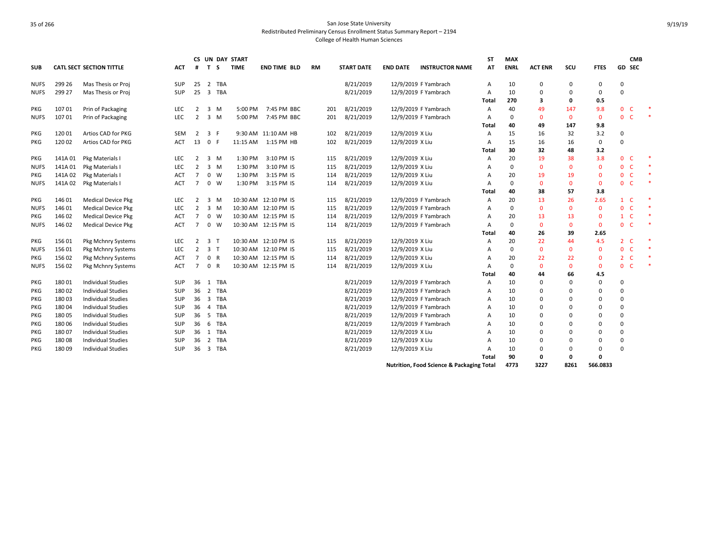| <b>SUB</b>  |         | <b>CATL SECT SECTION TITTLE</b> | ACT        | #              | T S            |             | CS UN DAY START<br><b>TIME</b> | END TIME BLD         | RM  | <b>START DATE</b> | <b>END DATE</b> | <b>INSTRUCTOR NAME</b>                               | ST<br>AT | <b>MAX</b><br><b>ENRL</b> | <b>ACT ENR</b> | SCU          | <b>FTES</b>  | <b>CMB</b><br>GD SEC           |  |
|-------------|---------|---------------------------------|------------|----------------|----------------|-------------|--------------------------------|----------------------|-----|-------------------|-----------------|------------------------------------------------------|----------|---------------------------|----------------|--------------|--------------|--------------------------------|--|
| <b>NUFS</b> | 299 26  | Mas Thesis or Proj              | <b>SUP</b> | 25             |                | 2 TBA       |                                |                      |     | 8/21/2019         |                 | 12/9/2019 F Yambrach                                 | Α        | 10                        | 0              | 0            | 0            | 0                              |  |
| <b>NUFS</b> | 299 27  | Mas Thesis or Proj              | <b>SUP</b> | 25             |                | 3 TBA       |                                |                      |     | 8/21/2019         |                 | 12/9/2019 F Yambrach                                 | Α        | 10                        | $\Omega$       | 0            | 0            | $\Omega$                       |  |
|             |         |                                 |            |                |                |             |                                |                      |     |                   |                 |                                                      | Total    | 270                       | 3              | 0            | 0.5          |                                |  |
| PKG         | 10701   | Prin of Packaging               | LEC        | $\overline{2}$ |                | $3 \, M$    | 5:00 PM                        | 7:45 PM BBC          | 201 | 8/21/2019         |                 | 12/9/2019 F Yambrach                                 | A        | 40                        | 49             | 147          | 9.8          | $\mathbf{0}$<br><b>C</b>       |  |
| <b>NUFS</b> | 10701   | Prin of Packaging               | LEC        | $\overline{2}$ |                | $3 \, M$    | 5:00 PM                        | 7:45 PM BBC          | 201 | 8/21/2019         |                 | 12/9/2019 F Yambrach                                 | Α        | 0                         | $\mathbf{0}$   | $\mathbf{0}$ | $\mathbf{0}$ | $\overline{0}$<br>-C           |  |
|             |         |                                 |            |                |                |             |                                |                      |     |                   |                 |                                                      | Total    | 40                        | 49             | 147          | 9.8          |                                |  |
| PKG         | 12001   | Artios CAD for PKG              | <b>SEM</b> | 2              |                | 3 F         |                                | 9:30 AM 11:10 AM HB  | 102 | 8/21/2019         | 12/9/2019 X Liu |                                                      | A        | 15                        | 16             | 32           | 3.2          | 0                              |  |
| PKG         | 120 02  | Artios CAD for PKG              | <b>ACT</b> | 13             | 0 F            |             | 11:15 AM                       | 1:15 PM HB           | 102 | 8/21/2019         | 12/9/2019 X Liu |                                                      | A        | 15                        | 16             | 16           | 0            | 0                              |  |
|             |         |                                 |            |                |                |             |                                |                      |     |                   |                 |                                                      | Total    | 30                        | 32             | 48           | 3.2          |                                |  |
| PKG         | 141A 01 | Pkg Materials I                 | LEC        | 2              |                | $3 \, M$    | 1:30 PM                        | 3:10 PM IS           | 115 | 8/21/2019         | 12/9/2019 X Liu |                                                      | A        | 20                        | 19             | 38           | 3.8          | $\mathbf{0}$<br>-C             |  |
| <b>NUFS</b> | 141A01  | Pkg Materials I                 | <b>LEC</b> | $\overline{2}$ |                | $3 \, M$    | 1:30 PM                        | 3:10 PM IS           | 115 | 8/21/2019         | 12/9/2019 X Liu |                                                      | A        | $\mathbf 0$               | $\mathbf{0}$   | $\mathbf{0}$ | $\mathbf 0$  | $\overline{0}$<br>$\mathsf{C}$ |  |
| PKG         | 141A 02 | Pkg Materials I                 | ACT        | $\overline{7}$ |                | $0 \quad W$ | 1:30 PM                        | 3:15 PM IS           | 114 | 8/21/2019         | 12/9/2019 X Liu |                                                      | A        | 20                        | 19             | 19           | $\mathbf 0$  | $\mathsf{C}$<br>$\mathbf{0}$   |  |
| <b>NUFS</b> | 141A 02 | Pkg Materials I                 | ACT        | $\overline{7}$ |                | $0 \quad W$ | 1:30 PM                        | 3:15 PM IS           | 114 | 8/21/2019         | 12/9/2019 X Liu |                                                      | A        | $\mathbf 0$               | $\mathbf{0}$   | $\mathbf{0}$ | $\mathbf{0}$ | $\mathbf{0}$<br><b>C</b>       |  |
|             |         |                                 |            |                |                |             |                                |                      |     |                   |                 |                                                      | Total    | 40                        | 38             | 57           | 3.8          |                                |  |
| PKG         | 146 01  | <b>Medical Device Pkg</b>       | LEC        | 2              |                | $3 \, M$    |                                | 10:30 AM 12:10 PM IS | 115 | 8/21/2019         |                 | 12/9/2019 F Yambrach                                 | A        | 20                        | 13             | 26           | 2.65         | $\mathbf{1}$<br><b>C</b>       |  |
| <b>NUFS</b> | 146 01  | <b>Medical Device Pkg</b>       | LEC        | $\overline{2}$ |                | $3 \, M$    |                                | 10:30 AM 12:10 PM IS | 115 | 8/21/2019         |                 | 12/9/2019 F Yambrach                                 | A        | 0                         | $\mathbf{0}$   | $\mathbf{0}$ | $\mathbf 0$  | $\mathbf{0}$<br>C              |  |
| PKG         | 146 02  | <b>Medical Device Pkg</b>       | <b>ACT</b> | $\overline{7}$ |                | $0 \quad W$ |                                | 10:30 AM 12:15 PM IS | 114 | 8/21/2019         |                 | 12/9/2019 F Yambrach                                 | A        | 20                        | 13             | 13           | $\mathbf 0$  | $1 \quad C$                    |  |
| <b>NUFS</b> | 146 02  | <b>Medical Device Pkg</b>       | <b>ACT</b> | $\overline{7}$ |                | $0 \quad W$ |                                | 10:30 AM 12:15 PM IS | 114 | 8/21/2019         |                 | 12/9/2019 F Yambrach                                 | A        | 0                         | $\mathbf{0}$   | $\mathbf{0}$ | $\mathbf{0}$ | 0 <sub>c</sub>                 |  |
|             |         |                                 |            |                |                |             |                                |                      |     |                   |                 |                                                      | Total    | 40                        | 26             | 39           | 2.65         |                                |  |
| PKG         | 15601   | Pkg Mchnry Systems              | LEC        | $\overline{2}$ | 3 <sub>1</sub> |             |                                | 10:30 AM 12:10 PM IS | 115 | 8/21/2019         | 12/9/2019 X Liu |                                                      | A        | 20                        | 22             | 44           | 4.5          | 2 <sub>c</sub>                 |  |
| <b>NUFS</b> | 15601   | Pkg Mchnry Systems              | LEC        | $\overline{2}$ | 3 <sub>1</sub> |             |                                | 10:30 AM 12:10 PM IS | 115 | 8/21/2019         | 12/9/2019 X Liu |                                                      | A        | $\Omega$                  | $\Omega$       | $\mathbf 0$  | $\mathbf 0$  | $\overline{0}$<br>$\mathsf{C}$ |  |
| PKG         | 156 02  | Pkg Mchnry Systems              | <b>ACT</b> | $\overline{7}$ | 0 R            |             |                                | 10:30 AM 12:15 PM IS | 114 | 8/21/2019         | 12/9/2019 X Liu |                                                      | A        | 20                        | 22             | 22           | 0            | 2 <sub>c</sub>                 |  |
| <b>NUFS</b> | 156 02  | Pkg Mchnry Systems              | <b>ACT</b> | $\overline{7}$ |                | 0 R         |                                | 10:30 AM 12:15 PM IS | 114 | 8/21/2019         | 12/9/2019 X Liu |                                                      | A        | $\Omega$                  | $\Omega$       | $\mathbf{0}$ | $\mathbf 0$  | $\overline{0}$<br>C            |  |
|             |         |                                 |            |                |                |             |                                |                      |     |                   |                 |                                                      | Total    | 40                        | 44             | 66           | 4.5          |                                |  |
| PKG         | 180 01  | <b>Individual Studies</b>       | SUP        | 36             |                | 1 TBA       |                                |                      |     | 8/21/2019         |                 | 12/9/2019 F Yambrach                                 | Α        | 10                        | $\Omega$       | $\Omega$     | 0            | 0                              |  |
| PKG         | 18002   | <b>Individual Studies</b>       | <b>SUP</b> |                |                | 36 2 TBA    |                                |                      |     | 8/21/2019         |                 | 12/9/2019 F Yambrach                                 | A        | 10                        | $\Omega$       | $\Omega$     | 0            | 0                              |  |
| PKG         | 18003   | <b>Individual Studies</b>       | SUP        | 36             |                | 3 TBA       |                                |                      |     | 8/21/2019         |                 | 12/9/2019 F Yambrach                                 | A        | 10                        | $\Omega$       | $\Omega$     | 0            | 0                              |  |
| PKG         | 18004   | <b>Individual Studies</b>       | SUP        | 36             |                | 4 TBA       |                                |                      |     | 8/21/2019         |                 | 12/9/2019 F Yambrach                                 | A        | 10                        | $\Omega$       | $\Omega$     | 0            | $\Omega$                       |  |
| PKG         | 180 05  | <b>Individual Studies</b>       | SUP        | 36             |                | 5 TBA       |                                |                      |     | 8/21/2019         |                 | 12/9/2019 F Yambrach                                 | A        | 10                        | $\Omega$       | $\Omega$     | 0            | 0                              |  |
| PKG         | 180 06  | <b>Individual Studies</b>       | SUP        | 36             |                | 6 TBA       |                                |                      |     | 8/21/2019         |                 | 12/9/2019 F Yambrach                                 | A        | 10                        |                | $\Omega$     | 0            | $\Omega$                       |  |
| PKG         | 180 07  | <b>Individual Studies</b>       | <b>SUP</b> | 36             |                | 1 TBA       |                                |                      |     | 8/21/2019         | 12/9/2019 X Liu |                                                      | A        | 10                        |                | $\Omega$     | 0            | $\Omega$                       |  |
| PKG         | 18008   | <b>Individual Studies</b>       | SUP        | 36             |                | 2 TBA       |                                |                      |     | 8/21/2019         | 12/9/2019 X Liu |                                                      | A        | 10                        | $\Omega$       | $\Omega$     | 0            | $\Omega$                       |  |
| PKG         | 18009   | Individual Studies              | SUP        | 36             |                | 3 TBA       |                                |                      |     | 8/21/2019         | 12/9/2019 X Liu |                                                      | Α        | 10                        | 0              | 0            | 0            | $\Omega$                       |  |
|             |         |                                 |            |                |                |             |                                |                      |     |                   |                 |                                                      | Total    | 90                        | $\mathbf 0$    | 0            | $\mathbf 0$  |                                |  |
|             |         |                                 |            |                |                |             |                                |                      |     |                   |                 | <b>Nutrition, Food Science &amp; Packaging Total</b> |          | 4773                      | 3227           | 8261         | 566.0833     |                                |  |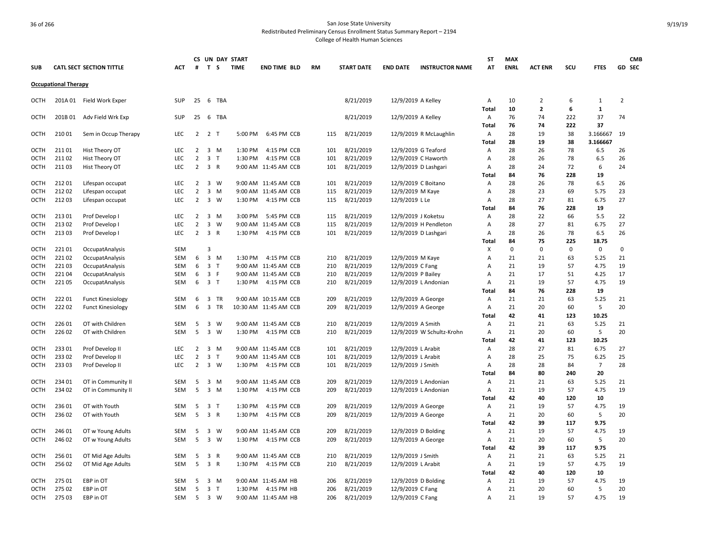|             |                             |                                 |            |                |                         |              | CS UN DAY START |                       |           |     |                   |                     |                           | <b>ST</b>      | <b>MAX</b>  |                |     |                | <b>CMB</b>     |
|-------------|-----------------------------|---------------------------------|------------|----------------|-------------------------|--------------|-----------------|-----------------------|-----------|-----|-------------------|---------------------|---------------------------|----------------|-------------|----------------|-----|----------------|----------------|
| <b>SUB</b>  |                             | <b>CATL SECT SECTION TITTLE</b> | ACT        | #              | T S                     |              | <b>TIME</b>     | <b>END TIME BLD</b>   | <b>RM</b> |     | <b>START DATE</b> | <b>END DATE</b>     | <b>INSTRUCTOR NAME</b>    | AT             | <b>ENRL</b> | <b>ACT ENR</b> | scu | <b>FTES</b>    | GD SEC         |
|             | <b>Occupational Therapy</b> |                                 |            |                |                         |              |                 |                       |           |     |                   |                     |                           |                |             |                |     |                |                |
| OCTH        |                             | 201A 01 Field Work Exper        | <b>SUP</b> | 25             | - 6                     | TBA          |                 |                       |           |     | 8/21/2019         | 12/9/2019 A Kelley  |                           | Α              | 10          | 2              | 6   | 1              | $\overline{2}$ |
|             |                             |                                 |            |                |                         |              |                 |                       |           |     |                   |                     |                           | Total          | 10          | $\overline{2}$ | 6   | $\mathbf{1}$   |                |
| <b>OCTH</b> | 201B 01                     | Adv Field Wrk Exp               | <b>SUP</b> |                |                         | 25 6 TBA     |                 |                       |           |     | 8/21/2019         | 12/9/2019 A Kelley  |                           | Α              | 76          | 74             | 222 | 37             | 74             |
|             |                             |                                 |            |                |                         |              |                 |                       |           |     |                   |                     |                           | Total          | 76          | 74             | 222 | 37             |                |
| OCTH        | 21001                       | Sem in Occup Therapy            | <b>LEC</b> |                | $2 \quad 2 \quad T$     |              | 5:00 PM         | 6:45 PM CCB           |           | 115 | 8/21/2019         |                     | 12/9/2019 R McLaughlin    | Α              | 28          | 19             | 38  | 3.166667       | 19             |
|             |                             |                                 |            |                |                         |              |                 |                       |           |     |                   |                     |                           | Total          | 28          | 19             | 38  | 3.166667       |                |
| OCTH        | 211 01                      | Hist Theory OT                  | <b>LEC</b> | 2              | $\overline{\mathbf{3}}$ | M            | 1:30 PM         | 4:15 PM CCB           |           | 101 | 8/21/2019         | 12/9/2019 G Teaford |                           | Α              | 28          | 26             | 78  | 6.5            | 26             |
| <b>OCTH</b> | 211 02                      | Hist Theory OT                  | LEC        | $\overline{2}$ | $\overline{\mathbf{3}}$ | T            | 1:30 PM         | 4:15 PM CCB           |           | 101 | 8/21/2019         |                     | 12/9/2019 C Haworth       | A              | 28          | 26             | 78  | 6.5            | 26             |
| OCTH        | 21103                       | Hist Theory OT                  | LEC        | $\overline{2}$ | 3 R                     |              |                 | 9:00 AM 11:45 AM CCB  |           | 101 | 8/21/2019         |                     | 12/9/2019 D Lashgari      | Α              | 28          | 24             | 72  | 6              | 24             |
|             |                             |                                 |            |                |                         |              |                 |                       |           |     |                   |                     |                           | Total          | 84          | 76             | 228 | 19             |                |
| OCTH        | 21201                       | Lifespan occupat                | LEC        | 2              | $\overline{\mathbf{3}}$ | W            |                 | 9:00 AM 11:45 AM CCB  |           | 101 | 8/21/2019         | 12/9/2019 C Boitano |                           | Α              | 28          | 26             | 78  | 6.5            | 26             |
| <b>OCTH</b> | 21202                       | Lifespan occupat                | <b>LEC</b> | 2              | $\overline{\mathbf{3}}$ | M            |                 | 9:00 AM 11:45 AM CCB  |           | 115 | 8/21/2019         | 12/9/2019 M Kaye    |                           | A              | 28          | 23             | 69  | 5.75           | 23             |
| <b>OCTH</b> | 21203                       | Lifespan occupat                | LEC        | $\overline{2}$ | $\overline{\mathbf{3}}$ | W            | 1:30 PM         | 4:15 PM CCB           |           | 115 | 8/21/2019         | 12/9/2019 L Le      |                           | Α              | 28          | 27             | 81  | 6.75           | 27             |
|             |                             |                                 |            |                |                         |              |                 |                       |           |     |                   |                     |                           | Total          | 84          | 76             | 228 | 19             |                |
| OCTH        | 213 01                      | Prof Develop I                  | LEC        | $\overline{2}$ | $\overline{\mathbf{3}}$ | M            | 3:00 PM         | 5:45 PM CCB           |           | 115 | 8/21/2019         | 12/9/2019 J Koketsu |                           | Α              | 28          | 22             | 66  | 5.5            | 22             |
| <b>OCTH</b> | 213 02                      | Prof Develop I                  | LEC        | 2              | $\overline{\mathbf{3}}$ | W            |                 | 9:00 AM 11:45 AM CCB  |           | 115 | 8/21/2019         |                     | 12/9/2019 H Pendleton     | Α              | 28          | 27             | 81  | 6.75           | 27             |
| <b>OCTH</b> | 21303                       | Prof Develop I                  | LEC        | $\overline{2}$ | $\overline{\mathbf{3}}$ | R            | 1:30 PM         | 4:15 PM CCB           |           | 101 | 8/21/2019         |                     | 12/9/2019 D Lashgari      | Α              | 28          | 26             | 78  | 6.5            | 26             |
|             |                             |                                 |            |                |                         |              |                 |                       |           |     |                   |                     |                           | Tota           | 84          | 75             | 225 | 18.75          |                |
| OCTH        | 22101                       | OccupatAnalysis                 | <b>SEM</b> |                | 3                       |              |                 |                       |           |     |                   |                     |                           | x              | $\mathbf 0$ | $\mathbf 0$    | 0   | 0              | 0              |
| <b>OCTH</b> | 22102                       | OccupatAnalysis                 | SEM        | 6              | $\overline{\mathbf{3}}$ | M            | 1:30 PM         | 4:15 PM CCB           |           | 210 | 8/21/2019         | 12/9/2019 M Kaye    |                           | $\overline{A}$ | 21          | 21             | 63  | 5.25           | 21             |
| <b>OCTH</b> | 22103                       | OccupatAnalysis                 | SEM        | 6              | $\overline{\mathbf{3}}$ | $\mathsf{T}$ |                 | 9:00 AM 11:45 AM CCB  |           | 210 | 8/21/2019         | 12/9/2019 C Fang    |                           | A              | 21          | 19             | 57  | 4.75           | 19             |
| OCTH        | 221 04                      | OccupatAnalysis                 | SEM        | 6              | 3 F                     |              |                 | 9:00 AM 11:45 AM CCB  |           | 210 | 8/21/2019         | 12/9/2019 P Bailey  |                           | Α              | 21          | 17             | 51  | 4.25           | 17             |
| OCTH        | 221 05                      | OccupatAnalysis                 | SEM        | 6              | 3 <sub>T</sub>          |              | 1:30 PM         | 4:15 PM CCB           |           | 210 | 8/21/2019         |                     | 12/9/2019 L Andonian      | Α              | 21          | 19             | 57  | 4.75           | 19             |
|             |                             |                                 |            |                |                         |              |                 |                       |           |     |                   |                     |                           | Total          | 84          | 76             | 228 | 19             |                |
| OCTH        | 22201                       | <b>Funct Kinesiology</b>        | <b>SEM</b> | 6              | $\overline{\mathbf{3}}$ | <b>TR</b>    |                 | 9:00 AM 10:15 AM CCB  |           | 209 | 8/21/2019         | 12/9/2019 A George  |                           | A              | 21          | 21             | 63  | 5.25           | 21             |
| <b>OCTH</b> | 22202                       | <b>Funct Kinesiology</b>        | <b>SEM</b> | 6              | $\overline{\mathbf{3}}$ | TR           |                 | 10:30 AM 11:45 AM CCB |           | 209 | 8/21/2019         | 12/9/2019 A George  |                           | Α              | 21          | 20             | 60  | 5              | 20             |
|             |                             |                                 |            |                |                         |              |                 |                       |           |     |                   |                     |                           | Total          | 42          | 41             | 123 | 10.25          |                |
| OCTH        | 226 01                      | OT with Children                | <b>SEM</b> | 5              | $\overline{\mathbf{3}}$ | W            |                 | 9:00 AM 11:45 AM CCB  |           | 210 | 8/21/2019         | 12/9/2019 A Smith   |                           | Α              | 21          | 21             | 63  | 5.25           | 21             |
| <b>OCTH</b> | 226 02                      | OT with Children                | <b>SEM</b> | 5              | 3 W                     |              | 1:30 PM         | 4:15 PM CCB           |           | 210 | 8/21/2019         |                     | 12/9/2019 W Schultz-Krohn | Α              | 21          | 20             | 60  | 5              | 20             |
|             |                             |                                 |            |                |                         |              |                 |                       |           |     |                   |                     |                           | Total          | 42          | 41             | 123 | 10.25          |                |
| <b>OCTH</b> | 233 01                      | Prof Develop II                 | LEC        | $\overline{2}$ | 3 M                     |              |                 | 9:00 AM 11:45 AM CCB  |           | 101 | 8/21/2019         | 12/9/2019 L Arabit  |                           | Α              | 28          | 27             | 81  | 6.75           | 27             |
| OCTH        | 23302                       | Prof Develop II                 | LEC        | 2              | 3 <sub>T</sub>          |              |                 | 9:00 AM 11:45 AM CCB  |           | 101 | 8/21/2019         | 12/9/2019 L Arabit  |                           | $\overline{A}$ | 28          | 25             | 75  | 6.25           | 25             |
| <b>OCTH</b> | 23303                       | Prof Develop II                 | <b>LEC</b> | $\overline{2}$ | 3 W                     |              | 1:30 PM         | 4:15 PM CCB           |           | 101 | 8/21/2019         | 12/9/2019 J Smith   |                           | Α              | 28          | 28             | 84  | $\overline{7}$ | 28             |
|             |                             |                                 |            |                |                         |              |                 |                       |           |     |                   |                     |                           | Total          | 84          | 80             | 240 | 20             |                |
| <b>OCTH</b> | 234 01                      | OT in Community II              | SEM        | 5              | 3 M                     |              |                 | 9:00 AM 11:45 AM CCB  |           | 209 | 8/21/2019         |                     | 12/9/2019 L Andonian      | Α              | 21          | 21             | 63  | 5.25           | 21             |
| OCTH        | 234 02                      | OT in Community II              | SEM        | 5              |                         | 3 M          | 1:30 PM         | 4:15 PM CCB           |           | 209 | 8/21/2019         |                     | 12/9/2019 L Andonian      | Α              | 21          | 19             | 57  | 4.75           | 19             |
|             |                             |                                 |            |                |                         |              |                 |                       |           |     |                   |                     |                           | Total          | 42          | 40             | 120 | 10             |                |
| OCTH        | 236 01                      | OT with Youth                   | <b>SEM</b> | 5              | 3 <sub>T</sub>          |              | 1:30 PM         | 4:15 PM CCB           |           | 209 | 8/21/2019         | 12/9/2019 A George  |                           | Α              | 21          | 19             | 57  | 4.75           | 19             |
| <b>OCTH</b> | 236 02                      | OT with Youth                   | <b>SEM</b> | 5              | 3 R                     |              | 1:30 PM         | 4:15 PM CCB           |           | 209 | 8/21/2019         | 12/9/2019 A George  |                           | Α              | 21          | 20             | 60  | 5              | 20             |
|             |                             |                                 |            |                |                         |              |                 |                       |           |     |                   |                     |                           | Total          | 42          | 39             | 117 | 9.75           |                |
| OCTH        | 246 01                      | OT w Young Adults               | <b>SEM</b> | 5              | $\overline{\mathbf{3}}$ | W            |                 | 9:00 AM 11:45 AM CCB  |           | 209 | 8/21/2019         | 12/9/2019 D Bolding |                           | Α              | 21          | 19             | 57  | 4.75           | 19             |
| <b>OCTH</b> | 246 02                      | OT w Young Adults               | <b>SEM</b> | 5              | 3 W                     |              | 1:30 PM         | 4:15 PM CCB           |           | 209 | 8/21/2019         | 12/9/2019 A George  |                           | Α              | 21          | 20             | 60  | 5              | 20             |
|             |                             |                                 |            |                |                         |              |                 |                       |           |     |                   |                     |                           | Total          | 42          | 39             | 117 | 9.75           |                |
| <b>OCTH</b> | 256 01                      | OT Mid Age Adults               | SEM        | 5              | $\overline{\mathbf{3}}$ | $\mathsf R$  |                 | 9:00 AM 11:45 AM CCB  |           | 210 | 8/21/2019         | 12/9/2019 J Smith   |                           | Α              | 21          | 21             | 63  | 5.25           | 21             |
| <b>OCTH</b> | 25602                       | OT Mid Age Adults               | SEM        | 5              | 3 R                     |              | 1:30 PM         | 4:15 PM CCB           |           | 210 | 8/21/2019         | 12/9/2019 L Arabit  |                           | Α              | 21          | 19             | 57  | 4.75           | 19             |
|             |                             |                                 |            |                |                         |              |                 |                       |           |     |                   |                     |                           | Total          | 42          | 40             | 120 | 10             |                |
| <b>OCTH</b> | 275 01                      | EBP in OT                       | SEM        | 5              | 3 M                     |              |                 | 9:00 AM 11:45 AM HB   |           | 206 | 8/21/2019         | 12/9/2019 D Bolding |                           | Α              | 21          | 19             | 57  | 4.75           | 19             |
| <b>OCTH</b> | 275 02                      | EBP in OT                       | <b>SEM</b> | 5              | 3 <sub>1</sub>          |              | 1:30 PM         | 4:15 PM HB            |           | 206 | 8/21/2019         | 12/9/2019 C Fang    |                           | Α              | 21          | 20             | 60  | 5              | 20             |
| OCTH        | 275 03                      | EBP in OT                       | SEM        | 5              | 3 W                     |              |                 | 9:00 AM 11:45 AM HB   |           | 206 | 8/21/2019         | 12/9/2019 C Fang    |                           | A              | 21          | 19             | 57  | 4.75           | 19             |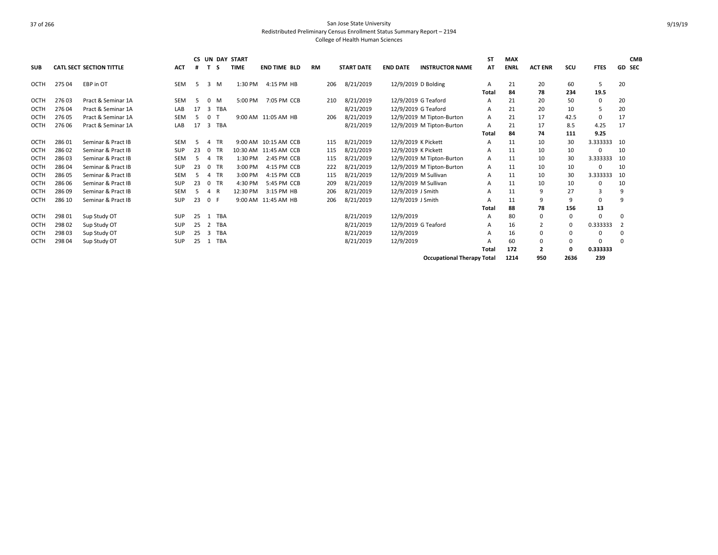|             |        |                                 |            |    |          |            | <b>CS UN DAY START</b> |                       |           |     |                   |                 |                                   | SΤ           | <b>MAX</b>  |                |          |             |                | <b>CMB</b>    |
|-------------|--------|---------------------------------|------------|----|----------|------------|------------------------|-----------------------|-----------|-----|-------------------|-----------------|-----------------------------------|--------------|-------------|----------------|----------|-------------|----------------|---------------|
| <b>SUB</b>  |        | <b>CATL SECT SECTION TITTLE</b> | <b>ACT</b> |    |          | -S         | <b>TIME</b>            | <b>END TIME BLD</b>   | <b>RM</b> |     | <b>START DATE</b> | <b>END DATE</b> | <b>INSTRUCTOR NAME</b>            | AT           | <b>ENRL</b> | <b>ACT ENR</b> | scu      | <b>FTES</b> |                | <b>GD SEC</b> |
| OCTH        | 275 04 | EBP in OT                       | <b>SEM</b> | -5 | 3        | M          | 1:30 PM                | 4:15 PM HB            |           | 206 | 8/21/2019         |                 | 12/9/2019 D Bolding               | A            | 21          | 20             | 60       | 5           | 20             |               |
|             |        |                                 |            |    |          |            |                        |                       |           |     |                   |                 |                                   | Total        | 84          | 78             | 234      | 19.5        |                |               |
| OCTH        | 27603  | Pract & Seminar 1A              | <b>SEM</b> | 5  | $\Omega$ | M          | 5:00 PM                | 7:05 PM CCB           |           | 210 | 8/21/2019         |                 | 12/9/2019 G Teaford               | A            | 21          | 20             | 50       | 0           | 20             |               |
| <b>OCTH</b> | 27604  | Pract & Seminar 1A              | LAB        | 17 | 3        | <b>TBA</b> |                        |                       |           |     | 8/21/2019         |                 | 12/9/2019 G Teaford               | A            | 21          | 20             | 10       |             | 20             |               |
| <b>OCTH</b> | 276 05 | Pract & Seminar 1A              | <b>SEM</b> | .5 | $\Omega$ |            |                        | 9:00 AM 11:05 AM HB   |           | 206 | 8/21/2019         |                 |                                   | A            | 21          | 17             | 42.5     | $\Omega$    | 17             |               |
|             |        |                                 |            |    |          |            |                        |                       |           |     |                   |                 | 12/9/2019 M Tipton-Burton         |              |             |                |          |             |                |               |
| <b>OCTH</b> | 276 06 | Pract & Seminar 1A              | LAB        | 17 | 3        | <b>TBA</b> |                        |                       |           |     | 8/21/2019         |                 | 12/9/2019 M Tipton-Burton         | A            | 21          | 17             | 8.5      | 4.25        | 17             |               |
|             |        |                                 |            |    |          |            |                        |                       |           |     |                   |                 |                                   | Total        | 84          | 74             | 111      | 9.25        |                |               |
| OCTH        | 28601  | Seminar & Pract IB              | <b>SEM</b> | .5 |          | <b>TR</b>  |                        | 9:00 AM 10:15 AM CCB  |           | 115 | 8/21/2019         |                 | 12/9/2019 K Pickett               | A            | 11          | 10             | 30       | 3.333333    | 10             |               |
| OCTH        | 28602  | Seminar & Pract IB              | <b>SUP</b> | 23 |          | <b>TR</b>  |                        | 10:30 AM 11:45 AM CCB |           | 115 | 8/21/2019         |                 | 12/9/2019 K Pickett               | A            | 11          | 10             | 10       |             | 10             |               |
| <b>OCTH</b> | 28603  | Seminar & Pract IB              | <b>SEM</b> | 5  | Δ        | <b>TR</b>  | 1:30 PM                | 2:45 PM CCB           |           | 115 | 8/21/2019         |                 | 12/9/2019 M Tipton-Burton         | $\mathsf{A}$ | 11          | 10             | 30       | 3.333333    | 10             |               |
| OCTH        | 28604  | Seminar & Pract IB              | SUP        | 23 | $\Omega$ | <b>TR</b>  | 3:00 PM                | 4:15 PM CCB           |           | 222 | 8/21/2019         |                 | 12/9/2019 M Tipton-Burton         | A            | 11          | 10             | 10       | ŋ           | 10             |               |
| OCTH        | 28605  | Seminar & Pract IB              | <b>SEM</b> | .5 |          | <b>TR</b>  | 3:00 PM                | 4:15 PM CCB           |           | 115 | 8/21/2019         |                 | 12/9/2019 M Sullivan              | A            | 11          | 10             | 30       | 3.333333    | 10             |               |
| OCTH        | 286 06 | Seminar & Pract IB              | SUP        | 23 | $\Omega$ | <b>TR</b>  | 4:30 PM                | 5:45 PM CCB           |           | 209 | 8/21/2019         |                 | 12/9/2019 M Sullivan              | A            | 11          | 10             | 10       | $\Omega$    | 10             |               |
| <b>OCTH</b> | 286 09 | Seminar & Pract IB              | <b>SEM</b> | 5  | 4        | R          | 12:30 PM               | 3:15 PM HB            |           | 206 | 8/21/2019         |                 | 12/9/2019 J Smith                 | A            | 11          | 9              | 27       | 3           | 9              |               |
| OCTH        | 286 10 | Seminar & Pract IB              | SUP        | 23 | 0 F      |            |                        | 9:00 AM 11:45 AM HB   |           | 206 | 8/21/2019         |                 | 12/9/2019 J Smith                 |              | 11          | 9              | 9        | 0           | 9              |               |
|             |        |                                 |            |    |          |            |                        |                       |           |     |                   |                 |                                   | Total        | 88          | 78             | 156      | 13          |                |               |
| OCTH        | 298 01 | Sup Study OT                    | SUP        | 25 | -1       | <b>TBA</b> |                        |                       |           |     | 8/21/2019         | 12/9/2019       |                                   | A            | 80          | $\mathbf 0$    | 0        | $\Omega$    | 0              |               |
| <b>OCTH</b> | 298 02 | Sup Study OT                    | <b>SUP</b> | 25 | 2        | <b>TBA</b> |                        |                       |           |     | 8/21/2019         |                 | 12/9/2019 G Teaford               | A            | 16          | 2              | $\Omega$ | 0.333333    | $\overline{2}$ |               |
| <b>OCTH</b> | 298 03 | Sup Study OT                    | <b>SUP</b> | 25 | 3        | <b>TBA</b> |                        |                       |           |     | 8/21/2019         | 12/9/2019       |                                   |              | 16          | 0              | 0        | $\Omega$    | 0              |               |
| <b>OCTH</b> | 298 04 | Sup Study OT                    | <b>SUP</b> | 25 |          | <b>TBA</b> |                        |                       |           |     | 8/21/2019         | 12/9/2019       |                                   |              | 60          | 0              | 0        |             | 0              |               |
|             |        |                                 |            |    |          |            |                        |                       |           |     |                   |                 |                                   | Total        | 172         | $\overline{2}$ | O        | 0.333333    |                |               |
|             |        |                                 |            |    |          |            |                        |                       |           |     |                   |                 | <b>Occupational Therapy Total</b> |              | 1214        | 950            | 2636     | 239         |                |               |

9/19/19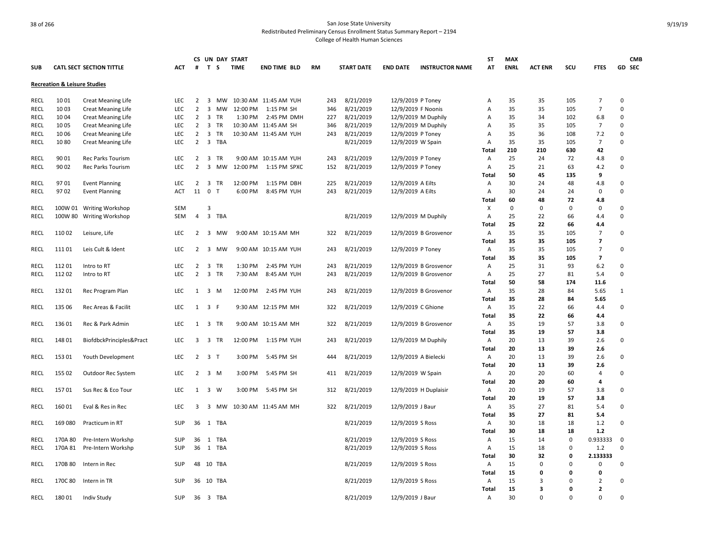|             |                                         |                                 |            |                |                         |           | CS UN DAY START |                       |           |     |                   |                      |                        | <b>ST</b>    | <b>MAX</b>  |                         |          |                          | <b>CMB</b>   |
|-------------|-----------------------------------------|---------------------------------|------------|----------------|-------------------------|-----------|-----------------|-----------------------|-----------|-----|-------------------|----------------------|------------------------|--------------|-------------|-------------------------|----------|--------------------------|--------------|
| <b>SUB</b>  |                                         | <b>CATL SECT SECTION TITTLE</b> | ACT        | #              | T S                     |           | <b>TIME</b>     | <b>END TIME BLD</b>   | <b>RM</b> |     | <b>START DATE</b> | <b>END DATE</b>      | <b>INSTRUCTOR NAME</b> | AT           | <b>ENRL</b> | <b>ACT ENR</b>          | scu      | <b>FTES</b>              | GD SEC       |
|             | <b>Recreation &amp; Leisure Studies</b> |                                 |            |                |                         |           |                 |                       |           |     |                   |                      |                        |              |             |                         |          |                          |              |
| RECL        | 10 01                                   | <b>Creat Meaning Life</b>       | <b>LEC</b> | 2              |                         | 3 MW      |                 | 10:30 AM 11:45 AM YUH |           | 243 | 8/21/2019         | 12/9/2019 P Toney    |                        | Α            | 35          | 35                      | 105      | $\overline{7}$           | 0            |
| <b>RECL</b> | 10 03                                   | <b>Creat Meaning Life</b>       | <b>LEC</b> | $\overline{2}$ | 3                       | <b>MW</b> | 12:00 PM        | 1:15 PM SH            |           | 346 | 8/21/2019         | 12/9/2019 F Noonis   |                        | A            | 35          | 35                      | 105      | $\overline{7}$           | 0            |
| <b>RECL</b> | 10 04                                   | <b>Creat Meaning Life</b>       | <b>LEC</b> | 2              | $\overline{\mathbf{3}}$ | <b>TR</b> | 1:30 PM         | 2:45 PM DMH           | 227       |     | 8/21/2019         |                      | 12/9/2019 M Duphily    | A            | 35          | 34                      | 102      | 6.8                      | 0            |
| <b>RECL</b> | 1005                                    | Creat Meaning Life              | <b>LEC</b> | $\overline{2}$ | $\overline{\mathbf{3}}$ | <b>TR</b> |                 | 10:30 AM 11:45 AM SH  |           | 346 | 8/21/2019         |                      | 12/9/2019 M Duphily    | Α            | 35          | 35                      | 105      | $\overline{7}$           | $\Omega$     |
| RECL        | 1006                                    | <b>Creat Meaning Life</b>       | LEC        | $\overline{2}$ | $\overline{\mathbf{3}}$ | TR        |                 | 10:30 AM 11:45 AM YUH |           | 243 | 8/21/2019         | 12/9/2019 P Toney    |                        | Α            | 35          | 36                      | 108      | 7.2                      | 0            |
| RECL        | 1080                                    | <b>Creat Meaning Life</b>       | <b>LEC</b> | $\overline{2}$ | $\overline{\mathbf{3}}$ | TBA       |                 |                       |           |     | 8/21/2019         | 12/9/2019 W Spain    |                        | Α            | 35          | 35                      | 105      | $\overline{7}$           | 0            |
|             |                                         |                                 |            |                |                         |           |                 |                       |           |     |                   |                      |                        | Total        | 210         | 210                     | 630      | 42                       |              |
| <b>RECL</b> | 90 01                                   | <b>Rec Parks Tourism</b>        | <b>LEC</b> | $\overline{2}$ | $\overline{\mathbf{3}}$ | <b>TR</b> |                 | 9:00 AM 10:15 AM YUH  | 243       |     | 8/21/2019         | 12/9/2019 P Toney    |                        | Α            | 25          | 24                      | 72       | 4.8                      | 0            |
| <b>RECL</b> | 90 02                                   | Rec Parks Tourism               | <b>LEC</b> | $\overline{2}$ | 3                       | <b>MW</b> | 12:00 PM        | 1:15 PM SPXC          | 152       |     | 8/21/2019         | 12/9/2019 P Toney    |                        | Α            | 25          | 21                      | 63       | 4.2                      | 0            |
|             |                                         |                                 |            |                |                         |           |                 |                       |           |     |                   |                      |                        | Total        | 50          | 45                      | 135      | 9                        |              |
| <b>RECL</b> | 97 01                                   | <b>Event Planning</b>           | <b>LEC</b> | 2              | $\overline{\mathbf{3}}$ | <b>TR</b> | 12:00 PM        | 1:15 PM DBH           | 225       |     | 8/21/2019         | 12/9/2019 A Eilts    |                        | Α            | 30          | 24                      | 48       | 4.8                      | $\Omega$     |
| <b>RECL</b> | 9702                                    | <b>Event Planning</b>           | <b>ACT</b> |                | 11 0                    | п         | 6:00 PM         | 8:45 PM YUH           |           | 243 | 8/21/2019         | 12/9/2019 A Eilts    |                        | Α            | 30          | 24                      | 24       | 0                        | $\Omega$     |
|             |                                         |                                 |            |                |                         |           |                 |                       |           |     |                   |                      |                        | Total        | 60          | 48                      | 72       | 4.8                      |              |
| RECL        | 100W 01                                 | <b>Writing Workshop</b>         | <b>SEM</b> |                | 3                       |           |                 |                       |           |     |                   |                      |                        | X            | 0           | 0                       | 0        | $\mathbf 0$              | 0            |
| <b>RECL</b> | 100W 80                                 | <b>Writing Workshop</b>         | SEM        | $\overline{4}$ |                         | 3 TBA     |                 |                       |           |     | 8/21/2019         |                      | 12/9/2019 M Duphily    | Α            | 25          | 22                      | 66       | 4.4                      | $\Omega$     |
|             |                                         |                                 |            |                |                         |           |                 |                       |           |     |                   |                      |                        | Total        | 25          | 22                      | 66       | 4.4                      |              |
| <b>RECL</b> | 11002                                   | Leisure, Life                   | <b>LEC</b> | 2              | $\overline{\mathbf{3}}$ | МW        |                 | 9:00 AM 10:15 AM MH   |           | 322 | 8/21/2019         |                      | 12/9/2019 B Grosvenor  | Α            | 35          | 35                      | 105      | $\overline{7}$           | $\Omega$     |
|             |                                         |                                 |            |                |                         |           |                 |                       |           |     |                   |                      |                        | Total        | 35          | 35                      | 105      | $\overline{ }$           |              |
| RECL        | 11101                                   | Leis Cult & Ident               | <b>LEC</b> | $\overline{2}$ | $\overline{\mathbf{3}}$ | MW        |                 | 9:00 AM 10:15 AM YUH  | 243       |     | 8/21/2019         | 12/9/2019 P Toney    |                        | Α            | 35          | 35                      | 105      | $\overline{7}$           | 0            |
|             |                                         |                                 |            |                |                         |           |                 |                       |           |     |                   |                      |                        | Total        | 35          | 35                      | 105      | $\overline{\phantom{a}}$ |              |
| RECL        | 11201                                   | Intro to RT                     | <b>LEC</b> | $\overline{2}$ | $\overline{\mathbf{3}}$ | <b>TR</b> | 1:30 PM         | 2:45 PM YUH           | 243       |     | 8/21/2019         |                      | 12/9/2019 B Grosvenor  | Α            | 25          | 31                      | 93       | 6.2                      | 0            |
| RECL        | 112 02                                  | Intro to RT                     | <b>LEC</b> | 2              | $\overline{\mathbf{3}}$ | TR        | 7:30 AM         | 8:45 AM YUH           | 243       |     | 8/21/2019         |                      | 12/9/2019 B Grosvenor  | Α            | 25          | 27                      | 81       | 5.4                      | 0            |
|             |                                         |                                 |            |                |                         |           |                 |                       |           |     |                   |                      |                        | <b>Total</b> | 50          | 58                      | 174      | 11.6                     |              |
| RECL        | 132 01                                  | Rec Program Plan                | <b>LEC</b> | 1              | $\overline{\mathbf{3}}$ | M         | 12:00 PM        | 2:45 PM YUH           | 243       |     | 8/21/2019         |                      | 12/9/2019 B Grosvenor  | Α            | 35          | 28                      | 84       | 5.65                     | $\mathbf{1}$ |
|             |                                         |                                 |            |                |                         |           |                 |                       |           |     |                   |                      |                        | Total        | 35          | 28                      | 84       | 5.65                     |              |
| RECL        | 135 06                                  | Rec Areas & Facilit             | <b>LEC</b> |                | $1 \quad 3 \quad F$     |           |                 | 9:30 AM 12:15 PM MH   |           | 322 | 8/21/2019         | 12/9/2019 C Ghione   |                        | Α            | 35          | 22                      | 66       | 4.4                      | 0            |
|             |                                         |                                 |            |                |                         |           |                 |                       |           |     |                   |                      |                        | Total        | 35          | 22                      | 66       | 4.4                      |              |
| RECL        | 136 01                                  | Rec & Park Admin                | <b>LEC</b> | $\mathbf{1}$   |                         | 3 TR      |                 | 9:00 AM 10:15 AM MH   |           | 322 | 8/21/2019         |                      | 12/9/2019 B Grosvenor  | Α            | 35          | 19                      | 57       | 3.8                      | 0            |
|             |                                         |                                 |            |                |                         |           |                 |                       |           |     |                   |                      |                        | Total        | 35          | 19                      | 57       | 3.8                      |              |
| RECL        | 148 01                                  | BiofdbckPrinciples&Pract        | <b>LEC</b> | 3              | $\overline{\mathbf{3}}$ | <b>TR</b> | 12:00 PM        | 1:15 PM YUH           | 243       |     | 8/21/2019         |                      | 12/9/2019 M Duphily    | Α            | 20          | 13                      | 39       | 2.6                      | 0            |
|             |                                         |                                 |            |                |                         |           |                 |                       |           |     |                   |                      |                        | Total        | 20          | 13                      | 39       | 2.6                      |              |
| <b>RECL</b> | 153 01                                  | Youth Development               | <b>LEC</b> | $\overline{2}$ | 3 <sub>1</sub>          |           | 3:00 PM         | 5:45 PM SH            | 444       |     | 8/21/2019         | 12/9/2019 A Bielecki |                        | Α            | 20          | 13                      | 39       | 2.6                      | 0            |
|             |                                         |                                 |            |                |                         |           |                 |                       |           |     |                   |                      |                        | Total        | 20          | 13                      | 39       | 2.6                      |              |
| <b>RECL</b> | 155 02                                  | Outdoor Rec System              | <b>LEC</b> | $\overline{2}$ |                         | 3 M       | 3:00 PM         | 5:45 PM SH            |           | 411 | 8/21/2019         | 12/9/2019 W Spain    |                        | Α            | 20          | 20                      | 60       | $\overline{4}$           | 0            |
|             |                                         |                                 |            |                |                         |           |                 |                       |           |     |                   |                      |                        | <b>Total</b> | 20          | 20                      | 60       | 4                        |              |
| <b>RECL</b> | 15701                                   | Sus Rec & Eco Tour              | <b>LEC</b> | $\mathbf{1}$   |                         | 3 W       | 3:00 PM         | 5:45 PM SH            |           | 312 | 8/21/2019         |                      | 12/9/2019 H Duplaisir  | Α            | 20          | 19                      | 57       | 3.8                      | 0            |
|             |                                         |                                 |            |                |                         |           |                 |                       |           |     |                   |                      |                        | Total        | 20          | 19                      | 57       | 3.8                      |              |
| RECL        | 16001                                   | Eval & Res in Rec               | <b>LEC</b> | 3              | $\overline{\mathbf{3}}$ | МW        |                 | 10:30 AM 11:45 AM MH  |           | 322 | 8/21/2019         | 12/9/2019 J Baur     |                        | A            | 35          | 27                      | 81       | 5.4                      | 0            |
|             |                                         |                                 |            |                |                         |           |                 |                       |           |     |                   |                      |                        | Total        | 35          | 27                      | 81       | 5.4                      |              |
| RECL        | 169 080                                 | Practicum in RT                 | SUP        | 36             | 1                       | TBA       |                 |                       |           |     | 8/21/2019         | 12/9/2019 S Ross     |                        | Α            | 30          | 18                      | 18       | 1.2                      | 0            |
|             |                                         |                                 |            |                |                         |           |                 |                       |           |     |                   |                      |                        | Total        | 30          | 18                      | 18       | $1.2$                    |              |
| RECL        | 170A 80                                 | Pre-Intern Workshp              | SUP        | 36             | $\overline{1}$          | TBA       |                 |                       |           |     | 8/21/2019         | 12/9/2019 S Ross     |                        | Α            | 15          | 14                      | $\Omega$ | 0.933333                 | 0            |
| <b>RECL</b> | 170A 81                                 | Pre-Intern Workshp              | <b>SUP</b> |                |                         | 36 1 TBA  |                 |                       |           |     | 8/21/2019         | 12/9/2019 S Ross     |                        | Α            | 15          | 18                      | $\Omega$ | 1.2                      | 0            |
|             |                                         |                                 |            |                |                         |           |                 |                       |           |     |                   |                      |                        | Total        | 30          | 32                      | 0        | 2.133333                 |              |
| RECL        | 170B 80                                 | Intern in Rec                   | <b>SUP</b> |                |                         | 48 10 TBA |                 |                       |           |     | 8/21/2019         | 12/9/2019 S Ross     |                        | Α            | 15          | 0                       | 0        | $\pmb{0}$                | 0            |
|             |                                         |                                 |            |                |                         |           |                 |                       |           |     |                   |                      |                        | Total        | 15          | 0                       | 0        | 0                        |              |
| RECL        | 170C 80                                 | Intern in TR                    | <b>SUP</b> |                |                         | 36 10 TBA |                 |                       |           |     | 8/21/2019         | 12/9/2019 S Ross     |                        | Α            | 15          | 3                       | $\Omega$ | $\overline{2}$           | 0            |
|             |                                         |                                 |            |                |                         |           |                 |                       |           |     |                   |                      |                        | Total        | 15          | $\overline{\mathbf{3}}$ | 0        | $\overline{2}$           |              |
| RECL        | 18001                                   | <b>Indiv Study</b>              | <b>SUP</b> |                |                         | 36 3 TBA  |                 |                       |           |     | 8/21/2019         | 12/9/2019 J Baur     |                        | Α            | 30          | $\Omega$                | $\Omega$ | $\Omega$                 | 0            |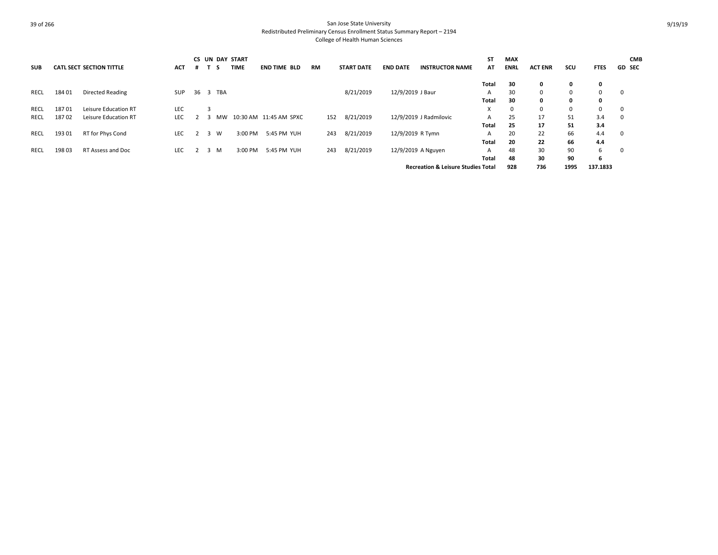|            |        |                                 |            |          |   |    | <b>CS UN DAY START</b> |                          |           |                   |                  |                                               | <b>ST</b> | <b>MAX</b>  |                |          |             | <b>CMB</b>    |
|------------|--------|---------------------------------|------------|----------|---|----|------------------------|--------------------------|-----------|-------------------|------------------|-----------------------------------------------|-----------|-------------|----------------|----------|-------------|---------------|
| <b>SUB</b> |        | <b>CATL SECT SECTION TITTLE</b> | <b>ACT</b> |          |   | -5 | <b>TIME</b>            | <b>END TIME BLD</b>      | <b>RM</b> | <b>START DATE</b> | <b>END DATE</b>  | <b>INSTRUCTOR NAME</b>                        | AT        | <b>ENRL</b> | <b>ACT ENR</b> | scu      | <b>FTES</b> | <b>GD SEC</b> |
|            |        |                                 |            |          |   |    |                        |                          |           |                   |                  |                                               | Total     | 30          | 0              | 0        | 0           |               |
| RECL       | 184 01 | <b>Directed Reading</b>         | SUP        | 36 3 TBA |   |    |                        |                          |           | 8/21/2019         | 12/9/2019 J Baur |                                               | A         | 30          | 0              | $\Omega$ | $\Omega$    | $\mathbf 0$   |
|            |        |                                 |            |          |   |    |                        |                          |           |                   |                  |                                               | Total     | 30          | 0              | 0        | 0           |               |
| RECL       | 18701  | Leisure Education RT            | <b>LEC</b> |          |   |    |                        |                          |           |                   |                  |                                               | X         | 0           | 0              | $\Omega$ | $\Omega$    | $\mathbf 0$   |
| RECL       | 18702  | Leisure Education RT            | <b>LEC</b> |          |   | MW |                        | 10:30 AM  11:45 AM  SPXC | 152       | 8/21/2019         |                  | 12/9/2019 J Radmilovic                        | A         | 25          | 17             | 51       | 3.4         | $\mathbf 0$   |
|            |        |                                 |            |          |   |    |                        |                          |           |                   |                  |                                               | Total     | 25          | 17             | 51       | 3.4         |               |
| RECL       | 193 01 | RT for Phys Cond                | <b>LEC</b> |          | 3 | W  | 3:00 PM                | 5:45 PM YUH              | 243       | 8/21/2019         | 12/9/2019 R Tymn |                                               | A         | 20          | 22             | 66       | 4.4         | 0             |
|            |        |                                 |            |          |   |    |                        |                          |           |                   |                  |                                               | Total     | 20          | 22             | 66       | 4.4         |               |
| RECL       | 198 03 | RT Assess and Doc               | <b>LEC</b> |          | 3 | M  | 3:00 PM                | 5:45 PM YUH              | 243       | 8/21/2019         |                  | 12/9/2019 A Nguyen                            | A         | 48          | 30             | 90       | 6           | $\mathbf 0$   |
|            |        |                                 |            |          |   |    |                        |                          |           |                   |                  |                                               | Total     | 48          | 30             | 90       | 6           |               |
|            |        |                                 |            |          |   |    |                        |                          |           |                   |                  | <b>Recreation &amp; Leisure Studies Total</b> |           | 928         | 736            | 1995     | 137.1833    |               |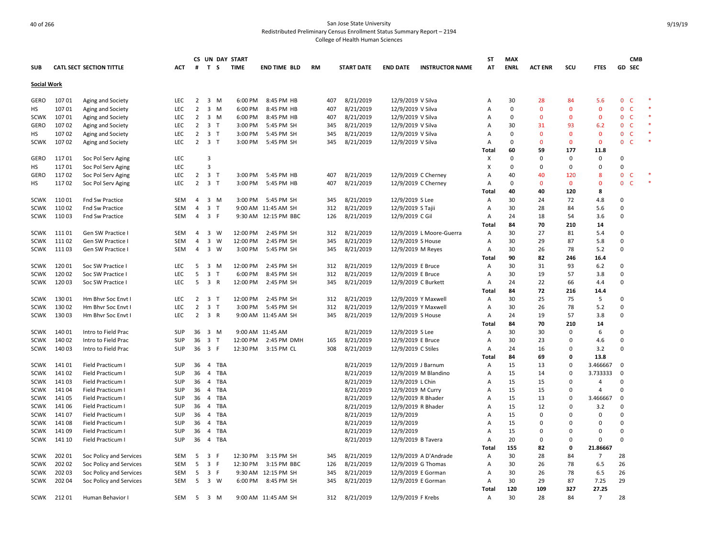|                    |        |                                 |            |                |                         | CS UN DAY START |             |                      |     |                   |                     |                          | ST    | <b>MAX</b>  |                |              |                |                              | <b>CMB</b> |  |
|--------------------|--------|---------------------------------|------------|----------------|-------------------------|-----------------|-------------|----------------------|-----|-------------------|---------------------|--------------------------|-------|-------------|----------------|--------------|----------------|------------------------------|------------|--|
| <b>SUB</b>         |        | <b>CATL SECT SECTION TITTLE</b> | ACT        | #              | T S                     |                 | <b>TIME</b> | <b>END TIME BLD</b>  | RM  | <b>START DATE</b> | <b>END DATE</b>     | <b>INSTRUCTOR NAME</b>   | AT    | <b>ENRL</b> | <b>ACT ENR</b> | scu          | <b>FTES</b>    | <b>GD SEC</b>                |            |  |
| <b>Social Work</b> |        |                                 |            |                |                         |                 |             |                      |     |                   |                     |                          |       |             |                |              |                |                              |            |  |
| GERO               | 10701  | Aging and Society               | LEC        | $\overline{2}$ | 3 M                     |                 | 6:00 PM     | 8:45 PM HB           | 407 | 8/21/2019         | 12/9/2019 V Silva   |                          | Α     | 30          | 28             | 84           | 5.6            | 0<br>$\mathsf{C}$            |            |  |
| HS                 | 107 01 | Aging and Society               | <b>LEC</b> | $\overline{2}$ | $3 \, M$                |                 | 6:00 PM     | 8:45 PM HB           | 407 | 8/21/2019         | 12/9/2019 V Silva   |                          | Α     | 0           | $\Omega$       | $\Omega$     | $\mathbf 0$    | $\mathbf{0}$<br>C            |            |  |
| <b>SCWK</b>        | 10701  | Aging and Society               | LEC        | $\overline{2}$ | 3 M                     |                 | 6:00 PM     | 8:45 PM HB           | 407 | 8/21/2019         | 12/9/2019 V Silva   |                          | Α     | 0           | $\Omega$       | $\Omega$     | $\mathbf 0$    | $\mathsf{C}$<br>$\mathbf{0}$ |            |  |
| GERO               | 10702  | Aging and Society               | <b>LEC</b> | $\overline{2}$ | 3 <sub>T</sub>          |                 | 3:00 PM     | 5:45 PM SH           | 345 | 8/21/2019         | 12/9/2019 V Silva   |                          | А     | 30          | 31             | 93           | 6.2            | $\mathbf{0}$<br>-C           |            |  |
| НS                 | 10702  | Aging and Society               | <b>LEC</b> | $\overline{2}$ | 3 <sub>1</sub>          |                 | 3:00 PM     | 5:45 PM SH           | 345 | 8/21/2019         | 12/9/2019 V Silva   |                          | А     | 0           | $\Omega$       | $\Omega$     | $\mathbf{0}$   | $\mathbf{0}$<br>$\mathsf{C}$ |            |  |
| <b>SCWK</b>        | 10702  | Aging and Society               | <b>LEC</b> | $\overline{2}$ | 3 <sub>1</sub>          |                 | 3:00 PM     | 5:45 PM SH           | 345 | 8/21/2019         | 12/9/2019 V Silva   |                          | А     | $\Omega$    | $\Omega$       | $\Omega$     | $\mathbf 0$    | $\mathsf{C}$<br>0            |            |  |
|                    |        |                                 |            |                |                         |                 |             |                      |     |                   |                     |                          | Total | 60          | 59             | 177          | 11.8           |                              |            |  |
| GERO               | 11701  | Soc Pol Serv Aging              | <b>LEC</b> |                | 3                       |                 |             |                      |     |                   |                     |                          | х     | 0           | $\Omega$       | $\Omega$     | $\mathbf 0$    | 0                            |            |  |
| НS                 | 11701  | Soc Pol Serv Aging              | LEC        |                | $\overline{3}$          |                 |             |                      |     |                   |                     |                          | X     | $\mathbf 0$ | $\Omega$       | $\Omega$     | 0              | 0                            |            |  |
| GERO               | 11702  | Soc Pol Serv Aging              | LEC        | $\overline{2}$ | 3 <sub>1</sub>          |                 | 3:00 PM     | 5:45 PM HB           | 407 | 8/21/2019         | 12/9/2019 C Cherney |                          | А     | 40          | 40             | 120          | 8              | $\mathbf{0}$<br>C            |            |  |
| HS                 | 11702  | Soc Pol Serv Aging              | LEC        | $\overline{2}$ | 3 <sub>7</sub>          |                 | 3:00 PM     | 5:45 PM HB           | 407 | 8/21/2019         | 12/9/2019 C Cherney |                          | Α     | 0           | $\Omega$       | $\mathbf{0}$ | $\mathbf 0$    | 0<br>$\epsilon$              |            |  |
|                    |        |                                 |            |                |                         |                 |             |                      |     |                   |                     |                          | Total | 40          | 40             | 120          | 8              |                              |            |  |
| <b>SCWK</b>        | 11001  | <b>Fnd Sw Practice</b>          | SEM        | 4              | 3 M                     |                 | 3:00 PM     | 5:45 PM SH           | 345 | 8/21/2019         | 12/9/2019 S Lee     |                          | Α     | 30          | 24             | 72           | 4.8            | $\Omega$                     |            |  |
| <b>SCWK</b>        | 110 02 | <b>Fnd Sw Practice</b>          | <b>SEM</b> | 4              | 3 <sub>T</sub>          |                 |             | 9:00 AM 11:45 AM SH  | 312 | 8/21/2019         | 12/9/2019 S Tajii   |                          | Α     | 30          | 28             | 84           | 5.6            | 0                            |            |  |
| <b>SCWK</b>        | 11003  | Fnd Sw Practice                 | <b>SEM</b> | $\overline{4}$ | 3 F                     |                 |             | 9:30 AM 12:15 PM BBC | 126 | 8/21/2019         | 12/9/2019 C Gil     |                          | A     | 24          | 18             | 54           | 3.6            | $\Omega$                     |            |  |
|                    |        |                                 |            |                |                         |                 |             |                      |     |                   |                     |                          | Total | 84          | 70             | 210          | 14             |                              |            |  |
| <b>SCWK</b>        | 11101  | Gen SW Practice I               | SEM        | $\overline{4}$ | $\overline{3}$          | W               | 12:00 PM    | 2:45 PM SH           | 312 | 8/21/2019         |                     | 12/9/2019 L Moore-Guerra | A     | 30          | 27             | 81           | 5.4            | $\Omega$                     |            |  |
| <b>SCWK</b>        | 11102  | Gen SW Practice I               | <b>SEM</b> | 4              | 3                       | W               | 12:00 PM    | 2:45 PM SH           | 345 | 8/21/2019         | 12/9/2019 S House   |                          | Α     | 30          | 29             | 87           | 5.8            | 0                            |            |  |
| SCWK               | 11103  | Gen SW Practice I               | <b>SEM</b> | $\overline{4}$ | 3 W                     |                 | 3:00 PM     | 5:45 PM SH           | 345 | 8/21/2019         | 12/9/2019 M Reyes   |                          | Α     | 30          | 26             | 78           | 5.2            | $\Omega$                     |            |  |
|                    |        |                                 |            |                |                         |                 |             |                      |     |                   |                     |                          | Total | 90          | 82             | 246          | 16.4           |                              |            |  |
| <b>SCWK</b>        | 120 01 | Soc SW Practice I               | <b>LEC</b> | 5              | 3 M                     |                 | 12:00 PM    | 2:45 PM SH           | 312 | 8/21/2019         | 12/9/2019 E Bruce   |                          | Α     | 30          | 31             | 93           | $6.2$          | $\Omega$                     |            |  |
| <b>SCWK</b>        | 120 02 | Soc SW Practice I               | LEC        | 5              | $\overline{\mathbf{3}}$ | $\top$          | 6:00 PM     | 8:45 PM SH           | 312 | 8/21/2019         | 12/9/2019 E Bruce   |                          | Α     | 30          | 19             | 57           | 3.8            | 0                            |            |  |
| <b>SCWK</b>        | 12003  | Soc SW Practice I               | LEC        | 5              | 3 R                     |                 | 12:00 PM    | 2:45 PM SH           | 345 | 8/21/2019         | 12/9/2019 C Burkett |                          | Α     | 24          | 22             | 66           | 4.4            | $\Omega$                     |            |  |
|                    |        |                                 |            |                |                         |                 |             |                      |     |                   |                     |                          | Total | 84          | 72             | 216          | 14.4           |                              |            |  |
| <b>SCWK</b>        | 13001  | Hm Bhvr Soc Envt I              | <b>LEC</b> | $\overline{2}$ | 3 <sub>T</sub>          |                 | 12:00 PM    | 2:45 PM SH           | 312 | 8/21/2019         | 12/9/2019 Y Maxwell |                          | Α     | 30          | 25             | 75           | 5              | $\Omega$                     |            |  |
| <b>SCWK</b>        | 13002  | Hm Bhvr Soc Envt I              | LEC        | $\overline{2}$ | 3 <sub>1</sub>          |                 | 3:00 PM     | 5:45 PM SH           | 312 | 8/21/2019         | 12/9/2019 Y Maxwell |                          | Α     | 30          | 26             | 78           | 5.2            | $\Omega$                     |            |  |
| <b>SCWK</b>        | 130 03 | Hm Bhvr Soc Envt I              | LEC        | $\overline{2}$ | 3 R                     |                 |             | 9:00 AM 11:45 AM SH  | 345 | 8/21/2019         | 12/9/2019 S House   |                          | Α     | 24          | 19             | 57           | 3.8            | 0                            |            |  |
|                    |        |                                 |            |                |                         |                 |             |                      |     |                   |                     |                          | Total | 84          | 70             | 210          | 14             |                              |            |  |
| <b>SCWK</b>        | 140 01 | Intro to Field Prac             | SUP        |                | 36 3 M                  |                 |             | 9:00 AM 11:45 AM     |     | 8/21/2019         | 12/9/2019 S Lee     |                          | Α     | 30          | 30             | $\Omega$     | 6              | 0                            |            |  |
| <b>SCWK</b>        | 140 02 | Intro to Field Prac             | <b>SUP</b> | 36             | 3 T                     |                 | 12:00 PM    | 2:45 PM DMH          | 165 | 8/21/2019         | 12/9/2019 E Bruce   |                          | A     | 30          | 23             | $\Omega$     | 4.6            | $\Omega$                     |            |  |
| <b>SCWK</b>        | 140 03 | Intro to Field Prac             | SUP        |                | 36 3 F                  |                 | 12:30 PM    | 3:15 PM CL           | 308 | 8/21/2019         | 12/9/2019 C Stiles  |                          | Α     | 24          | 16             | $\Omega$     | 3.2            | $\Omega$                     |            |  |
|                    |        |                                 |            |                |                         |                 |             |                      |     |                   |                     |                          | Total | 84          | 69             | 0            | 13.8           |                              |            |  |
| <b>SCWK</b>        | 14101  | Field Practicum I               | SUP        | 36             | 4                       | TBA             |             |                      |     | 8/21/2019         | 12/9/2019 J Barnum  |                          | Α     | 15          | 13             | 0            | 3.466667       | 0                            |            |  |
| <b>SCWK</b>        | 14102  | Field Practicum I               | SUP        |                |                         | 36 4 TBA        |             |                      |     | 8/21/2019         |                     | 12/9/2019 M Blandino     | A     | 15          | 14             | $\Omega$     | 3.733333       | $\Omega$                     |            |  |
| <b>SCWK</b>        | 141 03 | Field Practicum I               | SUP        | 36             |                         | 4 TBA           |             |                      |     | 8/21/2019         | 12/9/2019 L Chin    |                          | Α     | 15          | 15             | $\Omega$     | $\overline{4}$ | $\Omega$                     |            |  |
| <b>SCWK</b>        | 141 04 | Field Practicum I               | <b>SUP</b> | 36             |                         | 4 TBA           |             |                      |     | 8/21/2019         | 12/9/2019 M Curry   |                          | A     | 15          | 15             | $\Omega$     | $\overline{4}$ | $\Omega$                     |            |  |
| <b>SCWK</b>        | 141 05 | Field Practicum I               | SUP        | 36             | $\overline{4}$          | TBA             |             |                      |     | 8/21/2019         | 12/9/2019 R Bhader  |                          | А     | 15          | 13             | $\Omega$     | 3.466667       | $\mathbf 0$                  |            |  |
| <b>SCWK</b>        | 141 06 | Field Practicum I               | SUP        | 36             |                         | 4 TBA           |             |                      |     | 8/21/2019         | 12/9/2019 R Bhader  |                          | A     | 15          | 12             | $\Omega$     | 3.2            | 0                            |            |  |
| <b>SCWK</b>        | 14107  | Field Practicum I               | SUP        | 36             | 4                       | TBA             |             |                      |     | 8/21/2019         | 12/9/2019           |                          | А     | 15          | $\Omega$       | $\Omega$     | $\mathbf 0$    | 0                            |            |  |
| <b>SCWK</b>        | 14108  | Field Practicum I               | SUP        | 36             | $\overline{4}$          | TBA             |             |                      |     | 8/21/2019         | 12/9/2019           |                          | А     | 15          | $\Omega$       | $\Omega$     | $\mathbf 0$    | $\Omega$                     |            |  |
| <b>SCWK</b>        | 14109  | Field Practicum I               | SUP        | 36             |                         | 4 TBA           |             |                      |     | 8/21/2019         | 12/9/2019           |                          | A     | 15          | $\Omega$       | $\Omega$     | $\mathbf 0$    | $\Omega$                     |            |  |
| <b>SCWK</b>        | 141 10 | Field Practicum I               | SUP        |                | 36  4  TBA              |                 |             |                      |     | 8/21/2019         | 12/9/2019 B Tavera  |                          | Α     | 20          | $\Omega$       | 0            | $\mathbf 0$    | $\Omega$                     |            |  |
|                    |        |                                 |            |                |                         |                 |             |                      |     |                   |                     |                          | Total | 155         | 82             | 0            | 21.86667       |                              |            |  |
| SCWK               | 202 01 | Soc Policy and Services         | SEM        | 5              | 3 F                     |                 | 12:30 PM    | 3:15 PM SH           | 345 | 8/21/2019         |                     | 12/9/2019 A D'Andrade    | Α     | 30          | 28             | 84           | $\overline{7}$ | 28                           |            |  |
| <b>SCWK</b>        | 202 02 | Soc Policy and Services         | SEM        | 5              | 3 F                     |                 | 12:30 PM    | 3:15 PM BBC          | 126 | 8/21/2019         | 12/9/2019 G Thomas  |                          | A     | 30          | 26             | 78           | 6.5            | 26                           |            |  |
| <b>SCWK</b>        | 202 03 | Soc Policy and Services         | SEM        | 5              | 3 F                     |                 |             | 9:30 AM 12:15 PM SH  | 345 | 8/21/2019         | 12/9/2019 E Gorman  |                          | Α     | 30          | 26             | 78           | 6.5            | 26                           |            |  |
| <b>SCWK</b>        | 202 04 | Soc Policy and Services         | SEM        | 5              | 3 W                     |                 | 6:00 PM     | 8:45 PM SH           | 345 | 8/21/2019         |                     | 12/9/2019 E Gorman       | Α     | 30          | 29             | 87           | 7.25           | 29                           |            |  |
|                    |        |                                 |            |                |                         |                 |             |                      |     |                   |                     |                          | Total | 120         | 109            | 327          | 27.25          |                              |            |  |
| SCWK               | 21201  | Human Behavior I                | <b>SEM</b> | 5              | 3 M                     |                 |             | 9:00 AM 11:45 AM SH  | 312 | 8/21/2019         | 12/9/2019 F Krebs   |                          | A     | 30          | 28             | 84           | $\overline{7}$ | 28                           |            |  |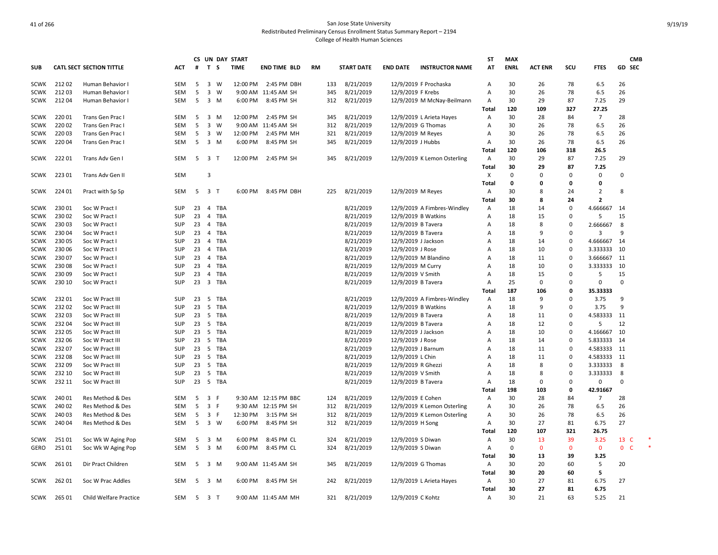|             |        |                                 |            |    |                |             | CS UN DAY START |                      |     |     |                   |                     |                             | ST           | <b>MAX</b>  |                |              |                | <b>CMB</b>        |  |
|-------------|--------|---------------------------------|------------|----|----------------|-------------|-----------------|----------------------|-----|-----|-------------------|---------------------|-----------------------------|--------------|-------------|----------------|--------------|----------------|-------------------|--|
| <b>SUB</b>  |        | <b>CATL SECT SECTION TITTLE</b> | <b>ACT</b> | #  | T S            |             | <b>TIME</b>     | <b>END TIME BLD</b>  | RM  |     | <b>START DATE</b> | <b>END DATE</b>     | <b>INSTRUCTOR NAME</b>      | AT           | <b>ENRL</b> | <b>ACT ENR</b> | SCU          | <b>FTES</b>    | <b>GD SEC</b>     |  |
| <b>SCWK</b> | 21202  | Human Behavior I                | <b>SEM</b> | 5  |                | 3 W         | 12:00 PM        | 2:45 PM DBH          | 133 |     | 8/21/2019         |                     | 12/9/2019 F Prochaska       | A            | 30          | 26             | 78           | 6.5            | 26                |  |
| <b>SCWK</b> | 21203  | Human Behavior I                | <b>SEM</b> | 5  | $\mathbf{3}$   | W           |                 | 9:00 AM 11:45 AM SH  | 345 |     | 8/21/2019         | 12/9/2019 F Krebs   |                             | Α            | 30          | 26             | 78           | 6.5            | 26                |  |
| SCWK        | 21204  | Human Behavior I                | SEM        | 5  |                | $3 \, M$    | 6:00 PM         | 8:45 PM SH           | 312 |     | 8/21/2019         |                     | 12/9/2019 M McNay-Beilmann  | Α<br>Total   | 30<br>120   | 29<br>109      | 87<br>327    | 7.25<br>27.25  | 29                |  |
| <b>SCWK</b> | 22001  | Trans Gen Prac I                | <b>SEM</b> | 5  |                | 3 M         | 12:00 PM        | 2:45 PM SH           | 345 |     | 8/21/2019         |                     | 12/9/2019 L Arieta Hayes    | Α            | 30          | 28             | 84           | $\overline{7}$ | 28                |  |
| <b>SCWK</b> | 220 02 | Trans Gen Prac I                | <b>SEM</b> | 5  | 3              | W           |                 | 9:00 AM 11:45 AM SH  | 312 |     | 8/21/2019         | 12/9/2019 G Thomas  |                             | A            | 30          | 26             | 78           | 6.5            | 26                |  |
| <b>SCWK</b> | 220 03 | Trans Gen Prac I                | SEM        | 5  |                | $3 \quad W$ | 12:00 PM        | 2:45 PM MH           | 321 |     | 8/21/2019         | 12/9/2019 M Reyes   |                             | A            | 30          | 26             | 78           | 6.5            | 26                |  |
| SCWK        | 22004  | Trans Gen Prac I                | SEM        | 5  |                | 3 M         | 6:00 PM         | 8:45 PM SH           | 345 |     | 8/21/2019         | 12/9/2019 J Hubbs   |                             | Α            | 30          | 26             | 78           | 6.5            | 26                |  |
|             |        |                                 |            |    |                |             |                 |                      |     |     |                   |                     |                             | Total        | 120         | 106            | 318          | 26.5           |                   |  |
| <b>SCWK</b> | 22201  | Trans Adv Gen I                 | <b>SEM</b> |    | 5 3 T          |             | 12:00 PM        | 2:45 PM_SH           |     | 345 | 8/21/2019         |                     | 12/9/2019 K Lemon Osterling | A            | 30          | 29             | 87           | 7.25           | 29                |  |
|             |        |                                 |            |    |                |             |                 |                      |     |     |                   |                     |                             | Total        | 30          | 29             | 87           | 7.25           |                   |  |
| SCWK        | 22301  | Trans Adv Gen II                | SEM        |    | $\overline{3}$ |             |                 |                      |     |     |                   |                     |                             | X            | $\Omega$    | $\Omega$       | $\mathbf 0$  | $\mathbf 0$    | $\Omega$          |  |
|             |        |                                 |            |    |                |             |                 |                      |     |     |                   |                     |                             | Total        | 0           | 0              | 0            | 0              |                   |  |
| SCWK        | 224 01 | Pract with Sp Sp                | SEM        | 5  | 3 T            |             | 6:00 PM         | 8:45 PM DBH          | 225 |     | 8/21/2019         | 12/9/2019 M Reyes   |                             | A            | 30          | 8              | 24           | $\overline{2}$ | 8                 |  |
|             |        |                                 |            |    |                |             |                 |                      |     |     |                   |                     |                             | <b>Total</b> | 30          | 8              | 24           | $\overline{2}$ |                   |  |
| <b>SCWK</b> | 230 01 | Soc W Pract I                   | SUP        | 23 |                | 4 TBA       |                 |                      |     |     | 8/21/2019         |                     | 12/9/2019 A Fimbres-Windley | Α            | 18          | 14             | $\mathbf 0$  | 4.666667       | 14                |  |
| <b>SCWK</b> | 230 02 | Soc W Pract I                   | <b>SUP</b> | 23 | $\overline{4}$ | TBA         |                 |                      |     |     | 8/21/2019         | 12/9/2019 B Watkins |                             | Α            | 18          | 15             | $\mathbf 0$  | 5              | 15                |  |
| <b>SCWK</b> | 23003  | Soc W Pract I                   | SUP        |    |                | 23 4 TBA    |                 |                      |     |     | 8/21/2019         | 12/9/2019 B Tavera  |                             | A            | 18          | 8              | 0            | 2.666667       | 8                 |  |
| <b>SCWK</b> | 23004  | Soc W Pract I                   | <b>SUP</b> | 23 | $\overline{4}$ | TBA         |                 |                      |     |     | 8/21/2019         | 12/9/2019 B Tavera  |                             | A            | 18          | 9              | $\mathbf 0$  | 3              | 9                 |  |
| <b>SCWK</b> | 23005  | Soc W Pract I                   | <b>SUP</b> | 23 | $\overline{4}$ | TBA         |                 |                      |     |     | 8/21/2019         | 12/9/2019 J Jackson |                             | A            | 18          | 14             | $\pmb{0}$    | 4.666667       | 14                |  |
| <b>SCWK</b> | 230 06 | Soc W Pract I                   | SUP        | 23 | $\overline{4}$ | TBA         |                 |                      |     |     | 8/21/2019         | 12/9/2019 J Rose    |                             | A            | 18          | 10             | $\Omega$     | 3.333333       | 10                |  |
| <b>SCWK</b> | 230 07 | Soc W Pract I                   | <b>SUP</b> | 23 | $\overline{4}$ | TBA         |                 |                      |     |     | 8/21/2019         |                     | 12/9/2019 M Blandino        | A            | 18          | 11             | 0            | 3.666667       | 11                |  |
| <b>SCWK</b> | 230 08 | Soc W Pract I                   | <b>SUP</b> | 23 | $\overline{4}$ | TBA         |                 |                      |     |     | 8/21/2019         | 12/9/2019 M Curry   |                             | A            | 18          | 10             | $\Omega$     | 3.333333       | 10                |  |
| <b>SCWK</b> | 23009  | Soc W Pract I                   | <b>SUP</b> | 23 |                | 4 TBA       |                 |                      |     |     | 8/21/2019         | 12/9/2019 V Smith   |                             | A            | 18          | 15             | $\Omega$     | 5              | 15                |  |
| SCWK        | 230 10 | Soc W Pract I                   | SUP        | 23 |                | 3 TBA       |                 |                      |     |     | 8/21/2019         | 12/9/2019 B Tavera  |                             | Α            | 25          | $\Omega$       | 0            | $\Omega$       | 0                 |  |
|             |        |                                 |            |    |                |             |                 |                      |     |     |                   |                     |                             | Total        | 187         | 106            | 0            | 35.33333       |                   |  |
| <b>SCWK</b> | 23201  | Soc W Pract III                 | <b>SUP</b> | 23 | 5              | TBA         |                 |                      |     |     | 8/21/2019         |                     | 12/9/2019 A Fimbres-Windley | Α            | 18          | 9              | $\Omega$     | 3.75           | 9                 |  |
| <b>SCWK</b> | 23202  | Soc W Pract III                 | SUP        | 23 |                | 5 TBA       |                 |                      |     |     | 8/21/2019         | 12/9/2019 B Watkins |                             | A            | 18          | 9              | $\mathbf 0$  | 3.75           | 9                 |  |
| <b>SCWK</b> | 23203  | Soc W Pract III                 | <b>SUP</b> | 23 |                | 5 TBA       |                 |                      |     |     | 8/21/2019         | 12/9/2019 B Tavera  |                             | Α            | 18          | 11             | $\mathbf 0$  | 4.583333       | 11                |  |
| <b>SCWK</b> | 232 04 | Soc W Pract III                 | <b>SUP</b> | 23 |                | 5 TBA       |                 |                      |     |     | 8/21/2019         | 12/9/2019 B Tavera  |                             | A            | 18          | 12             | 0            | 5              | 12                |  |
| <b>SCWK</b> | 232 05 | Soc W Pract III                 | <b>SUP</b> | 23 |                | 5 TBA       |                 |                      |     |     | 8/21/2019         | 12/9/2019 J Jackson |                             | A            | 18          | 10             | $\mathbf 0$  | 4.166667       | 10                |  |
| <b>SCWK</b> | 232 06 | Soc W Pract III                 | <b>SUP</b> | 23 | 5              | TBA         |                 |                      |     |     | 8/21/2019         | 12/9/2019 J Rose    |                             | Α            | 18          | 14             | $\mathbf 0$  | 5.833333       | 14                |  |
| <b>SCWK</b> | 23207  | Soc W Pract III                 | <b>SUP</b> | 23 |                | 5 TBA       |                 |                      |     |     | 8/21/2019         | 12/9/2019 J Barnum  |                             | Α            | 18          | 11             | $\mathbf 0$  | 4.583333       | 11                |  |
| <b>SCWK</b> | 23208  | Soc W Pract III                 | <b>SUP</b> |    |                | 23 5 TBA    |                 |                      |     |     | 8/21/2019         | 12/9/2019 L Chin    |                             | A            | 18          | 11             | 0            | 4.583333       | - 11              |  |
| <b>SCWK</b> | 23209  | Soc W Pract III                 | <b>SUP</b> | 23 | 5              | TBA         |                 |                      |     |     | 8/21/2019         | 12/9/2019 R Ghezzi  |                             | A            | 18          | 8              | $\Omega$     | 3.333333       | 8                 |  |
| <b>SCWK</b> | 232 10 | Soc W Pract III                 | <b>SUP</b> | 23 |                | 5 TBA       |                 |                      |     |     | 8/21/2019         | 12/9/2019 V Smith   |                             | A            | 18          | 8              | $\mathbf 0$  | 3.333333       | 8                 |  |
| <b>SCWK</b> | 232 11 | Soc W Pract III                 | <b>SUP</b> | 23 |                | 5 TBA       |                 |                      |     |     | 8/21/2019         | 12/9/2019 B Tavera  |                             | A            | 18          | $\Omega$       | $\Omega$     | $\Omega$       | $\Omega$          |  |
|             |        |                                 |            |    |                |             |                 |                      |     |     |                   |                     |                             | Total        | 198         | 103            | 0            | 42.91667       |                   |  |
| <b>SCWK</b> | 240 01 | Res Method & Des                | <b>SEM</b> | 5  | 3 F            |             |                 | 9:30 AM 12:15 PM BBC | 124 |     | 8/21/2019         | 12/9/2019 E Cohen   |                             | Α            | 30          | 28             | 84           | $\overline{7}$ | 28                |  |
| <b>SCWK</b> | 240 02 | Res Method & Des                | <b>SEM</b> | 5  | 3 F            |             |                 | 9:30 AM 12:15 PM SH  | 312 |     | 8/21/2019         |                     | 12/9/2019 K Lemon Osterling | Α            | 30          | 26             | 78           | 6.5            | 26                |  |
| <b>SCWK</b> | 24003  | Res Method & Des                | <b>SEM</b> | 5  | 3 F            |             | 12:30 PM        | 3:15 PM SH           |     | 312 | 8/21/2019         |                     | 12/9/2019 K Lemon Osterling | Α            | 30          | 26             | 78           | 6.5            | 26                |  |
| <b>SCWK</b> | 240 04 | Res Method & Des                | <b>SEM</b> | 5  |                | 3 W         | 6:00 PM         | 8:45 PM SH           |     | 312 | 8/21/2019         | 12/9/2019 H Song    |                             | Α            | 30          | 27             | 81           | 6.75           | 27                |  |
|             |        |                                 |            |    |                |             |                 |                      |     |     |                   |                     |                             | Total        | 120         | 107            | 321          | 26.75          |                   |  |
| SCWK        | 25101  | Soc Wk W Aging Pop              | <b>SEM</b> | 5  |                | 3 M         | 6:00 PM         | 8:45 PM CL           | 324 |     | 8/21/2019         | 12/9/2019 S Diwan   |                             | Α            | 30          | 13             | 39           | 3.25           | 13 C              |  |
| GERO        | 251 01 | Soc Wk W Aging Pop              | <b>SEM</b> | 5  |                | 3 M         | 6:00 PM         | 8:45 PM CL           | 324 |     | 8/21/2019         | 12/9/2019 S Diwan   |                             | Α            | 0           | $\mathbf{0}$   | $\mathbf{0}$ | $\mathbf{0}$   | $\mathbf{0}$<br>C |  |
|             |        |                                 |            |    |                |             |                 |                      |     |     |                   |                     |                             | Total        | 30          | 13             | 39           | 3.25           |                   |  |
| <b>SCWK</b> | 261 01 | Dir Pract Children              | <b>SEM</b> |    | 5 3 M          |             |                 | 9:00 AM 11:45 AM SH  | 345 |     | 8/21/2019         | 12/9/2019 G Thomas  |                             | Α            | 30          | 20             | 60           | 5              | 20                |  |
|             |        |                                 |            |    |                |             |                 |                      |     |     |                   |                     |                             | Total        | 30          | 20             | 60           | 5              |                   |  |
| SCWK        | 26201  | Soc W Prac Addles               | <b>SEM</b> | 5  | 3 M            |             | 6:00 PM         | 8:45 PM SH           |     | 242 | 8/21/2019         |                     | 12/9/2019 L Arieta Hayes    | Α            | 30          | 27             | 81           | 6.75           | 27                |  |
|             |        |                                 |            |    |                |             |                 |                      |     |     |                   |                     |                             | Total        | 30          | 27             | 81           | 6.75           |                   |  |
| SCWK        | 265 01 | Child Welfare Practice          | SEM        | 5  | 3 T            |             |                 | 9:00 AM 11:45 AM MH  |     | 321 | 8/21/2019         | 12/9/2019 C Kohtz   |                             | Α            | 30          | 21             | 63           | 5.25           | 21                |  |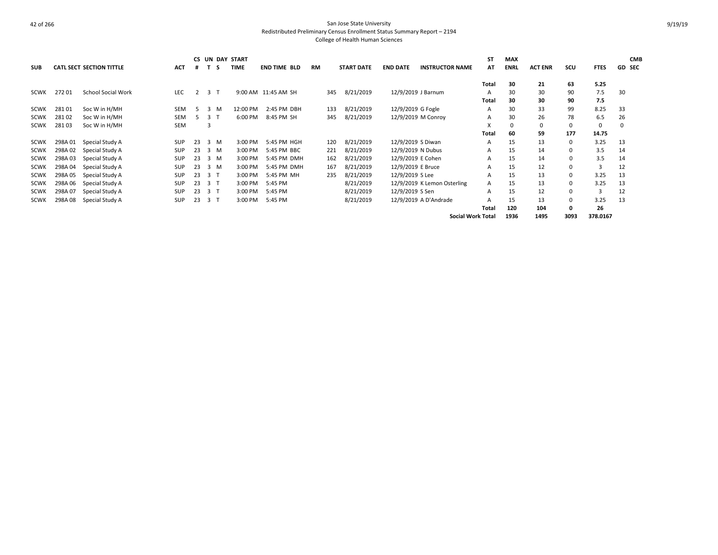|             |         |                                 |            | <b>CS</b> |                     | UN DAY START |                     |           |     |                   |                   |                             | ST           | <b>MAX</b>  |                |            |             | <b>CMB</b>    |
|-------------|---------|---------------------------------|------------|-----------|---------------------|--------------|---------------------|-----------|-----|-------------------|-------------------|-----------------------------|--------------|-------------|----------------|------------|-------------|---------------|
| <b>SUB</b>  |         | <b>CATL SECT SECTION TITTLE</b> | <b>ACT</b> | #         | s.                  | <b>TIME</b>  | <b>END TIME BLD</b> | <b>RM</b> |     | <b>START DATE</b> | <b>END DATE</b>   | <b>INSTRUCTOR NAME</b>      | AT           | <b>ENRL</b> | <b>ACT ENR</b> | <b>SCU</b> | <b>FTES</b> | <b>GD SEC</b> |
|             |         |                                 |            |           |                     |              |                     |           |     |                   |                   |                             |              |             |                |            |             |               |
|             |         |                                 |            |           |                     |              |                     |           |     |                   |                   |                             | Total        | 30          | 21             | 63         | 5.25        |               |
| SCWK        | 27201   | <b>School Social Work</b>       | <b>LEC</b> |           | 3                   |              | 9:00 AM 11:45 AM SH |           | 345 | 8/21/2019         |                   | 12/9/2019 J Barnum          | Α            | 30          | 30             | 90         | 7.5         | 30            |
|             |         |                                 |            |           |                     |              |                     |           |     |                   |                   |                             | <b>Total</b> | 30          | 30             | 90         | 7.5         |               |
| <b>SCWK</b> | 28101   | Soc W in H/MH                   | <b>SEM</b> | 5         | -3<br>м             | 12:00 PM     | 2:45 PM DBH         |           | 133 | 8/21/2019         | 12/9/2019 G Fogle |                             | A            | 30          | 33             | 99         | 8.25        | 33            |
| <b>SCWK</b> | 28102   | Soc W in H/MH                   | <b>SEM</b> | 5.        | 3                   | 6:00 PM      | 8:45 PM SH          |           | 345 | 8/21/2019         |                   | 12/9/2019 M Conroy          | A            | 30          | 26             | 78         | 6.5         | 26            |
| <b>SCWK</b> | 28103   | Soc W in H/MH                   | <b>SEM</b> |           | 3                   |              |                     |           |     |                   |                   |                             | X            | $\Omega$    | 0              | 0          | 0           | $\Omega$      |
|             |         |                                 |            |           |                     |              |                     |           |     |                   |                   |                             | Total        | 60          | 59             | 177        | 14.75       |               |
| <b>SCWK</b> | 298A 01 | Special Study A                 | <b>SUP</b> | 23        | $\mathbf{3}$<br>M   | 3:00 PM      | 5:45 PM HGH         |           | 120 | 8/21/2019         | 12/9/2019 S Diwan |                             | A            | 15          | 13             | 0          | 3.25        | 13            |
| <b>SCWK</b> | 298A02  | Special Study A                 | <b>SUP</b> | 23        | $\overline{3}$<br>M | 3:00 PM      | 5:45 PM BBC         |           | 221 | 8/21/2019         | 12/9/2019 N Dubus |                             | А            | 15          | 14             | 0          | 3.5         | 14            |
| <b>SCWK</b> | 298A03  | Special Study A                 | <b>SUP</b> | 23        | $\overline{3}$<br>M | 3:00 PM      | 5:45 PM DMH         |           | 162 | 8/21/2019         | 12/9/2019 E Cohen |                             | A            | 15          | 14             | 0          | 3.5         | 14            |
| <b>SCWK</b> | 298A04  | Special Study A                 | <b>SUP</b> | 23        | $\overline{3}$<br>M | 3:00 PM      | 5:45 PM DMH         |           | 167 | 8/21/2019         | 12/9/2019 E Bruce |                             | A            | 15          | 12             | 0          | 3           | 12            |
| <b>SCWK</b> | 298A 05 | Special Study A                 | <b>SUP</b> | 23        | 3 <sub>1</sub>      | 3:00 PM      | 5:45 PM MH          |           | 235 | 8/21/2019         | 12/9/2019 S Lee   |                             | A            | 15          | 13             | 0          | 3.25        | 13            |
| <b>SCWK</b> | 298A 06 | Special Study A                 | <b>SUP</b> | 23        | 3 T                 | 3:00 PM      | 5:45 PM             |           |     | 8/21/2019         |                   | 12/9/2019 K Lemon Osterling | A            | 15          | 13             | 0          | 3.25        | 13            |
| <b>SCWK</b> | 298A 07 | Special Study A                 | <b>SUP</b> | 23        | 3 T                 | 3:00 PM      | 5:45 PM             |           |     | 8/21/2019         | 12/9/2019 S Sen   |                             | A            | 15          | 12             | 0          | 3           | 12            |
| <b>SCWK</b> | 298A08  | Special Study A                 | <b>SUP</b> | 23        | 3 T                 | 3:00 PM      | 5:45 PM             |           |     | 8/21/2019         |                   | 12/9/2019 A D'Andrade       | А            | 15          | 13             | 0          | 3.25        | 13            |
|             |         |                                 |            |           |                     |              |                     |           |     |                   |                   |                             | Total        | 120         | 104            | 0          | 26          |               |
|             |         |                                 |            |           |                     |              |                     |           |     |                   |                   | <b>Social Work Total</b>    |              | 1936        | 1495           | 3093       | 378.0167    |               |